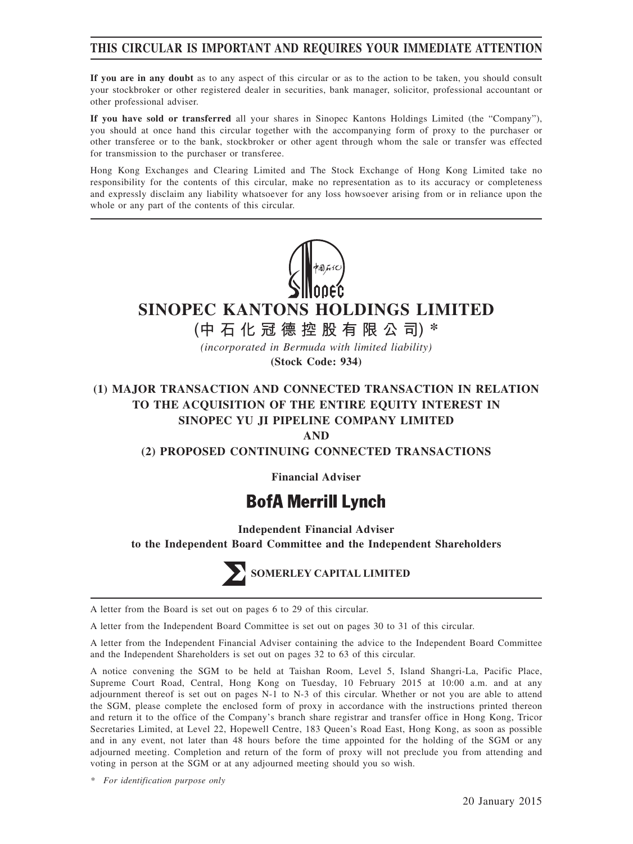### **THIS CIRCULAR IS IMPORTANT AND REQUIRES YOUR IMMEDIATE ATTENTION**

**If you are in any doubt** as to any aspect of this circular or as to the action to be taken, you should consult your stockbroker or other registered dealer in securities, bank manager, solicitor, professional accountant or other professional adviser.

**If you have sold or transferred** all your shares in Sinopec Kantons Holdings Limited (the "Company"), you should at once hand this circular together with the accompanying form of proxy to the purchaser or other transferee or to the bank, stockbroker or other agent through whom the sale or transfer was effected for transmission to the purchaser or transferee.

Hong Kong Exchanges and Clearing Limited and The Stock Exchange of Hong Kong Limited take no responsibility for the contents of this circular, make no representation as to its accuracy or completeness and expressly disclaim any liability whatsoever for any loss howsoever arising from or in reliance upon the whole or any part of the contents of this circular.



# **SINOPEC KANTONS HOLDINGS LIMITED**

**(中石化冠德控股有限公司) \***

*(incorporated in Bermuda with limited liability)* **(Stock Code: 934)**

## **(1) MAJOR TRANSACTION AND CONNECTED TRANSACTION IN RELATION TO THE ACQUISITION OF THE ENTIRE EQUITY INTEREST IN SINOPEC YU JI PIPELINE COMPANY LIMITED**

**AND**

#### **(2) PROPOSED CONTINUING CONNECTED TRANSACTIONS**

**Financial Adviser**

# **BofA Merrill Lynch**

**Independent Financial Adviser**

**to the Independent Board Committee and the Independent Shareholders**



A letter from the Board is set out on pages 6 to 29 of this circular.

A letter from the Independent Board Committee is set out on pages 30 to 31 of this circular.

A letter from the Independent Financial Adviser containing the advice to the Independent Board Committee and the Independent Shareholders is set out on pages 32 to 63 of this circular.

A notice convening the SGM to be held at Taishan Room, Level 5, Island Shangri-La, Pacific Place, Supreme Court Road, Central, Hong Kong on Tuesday, 10 February 2015 at 10:00 a.m. and at any adjournment thereof is set out on pages N-1 to N-3 of this circular. Whether or not you are able to attend the SGM, please complete the enclosed form of proxy in accordance with the instructions printed thereon and return it to the office of the Company's branch share registrar and transfer office in Hong Kong, Tricor Secretaries Limited, at Level 22, Hopewell Centre, 183 Queen's Road East, Hong Kong, as soon as possible and in any event, not later than 48 hours before the time appointed for the holding of the SGM or any adjourned meeting. Completion and return of the form of proxy will not preclude you from attending and voting in person at the SGM or at any adjourned meeting should you so wish.

*\* For identification purpose only*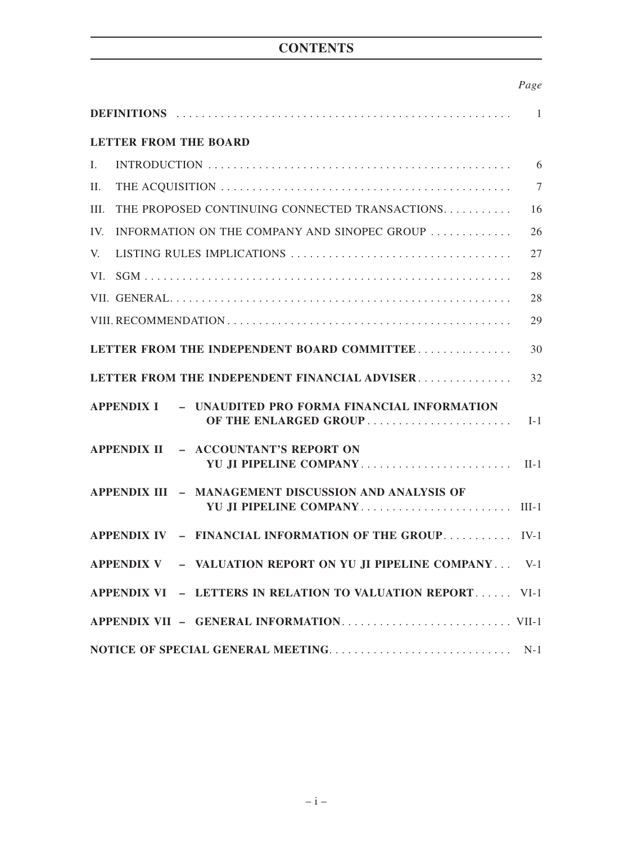# **CONTENTS**

### *Page*

| DEFINITIONS (and the contract of the contract of the contract of the contract of the contract of the contract of the contract of the contract of the contract of the contract of the contract of the contract of the contract |                |
|-------------------------------------------------------------------------------------------------------------------------------------------------------------------------------------------------------------------------------|----------------|
| <b>LETTER FROM THE BOARD</b>                                                                                                                                                                                                  |                |
| $\mathbf{I}$ .                                                                                                                                                                                                                | 6              |
| II.                                                                                                                                                                                                                           | $\overline{7}$ |
| THE PROPOSED CONTINUING CONNECTED TRANSACTIONS<br>III.                                                                                                                                                                        | 16             |
| INFORMATION ON THE COMPANY AND SINOPEC GROUP<br>IV.                                                                                                                                                                           | 26             |
| V.                                                                                                                                                                                                                            | 27             |
| VI.                                                                                                                                                                                                                           | 28             |
|                                                                                                                                                                                                                               | 28             |
|                                                                                                                                                                                                                               | 29             |
| LETTER FROM THE INDEPENDENT BOARD COMMITTEE                                                                                                                                                                                   | 30             |
| LETTER FROM THE INDEPENDENT FINANCIAL ADVISER                                                                                                                                                                                 | 32             |
| <b>APPENDIX I</b><br>- UNAUDITED PRO FORMA FINANCIAL INFORMATION<br>OF THE ENLARGED GROUP                                                                                                                                     | $I-1$          |
| APPENDIX II - ACCOUNTANT'S REPORT ON<br>YU JI PIPELINE COMPANY                                                                                                                                                                | $II-1$         |
| APPENDIX III - MANAGEMENT DISCUSSION AND ANALYSIS OF<br>YU JI PIPELINE COMPANY                                                                                                                                                | $III-1$        |
| APPENDIX IV - FINANCIAL INFORMATION OF THE GROUP IV-1                                                                                                                                                                         |                |
| APPENDIX V - VALUATION REPORT ON YU JI PIPELINE COMPANY V-1                                                                                                                                                                   |                |
| APPENDIX VI - LETTERS IN RELATION TO VALUATION REPORT VI-1                                                                                                                                                                    |                |
|                                                                                                                                                                                                                               |                |
|                                                                                                                                                                                                                               | $N-1$          |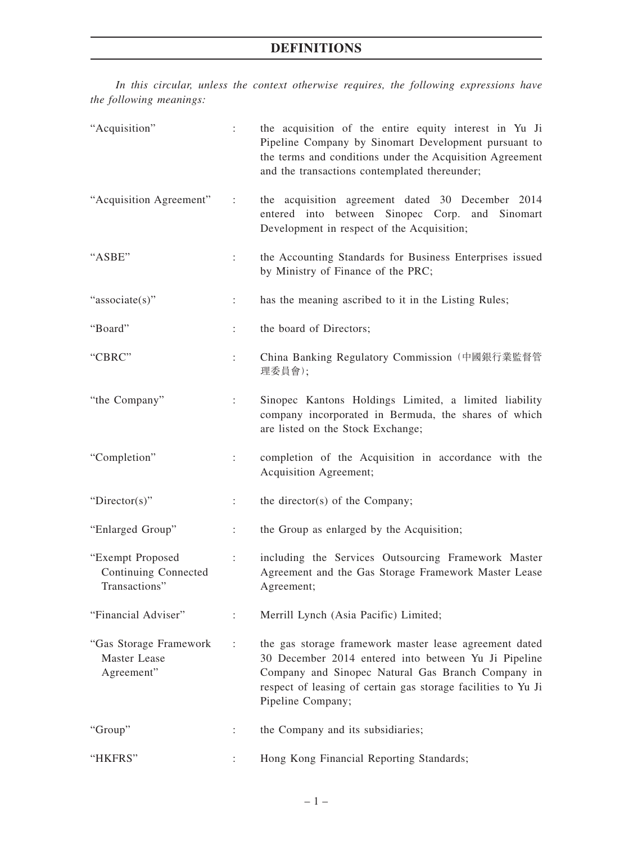*In this circular, unless the context otherwise requires, the following expressions have the following meanings:*

| "Acquisition"                                             | ÷.                        | the acquisition of the entire equity interest in Yu Ji<br>Pipeline Company by Sinomart Development pursuant to<br>the terms and conditions under the Acquisition Agreement<br>and the transactions contemplated thereunder;                               |
|-----------------------------------------------------------|---------------------------|-----------------------------------------------------------------------------------------------------------------------------------------------------------------------------------------------------------------------------------------------------------|
| "Acquisition Agreement"                                   | ÷                         | the acquisition agreement dated 30 December 2014<br>entered into between Sinopec Corp. and Sinomart<br>Development in respect of the Acquisition;                                                                                                         |
| "ASBE"                                                    | ÷                         | the Accounting Standards for Business Enterprises issued<br>by Ministry of Finance of the PRC;                                                                                                                                                            |
| "associate(s)"                                            | $\ddot{\phantom{a}}$      | has the meaning ascribed to it in the Listing Rules;                                                                                                                                                                                                      |
| "Board"                                                   |                           | the board of Directors;                                                                                                                                                                                                                                   |
| "CBRC"                                                    | $\ddot{\phantom{0}}$      | China Banking Regulatory Commission (中國銀行業監督管<br>理委員會);                                                                                                                                                                                                   |
| "the Company"                                             | $\ddot{\cdot}$            | Sinopec Kantons Holdings Limited, a limited liability<br>company incorporated in Bermuda, the shares of which<br>are listed on the Stock Exchange;                                                                                                        |
| "Completion"                                              |                           | completion of the Acquisition in accordance with the<br>Acquisition Agreement;                                                                                                                                                                            |
| " $Directory$ "                                           | ÷                         | the director(s) of the Company;                                                                                                                                                                                                                           |
| "Enlarged Group"                                          | $\ddot{\phantom{a}}$      | the Group as enlarged by the Acquisition;                                                                                                                                                                                                                 |
| "Exempt Proposed<br>Continuing Connected<br>Transactions" | $\mathbb{Z}^{\mathbb{Z}}$ | including the Services Outsourcing Framework Master<br>Agreement and the Gas Storage Framework Master Lease<br>Agreement;                                                                                                                                 |
| "Financial Adviser"                                       |                           | Merrill Lynch (Asia Pacific) Limited;                                                                                                                                                                                                                     |
| "Gas Storage Framework<br>Master Lease<br>Agreement"      |                           | the gas storage framework master lease agreement dated<br>30 December 2014 entered into between Yu Ji Pipeline<br>Company and Sinopec Natural Gas Branch Company in<br>respect of leasing of certain gas storage facilities to Yu Ji<br>Pipeline Company; |
| "Group"                                                   |                           | the Company and its subsidiaries;                                                                                                                                                                                                                         |
| "HKFRS"                                                   |                           | Hong Kong Financial Reporting Standards;                                                                                                                                                                                                                  |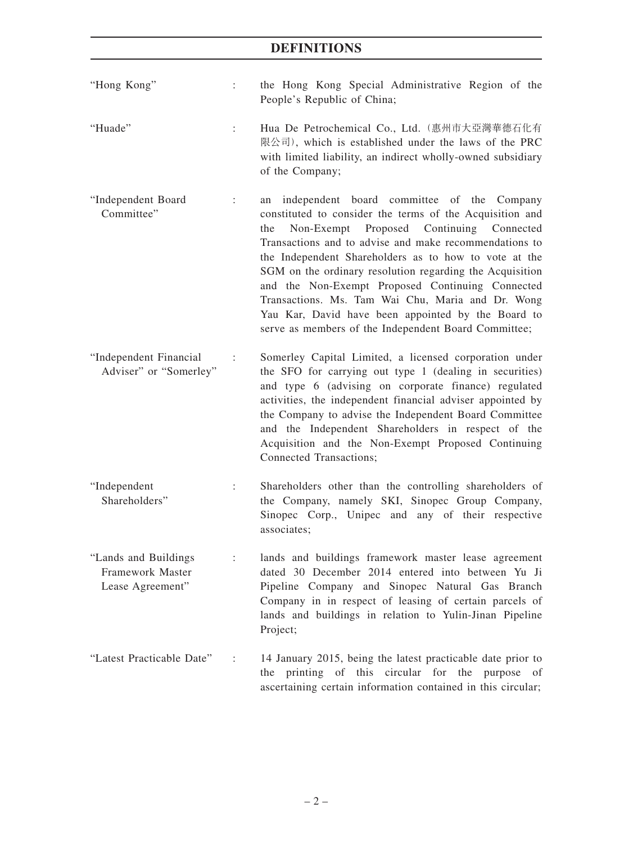- "Hong Kong" : the Hong Kong Special Administrative Region of the People's Republic of China;
- "Huade" : Hua De Petrochemical Co., Ltd.(惠州市大亞灣華德石化有 限公司), which is established under the laws of the PRC with limited liability, an indirect wholly-owned subsidiary of the Company;
- "Independent Board Committee" : an independent board committee of the Company constituted to consider the terms of the Acquisition and the Non-Exempt Proposed Continuing Connected Transactions and to advise and make recommendations to the Independent Shareholders as to how to vote at the SGM on the ordinary resolution regarding the Acquisition and the Non-Exempt Proposed Continuing Connected Transactions. Ms. Tam Wai Chu, Maria and Dr. Wong Yau Kar, David have been appointed by the Board to serve as members of the Independent Board Committee;
- "Independent Financial Adviser" or "Somerley" : Somerley Capital Limited, a licensed corporation under the SFO for carrying out type 1 (dealing in securities) and type 6 (advising on corporate finance) regulated activities, the independent financial adviser appointed by the Company to advise the Independent Board Committee and the Independent Shareholders in respect of the Acquisition and the Non-Exempt Proposed Continuing Connected Transactions;
- "Independent Shareholders" : Shareholders other than the controlling shareholders of the Company, namely SKI, Sinopec Group Company, Sinopec Corp., Unipec and any of their respective associates;
- "Lands and Buildings Framework Master Lease Agreement" : lands and buildings framework master lease agreement dated 30 December 2014 entered into between Yu Ji Pipeline Company and Sinopec Natural Gas Branch Company in in respect of leasing of certain parcels of lands and buildings in relation to Yulin-Jinan Pipeline Project;
- "Latest Practicable Date" : 14 January 2015, being the latest practicable date prior to the printing of this circular for the purpose of ascertaining certain information contained in this circular;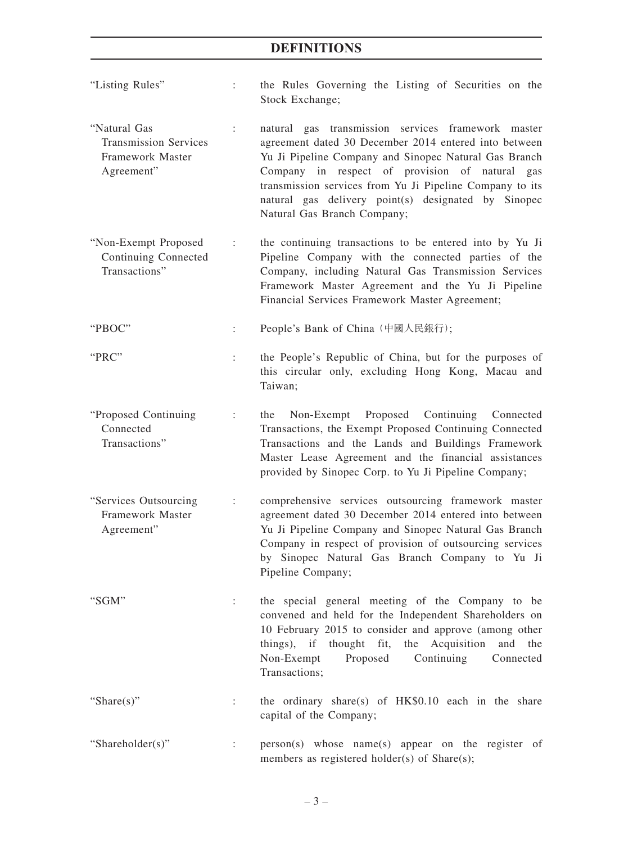- "Listing Rules" : the Rules Governing the Listing of Securities on the Stock Exchange;
- "Natural Gas Transmission Services Framework Master Agreement" : natural gas transmission services framework master agreement dated 30 December 2014 entered into between Yu Ji Pipeline Company and Sinopec Natural Gas Branch Company in respect of provision of natural gas transmission services from Yu Ji Pipeline Company to its natural gas delivery point(s) designated by Sinopec Natural Gas Branch Company;
- "Non-Exempt Proposed Continuing Connected Transactions" : the continuing transactions to be entered into by Yu Ji Pipeline Company with the connected parties of the Company, including Natural Gas Transmission Services Framework Master Agreement and the Yu Ji Pipeline Financial Services Framework Master Agreement;
- "PBOC" : People's Bank of China (中國人民銀行);
- "PRC" : the People's Republic of China, but for the purposes of this circular only, excluding Hong Kong, Macau and Taiwan;
- "Proposed Continuing Connected Transactions" : the Non-Exempt Proposed Continuing Connected Transactions, the Exempt Proposed Continuing Connected Transactions and the Lands and Buildings Framework Master Lease Agreement and the financial assistances provided by Sinopec Corp. to Yu Ji Pipeline Company;
- "Services Outsourcing Framework Master Agreement" : comprehensive services outsourcing framework master agreement dated 30 December 2014 entered into between Yu Ji Pipeline Company and Sinopec Natural Gas Branch Company in respect of provision of outsourcing services by Sinopec Natural Gas Branch Company to Yu Ji Pipeline Company;
- "SGM" : the special general meeting of the Company to be convened and held for the Independent Shareholders on 10 February 2015 to consider and approve (among other things), if thought fit, the Acquisition and the Non-Exempt Proposed Continuing Connected Transactions;
- "Share(s)" : the ordinary share(s) of HK\$0.10 each in the share capital of the Company;
- "Shareholder(s)" : person(s) whose name(s) appear on the register of members as registered holder(s) of Share(s);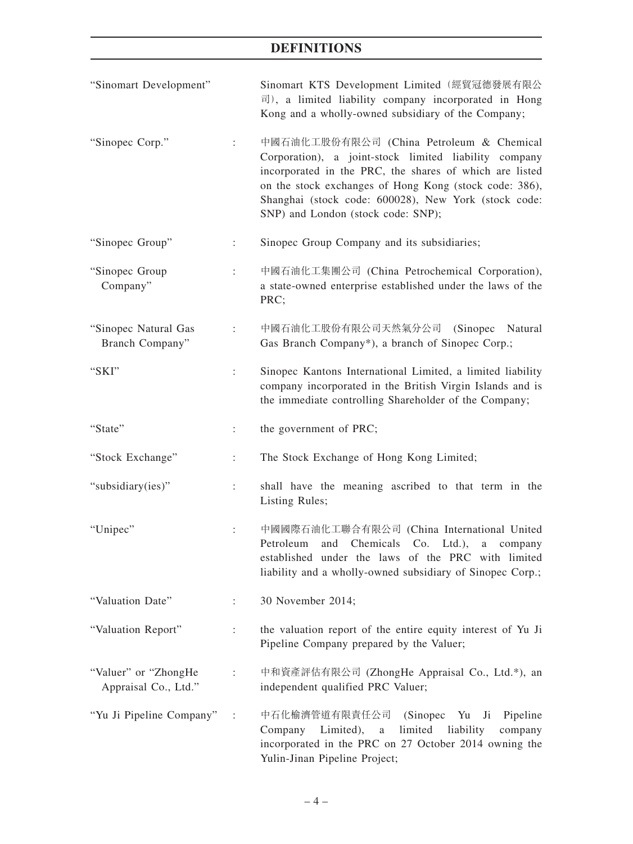| "Sinomart Development"                       |                      | Sinomart KTS Development Limited (經貿冠德發展有限公<br>$\overline{\mathbb{E}}$ ), a limited liability company incorporated in Hong<br>Kong and a wholly-owned subsidiary of the Company;                                                                                                                                     |
|----------------------------------------------|----------------------|----------------------------------------------------------------------------------------------------------------------------------------------------------------------------------------------------------------------------------------------------------------------------------------------------------------------|
| "Sinopec Corp."                              | ÷                    | 中國石油化工股份有限公司 (China Petroleum & Chemical<br>Corporation), a joint-stock limited liability company<br>incorporated in the PRC, the shares of which are listed<br>on the stock exchanges of Hong Kong (stock code: 386),<br>Shanghai (stock code: 600028), New York (stock code:<br>SNP) and London (stock code: SNP); |
| "Sinopec Group"                              | ÷                    | Sinopec Group Company and its subsidiaries;                                                                                                                                                                                                                                                                          |
| "Sinopec Group<br>Company"                   | $\ddot{\phantom{a}}$ | 中國石油化工集團公司 (China Petrochemical Corporation),<br>a state-owned enterprise established under the laws of the<br>PRC;                                                                                                                                                                                                  |
| "Sinopec Natural Gas<br>Branch Company"      | ÷                    | 中國石油化工股份有限公司天然氣分公司 (Sinopec<br>Natural<br>Gas Branch Company*), a branch of Sinopec Corp.;                                                                                                                                                                                                                           |
| "SKI"                                        |                      | Sinopec Kantons International Limited, a limited liability<br>company incorporated in the British Virgin Islands and is<br>the immediate controlling Shareholder of the Company;                                                                                                                                     |
| "State"                                      | $\ddot{\phantom{a}}$ | the government of PRC;                                                                                                                                                                                                                                                                                               |
| "Stock Exchange"                             | ÷                    | The Stock Exchange of Hong Kong Limited;                                                                                                                                                                                                                                                                             |
| "subsidiary(ies)"                            | $\ddot{\phantom{a}}$ | shall have the meaning ascribed to that term in the<br>Listing Rules;                                                                                                                                                                                                                                                |
| "Unipec"                                     |                      | 中國國際石油化工聯合有限公司 (China International United<br>Petroleum<br>and Chemicals Co. Ltd.),<br>a a<br>company<br>established under the laws of the PRC with limited<br>liability and a wholly-owned subsidiary of Sinopec Corp.;                                                                                             |
| "Valuation Date"                             |                      | 30 November 2014;                                                                                                                                                                                                                                                                                                    |
| "Valuation Report"                           | $\ddot{\phantom{a}}$ | the valuation report of the entire equity interest of Yu Ji<br>Pipeline Company prepared by the Valuer;                                                                                                                                                                                                              |
| "Valuer" or "ZhongHe<br>Appraisal Co., Ltd." |                      | 中和資產評估有限公司 (ZhongHe Appraisal Co., Ltd.*), an<br>independent qualified PRC Valuer;                                                                                                                                                                                                                                   |
| "Yu Ji Pipeline Company"                     |                      | 中石化榆濟管道有限責任公司 (Sinopec<br>Pipeline<br>Yu<br>Ji<br>limited<br>Company Limited),<br>liability<br>company<br>$\rm{a}$<br>incorporated in the PRC on 27 October 2014 owning the<br>Yulin-Jinan Pipeline Project;                                                                                                         |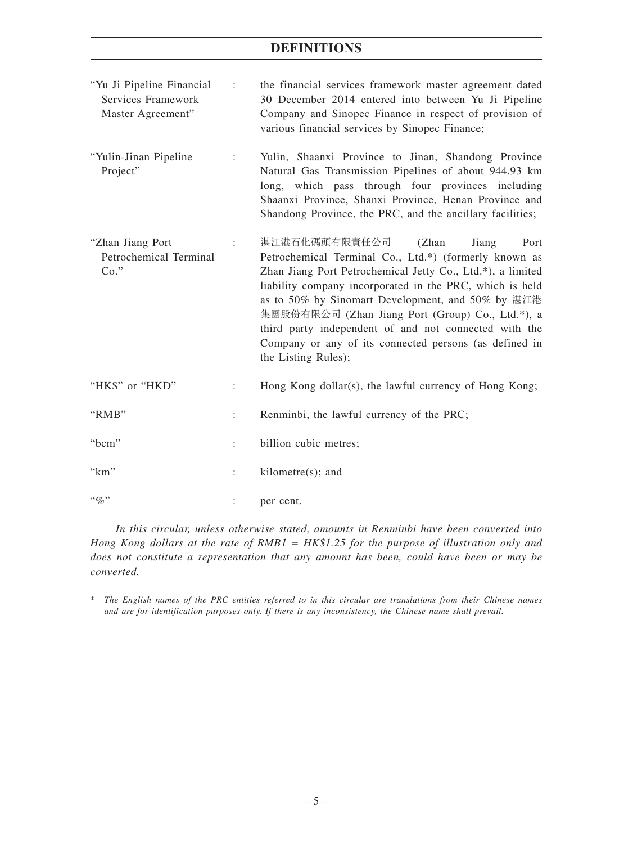| "Yu Ji Pipeline Financial"<br>Services Framework<br>Master Agreement" | ÷ | the financial services framework master agreement dated<br>30 December 2014 entered into between Yu Ji Pipeline<br>Company and Sinopec Finance in respect of provision of<br>various financial services by Sinopec Finance;                                                                                                                                                                  |
|-----------------------------------------------------------------------|---|----------------------------------------------------------------------------------------------------------------------------------------------------------------------------------------------------------------------------------------------------------------------------------------------------------------------------------------------------------------------------------------------|
| "Yulin-Jinan Pipeline"<br>Project"                                    |   | Yulin, Shaanxi Province to Jinan, Shandong Province<br>Natural Gas Transmission Pipelines of about 944.93 km<br>long, which pass through four provinces including<br>Shaanxi Province, Shanxi Province, Henan Province and<br>Shandong Province, the PRC, and the ancillary facilities;                                                                                                      |
| "Zhan Jiang Port<br>Petrochemical Terminal<br>$Co.$ "                 |   | 湛江港石化碼頭有限責任公司<br>(Zhan<br>Port<br>Jiang<br>Petrochemical Terminal Co., Ltd.*) (formerly known as<br>Zhan Jiang Port Petrochemical Jetty Co., Ltd.*), a limited<br>liability company incorporated in the PRC, which is held<br>as to 50% by Sinomart Development, and 50% by 湛江港<br>集團股份有限公司 (Zhan Jiang Port (Group) Co., Ltd.*), a<br>third party independent of and not connected with the |

the Listing Rules); "HK\$" or "HKD" : Hong Kong dollar(s), the lawful currency of Hong Kong; "RMB" : Renminbi, the lawful currency of the PRC; "bcm" : billion cubic metres; "km" : kilometre(s); and "%"  $\vdots$  per cent.

Company or any of its connected persons (as defined in

*In this circular, unless otherwise stated, amounts in Renminbi have been converted into Hong Kong dollars at the rate of RMB1 = HK\$1.25 for the purpose of illustration only and does not constitute a representation that any amount has been, could have been or may be converted.*

\* *The English names of the PRC entities referred to in this circular are translations from their Chinese names and are for identification purposes only. If there is any inconsistency, the Chinese name shall prevail.*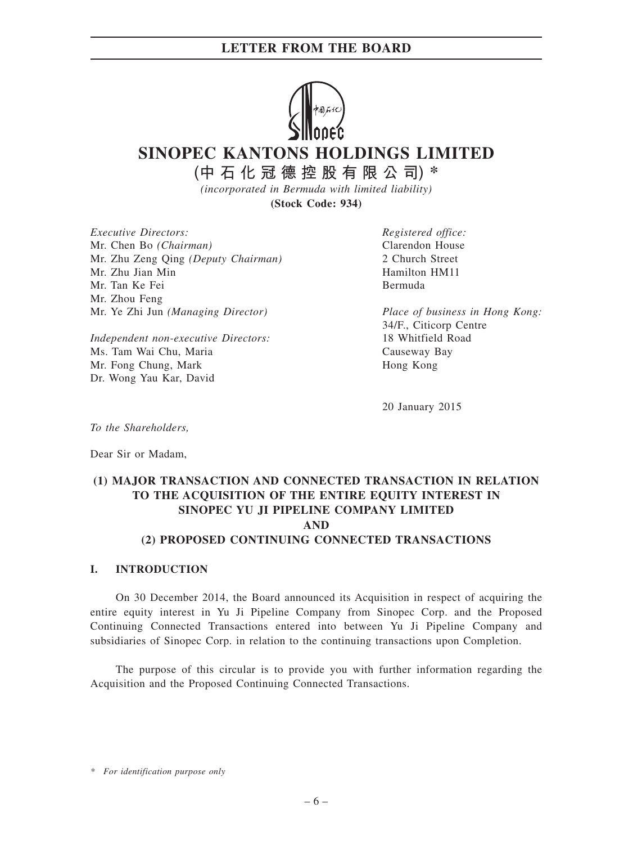

**SINOPEC KANTONS HOLDINGS LIMITED**

**(中石化冠德控股有限公司) \***

*(incorporated in Bermuda with limited liability)* **(Stock Code: 934)**

*Executive Directors:* Mr. Chen Bo *(Chairman)* Mr. Zhu Zeng Qing *(Deputy Chairman)* Mr. Zhu Jian Min Mr. Tan Ke Fei Mr. Zhou Feng Mr. Ye Zhi Jun *(Managing Director)*

*Independent non-executive Directors:* Ms. Tam Wai Chu, Maria Mr. Fong Chung, Mark Dr. Wong Yau Kar, David

*Registered office:* Clarendon House 2 Church Street Hamilton HM11 Bermuda

*Place of business in Hong Kong:* 34/F., Citicorp Centre 18 Whitfield Road Causeway Bay Hong Kong

20 January 2015

*To the Shareholders,*

Dear Sir or Madam,

### **(1) MAJOR TRANSACTION AND CONNECTED TRANSACTION IN RELATION TO THE ACQUISITION OF THE ENTIRE EQUITY INTEREST IN SINOPEC YU JI PIPELINE COMPANY LIMITED AND (2) PROPOSED CONTINUING CONNECTED TRANSACTIONS**

#### **I. INTRODUCTION**

On 30 December 2014, the Board announced its Acquisition in respect of acquiring the entire equity interest in Yu Ji Pipeline Company from Sinopec Corp. and the Proposed Continuing Connected Transactions entered into between Yu Ji Pipeline Company and subsidiaries of Sinopec Corp. in relation to the continuing transactions upon Completion.

The purpose of this circular is to provide you with further information regarding the Acquisition and the Proposed Continuing Connected Transactions.

*\* For identification purpose only*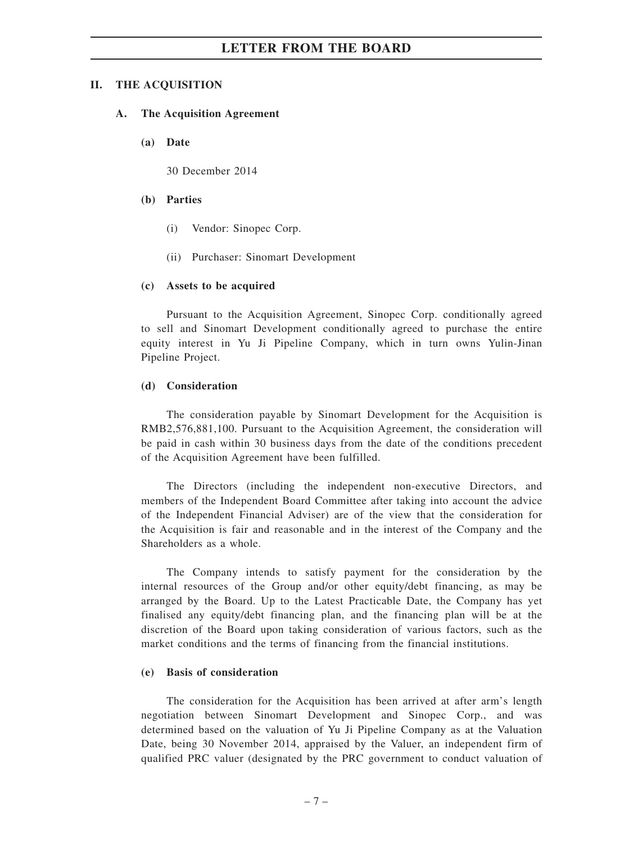#### **II. THE ACQUISITION**

#### **A. The Acquisition Agreement**

**(a) Date**

30 December 2014

#### **(b) Parties**

- (i) Vendor: Sinopec Corp.
- (ii) Purchaser: Sinomart Development

#### **(c) Assets to be acquired**

Pursuant to the Acquisition Agreement, Sinopec Corp. conditionally agreed to sell and Sinomart Development conditionally agreed to purchase the entire equity interest in Yu Ji Pipeline Company, which in turn owns Yulin-Jinan Pipeline Project.

#### **(d) Consideration**

The consideration payable by Sinomart Development for the Acquisition is RMB2,576,881,100. Pursuant to the Acquisition Agreement, the consideration will be paid in cash within 30 business days from the date of the conditions precedent of the Acquisition Agreement have been fulfilled.

The Directors (including the independent non-executive Directors, and members of the Independent Board Committee after taking into account the advice of the Independent Financial Adviser) are of the view that the consideration for the Acquisition is fair and reasonable and in the interest of the Company and the Shareholders as a whole.

The Company intends to satisfy payment for the consideration by the internal resources of the Group and/or other equity/debt financing, as may be arranged by the Board. Up to the Latest Practicable Date, the Company has yet finalised any equity/debt financing plan, and the financing plan will be at the discretion of the Board upon taking consideration of various factors, such as the market conditions and the terms of financing from the financial institutions.

#### **(e) Basis of consideration**

The consideration for the Acquisition has been arrived at after arm's length negotiation between Sinomart Development and Sinopec Corp., and was determined based on the valuation of Yu Ji Pipeline Company as at the Valuation Date, being 30 November 2014, appraised by the Valuer, an independent firm of qualified PRC valuer (designated by the PRC government to conduct valuation of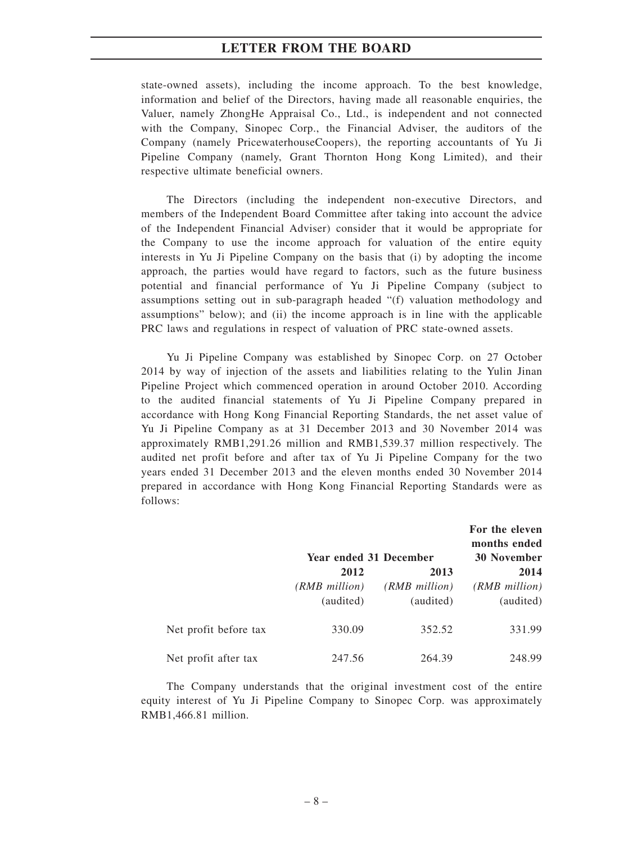state-owned assets), including the income approach. To the best knowledge, information and belief of the Directors, having made all reasonable enquiries, the Valuer, namely ZhongHe Appraisal Co., Ltd., is independent and not connected with the Company, Sinopec Corp., the Financial Adviser, the auditors of the Company (namely PricewaterhouseCoopers), the reporting accountants of Yu Ji Pipeline Company (namely, Grant Thornton Hong Kong Limited), and their respective ultimate beneficial owners.

The Directors (including the independent non-executive Directors, and members of the Independent Board Committee after taking into account the advice of the Independent Financial Adviser) consider that it would be appropriate for the Company to use the income approach for valuation of the entire equity interests in Yu Ji Pipeline Company on the basis that (i) by adopting the income approach, the parties would have regard to factors, such as the future business potential and financial performance of Yu Ji Pipeline Company (subject to assumptions setting out in sub-paragraph headed "(f) valuation methodology and assumptions" below); and (ii) the income approach is in line with the applicable PRC laws and regulations in respect of valuation of PRC state-owned assets.

Yu Ji Pipeline Company was established by Sinopec Corp. on 27 October 2014 by way of injection of the assets and liabilities relating to the Yulin Jinan Pipeline Project which commenced operation in around October 2010. According to the audited financial statements of Yu Ji Pipeline Company prepared in accordance with Hong Kong Financial Reporting Standards, the net asset value of Yu Ji Pipeline Company as at 31 December 2013 and 30 November 2014 was approximately RMB1,291.26 million and RMB1,539.37 million respectively. The audited net profit before and after tax of Yu Ji Pipeline Company for the two years ended 31 December 2013 and the eleven months ended 30 November 2014 prepared in accordance with Hong Kong Financial Reporting Standards were as follows:

|                       | <b>Year ended 31 December</b> | For the eleven<br>months ended<br><b>30 November</b> |               |
|-----------------------|-------------------------------|------------------------------------------------------|---------------|
|                       | 2012                          | 2013                                                 | 2014          |
|                       | $(RMB$ million)               | (RMB million)                                        | (RMB million) |
|                       | (audited)                     | (audited)                                            | (audited)     |
| Net profit before tax | 330.09                        | 352.52                                               | 331.99        |
| Net profit after tax  | 247.56                        | 264.39                                               | 248.99        |

The Company understands that the original investment cost of the entire equity interest of Yu Ji Pipeline Company to Sinopec Corp. was approximately RMB1,466.81 million.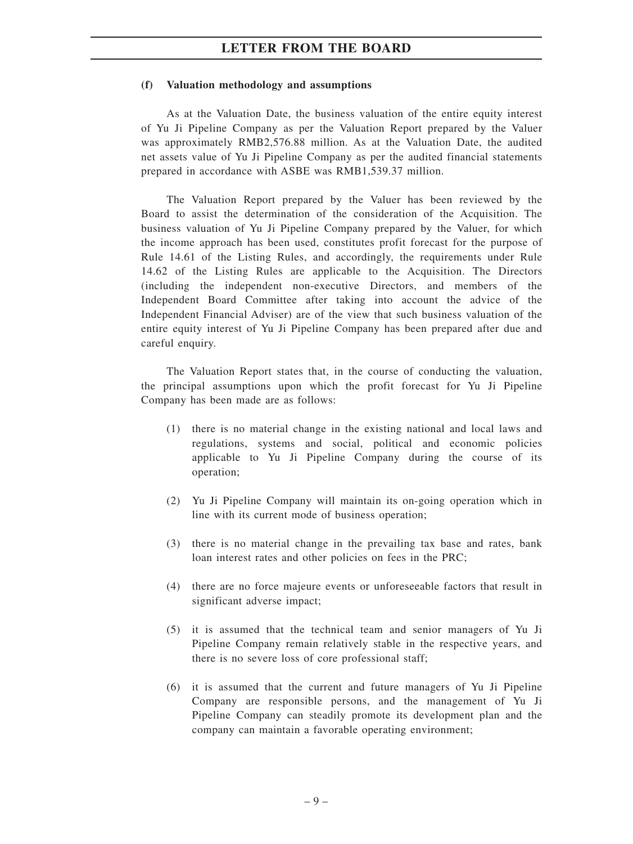#### **(f) Valuation methodology and assumptions**

As at the Valuation Date, the business valuation of the entire equity interest of Yu Ji Pipeline Company as per the Valuation Report prepared by the Valuer was approximately RMB2,576.88 million. As at the Valuation Date, the audited net assets value of Yu Ji Pipeline Company as per the audited financial statements prepared in accordance with ASBE was RMB1,539.37 million.

The Valuation Report prepared by the Valuer has been reviewed by the Board to assist the determination of the consideration of the Acquisition. The business valuation of Yu Ji Pipeline Company prepared by the Valuer, for which the income approach has been used, constitutes profit forecast for the purpose of Rule 14.61 of the Listing Rules, and accordingly, the requirements under Rule 14.62 of the Listing Rules are applicable to the Acquisition. The Directors (including the independent non-executive Directors, and members of the Independent Board Committee after taking into account the advice of the Independent Financial Adviser) are of the view that such business valuation of the entire equity interest of Yu Ji Pipeline Company has been prepared after due and careful enquiry.

The Valuation Report states that, in the course of conducting the valuation, the principal assumptions upon which the profit forecast for Yu Ji Pipeline Company has been made are as follows:

- (1) there is no material change in the existing national and local laws and regulations, systems and social, political and economic policies applicable to Yu Ji Pipeline Company during the course of its operation;
- (2) Yu Ji Pipeline Company will maintain its on-going operation which in line with its current mode of business operation;
- (3) there is no material change in the prevailing tax base and rates, bank loan interest rates and other policies on fees in the PRC;
- (4) there are no force majeure events or unforeseeable factors that result in significant adverse impact;
- (5) it is assumed that the technical team and senior managers of Yu Ji Pipeline Company remain relatively stable in the respective years, and there is no severe loss of core professional staff;
- (6) it is assumed that the current and future managers of Yu Ji Pipeline Company are responsible persons, and the management of Yu Ji Pipeline Company can steadily promote its development plan and the company can maintain a favorable operating environment;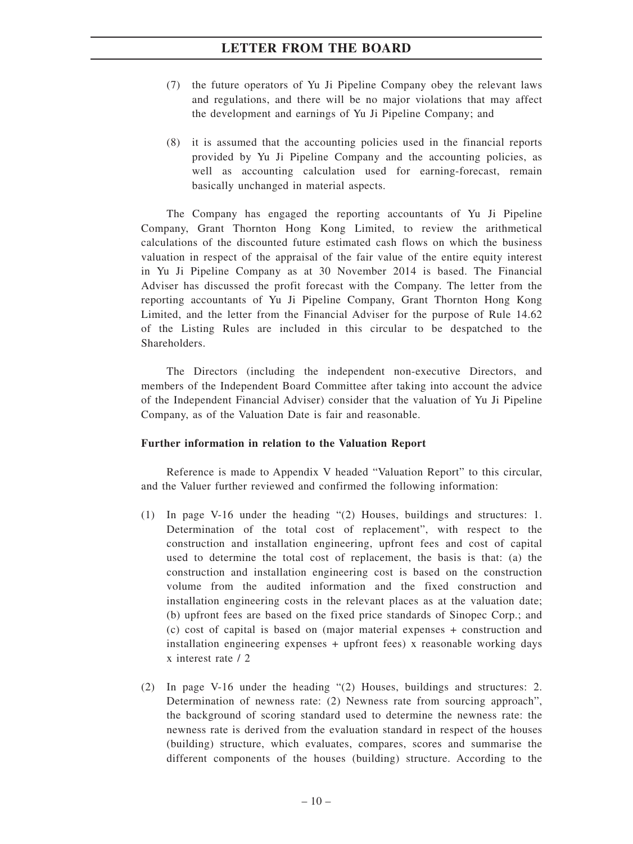- (7) the future operators of Yu Ji Pipeline Company obey the relevant laws and regulations, and there will be no major violations that may affect the development and earnings of Yu Ji Pipeline Company; and
- (8) it is assumed that the accounting policies used in the financial reports provided by Yu Ji Pipeline Company and the accounting policies, as well as accounting calculation used for earning-forecast, remain basically unchanged in material aspects.

The Company has engaged the reporting accountants of Yu Ji Pipeline Company, Grant Thornton Hong Kong Limited, to review the arithmetical calculations of the discounted future estimated cash flows on which the business valuation in respect of the appraisal of the fair value of the entire equity interest in Yu Ji Pipeline Company as at 30 November 2014 is based. The Financial Adviser has discussed the profit forecast with the Company. The letter from the reporting accountants of Yu Ji Pipeline Company, Grant Thornton Hong Kong Limited, and the letter from the Financial Adviser for the purpose of Rule 14.62 of the Listing Rules are included in this circular to be despatched to the Shareholders.

The Directors (including the independent non-executive Directors, and members of the Independent Board Committee after taking into account the advice of the Independent Financial Adviser) consider that the valuation of Yu Ji Pipeline Company, as of the Valuation Date is fair and reasonable.

#### **Further information in relation to the Valuation Report**

Reference is made to Appendix V headed "Valuation Report" to this circular, and the Valuer further reviewed and confirmed the following information:

- (1) In page V-16 under the heading "(2) Houses, buildings and structures: 1. Determination of the total cost of replacement", with respect to the construction and installation engineering, upfront fees and cost of capital used to determine the total cost of replacement, the basis is that: (a) the construction and installation engineering cost is based on the construction volume from the audited information and the fixed construction and installation engineering costs in the relevant places as at the valuation date; (b) upfront fees are based on the fixed price standards of Sinopec Corp.; and (c) cost of capital is based on (major material expenses + construction and installation engineering expenses + upfront fees) x reasonable working days x interest rate / 2
- (2) In page V-16 under the heading "(2) Houses, buildings and structures: 2. Determination of newness rate: (2) Newness rate from sourcing approach", the background of scoring standard used to determine the newness rate: the newness rate is derived from the evaluation standard in respect of the houses (building) structure, which evaluates, compares, scores and summarise the different components of the houses (building) structure. According to the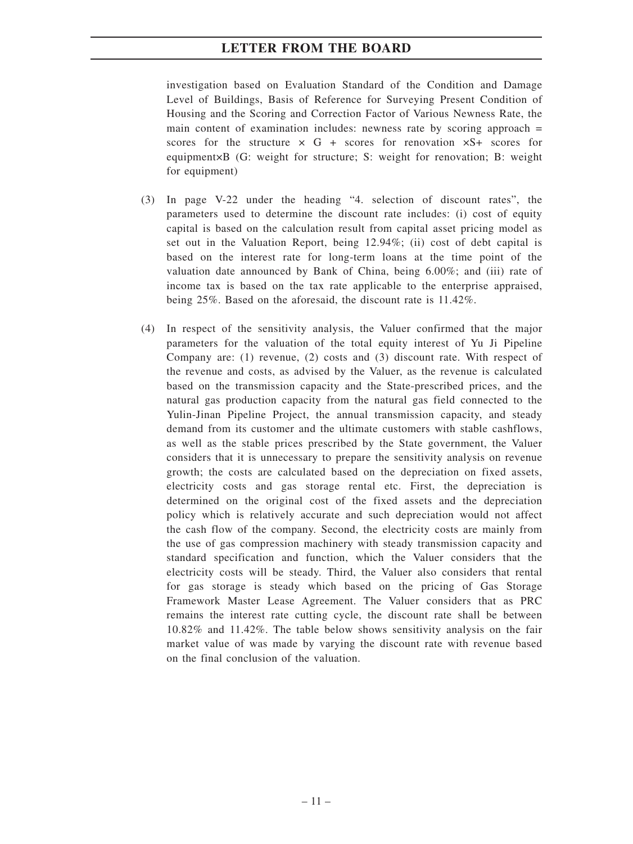investigation based on Evaluation Standard of the Condition and Damage Level of Buildings, Basis of Reference for Surveying Present Condition of Housing and the Scoring and Correction Factor of Various Newness Rate, the main content of examination includes: newness rate by scoring approach  $=$ scores for the structure  $\times$  G + scores for renovation  $\times$ S+ scores for equipment×B (G: weight for structure; S: weight for renovation; B: weight for equipment)

- (3) In page V-22 under the heading "4. selection of discount rates", the parameters used to determine the discount rate includes: (i) cost of equity capital is based on the calculation result from capital asset pricing model as set out in the Valuation Report, being 12.94%; (ii) cost of debt capital is based on the interest rate for long-term loans at the time point of the valuation date announced by Bank of China, being 6.00%; and (iii) rate of income tax is based on the tax rate applicable to the enterprise appraised, being 25%. Based on the aforesaid, the discount rate is 11.42%.
- (4) In respect of the sensitivity analysis, the Valuer confirmed that the major parameters for the valuation of the total equity interest of Yu Ji Pipeline Company are: (1) revenue, (2) costs and (3) discount rate. With respect of the revenue and costs, as advised by the Valuer, as the revenue is calculated based on the transmission capacity and the State-prescribed prices, and the natural gas production capacity from the natural gas field connected to the Yulin-Jinan Pipeline Project, the annual transmission capacity, and steady demand from its customer and the ultimate customers with stable cashflows, as well as the stable prices prescribed by the State government, the Valuer considers that it is unnecessary to prepare the sensitivity analysis on revenue growth; the costs are calculated based on the depreciation on fixed assets, electricity costs and gas storage rental etc. First, the depreciation is determined on the original cost of the fixed assets and the depreciation policy which is relatively accurate and such depreciation would not affect the cash flow of the company. Second, the electricity costs are mainly from the use of gas compression machinery with steady transmission capacity and standard specification and function, which the Valuer considers that the electricity costs will be steady. Third, the Valuer also considers that rental for gas storage is steady which based on the pricing of Gas Storage Framework Master Lease Agreement. The Valuer considers that as PRC remains the interest rate cutting cycle, the discount rate shall be between 10.82% and 11.42%. The table below shows sensitivity analysis on the fair market value of was made by varying the discount rate with revenue based on the final conclusion of the valuation.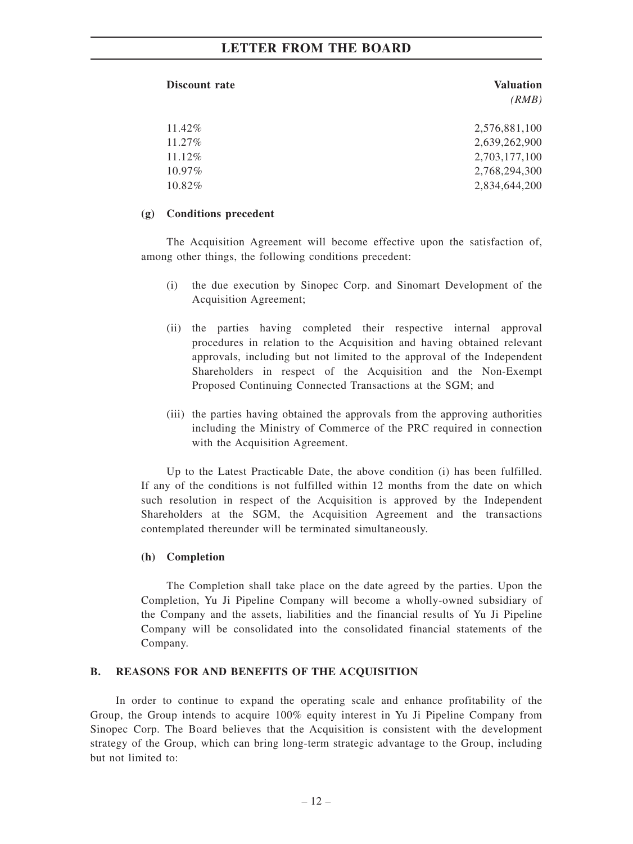| Discount rate | <b>Valuation</b> |
|---------------|------------------|
|               | (RMB)            |
|               |                  |
| 11.42%        | 2,576,881,100    |
| $11.27\%$     | 2,639,262,900    |
| $11.12\%$     | 2,703,177,100    |
| $10.97\%$     | 2,768,294,300    |
| 10.82%        | 2,834,644,200    |

#### **(g) Conditions precedent**

The Acquisition Agreement will become effective upon the satisfaction of, among other things, the following conditions precedent:

- (i) the due execution by Sinopec Corp. and Sinomart Development of the Acquisition Agreement;
- (ii) the parties having completed their respective internal approval procedures in relation to the Acquisition and having obtained relevant approvals, including but not limited to the approval of the Independent Shareholders in respect of the Acquisition and the Non-Exempt Proposed Continuing Connected Transactions at the SGM; and
- (iii) the parties having obtained the approvals from the approving authorities including the Ministry of Commerce of the PRC required in connection with the Acquisition Agreement.

Up to the Latest Practicable Date, the above condition (i) has been fulfilled. If any of the conditions is not fulfilled within 12 months from the date on which such resolution in respect of the Acquisition is approved by the Independent Shareholders at the SGM, the Acquisition Agreement and the transactions contemplated thereunder will be terminated simultaneously.

#### **(h) Completion**

The Completion shall take place on the date agreed by the parties. Upon the Completion, Yu Ji Pipeline Company will become a wholly-owned subsidiary of the Company and the assets, liabilities and the financial results of Yu Ji Pipeline Company will be consolidated into the consolidated financial statements of the Company.

#### **B. REASONS FOR AND BENEFITS OF THE ACQUISITION**

In order to continue to expand the operating scale and enhance profitability of the Group, the Group intends to acquire 100% equity interest in Yu Ji Pipeline Company from Sinopec Corp. The Board believes that the Acquisition is consistent with the development strategy of the Group, which can bring long-term strategic advantage to the Group, including but not limited to: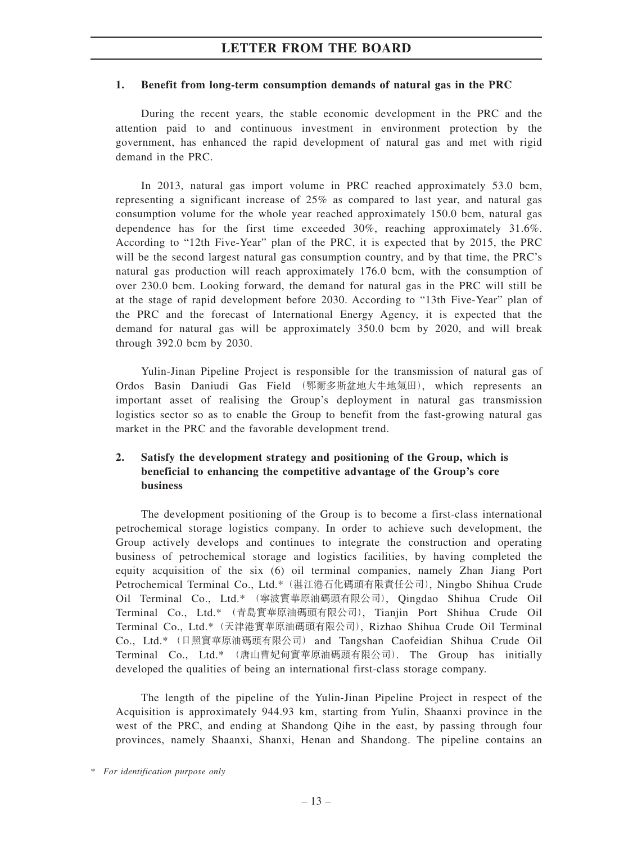#### **1. Benefit from long-term consumption demands of natural gas in the PRC**

During the recent years, the stable economic development in the PRC and the attention paid to and continuous investment in environment protection by the government, has enhanced the rapid development of natural gas and met with rigid demand in the PRC.

In 2013, natural gas import volume in PRC reached approximately 53.0 bcm, representing a significant increase of 25% as compared to last year, and natural gas consumption volume for the whole year reached approximately 150.0 bcm, natural gas dependence has for the first time exceeded 30%, reaching approximately 31.6%. According to "12th Five-Year" plan of the PRC, it is expected that by 2015, the PRC will be the second largest natural gas consumption country, and by that time, the PRC's natural gas production will reach approximately 176.0 bcm, with the consumption of over 230.0 bcm. Looking forward, the demand for natural gas in the PRC will still be at the stage of rapid development before 2030. According to "13th Five-Year" plan of the PRC and the forecast of International Energy Agency, it is expected that the demand for natural gas will be approximately 350.0 bcm by 2020, and will break through 392.0 bcm by 2030.

Yulin-Jinan Pipeline Project is responsible for the transmission of natural gas of Ordos Basin Daniudi Gas Field (鄂爾多斯盆地大牛地氣田), which represents an important asset of realising the Group's deployment in natural gas transmission logistics sector so as to enable the Group to benefit from the fast-growing natural gas market in the PRC and the favorable development trend.

#### **2. Satisfy the development strategy and positioning of the Group, which is beneficial to enhancing the competitive advantage of the Group's core business**

The development positioning of the Group is to become a first-class international petrochemical storage logistics company. In order to achieve such development, the Group actively develops and continues to integrate the construction and operating business of petrochemical storage and logistics facilities, by having completed the equity acquisition of the six (6) oil terminal companies, namely Zhan Jiang Port Petrochemical Terminal Co., Ltd.\*(湛江港石化碼頭有限責任公司), Ningbo Shihua Crude Oil Terminal Co., Ltd.\* (寧波實華原油碼頭有限公司), Qingdao Shihua Crude Oil Terminal Co., Ltd.\* (青島實華原油碼頭有限公司), Tianjin Port Shihua Crude Oil Terminal Co., Ltd.\*(天津港實華原油碼頭有限公司), Rizhao Shihua Crude Oil Terminal Co., Ltd.\* (日照實華原油碼頭有限公司) and Tangshan Caofeidian Shihua Crude Oil Terminal Co., Ltd.\* (唐山曹妃甸實華原油碼頭有限公司). The Group has initially developed the qualities of being an international first-class storage company.

The length of the pipeline of the Yulin-Jinan Pipeline Project in respect of the Acquisition is approximately 944.93 km, starting from Yulin, Shaanxi province in the west of the PRC, and ending at Shandong Qihe in the east, by passing through four provinces, namely Shaanxi, Shanxi, Henan and Shandong. The pipeline contains an

*<sup>\*</sup> For identification purpose only*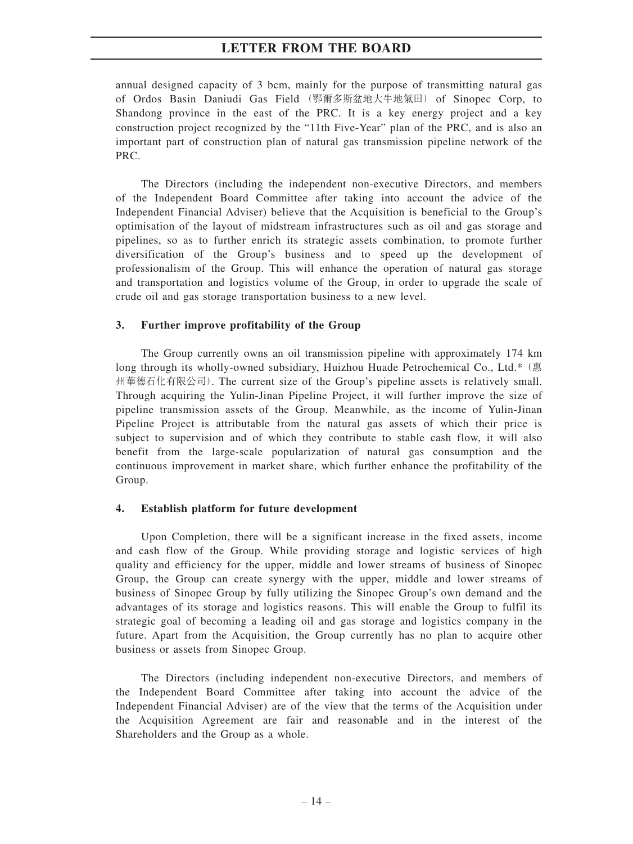annual designed capacity of 3 bcm, mainly for the purpose of transmitting natural gas of Ordos Basin Daniudi Gas Field (鄂爾多斯盆地大牛地氣田) of Sinopec Corp, to Shandong province in the east of the PRC. It is a key energy project and a key construction project recognized by the "11th Five-Year" plan of the PRC, and is also an important part of construction plan of natural gas transmission pipeline network of the PRC.

The Directors (including the independent non-executive Directors, and members of the Independent Board Committee after taking into account the advice of the Independent Financial Adviser) believe that the Acquisition is beneficial to the Group's optimisation of the layout of midstream infrastructures such as oil and gas storage and pipelines, so as to further enrich its strategic assets combination, to promote further diversification of the Group's business and to speed up the development of professionalism of the Group. This will enhance the operation of natural gas storage and transportation and logistics volume of the Group, in order to upgrade the scale of crude oil and gas storage transportation business to a new level.

#### **3. Further improve profitability of the Group**

The Group currently owns an oil transmission pipeline with approximately 174 km long through its wholly-owned subsidiary, Huizhou Huade Petrochemical Co., Ltd.\*(惠 州華德石化有限公司). The current size of the Group's pipeline assets is relatively small. Through acquiring the Yulin-Jinan Pipeline Project, it will further improve the size of pipeline transmission assets of the Group. Meanwhile, as the income of Yulin-Jinan Pipeline Project is attributable from the natural gas assets of which their price is subject to supervision and of which they contribute to stable cash flow, it will also benefit from the large-scale popularization of natural gas consumption and the continuous improvement in market share, which further enhance the profitability of the Group.

#### **4. Establish platform for future development**

Upon Completion, there will be a significant increase in the fixed assets, income and cash flow of the Group. While providing storage and logistic services of high quality and efficiency for the upper, middle and lower streams of business of Sinopec Group, the Group can create synergy with the upper, middle and lower streams of business of Sinopec Group by fully utilizing the Sinopec Group's own demand and the advantages of its storage and logistics reasons. This will enable the Group to fulfil its strategic goal of becoming a leading oil and gas storage and logistics company in the future. Apart from the Acquisition, the Group currently has no plan to acquire other business or assets from Sinopec Group.

The Directors (including independent non-executive Directors, and members of the Independent Board Committee after taking into account the advice of the Independent Financial Adviser) are of the view that the terms of the Acquisition under the Acquisition Agreement are fair and reasonable and in the interest of the Shareholders and the Group as a whole.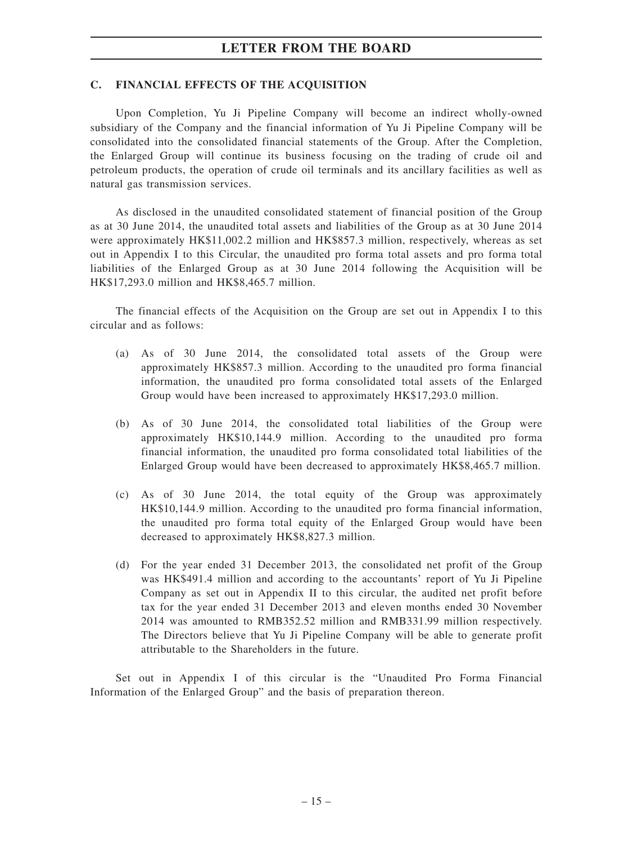#### **C. FINANCIAL EFFECTS OF THE ACQUISITION**

Upon Completion, Yu Ji Pipeline Company will become an indirect wholly-owned subsidiary of the Company and the financial information of Yu Ji Pipeline Company will be consolidated into the consolidated financial statements of the Group. After the Completion, the Enlarged Group will continue its business focusing on the trading of crude oil and petroleum products, the operation of crude oil terminals and its ancillary facilities as well as natural gas transmission services.

As disclosed in the unaudited consolidated statement of financial position of the Group as at 30 June 2014, the unaudited total assets and liabilities of the Group as at 30 June 2014 were approximately HK\$11,002.2 million and HK\$857.3 million, respectively, whereas as set out in Appendix I to this Circular, the unaudited pro forma total assets and pro forma total liabilities of the Enlarged Group as at 30 June 2014 following the Acquisition will be HK\$17,293.0 million and HK\$8,465.7 million.

The financial effects of the Acquisition on the Group are set out in Appendix I to this circular and as follows:

- (a) As of 30 June 2014, the consolidated total assets of the Group were approximately HK\$857.3 million. According to the unaudited pro forma financial information, the unaudited pro forma consolidated total assets of the Enlarged Group would have been increased to approximately HK\$17,293.0 million.
- (b) As of 30 June 2014, the consolidated total liabilities of the Group were approximately HK\$10,144.9 million. According to the unaudited pro forma financial information, the unaudited pro forma consolidated total liabilities of the Enlarged Group would have been decreased to approximately HK\$8,465.7 million.
- (c) As of 30 June 2014, the total equity of the Group was approximately HK\$10,144.9 million. According to the unaudited pro forma financial information, the unaudited pro forma total equity of the Enlarged Group would have been decreased to approximately HK\$8,827.3 million.
- (d) For the year ended 31 December 2013, the consolidated net profit of the Group was HK\$491.4 million and according to the accountants' report of Yu Ji Pipeline Company as set out in Appendix II to this circular, the audited net profit before tax for the year ended 31 December 2013 and eleven months ended 30 November 2014 was amounted to RMB352.52 million and RMB331.99 million respectively. The Directors believe that Yu Ji Pipeline Company will be able to generate profit attributable to the Shareholders in the future.

Set out in Appendix I of this circular is the "Unaudited Pro Forma Financial Information of the Enlarged Group" and the basis of preparation thereon.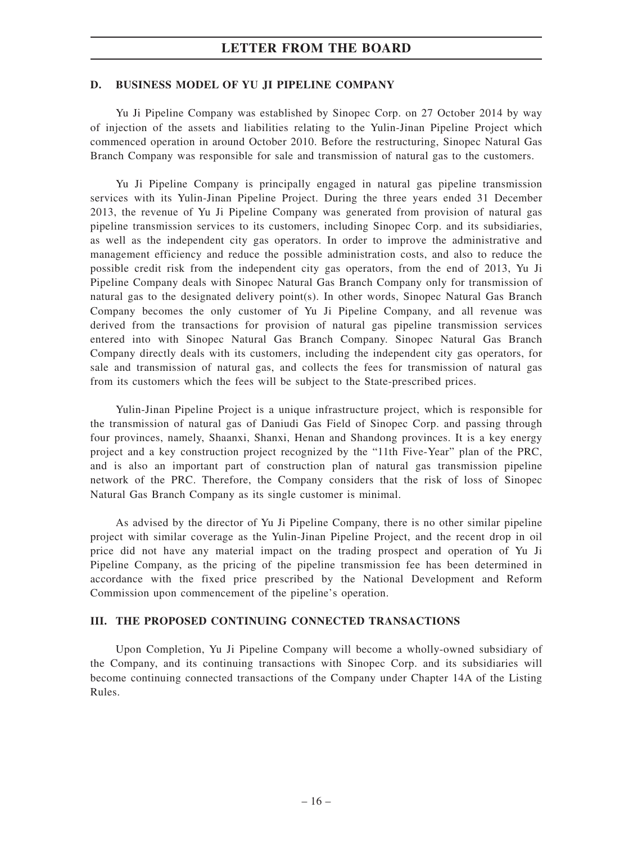#### **D. BUSINESS MODEL OF YU JI PIPELINE COMPANY**

Yu Ji Pipeline Company was established by Sinopec Corp. on 27 October 2014 by way of injection of the assets and liabilities relating to the Yulin-Jinan Pipeline Project which commenced operation in around October 2010. Before the restructuring, Sinopec Natural Gas Branch Company was responsible for sale and transmission of natural gas to the customers.

Yu Ji Pipeline Company is principally engaged in natural gas pipeline transmission services with its Yulin-Jinan Pipeline Project. During the three years ended 31 December 2013, the revenue of Yu Ji Pipeline Company was generated from provision of natural gas pipeline transmission services to its customers, including Sinopec Corp. and its subsidiaries, as well as the independent city gas operators. In order to improve the administrative and management efficiency and reduce the possible administration costs, and also to reduce the possible credit risk from the independent city gas operators, from the end of 2013, Yu Ji Pipeline Company deals with Sinopec Natural Gas Branch Company only for transmission of natural gas to the designated delivery point(s). In other words, Sinopec Natural Gas Branch Company becomes the only customer of Yu Ji Pipeline Company, and all revenue was derived from the transactions for provision of natural gas pipeline transmission services entered into with Sinopec Natural Gas Branch Company. Sinopec Natural Gas Branch Company directly deals with its customers, including the independent city gas operators, for sale and transmission of natural gas, and collects the fees for transmission of natural gas from its customers which the fees will be subject to the State-prescribed prices.

Yulin-Jinan Pipeline Project is a unique infrastructure project, which is responsible for the transmission of natural gas of Daniudi Gas Field of Sinopec Corp. and passing through four provinces, namely, Shaanxi, Shanxi, Henan and Shandong provinces. It is a key energy project and a key construction project recognized by the "11th Five-Year" plan of the PRC, and is also an important part of construction plan of natural gas transmission pipeline network of the PRC. Therefore, the Company considers that the risk of loss of Sinopec Natural Gas Branch Company as its single customer is minimal.

As advised by the director of Yu Ji Pipeline Company, there is no other similar pipeline project with similar coverage as the Yulin-Jinan Pipeline Project, and the recent drop in oil price did not have any material impact on the trading prospect and operation of Yu Ji Pipeline Company, as the pricing of the pipeline transmission fee has been determined in accordance with the fixed price prescribed by the National Development and Reform Commission upon commencement of the pipeline's operation.

#### **III. THE PROPOSED CONTINUING CONNECTED TRANSACTIONS**

Upon Completion, Yu Ji Pipeline Company will become a wholly-owned subsidiary of the Company, and its continuing transactions with Sinopec Corp. and its subsidiaries will become continuing connected transactions of the Company under Chapter 14A of the Listing Rules.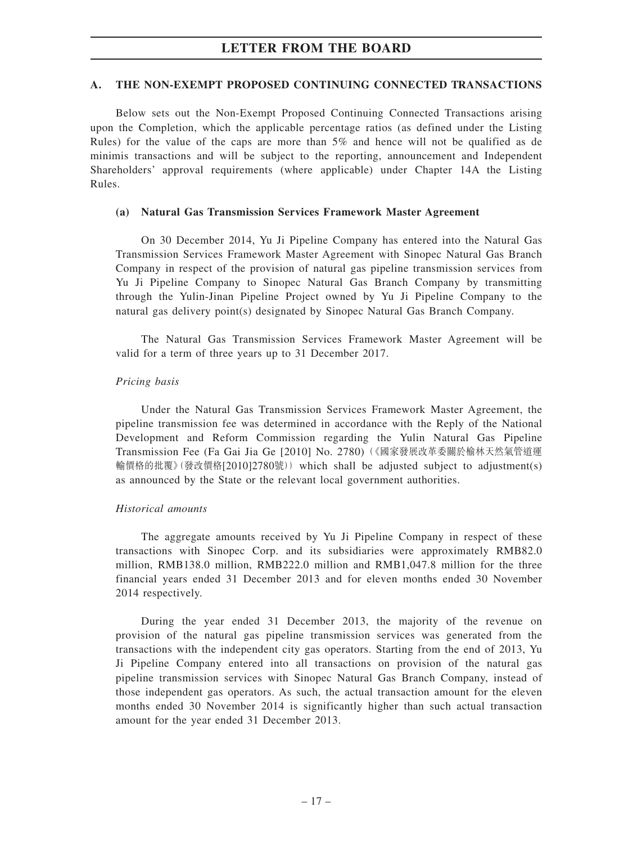#### **A. THE NON-EXEMPT PROPOSED CONTINUING CONNECTED TRANSACTIONS**

Below sets out the Non-Exempt Proposed Continuing Connected Transactions arising upon the Completion, which the applicable percentage ratios (as defined under the Listing Rules) for the value of the caps are more than  $5\%$  and hence will not be qualified as de minimis transactions and will be subject to the reporting, announcement and Independent Shareholders' approval requirements (where applicable) under Chapter 14A the Listing Rules.

#### **(a) Natural Gas Transmission Services Framework Master Agreement**

On 30 December 2014, Yu Ji Pipeline Company has entered into the Natural Gas Transmission Services Framework Master Agreement with Sinopec Natural Gas Branch Company in respect of the provision of natural gas pipeline transmission services from Yu Ji Pipeline Company to Sinopec Natural Gas Branch Company by transmitting through the Yulin-Jinan Pipeline Project owned by Yu Ji Pipeline Company to the natural gas delivery point(s) designated by Sinopec Natural Gas Branch Company.

The Natural Gas Transmission Services Framework Master Agreement will be valid for a term of three years up to 31 December 2017.

#### *Pricing basis*

Under the Natural Gas Transmission Services Framework Master Agreement, the pipeline transmission fee was determined in accordance with the Reply of the National Development and Reform Commission regarding the Yulin Natural Gas Pipeline Transmission Fee (Fa Gai Jia Ge [2010] No. 2780)(《國家發展改革委關於榆林天然氣管道運 輸價格的批覆》(發改價格[2010]2780號))which shall be adjusted subject to adjustment(s) as announced by the State or the relevant local government authorities.

#### *Historical amounts*

The aggregate amounts received by Yu Ji Pipeline Company in respect of these transactions with Sinopec Corp. and its subsidiaries were approximately RMB82.0 million, RMB138.0 million, RMB222.0 million and RMB1,047.8 million for the three financial years ended 31 December 2013 and for eleven months ended 30 November 2014 respectively.

During the year ended 31 December 2013, the majority of the revenue on provision of the natural gas pipeline transmission services was generated from the transactions with the independent city gas operators. Starting from the end of 2013, Yu Ji Pipeline Company entered into all transactions on provision of the natural gas pipeline transmission services with Sinopec Natural Gas Branch Company, instead of those independent gas operators. As such, the actual transaction amount for the eleven months ended 30 November 2014 is significantly higher than such actual transaction amount for the year ended 31 December 2013.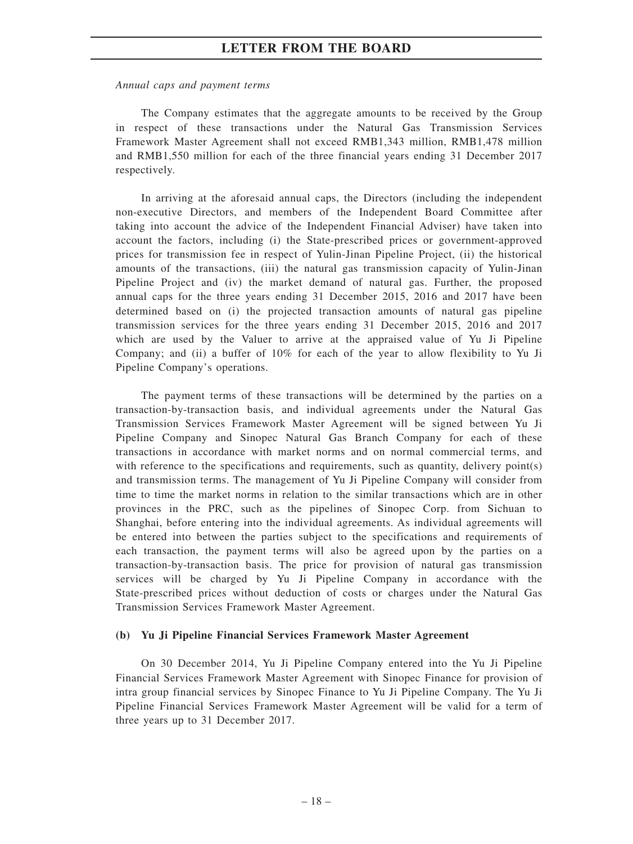#### *Annual caps and payment terms*

The Company estimates that the aggregate amounts to be received by the Group in respect of these transactions under the Natural Gas Transmission Services Framework Master Agreement shall not exceed RMB1,343 million, RMB1,478 million and RMB1,550 million for each of the three financial years ending 31 December 2017 respectively.

In arriving at the aforesaid annual caps, the Directors (including the independent non-executive Directors, and members of the Independent Board Committee after taking into account the advice of the Independent Financial Adviser) have taken into account the factors, including (i) the State-prescribed prices or government-approved prices for transmission fee in respect of Yulin-Jinan Pipeline Project, (ii) the historical amounts of the transactions, (iii) the natural gas transmission capacity of Yulin-Jinan Pipeline Project and (iv) the market demand of natural gas. Further, the proposed annual caps for the three years ending 31 December 2015, 2016 and 2017 have been determined based on (i) the projected transaction amounts of natural gas pipeline transmission services for the three years ending 31 December 2015, 2016 and 2017 which are used by the Valuer to arrive at the appraised value of Yu Ji Pipeline Company; and (ii) a buffer of 10% for each of the year to allow flexibility to Yu Ji Pipeline Company's operations.

The payment terms of these transactions will be determined by the parties on a transaction-by-transaction basis, and individual agreements under the Natural Gas Transmission Services Framework Master Agreement will be signed between Yu Ji Pipeline Company and Sinopec Natural Gas Branch Company for each of these transactions in accordance with market norms and on normal commercial terms, and with reference to the specifications and requirements, such as quantity, delivery point(s) and transmission terms. The management of Yu Ji Pipeline Company will consider from time to time the market norms in relation to the similar transactions which are in other provinces in the PRC, such as the pipelines of Sinopec Corp. from Sichuan to Shanghai, before entering into the individual agreements. As individual agreements will be entered into between the parties subject to the specifications and requirements of each transaction, the payment terms will also be agreed upon by the parties on a transaction-by-transaction basis. The price for provision of natural gas transmission services will be charged by Yu Ji Pipeline Company in accordance with the State-prescribed prices without deduction of costs or charges under the Natural Gas Transmission Services Framework Master Agreement.

#### **(b) Yu Ji Pipeline Financial Services Framework Master Agreement**

On 30 December 2014, Yu Ji Pipeline Company entered into the Yu Ji Pipeline Financial Services Framework Master Agreement with Sinopec Finance for provision of intra group financial services by Sinopec Finance to Yu Ji Pipeline Company. The Yu Ji Pipeline Financial Services Framework Master Agreement will be valid for a term of three years up to 31 December 2017.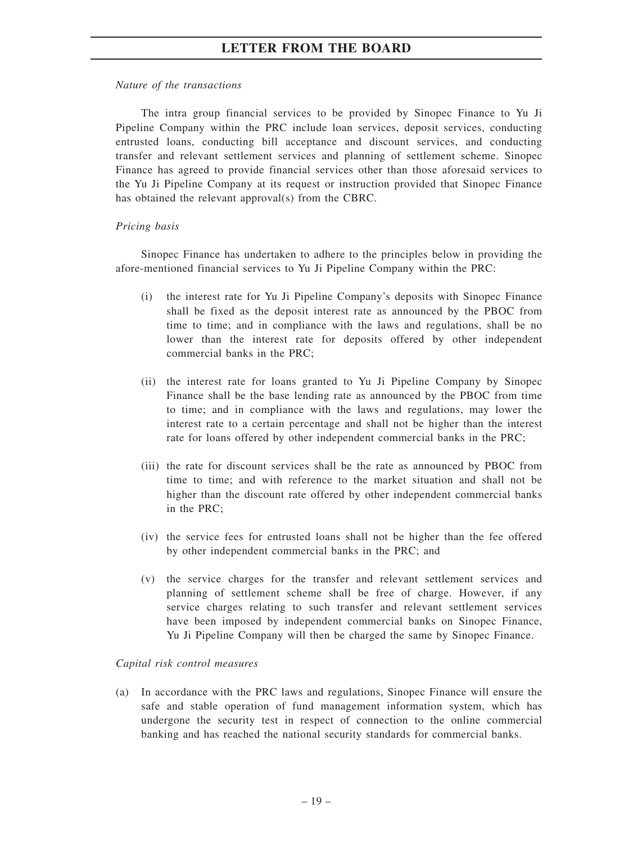#### *Nature of the transactions*

The intra group financial services to be provided by Sinopec Finance to Yu Ji Pipeline Company within the PRC include loan services, deposit services, conducting entrusted loans, conducting bill acceptance and discount services, and conducting transfer and relevant settlement services and planning of settlement scheme. Sinopec Finance has agreed to provide financial services other than those aforesaid services to the Yu Ji Pipeline Company at its request or instruction provided that Sinopec Finance has obtained the relevant approval(s) from the CBRC.

#### *Pricing basis*

Sinopec Finance has undertaken to adhere to the principles below in providing the afore-mentioned financial services to Yu Ji Pipeline Company within the PRC:

- (i) the interest rate for Yu Ji Pipeline Company's deposits with Sinopec Finance shall be fixed as the deposit interest rate as announced by the PBOC from time to time; and in compliance with the laws and regulations, shall be no lower than the interest rate for deposits offered by other independent commercial banks in the PRC;
- (ii) the interest rate for loans granted to Yu Ji Pipeline Company by Sinopec Finance shall be the base lending rate as announced by the PBOC from time to time; and in compliance with the laws and regulations, may lower the interest rate to a certain percentage and shall not be higher than the interest rate for loans offered by other independent commercial banks in the PRC;
- (iii) the rate for discount services shall be the rate as announced by PBOC from time to time; and with reference to the market situation and shall not be higher than the discount rate offered by other independent commercial banks in the PRC;
- (iv) the service fees for entrusted loans shall not be higher than the fee offered by other independent commercial banks in the PRC; and
- (v) the service charges for the transfer and relevant settlement services and planning of settlement scheme shall be free of charge. However, if any service charges relating to such transfer and relevant settlement services have been imposed by independent commercial banks on Sinopec Finance, Yu Ji Pipeline Company will then be charged the same by Sinopec Finance.

#### *Capital risk control measures*

(a) In accordance with the PRC laws and regulations, Sinopec Finance will ensure the safe and stable operation of fund management information system, which has undergone the security test in respect of connection to the online commercial banking and has reached the national security standards for commercial banks.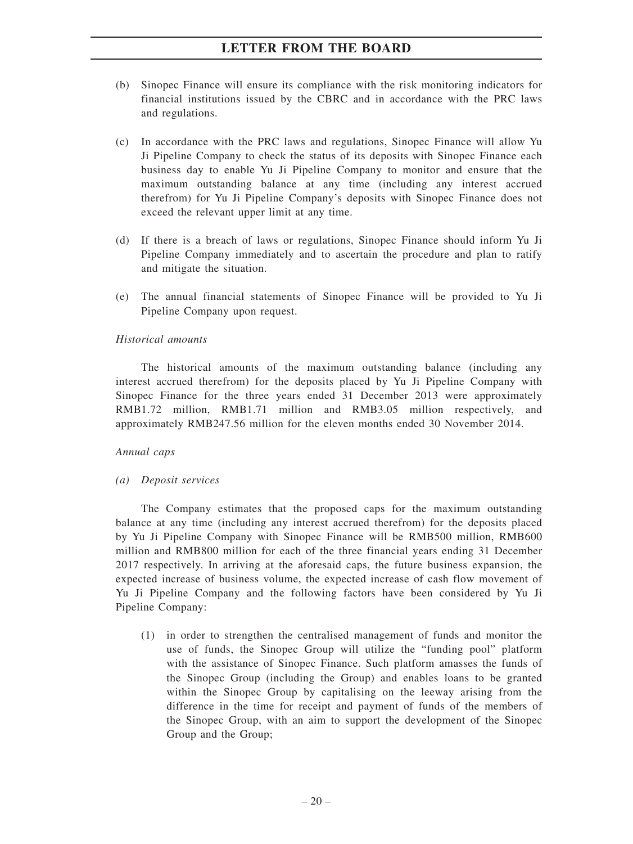- (b) Sinopec Finance will ensure its compliance with the risk monitoring indicators for financial institutions issued by the CBRC and in accordance with the PRC laws and regulations.
- (c) In accordance with the PRC laws and regulations, Sinopec Finance will allow Yu Ji Pipeline Company to check the status of its deposits with Sinopec Finance each business day to enable Yu Ji Pipeline Company to monitor and ensure that the maximum outstanding balance at any time (including any interest accrued therefrom) for Yu Ji Pipeline Company's deposits with Sinopec Finance does not exceed the relevant upper limit at any time.
- (d) If there is a breach of laws or regulations, Sinopec Finance should inform Yu Ji Pipeline Company immediately and to ascertain the procedure and plan to ratify and mitigate the situation.
- (e) The annual financial statements of Sinopec Finance will be provided to Yu Ji Pipeline Company upon request.

#### *Historical amounts*

The historical amounts of the maximum outstanding balance (including any interest accrued therefrom) for the deposits placed by Yu Ji Pipeline Company with Sinopec Finance for the three years ended 31 December 2013 were approximately RMB1.72 million, RMB1.71 million and RMB3.05 million respectively, and approximately RMB247.56 million for the eleven months ended 30 November 2014.

#### *Annual caps*

#### *(a) Deposit services*

The Company estimates that the proposed caps for the maximum outstanding balance at any time (including any interest accrued therefrom) for the deposits placed by Yu Ji Pipeline Company with Sinopec Finance will be RMB500 million, RMB600 million and RMB800 million for each of the three financial years ending 31 December 2017 respectively. In arriving at the aforesaid caps, the future business expansion, the expected increase of business volume, the expected increase of cash flow movement of Yu Ji Pipeline Company and the following factors have been considered by Yu Ji Pipeline Company:

(1) in order to strengthen the centralised management of funds and monitor the use of funds, the Sinopec Group will utilize the "funding pool" platform with the assistance of Sinopec Finance. Such platform amasses the funds of the Sinopec Group (including the Group) and enables loans to be granted within the Sinopec Group by capitalising on the leeway arising from the difference in the time for receipt and payment of funds of the members of the Sinopec Group, with an aim to support the development of the Sinopec Group and the Group;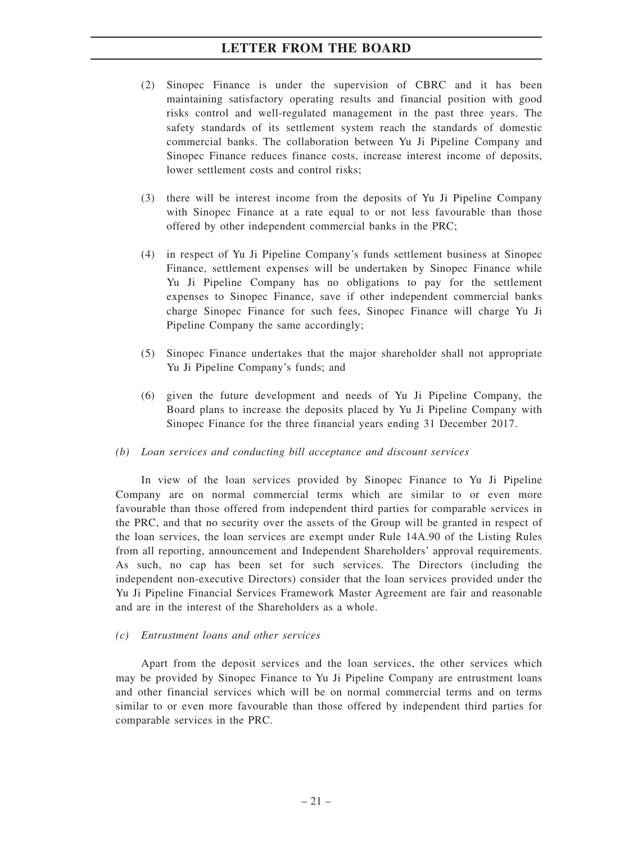- (2) Sinopec Finance is under the supervision of CBRC and it has been maintaining satisfactory operating results and financial position with good risks control and well-regulated management in the past three years. The safety standards of its settlement system reach the standards of domestic commercial banks. The collaboration between Yu Ji Pipeline Company and Sinopec Finance reduces finance costs, increase interest income of deposits, lower settlement costs and control risks;
- (3) there will be interest income from the deposits of Yu Ji Pipeline Company with Sinopec Finance at a rate equal to or not less favourable than those offered by other independent commercial banks in the PRC;
- (4) in respect of Yu Ji Pipeline Company's funds settlement business at Sinopec Finance, settlement expenses will be undertaken by Sinopec Finance while Yu Ji Pipeline Company has no obligations to pay for the settlement expenses to Sinopec Finance, save if other independent commercial banks charge Sinopec Finance for such fees, Sinopec Finance will charge Yu Ji Pipeline Company the same accordingly;
- (5) Sinopec Finance undertakes that the major shareholder shall not appropriate Yu Ji Pipeline Company's funds; and
- (6) given the future development and needs of Yu Ji Pipeline Company, the Board plans to increase the deposits placed by Yu Ji Pipeline Company with Sinopec Finance for the three financial years ending 31 December 2017.

#### *(b) Loan services and conducting bill acceptance and discount services*

In view of the loan services provided by Sinopec Finance to Yu Ji Pipeline Company are on normal commercial terms which are similar to or even more favourable than those offered from independent third parties for comparable services in the PRC, and that no security over the assets of the Group will be granted in respect of the loan services, the loan services are exempt under Rule 14A.90 of the Listing Rules from all reporting, announcement and Independent Shareholders' approval requirements. As such, no cap has been set for such services. The Directors (including the independent non-executive Directors) consider that the loan services provided under the Yu Ji Pipeline Financial Services Framework Master Agreement are fair and reasonable and are in the interest of the Shareholders as a whole.

#### *(c) Entrustment loans and other services*

Apart from the deposit services and the loan services, the other services which may be provided by Sinopec Finance to Yu Ji Pipeline Company are entrustment loans and other financial services which will be on normal commercial terms and on terms similar to or even more favourable than those offered by independent third parties for comparable services in the PRC.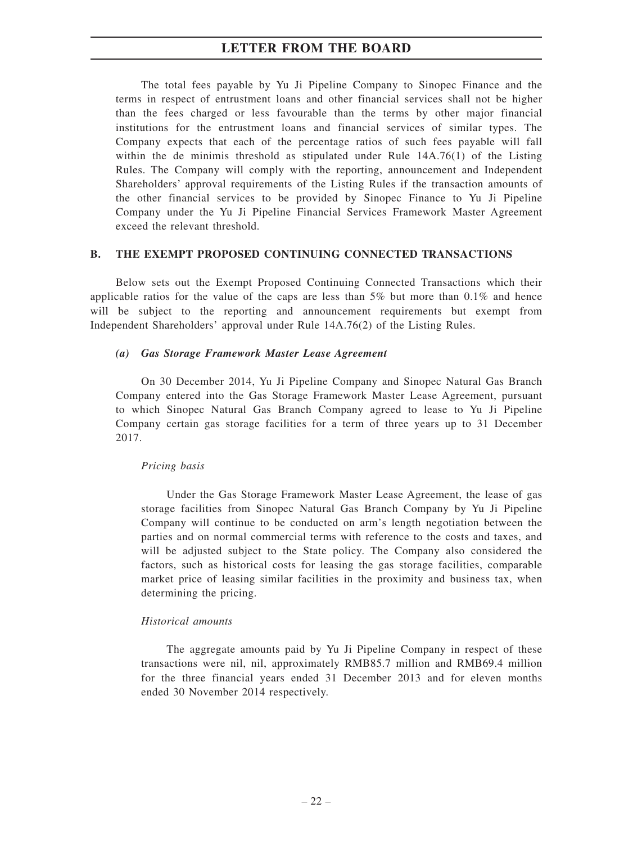The total fees payable by Yu Ji Pipeline Company to Sinopec Finance and the terms in respect of entrustment loans and other financial services shall not be higher than the fees charged or less favourable than the terms by other major financial institutions for the entrustment loans and financial services of similar types. The Company expects that each of the percentage ratios of such fees payable will fall within the de minimis threshold as stipulated under Rule 14A.76(1) of the Listing Rules. The Company will comply with the reporting, announcement and Independent Shareholders' approval requirements of the Listing Rules if the transaction amounts of the other financial services to be provided by Sinopec Finance to Yu Ji Pipeline Company under the Yu Ji Pipeline Financial Services Framework Master Agreement exceed the relevant threshold.

#### **B. THE EXEMPT PROPOSED CONTINUING CONNECTED TRANSACTIONS**

Below sets out the Exempt Proposed Continuing Connected Transactions which their applicable ratios for the value of the caps are less than  $5\%$  but more than  $0.1\%$  and hence will be subject to the reporting and announcement requirements but exempt from Independent Shareholders' approval under Rule 14A.76(2) of the Listing Rules.

#### *(a) Gas Storage Framework Master Lease Agreement*

On 30 December 2014, Yu Ji Pipeline Company and Sinopec Natural Gas Branch Company entered into the Gas Storage Framework Master Lease Agreement, pursuant to which Sinopec Natural Gas Branch Company agreed to lease to Yu Ji Pipeline Company certain gas storage facilities for a term of three years up to 31 December 2017.

#### *Pricing basis*

Under the Gas Storage Framework Master Lease Agreement, the lease of gas storage facilities from Sinopec Natural Gas Branch Company by Yu Ji Pipeline Company will continue to be conducted on arm's length negotiation between the parties and on normal commercial terms with reference to the costs and taxes, and will be adjusted subject to the State policy. The Company also considered the factors, such as historical costs for leasing the gas storage facilities, comparable market price of leasing similar facilities in the proximity and business tax, when determining the pricing.

#### *Historical amounts*

The aggregate amounts paid by Yu Ji Pipeline Company in respect of these transactions were nil, nil, approximately RMB85.7 million and RMB69.4 million for the three financial years ended 31 December 2013 and for eleven months ended 30 November 2014 respectively.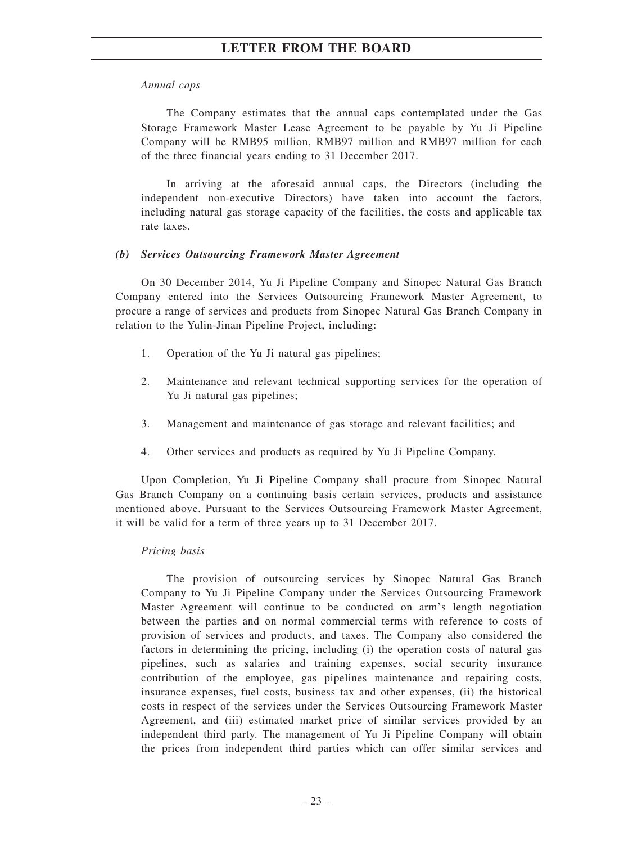#### *Annual caps*

The Company estimates that the annual caps contemplated under the Gas Storage Framework Master Lease Agreement to be payable by Yu Ji Pipeline Company will be RMB95 million, RMB97 million and RMB97 million for each of the three financial years ending to 31 December 2017.

In arriving at the aforesaid annual caps, the Directors (including the independent non-executive Directors) have taken into account the factors, including natural gas storage capacity of the facilities, the costs and applicable tax rate taxes.

#### *(b) Services Outsourcing Framework Master Agreement*

On 30 December 2014, Yu Ji Pipeline Company and Sinopec Natural Gas Branch Company entered into the Services Outsourcing Framework Master Agreement, to procure a range of services and products from Sinopec Natural Gas Branch Company in relation to the Yulin-Jinan Pipeline Project, including:

- 1. Operation of the Yu Ji natural gas pipelines;
- 2. Maintenance and relevant technical supporting services for the operation of Yu Ji natural gas pipelines;
- 3. Management and maintenance of gas storage and relevant facilities; and
- 4. Other services and products as required by Yu Ji Pipeline Company.

Upon Completion, Yu Ji Pipeline Company shall procure from Sinopec Natural Gas Branch Company on a continuing basis certain services, products and assistance mentioned above. Pursuant to the Services Outsourcing Framework Master Agreement, it will be valid for a term of three years up to 31 December 2017.

#### *Pricing basis*

The provision of outsourcing services by Sinopec Natural Gas Branch Company to Yu Ji Pipeline Company under the Services Outsourcing Framework Master Agreement will continue to be conducted on arm's length negotiation between the parties and on normal commercial terms with reference to costs of provision of services and products, and taxes. The Company also considered the factors in determining the pricing, including (i) the operation costs of natural gas pipelines, such as salaries and training expenses, social security insurance contribution of the employee, gas pipelines maintenance and repairing costs, insurance expenses, fuel costs, business tax and other expenses, (ii) the historical costs in respect of the services under the Services Outsourcing Framework Master Agreement, and (iii) estimated market price of similar services provided by an independent third party. The management of Yu Ji Pipeline Company will obtain the prices from independent third parties which can offer similar services and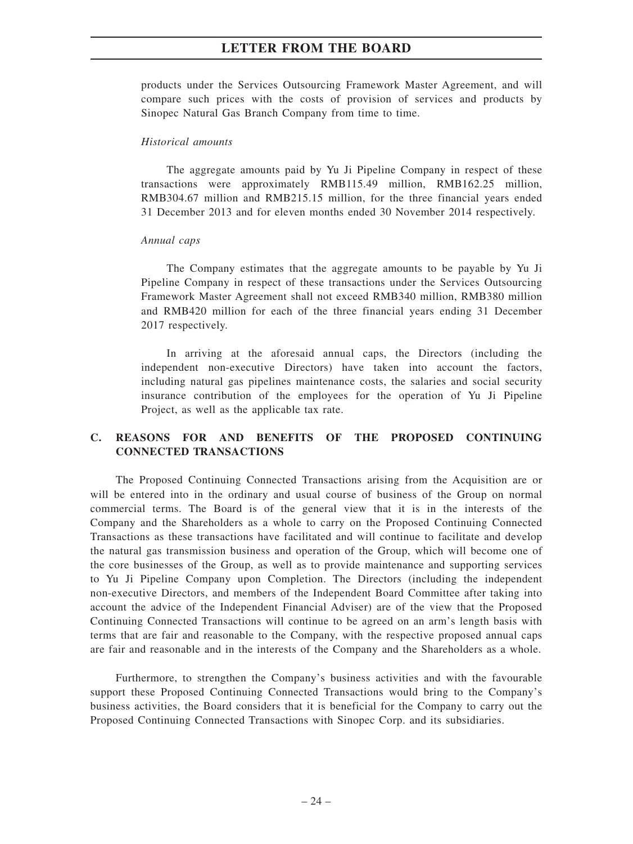products under the Services Outsourcing Framework Master Agreement, and will compare such prices with the costs of provision of services and products by Sinopec Natural Gas Branch Company from time to time.

#### *Historical amounts*

The aggregate amounts paid by Yu Ji Pipeline Company in respect of these transactions were approximately RMB115.49 million, RMB162.25 million, RMB304.67 million and RMB215.15 million, for the three financial years ended 31 December 2013 and for eleven months ended 30 November 2014 respectively.

#### *Annual caps*

The Company estimates that the aggregate amounts to be payable by Yu Ji Pipeline Company in respect of these transactions under the Services Outsourcing Framework Master Agreement shall not exceed RMB340 million, RMB380 million and RMB420 million for each of the three financial years ending 31 December 2017 respectively.

In arriving at the aforesaid annual caps, the Directors (including the independent non-executive Directors) have taken into account the factors, including natural gas pipelines maintenance costs, the salaries and social security insurance contribution of the employees for the operation of Yu Ji Pipeline Project, as well as the applicable tax rate.

### **C. REASONS FOR AND BENEFITS OF THE PROPOSED CONTINUING CONNECTED TRANSACTIONS**

The Proposed Continuing Connected Transactions arising from the Acquisition are or will be entered into in the ordinary and usual course of business of the Group on normal commercial terms. The Board is of the general view that it is in the interests of the Company and the Shareholders as a whole to carry on the Proposed Continuing Connected Transactions as these transactions have facilitated and will continue to facilitate and develop the natural gas transmission business and operation of the Group, which will become one of the core businesses of the Group, as well as to provide maintenance and supporting services to Yu Ji Pipeline Company upon Completion. The Directors (including the independent non-executive Directors, and members of the Independent Board Committee after taking into account the advice of the Independent Financial Adviser) are of the view that the Proposed Continuing Connected Transactions will continue to be agreed on an arm's length basis with terms that are fair and reasonable to the Company, with the respective proposed annual caps are fair and reasonable and in the interests of the Company and the Shareholders as a whole.

Furthermore, to strengthen the Company's business activities and with the favourable support these Proposed Continuing Connected Transactions would bring to the Company's business activities, the Board considers that it is beneficial for the Company to carry out the Proposed Continuing Connected Transactions with Sinopec Corp. and its subsidiaries.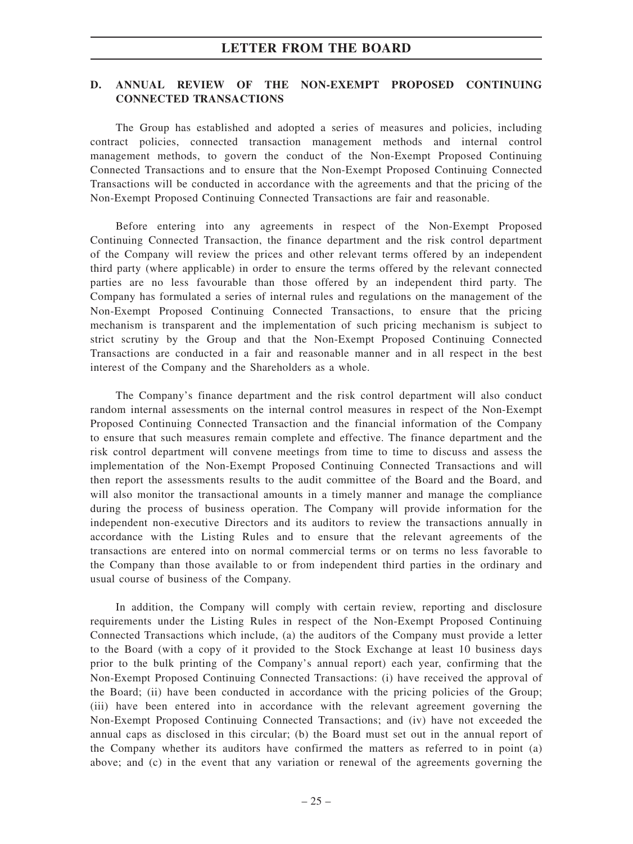### **D. ANNUAL REVIEW OF THE NON-EXEMPT PROPOSED CONTINUING CONNECTED TRANSACTIONS**

The Group has established and adopted a series of measures and policies, including contract policies, connected transaction management methods and internal control management methods, to govern the conduct of the Non-Exempt Proposed Continuing Connected Transactions and to ensure that the Non-Exempt Proposed Continuing Connected Transactions will be conducted in accordance with the agreements and that the pricing of the Non-Exempt Proposed Continuing Connected Transactions are fair and reasonable.

Before entering into any agreements in respect of the Non-Exempt Proposed Continuing Connected Transaction, the finance department and the risk control department of the Company will review the prices and other relevant terms offered by an independent third party (where applicable) in order to ensure the terms offered by the relevant connected parties are no less favourable than those offered by an independent third party. The Company has formulated a series of internal rules and regulations on the management of the Non-Exempt Proposed Continuing Connected Transactions, to ensure that the pricing mechanism is transparent and the implementation of such pricing mechanism is subject to strict scrutiny by the Group and that the Non-Exempt Proposed Continuing Connected Transactions are conducted in a fair and reasonable manner and in all respect in the best interest of the Company and the Shareholders as a whole.

The Company's finance department and the risk control department will also conduct random internal assessments on the internal control measures in respect of the Non-Exempt Proposed Continuing Connected Transaction and the financial information of the Company to ensure that such measures remain complete and effective. The finance department and the risk control department will convene meetings from time to time to discuss and assess the implementation of the Non-Exempt Proposed Continuing Connected Transactions and will then report the assessments results to the audit committee of the Board and the Board, and will also monitor the transactional amounts in a timely manner and manage the compliance during the process of business operation. The Company will provide information for the independent non-executive Directors and its auditors to review the transactions annually in accordance with the Listing Rules and to ensure that the relevant agreements of the transactions are entered into on normal commercial terms or on terms no less favorable to the Company than those available to or from independent third parties in the ordinary and usual course of business of the Company.

In addition, the Company will comply with certain review, reporting and disclosure requirements under the Listing Rules in respect of the Non-Exempt Proposed Continuing Connected Transactions which include, (a) the auditors of the Company must provide a letter to the Board (with a copy of it provided to the Stock Exchange at least 10 business days prior to the bulk printing of the Company's annual report) each year, confirming that the Non-Exempt Proposed Continuing Connected Transactions: (i) have received the approval of the Board; (ii) have been conducted in accordance with the pricing policies of the Group; (iii) have been entered into in accordance with the relevant agreement governing the Non-Exempt Proposed Continuing Connected Transactions; and (iv) have not exceeded the annual caps as disclosed in this circular; (b) the Board must set out in the annual report of the Company whether its auditors have confirmed the matters as referred to in point (a) above; and (c) in the event that any variation or renewal of the agreements governing the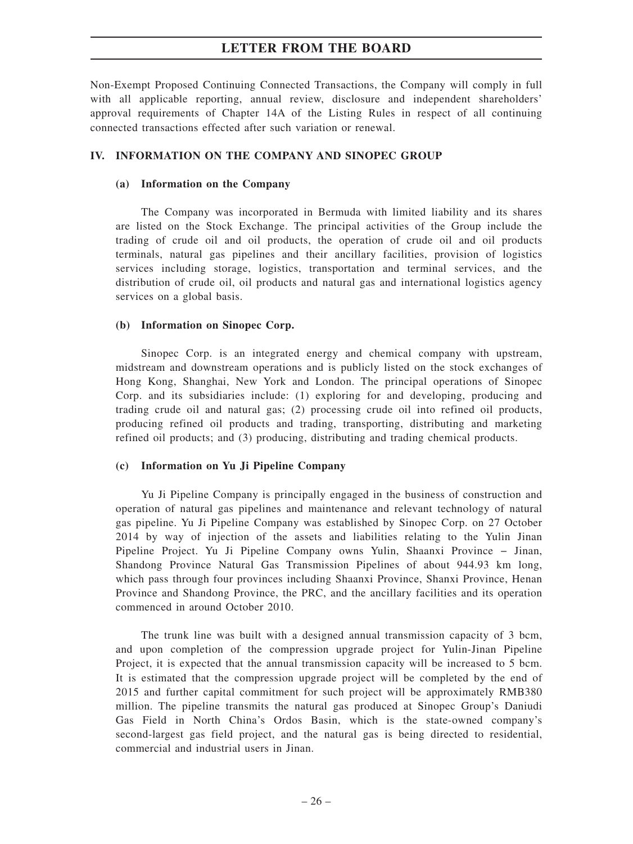Non-Exempt Proposed Continuing Connected Transactions, the Company will comply in full with all applicable reporting, annual review, disclosure and independent shareholders' approval requirements of Chapter 14A of the Listing Rules in respect of all continuing connected transactions effected after such variation or renewal.

#### **IV. INFORMATION ON THE COMPANY AND SINOPEC GROUP**

#### **(a) Information on the Company**

The Company was incorporated in Bermuda with limited liability and its shares are listed on the Stock Exchange. The principal activities of the Group include the trading of crude oil and oil products, the operation of crude oil and oil products terminals, natural gas pipelines and their ancillary facilities, provision of logistics services including storage, logistics, transportation and terminal services, and the distribution of crude oil, oil products and natural gas and international logistics agency services on a global basis.

#### **(b) Information on Sinopec Corp.**

Sinopec Corp. is an integrated energy and chemical company with upstream, midstream and downstream operations and is publicly listed on the stock exchanges of Hong Kong, Shanghai, New York and London. The principal operations of Sinopec Corp. and its subsidiaries include: (1) exploring for and developing, producing and trading crude oil and natural gas; (2) processing crude oil into refined oil products, producing refined oil products and trading, transporting, distributing and marketing refined oil products; and (3) producing, distributing and trading chemical products.

#### **(c) Information on Yu Ji Pipeline Company**

Yu Ji Pipeline Company is principally engaged in the business of construction and operation of natural gas pipelines and maintenance and relevant technology of natural gas pipeline. Yu Ji Pipeline Company was established by Sinopec Corp. on 27 October 2014 by way of injection of the assets and liabilities relating to the Yulin Jinan Pipeline Project. Yu Ji Pipeline Company owns Yulin, Shaanxi Province − Jinan, Shandong Province Natural Gas Transmission Pipelines of about 944.93 km long, which pass through four provinces including Shaanxi Province, Shanxi Province, Henan Province and Shandong Province, the PRC, and the ancillary facilities and its operation commenced in around October 2010.

The trunk line was built with a designed annual transmission capacity of 3 bcm, and upon completion of the compression upgrade project for Yulin-Jinan Pipeline Project, it is expected that the annual transmission capacity will be increased to 5 bcm. It is estimated that the compression upgrade project will be completed by the end of 2015 and further capital commitment for such project will be approximately RMB380 million. The pipeline transmits the natural gas produced at Sinopec Group's Daniudi Gas Field in North China's Ordos Basin, which is the state-owned company's second-largest gas field project, and the natural gas is being directed to residential, commercial and industrial users in Jinan.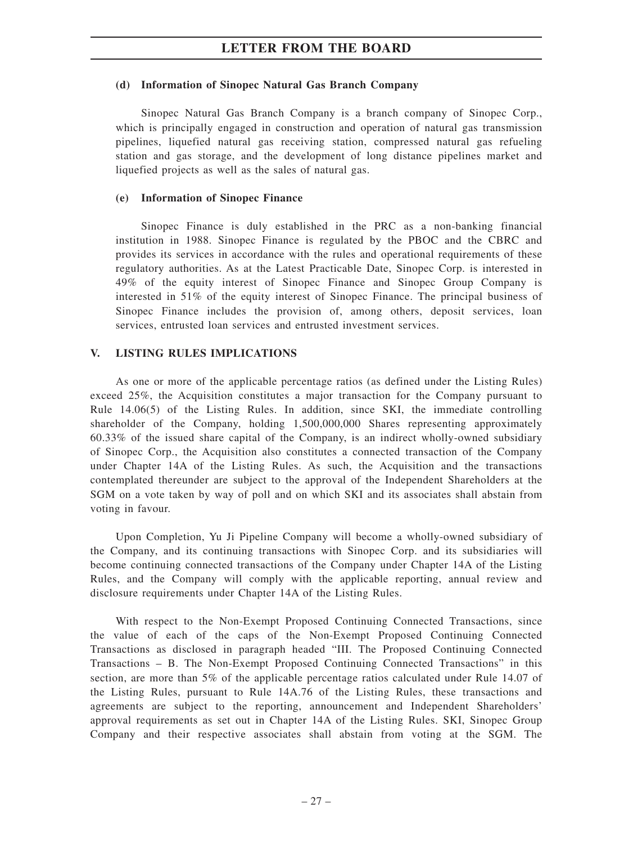#### **(d) Information of Sinopec Natural Gas Branch Company**

Sinopec Natural Gas Branch Company is a branch company of Sinopec Corp., which is principally engaged in construction and operation of natural gas transmission pipelines, liquefied natural gas receiving station, compressed natural gas refueling station and gas storage, and the development of long distance pipelines market and liquefied projects as well as the sales of natural gas.

#### **(e) Information of Sinopec Finance**

Sinopec Finance is duly established in the PRC as a non-banking financial institution in 1988. Sinopec Finance is regulated by the PBOC and the CBRC and provides its services in accordance with the rules and operational requirements of these regulatory authorities. As at the Latest Practicable Date, Sinopec Corp. is interested in 49% of the equity interest of Sinopec Finance and Sinopec Group Company is interested in 51% of the equity interest of Sinopec Finance. The principal business of Sinopec Finance includes the provision of, among others, deposit services, loan services, entrusted loan services and entrusted investment services.

#### **V. LISTING RULES IMPLICATIONS**

As one or more of the applicable percentage ratios (as defined under the Listing Rules) exceed 25%, the Acquisition constitutes a major transaction for the Company pursuant to Rule 14.06(5) of the Listing Rules. In addition, since SKI, the immediate controlling shareholder of the Company, holding 1,500,000,000 Shares representing approximately 60.33% of the issued share capital of the Company, is an indirect wholly-owned subsidiary of Sinopec Corp., the Acquisition also constitutes a connected transaction of the Company under Chapter 14A of the Listing Rules. As such, the Acquisition and the transactions contemplated thereunder are subject to the approval of the Independent Shareholders at the SGM on a vote taken by way of poll and on which SKI and its associates shall abstain from voting in favour.

Upon Completion, Yu Ji Pipeline Company will become a wholly-owned subsidiary of the Company, and its continuing transactions with Sinopec Corp. and its subsidiaries will become continuing connected transactions of the Company under Chapter 14A of the Listing Rules, and the Company will comply with the applicable reporting, annual review and disclosure requirements under Chapter 14A of the Listing Rules.

With respect to the Non-Exempt Proposed Continuing Connected Transactions, since the value of each of the caps of the Non-Exempt Proposed Continuing Connected Transactions as disclosed in paragraph headed "III. The Proposed Continuing Connected Transactions – B. The Non-Exempt Proposed Continuing Connected Transactions" in this section, are more than 5% of the applicable percentage ratios calculated under Rule 14.07 of the Listing Rules, pursuant to Rule 14A.76 of the Listing Rules, these transactions and agreements are subject to the reporting, announcement and Independent Shareholders' approval requirements as set out in Chapter 14A of the Listing Rules. SKI, Sinopec Group Company and their respective associates shall abstain from voting at the SGM. The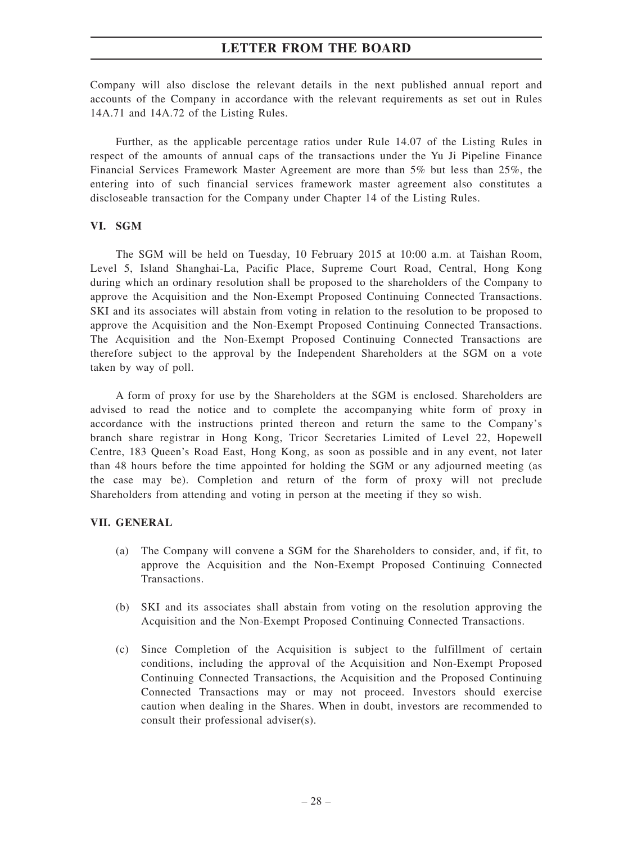Company will also disclose the relevant details in the next published annual report and accounts of the Company in accordance with the relevant requirements as set out in Rules 14A.71 and 14A.72 of the Listing Rules.

Further, as the applicable percentage ratios under Rule 14.07 of the Listing Rules in respect of the amounts of annual caps of the transactions under the Yu Ji Pipeline Finance Financial Services Framework Master Agreement are more than 5% but less than 25%, the entering into of such financial services framework master agreement also constitutes a discloseable transaction for the Company under Chapter 14 of the Listing Rules.

#### **VI. SGM**

The SGM will be held on Tuesday, 10 February 2015 at 10:00 a.m. at Taishan Room, Level 5, Island Shanghai-La, Pacific Place, Supreme Court Road, Central, Hong Kong during which an ordinary resolution shall be proposed to the shareholders of the Company to approve the Acquisition and the Non-Exempt Proposed Continuing Connected Transactions. SKI and its associates will abstain from voting in relation to the resolution to be proposed to approve the Acquisition and the Non-Exempt Proposed Continuing Connected Transactions. The Acquisition and the Non-Exempt Proposed Continuing Connected Transactions are therefore subject to the approval by the Independent Shareholders at the SGM on a vote taken by way of poll.

A form of proxy for use by the Shareholders at the SGM is enclosed. Shareholders are advised to read the notice and to complete the accompanying white form of proxy in accordance with the instructions printed thereon and return the same to the Company's branch share registrar in Hong Kong, Tricor Secretaries Limited of Level 22, Hopewell Centre, 183 Queen's Road East, Hong Kong, as soon as possible and in any event, not later than 48 hours before the time appointed for holding the SGM or any adjourned meeting (as the case may be). Completion and return of the form of proxy will not preclude Shareholders from attending and voting in person at the meeting if they so wish.

#### **VII. GENERAL**

- (a) The Company will convene a SGM for the Shareholders to consider, and, if fit, to approve the Acquisition and the Non-Exempt Proposed Continuing Connected Transactions.
- (b) SKI and its associates shall abstain from voting on the resolution approving the Acquisition and the Non-Exempt Proposed Continuing Connected Transactions.
- (c) Since Completion of the Acquisition is subject to the fulfillment of certain conditions, including the approval of the Acquisition and Non-Exempt Proposed Continuing Connected Transactions, the Acquisition and the Proposed Continuing Connected Transactions may or may not proceed. Investors should exercise caution when dealing in the Shares. When in doubt, investors are recommended to consult their professional adviser(s).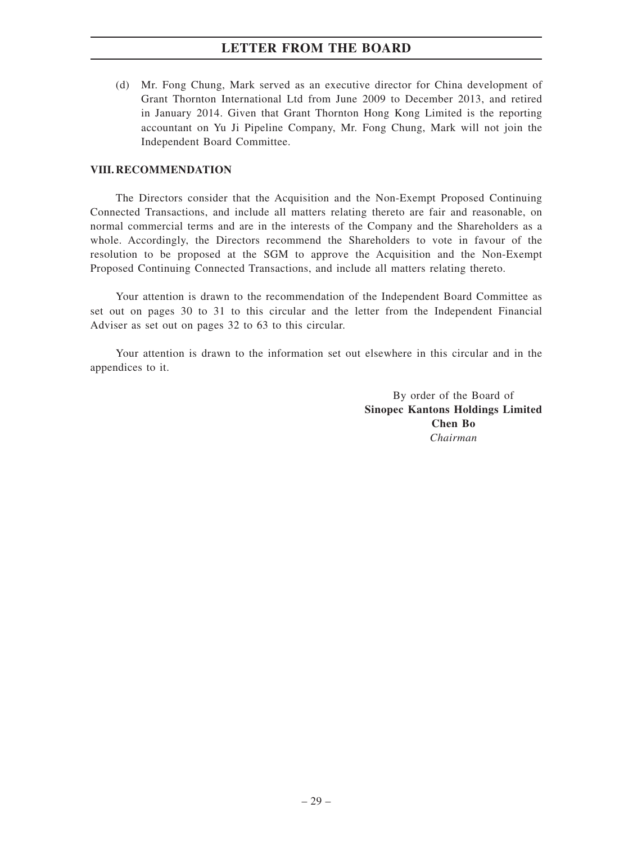(d) Mr. Fong Chung, Mark served as an executive director for China development of Grant Thornton International Ltd from June 2009 to December 2013, and retired in January 2014. Given that Grant Thornton Hong Kong Limited is the reporting accountant on Yu Ji Pipeline Company, Mr. Fong Chung, Mark will not join the Independent Board Committee.

#### **VIII. RECOMMENDATION**

The Directors consider that the Acquisition and the Non-Exempt Proposed Continuing Connected Transactions, and include all matters relating thereto are fair and reasonable, on normal commercial terms and are in the interests of the Company and the Shareholders as a whole. Accordingly, the Directors recommend the Shareholders to vote in favour of the resolution to be proposed at the SGM to approve the Acquisition and the Non-Exempt Proposed Continuing Connected Transactions, and include all matters relating thereto.

Your attention is drawn to the recommendation of the Independent Board Committee as set out on pages 30 to 31 to this circular and the letter from the Independent Financial Adviser as set out on pages 32 to 63 to this circular.

Your attention is drawn to the information set out elsewhere in this circular and in the appendices to it.

> By order of the Board of **Sinopec Kantons Holdings Limited Chen Bo** *Chairman*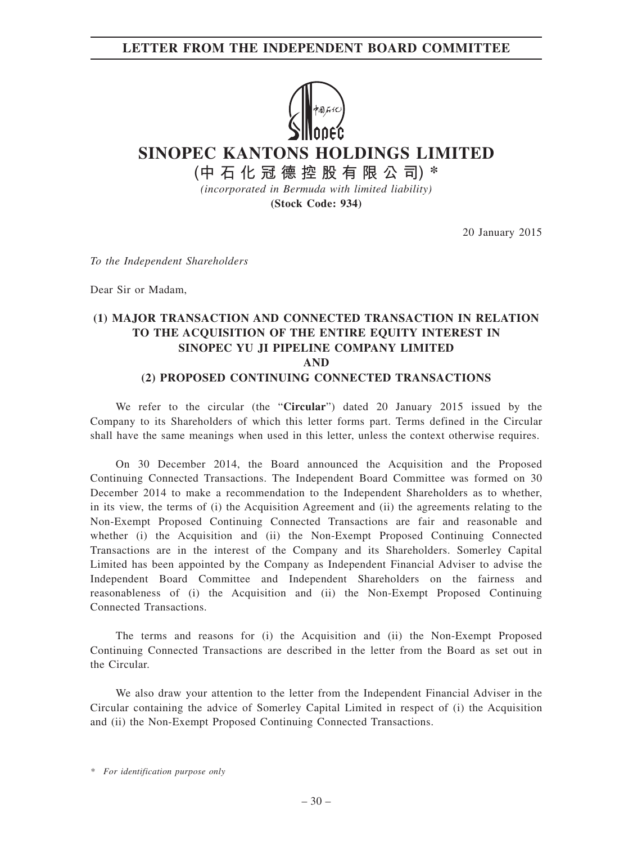### **LETTER FROM THE INDEPENDENT BOARD COMMITTEE**



**SINOPEC KANTONS HOLDINGS LIMITED**

**(中石化冠德控股有限公司) \***

*(incorporated in Bermuda with limited liability)* **(Stock Code: 934)**

20 January 2015

*To the Independent Shareholders*

Dear Sir or Madam,

### **(1) MAJOR TRANSACTION AND CONNECTED TRANSACTION IN RELATION TO THE ACQUISITION OF THE ENTIRE EQUITY INTEREST IN SINOPEC YU JI PIPELINE COMPANY LIMITED AND (2) PROPOSED CONTINUING CONNECTED TRANSACTIONS**

We refer to the circular (the "**Circular**") dated 20 January 2015 issued by the Company to its Shareholders of which this letter forms part. Terms defined in the Circular shall have the same meanings when used in this letter, unless the context otherwise requires.

On 30 December 2014, the Board announced the Acquisition and the Proposed Continuing Connected Transactions. The Independent Board Committee was formed on 30 December 2014 to make a recommendation to the Independent Shareholders as to whether, in its view, the terms of (i) the Acquisition Agreement and (ii) the agreements relating to the Non-Exempt Proposed Continuing Connected Transactions are fair and reasonable and whether (i) the Acquisition and (ii) the Non-Exempt Proposed Continuing Connected Transactions are in the interest of the Company and its Shareholders. Somerley Capital Limited has been appointed by the Company as Independent Financial Adviser to advise the Independent Board Committee and Independent Shareholders on the fairness and reasonableness of (i) the Acquisition and (ii) the Non-Exempt Proposed Continuing Connected Transactions.

The terms and reasons for (i) the Acquisition and (ii) the Non-Exempt Proposed Continuing Connected Transactions are described in the letter from the Board as set out in the Circular.

We also draw your attention to the letter from the Independent Financial Adviser in the Circular containing the advice of Somerley Capital Limited in respect of (i) the Acquisition and (ii) the Non-Exempt Proposed Continuing Connected Transactions.

*<sup>\*</sup> For identification purpose only*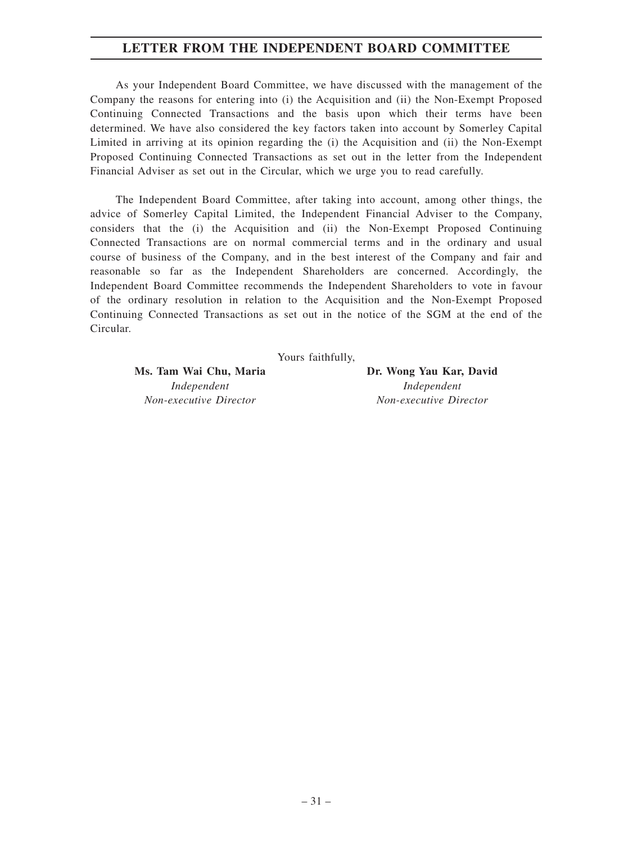### **LETTER FROM THE INDEPENDENT BOARD COMMITTEE**

As your Independent Board Committee, we have discussed with the management of the Company the reasons for entering into (i) the Acquisition and (ii) the Non-Exempt Proposed Continuing Connected Transactions and the basis upon which their terms have been determined. We have also considered the key factors taken into account by Somerley Capital Limited in arriving at its opinion regarding the (i) the Acquisition and (ii) the Non-Exempt Proposed Continuing Connected Transactions as set out in the letter from the Independent Financial Adviser as set out in the Circular, which we urge you to read carefully.

The Independent Board Committee, after taking into account, among other things, the advice of Somerley Capital Limited, the Independent Financial Adviser to the Company, considers that the (i) the Acquisition and (ii) the Non-Exempt Proposed Continuing Connected Transactions are on normal commercial terms and in the ordinary and usual course of business of the Company, and in the best interest of the Company and fair and reasonable so far as the Independent Shareholders are concerned. Accordingly, the Independent Board Committee recommends the Independent Shareholders to vote in favour of the ordinary resolution in relation to the Acquisition and the Non-Exempt Proposed Continuing Connected Transactions as set out in the notice of the SGM at the end of the Circular.

Yours faithfully,

Ms. Tam Wai Chu, Maria **Dr. Wong Yau Kar, David** *Independent Non-executive Director*

*Independent Non-executive Director*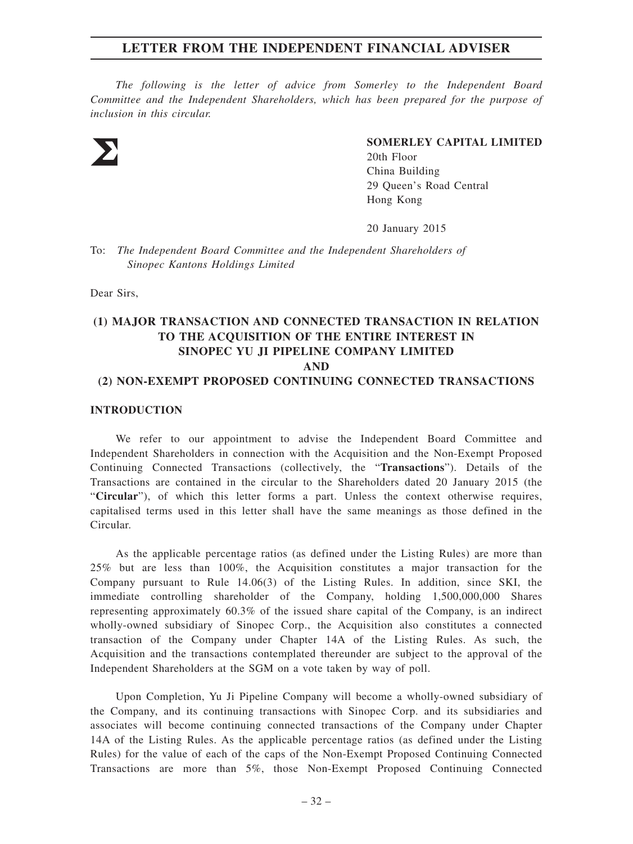### **LETTER FROM THE INDEPENDENT FINANCIAL ADVISER**

*The following is the letter of advice from Somerley to the Independent Board Committee and the Independent Shareholders, which has been prepared for the purpose of inclusion in this circular.*



#### **SOMERLEY CAPITAL LIMITED**

20th Floor China Building 29 Queen's Road Central Hong Kong

20 January 2015

To: *The Independent Board Committee and the Independent Shareholders of Sinopec Kantons Holdings Limited*

Dear Sirs,

### **(1) MAJOR TRANSACTION AND CONNECTED TRANSACTION IN RELATION TO THE ACQUISITION OF THE ENTIRE INTEREST IN SINOPEC YU JI PIPELINE COMPANY LIMITED AND (2) NON-EXEMPT PROPOSED CONTINUING CONNECTED TRANSACTIONS**

#### **INTRODUCTION**

We refer to our appointment to advise the Independent Board Committee and Independent Shareholders in connection with the Acquisition and the Non-Exempt Proposed Continuing Connected Transactions (collectively, the "**Transactions**"). Details of the Transactions are contained in the circular to the Shareholders dated 20 January 2015 (the "**Circular**"), of which this letter forms a part. Unless the context otherwise requires, capitalised terms used in this letter shall have the same meanings as those defined in the Circular.

As the applicable percentage ratios (as defined under the Listing Rules) are more than 25% but are less than 100%, the Acquisition constitutes a major transaction for the Company pursuant to Rule 14.06(3) of the Listing Rules. In addition, since SKI, the immediate controlling shareholder of the Company, holding 1,500,000,000 Shares representing approximately 60.3% of the issued share capital of the Company, is an indirect wholly-owned subsidiary of Sinopec Corp., the Acquisition also constitutes a connected transaction of the Company under Chapter 14A of the Listing Rules. As such, the Acquisition and the transactions contemplated thereunder are subject to the approval of the Independent Shareholders at the SGM on a vote taken by way of poll.

Upon Completion, Yu Ji Pipeline Company will become a wholly-owned subsidiary of the Company, and its continuing transactions with Sinopec Corp. and its subsidiaries and associates will become continuing connected transactions of the Company under Chapter 14A of the Listing Rules. As the applicable percentage ratios (as defined under the Listing Rules) for the value of each of the caps of the Non-Exempt Proposed Continuing Connected Transactions are more than 5%, those Non-Exempt Proposed Continuing Connected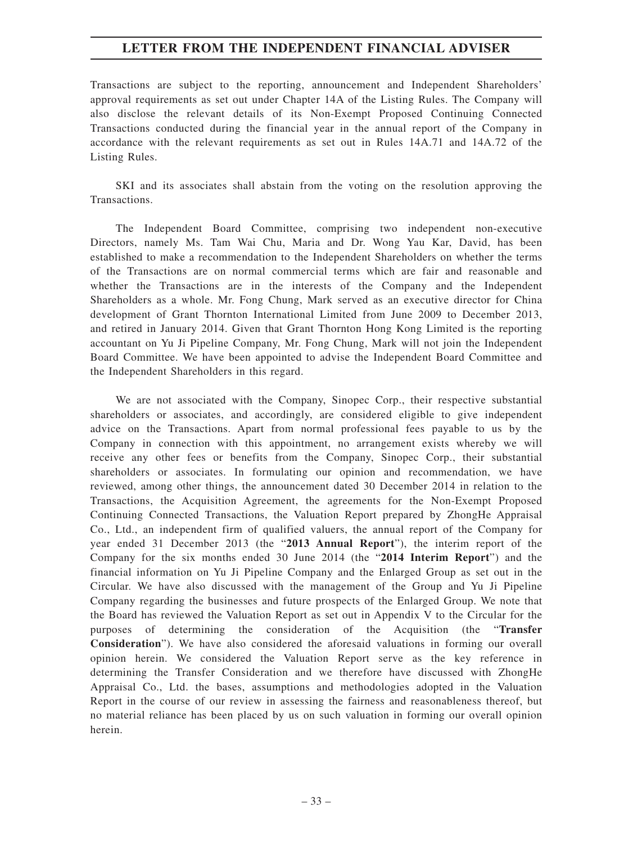### **LETTER FROM THE INDEPENDENT FINANCIAL ADVISER**

Transactions are subject to the reporting, announcement and Independent Shareholders' approval requirements as set out under Chapter 14A of the Listing Rules. The Company will also disclose the relevant details of its Non-Exempt Proposed Continuing Connected Transactions conducted during the financial year in the annual report of the Company in accordance with the relevant requirements as set out in Rules 14A.71 and 14A.72 of the Listing Rules.

SKI and its associates shall abstain from the voting on the resolution approving the Transactions.

The Independent Board Committee, comprising two independent non-executive Directors, namely Ms. Tam Wai Chu, Maria and Dr. Wong Yau Kar, David, has been established to make a recommendation to the Independent Shareholders on whether the terms of the Transactions are on normal commercial terms which are fair and reasonable and whether the Transactions are in the interests of the Company and the Independent Shareholders as a whole. Mr. Fong Chung, Mark served as an executive director for China development of Grant Thornton International Limited from June 2009 to December 2013, and retired in January 2014. Given that Grant Thornton Hong Kong Limited is the reporting accountant on Yu Ji Pipeline Company, Mr. Fong Chung, Mark will not join the Independent Board Committee. We have been appointed to advise the Independent Board Committee and the Independent Shareholders in this regard.

We are not associated with the Company, Sinopec Corp., their respective substantial shareholders or associates, and accordingly, are considered eligible to give independent advice on the Transactions. Apart from normal professional fees payable to us by the Company in connection with this appointment, no arrangement exists whereby we will receive any other fees or benefits from the Company, Sinopec Corp., their substantial shareholders or associates. In formulating our opinion and recommendation, we have reviewed, among other things, the announcement dated 30 December 2014 in relation to the Transactions, the Acquisition Agreement, the agreements for the Non-Exempt Proposed Continuing Connected Transactions, the Valuation Report prepared by ZhongHe Appraisal Co., Ltd., an independent firm of qualified valuers, the annual report of the Company for year ended 31 December 2013 (the "**2013 Annual Report**"), the interim report of the Company for the six months ended 30 June 2014 (the "**2014 Interim Report**") and the financial information on Yu Ji Pipeline Company and the Enlarged Group as set out in the Circular. We have also discussed with the management of the Group and Yu Ji Pipeline Company regarding the businesses and future prospects of the Enlarged Group. We note that the Board has reviewed the Valuation Report as set out in Appendix V to the Circular for the purposes of determining the consideration of the Acquisition (the "**Transfer Consideration**"). We have also considered the aforesaid valuations in forming our overall opinion herein. We considered the Valuation Report serve as the key reference in determining the Transfer Consideration and we therefore have discussed with ZhongHe Appraisal Co., Ltd. the bases, assumptions and methodologies adopted in the Valuation Report in the course of our review in assessing the fairness and reasonableness thereof, but no material reliance has been placed by us on such valuation in forming our overall opinion herein.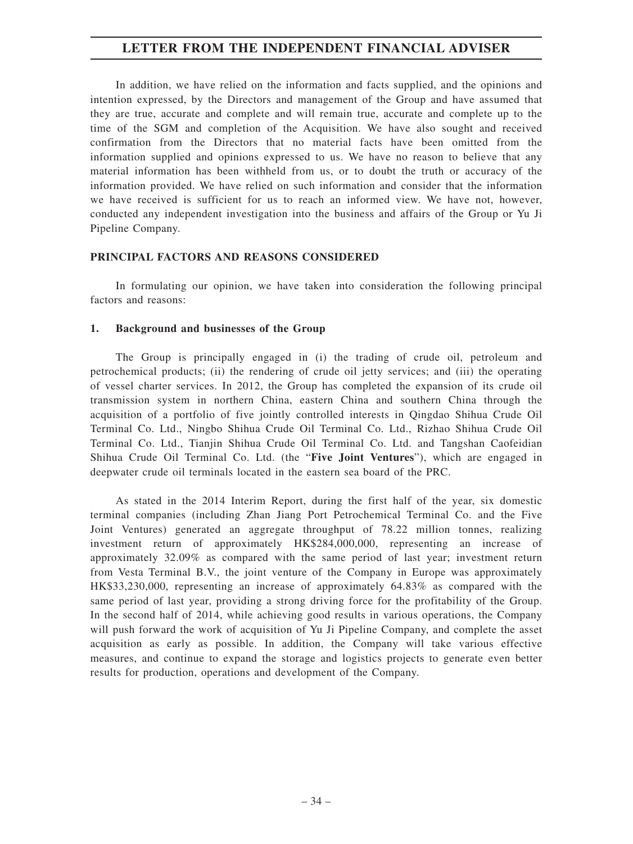### **LETTER FROM THE INDEPENDENT FINANCIAL ADVISER**

In addition, we have relied on the information and facts supplied, and the opinions and intention expressed, by the Directors and management of the Group and have assumed that they are true, accurate and complete and will remain true, accurate and complete up to the time of the SGM and completion of the Acquisition. We have also sought and received confirmation from the Directors that no material facts have been omitted from the information supplied and opinions expressed to us. We have no reason to believe that any material information has been withheld from us, or to doubt the truth or accuracy of the information provided. We have relied on such information and consider that the information we have received is sufficient for us to reach an informed view. We have not, however, conducted any independent investigation into the business and affairs of the Group or Yu Ji Pipeline Company.

#### **PRINCIPAL FACTORS AND REASONS CONSIDERED**

In formulating our opinion, we have taken into consideration the following principal factors and reasons:

#### **1. Background and businesses of the Group**

The Group is principally engaged in (i) the trading of crude oil, petroleum and petrochemical products; (ii) the rendering of crude oil jetty services; and (iii) the operating of vessel charter services. In 2012, the Group has completed the expansion of its crude oil transmission system in northern China, eastern China and southern China through the acquisition of a portfolio of five jointly controlled interests in Qingdao Shihua Crude Oil Terminal Co. Ltd., Ningbo Shihua Crude Oil Terminal Co. Ltd., Rizhao Shihua Crude Oil Terminal Co. Ltd., Tianjin Shihua Crude Oil Terminal Co. Ltd. and Tangshan Caofeidian Shihua Crude Oil Terminal Co. Ltd. (the "**Five Joint Ventures**"), which are engaged in deepwater crude oil terminals located in the eastern sea board of the PRC.

As stated in the 2014 Interim Report, during the first half of the year, six domestic terminal companies (including Zhan Jiang Port Petrochemical Terminal Co. and the Five Joint Ventures) generated an aggregate throughput of 78.22 million tonnes, realizing investment return of approximately HK\$284,000,000, representing an increase of approximately 32.09% as compared with the same period of last year; investment return from Vesta Terminal B.V., the joint venture of the Company in Europe was approximately HK\$33,230,000, representing an increase of approximately 64.83% as compared with the same period of last year, providing a strong driving force for the profitability of the Group. In the second half of 2014, while achieving good results in various operations, the Company will push forward the work of acquisition of Yu Ji Pipeline Company, and complete the asset acquisition as early as possible. In addition, the Company will take various effective measures, and continue to expand the storage and logistics projects to generate even better results for production, operations and development of the Company.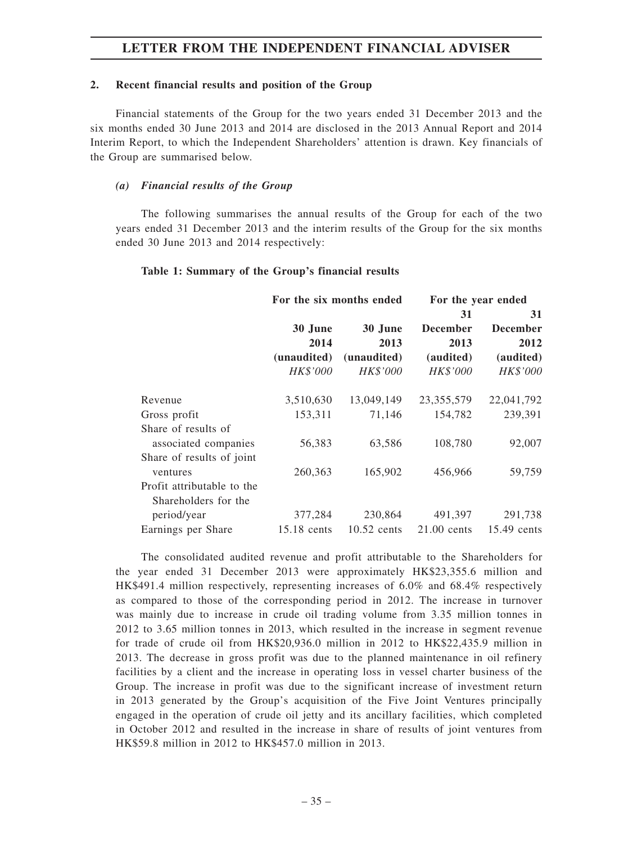## **2. Recent financial results and position of the Group**

Financial statements of the Group for the two years ended 31 December 2013 and the six months ended 30 June 2013 and 2014 are disclosed in the 2013 Annual Report and 2014 Interim Report, to which the Independent Shareholders' attention is drawn. Key financials of the Group are summarised below.

### *(a) Financial results of the Group*

The following summarises the annual results of the Group for each of the two years ended 31 December 2013 and the interim results of the Group for the six months ended 30 June 2013 and 2014 respectively:

#### **Table 1: Summary of the Group's financial results**

|                            |             | For the six months ended | For the year ended |                 |
|----------------------------|-------------|--------------------------|--------------------|-----------------|
|                            |             |                          | 31                 | 31              |
|                            | 30 June     | 30 June                  | <b>December</b>    | <b>December</b> |
|                            | 2014        | 2013                     | 2013               | 2012            |
|                            | (unaudited) | (unaudited)              | (audited)          | (audited)       |
|                            | HK\$'000    | <i>HK\$'000</i>          | HK\$'000           | HK\$'000        |
| Revenue                    | 3,510,630   | 13,049,149               | 23, 355, 579       | 22,041,792      |
| Gross profit               | 153,311     | 71,146                   | 154,782            | 239,391         |
| Share of results of        |             |                          |                    |                 |
| associated companies       | 56,383      | 63,586                   | 108,780            | 92,007          |
| Share of results of joint  |             |                          |                    |                 |
| ventures                   | 260,363     | 165,902                  | 456,966            | 59,759          |
| Profit attributable to the |             |                          |                    |                 |
| Shareholders for the       |             |                          |                    |                 |
| period/year                | 377,284     | 230,864                  | 491,397            | 291,738         |
| Earnings per Share         | 15.18 cents | $10.52$ cents            | $21.00$ cents      | 15.49 cents     |

The consolidated audited revenue and profit attributable to the Shareholders for the year ended 31 December 2013 were approximately HK\$23,355.6 million and HK\$491.4 million respectively, representing increases of 6.0% and 68.4% respectively as compared to those of the corresponding period in 2012. The increase in turnover was mainly due to increase in crude oil trading volume from 3.35 million tonnes in 2012 to 3.65 million tonnes in 2013, which resulted in the increase in segment revenue for trade of crude oil from HK\$20,936.0 million in 2012 to HK\$22,435.9 million in 2013. The decrease in gross profit was due to the planned maintenance in oil refinery facilities by a client and the increase in operating loss in vessel charter business of the Group. The increase in profit was due to the significant increase of investment return in 2013 generated by the Group's acquisition of the Five Joint Ventures principally engaged in the operation of crude oil jetty and its ancillary facilities, which completed in October 2012 and resulted in the increase in share of results of joint ventures from HK\$59.8 million in 2012 to HK\$457.0 million in 2013.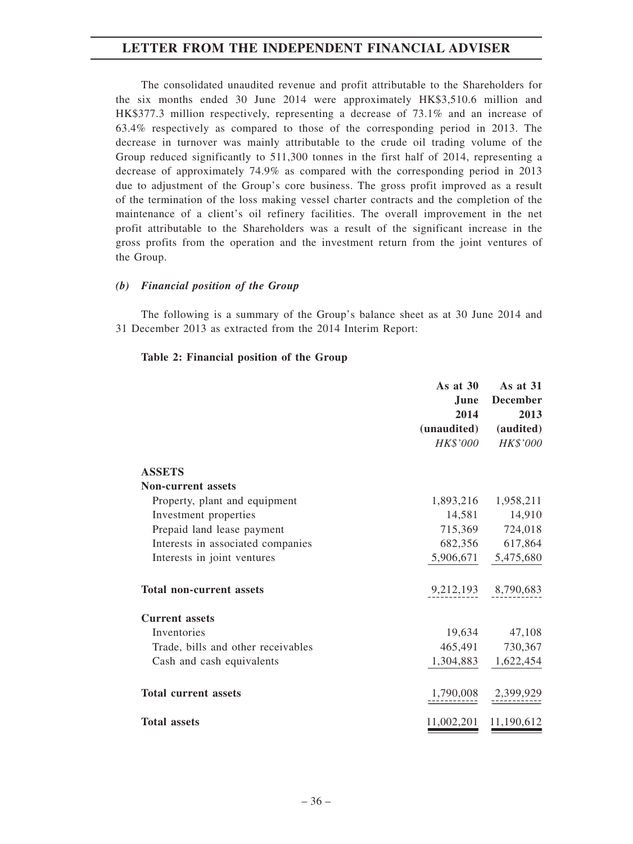The consolidated unaudited revenue and profit attributable to the Shareholders for the six months ended 30 June 2014 were approximately HK\$3,510.6 million and HK\$377.3 million respectively, representing a decrease of 73.1% and an increase of 63.4% respectively as compared to those of the corresponding period in 2013. The decrease in turnover was mainly attributable to the crude oil trading volume of the Group reduced significantly to 511,300 tonnes in the first half of 2014, representing a decrease of approximately 74.9% as compared with the corresponding period in 2013 due to adjustment of the Group's core business. The gross profit improved as a result of the termination of the loss making vessel charter contracts and the completion of the maintenance of a client's oil refinery facilities. The overall improvement in the net profit attributable to the Shareholders was a result of the significant increase in the gross profits from the operation and the investment return from the joint ventures of the Group.

## *(b) Financial position of the Group*

The following is a summary of the Group's balance sheet as at 30 June 2014 and 31 December 2013 as extracted from the 2014 Interim Report:

### **Table 2: Financial position of the Group**

|                                    | As at $30$      | As at $31$            |
|------------------------------------|-----------------|-----------------------|
|                                    | June            | <b>December</b>       |
|                                    | 2014            | 2013                  |
|                                    | (unaudited)     | (audited)             |
|                                    | <i>HK\$'000</i> | HK\$'000              |
| <b>ASSETS</b>                      |                 |                       |
| <b>Non-current assets</b>          |                 |                       |
| Property, plant and equipment      |                 | 1,893,216 1,958,211   |
| Investment properties              |                 | 14,581 14,910         |
| Prepaid land lease payment         |                 | 715,369 724,018       |
| Interests in associated companies  |                 | 682,356 617,864       |
| Interests in joint ventures        |                 | 5,906,671 5,475,680   |
| <b>Total non-current assets</b>    |                 | 9,212,193 8,790,683   |
| <b>Current assets</b>              |                 |                       |
| Inventories                        |                 | 19,634 47,108         |
| Trade, bills and other receivables |                 | 465,491 730,367       |
| Cash and cash equivalents          |                 | 1,304,883 1,622,454   |
| <b>Total current assets</b>        |                 | 1,790,008 2,399,929   |
| <b>Total assets</b>                |                 | 11,002,201 11,190,612 |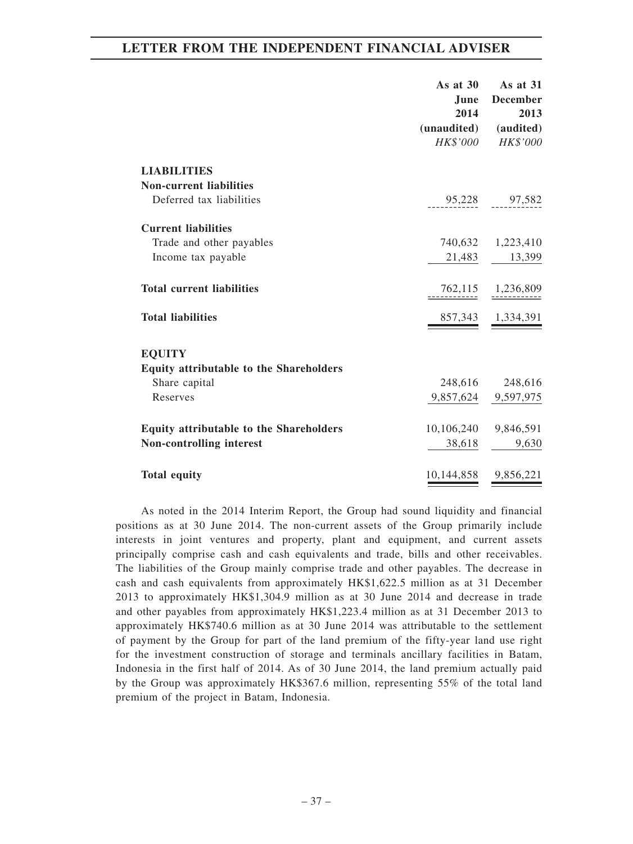|                                                      | As at $30$<br>June<br>2014     | As at $31$<br><b>December</b><br>2013 |
|------------------------------------------------------|--------------------------------|---------------------------------------|
|                                                      | (unaudited)<br><i>HK\$'000</i> | (audited)<br>HK\$'000                 |
| <b>LIABILITIES</b><br><b>Non-current liabilities</b> |                                |                                       |
| Deferred tax liabilities                             |                                | 95,228 97,582                         |
| <b>Current liabilities</b>                           |                                |                                       |
| Trade and other payables                             |                                | 740,632 1,223,410                     |
| Income tax payable                                   |                                | 21,483 13,399                         |
| <b>Total current liabilities</b>                     |                                | 762,115 1,236,809                     |
| <b>Total liabilities</b>                             |                                | 857,343 1,334,391                     |
| <b>EQUITY</b>                                        |                                |                                       |
| Equity attributable to the Shareholders              |                                |                                       |
| Share capital                                        |                                | 248,616 248,616                       |
| Reserves                                             |                                | 9,857,624 9,597,975                   |
| <b>Equity attributable to the Shareholders</b>       | 10,106,240 9,846,591           |                                       |
| Non-controlling interest                             | 38,618                         | 9,630                                 |
|                                                      |                                |                                       |
| <b>Total equity</b>                                  | 10,144,858 9,856,221           |                                       |

As noted in the 2014 Interim Report, the Group had sound liquidity and financial positions as at 30 June 2014. The non-current assets of the Group primarily include interests in joint ventures and property, plant and equipment, and current assets principally comprise cash and cash equivalents and trade, bills and other receivables. The liabilities of the Group mainly comprise trade and other payables. The decrease in cash and cash equivalents from approximately HK\$1,622.5 million as at 31 December 2013 to approximately HK\$1,304.9 million as at 30 June 2014 and decrease in trade and other payables from approximately HK\$1,223.4 million as at 31 December 2013 to approximately HK\$740.6 million as at 30 June 2014 was attributable to the settlement of payment by the Group for part of the land premium of the fifty-year land use right for the investment construction of storage and terminals ancillary facilities in Batam, Indonesia in the first half of 2014. As of 30 June 2014, the land premium actually paid by the Group was approximately HK\$367.6 million, representing 55% of the total land premium of the project in Batam, Indonesia.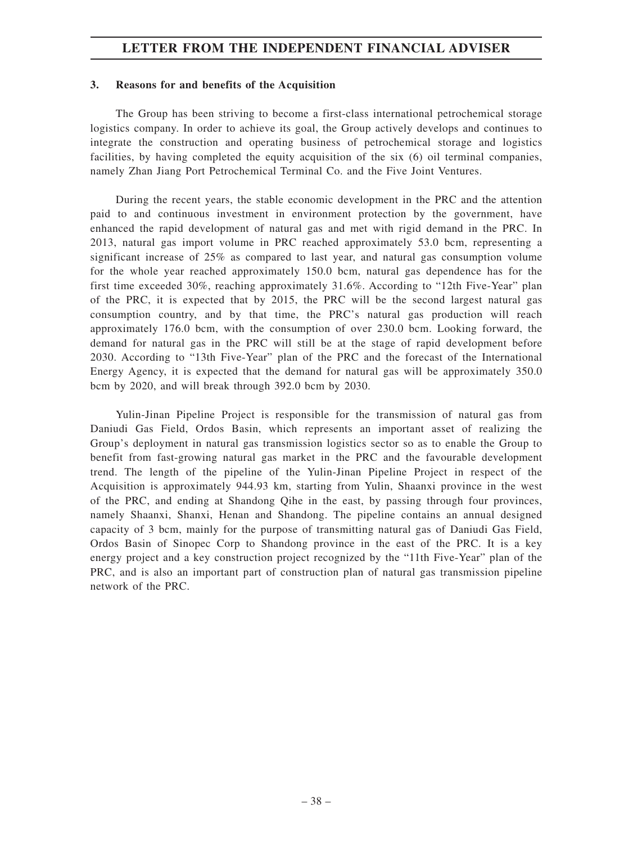## **3. Reasons for and benefits of the Acquisition**

The Group has been striving to become a first-class international petrochemical storage logistics company. In order to achieve its goal, the Group actively develops and continues to integrate the construction and operating business of petrochemical storage and logistics facilities, by having completed the equity acquisition of the six (6) oil terminal companies, namely Zhan Jiang Port Petrochemical Terminal Co. and the Five Joint Ventures.

During the recent years, the stable economic development in the PRC and the attention paid to and continuous investment in environment protection by the government, have enhanced the rapid development of natural gas and met with rigid demand in the PRC. In 2013, natural gas import volume in PRC reached approximately 53.0 bcm, representing a significant increase of 25% as compared to last year, and natural gas consumption volume for the whole year reached approximately 150.0 bcm, natural gas dependence has for the first time exceeded 30%, reaching approximately 31.6%. According to "12th Five-Year" plan of the PRC, it is expected that by 2015, the PRC will be the second largest natural gas consumption country, and by that time, the PRC's natural gas production will reach approximately 176.0 bcm, with the consumption of over 230.0 bcm. Looking forward, the demand for natural gas in the PRC will still be at the stage of rapid development before 2030. According to "13th Five-Year" plan of the PRC and the forecast of the International Energy Agency, it is expected that the demand for natural gas will be approximately 350.0 bcm by 2020, and will break through 392.0 bcm by 2030.

Yulin-Jinan Pipeline Project is responsible for the transmission of natural gas from Daniudi Gas Field, Ordos Basin, which represents an important asset of realizing the Group's deployment in natural gas transmission logistics sector so as to enable the Group to benefit from fast-growing natural gas market in the PRC and the favourable development trend. The length of the pipeline of the Yulin-Jinan Pipeline Project in respect of the Acquisition is approximately 944.93 km, starting from Yulin, Shaanxi province in the west of the PRC, and ending at Shandong Qihe in the east, by passing through four provinces, namely Shaanxi, Shanxi, Henan and Shandong. The pipeline contains an annual designed capacity of 3 bcm, mainly for the purpose of transmitting natural gas of Daniudi Gas Field, Ordos Basin of Sinopec Corp to Shandong province in the east of the PRC. It is a key energy project and a key construction project recognized by the "11th Five-Year" plan of the PRC, and is also an important part of construction plan of natural gas transmission pipeline network of the PRC.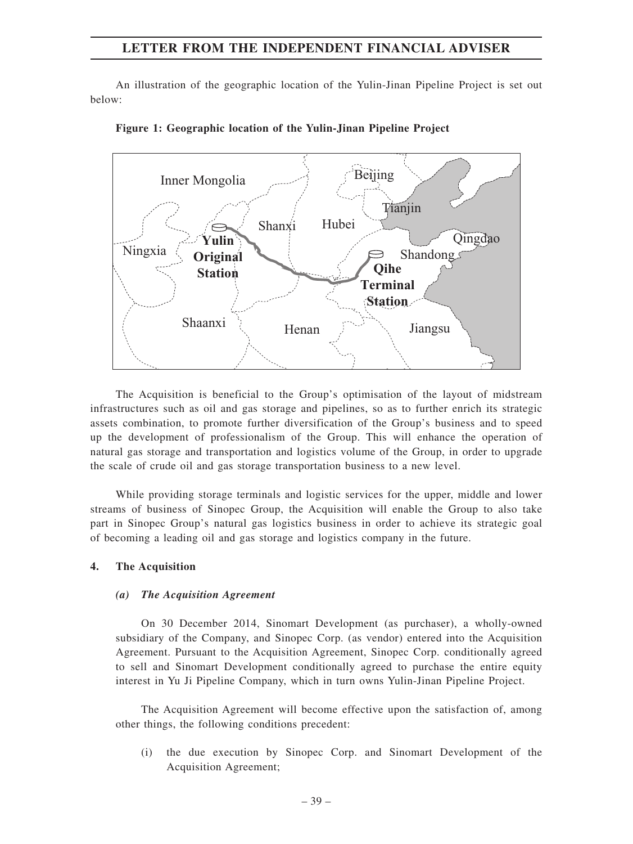An illustration of the geographic location of the Yulin-Jinan Pipeline Project is set out below:





The Acquisition is beneficial to the Group's optimisation of the layout of midstream infrastructures such as oil and gas storage and pipelines, so as to further enrich its strategic assets combination, to promote further diversification of the Group's business and to speed up the development of professionalism of the Group. This will enhance the operation of natural gas storage and transportation and logistics volume of the Group, in order to upgrade the scale of crude oil and gas storage transportation business to a new level.

While providing storage terminals and logistic services for the upper, middle and lower streams of business of Sinopec Group, the Acquisition will enable the Group to also take part in Sinopec Group's natural gas logistics business in order to achieve its strategic goal of becoming a leading oil and gas storage and logistics company in the future.

## **4. The Acquisition**

#### *(a) The Acquisition Agreement*

On 30 December 2014, Sinomart Development (as purchaser), a wholly-owned subsidiary of the Company, and Sinopec Corp. (as vendor) entered into the Acquisition Agreement. Pursuant to the Acquisition Agreement, Sinopec Corp. conditionally agreed to sell and Sinomart Development conditionally agreed to purchase the entire equity interest in Yu Ji Pipeline Company, which in turn owns Yulin-Jinan Pipeline Project.

The Acquisition Agreement will become effective upon the satisfaction of, among other things, the following conditions precedent:

(i) the due execution by Sinopec Corp. and Sinomart Development of the Acquisition Agreement;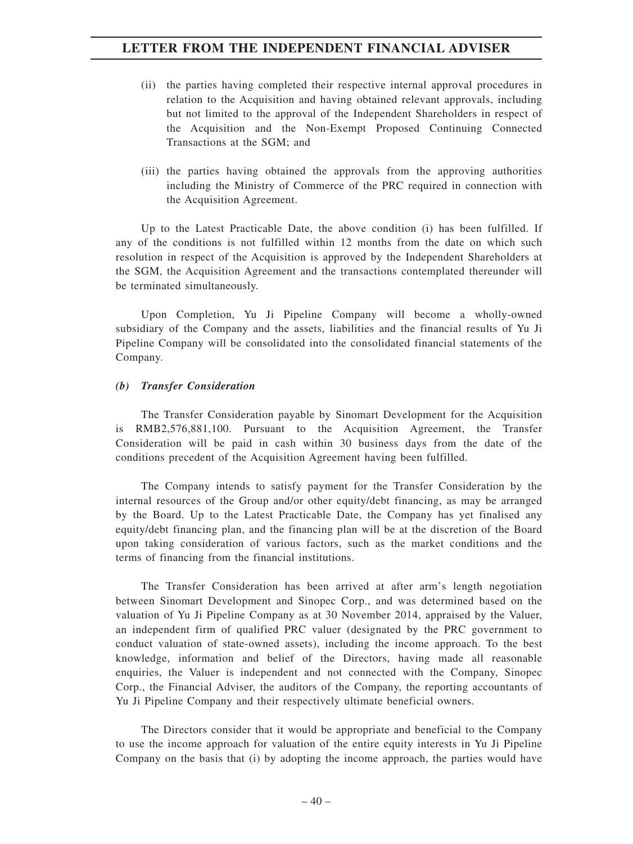- (ii) the parties having completed their respective internal approval procedures in relation to the Acquisition and having obtained relevant approvals, including but not limited to the approval of the Independent Shareholders in respect of the Acquisition and the Non-Exempt Proposed Continuing Connected Transactions at the SGM; and
- (iii) the parties having obtained the approvals from the approving authorities including the Ministry of Commerce of the PRC required in connection with the Acquisition Agreement.

Up to the Latest Practicable Date, the above condition (i) has been fulfilled. If any of the conditions is not fulfilled within 12 months from the date on which such resolution in respect of the Acquisition is approved by the Independent Shareholders at the SGM, the Acquisition Agreement and the transactions contemplated thereunder will be terminated simultaneously.

Upon Completion, Yu Ji Pipeline Company will become a wholly-owned subsidiary of the Company and the assets, liabilities and the financial results of Yu Ji Pipeline Company will be consolidated into the consolidated financial statements of the Company.

### *(b) Transfer Consideration*

The Transfer Consideration payable by Sinomart Development for the Acquisition is RMB2,576,881,100. Pursuant to the Acquisition Agreement, the Transfer Consideration will be paid in cash within 30 business days from the date of the conditions precedent of the Acquisition Agreement having been fulfilled.

The Company intends to satisfy payment for the Transfer Consideration by the internal resources of the Group and/or other equity/debt financing, as may be arranged by the Board. Up to the Latest Practicable Date, the Company has yet finalised any equity/debt financing plan, and the financing plan will be at the discretion of the Board upon taking consideration of various factors, such as the market conditions and the terms of financing from the financial institutions.

The Transfer Consideration has been arrived at after arm's length negotiation between Sinomart Development and Sinopec Corp., and was determined based on the valuation of Yu Ji Pipeline Company as at 30 November 2014, appraised by the Valuer, an independent firm of qualified PRC valuer (designated by the PRC government to conduct valuation of state-owned assets), including the income approach. To the best knowledge, information and belief of the Directors, having made all reasonable enquiries, the Valuer is independent and not connected with the Company, Sinopec Corp., the Financial Adviser, the auditors of the Company, the reporting accountants of Yu Ji Pipeline Company and their respectively ultimate beneficial owners.

The Directors consider that it would be appropriate and beneficial to the Company to use the income approach for valuation of the entire equity interests in Yu Ji Pipeline Company on the basis that (i) by adopting the income approach, the parties would have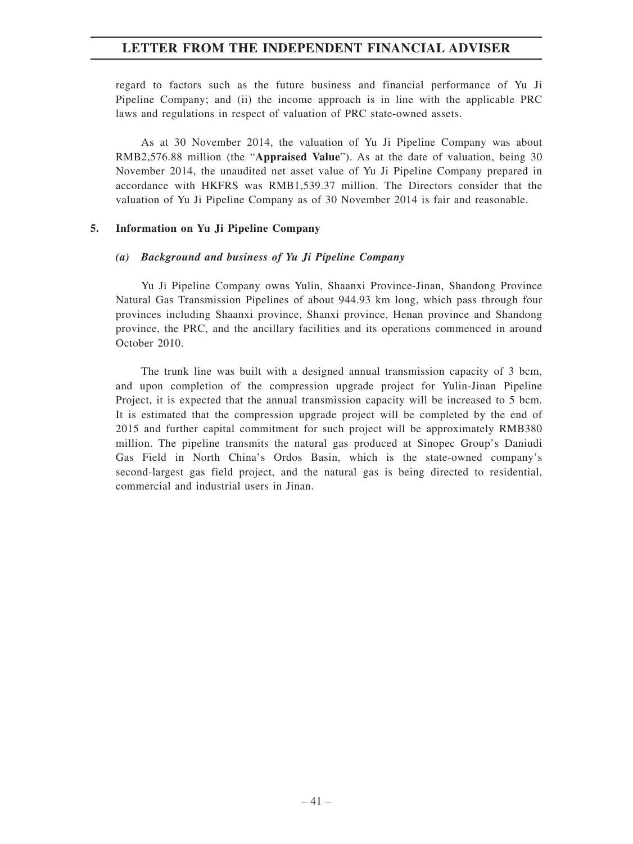regard to factors such as the future business and financial performance of Yu Ji Pipeline Company; and (ii) the income approach is in line with the applicable PRC laws and regulations in respect of valuation of PRC state-owned assets.

As at 30 November 2014, the valuation of Yu Ji Pipeline Company was about RMB2,576.88 million (the "**Appraised Value**"). As at the date of valuation, being 30 November 2014, the unaudited net asset value of Yu Ji Pipeline Company prepared in accordance with HKFRS was RMB1,539.37 million. The Directors consider that the valuation of Yu Ji Pipeline Company as of 30 November 2014 is fair and reasonable.

## **5. Information on Yu Ji Pipeline Company**

#### *(a) Background and business of Yu Ji Pipeline Company*

Yu Ji Pipeline Company owns Yulin, Shaanxi Province-Jinan, Shandong Province Natural Gas Transmission Pipelines of about 944.93 km long, which pass through four provinces including Shaanxi province, Shanxi province, Henan province and Shandong province, the PRC, and the ancillary facilities and its operations commenced in around October 2010.

The trunk line was built with a designed annual transmission capacity of 3 bcm, and upon completion of the compression upgrade project for Yulin-Jinan Pipeline Project, it is expected that the annual transmission capacity will be increased to 5 bcm. It is estimated that the compression upgrade project will be completed by the end of 2015 and further capital commitment for such project will be approximately RMB380 million. The pipeline transmits the natural gas produced at Sinopec Group's Daniudi Gas Field in North China's Ordos Basin, which is the state-owned company's second-largest gas field project, and the natural gas is being directed to residential, commercial and industrial users in Jinan.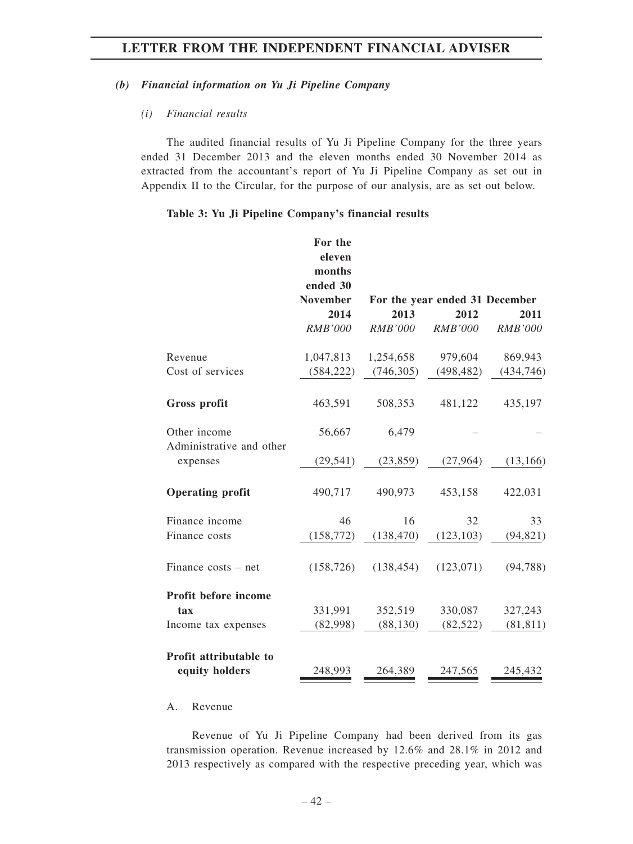## *(b) Financial information on Yu Ji Pipeline Company*

## *(i) Financial results*

The audited financial results of Yu Ji Pipeline Company for the three years ended 31 December 2013 and the eleven months ended 30 November 2014 as extracted from the accountant's report of Yu Ji Pipeline Company as set out in Appendix II to the Circular, for the purpose of our analysis, are as set out below.

## **Table 3: Yu Ji Pipeline Company's financial results**

| For the<br>eleven<br>months<br>ended 30<br><b>November</b> |                                             |                                | 2011                                                           |
|------------------------------------------------------------|---------------------------------------------|--------------------------------|----------------------------------------------------------------|
| <b>RMB'000</b>                                             | <b>RMB'000</b>                              | <b>RMB'000</b>                 | <b>RMB'000</b>                                                 |
|                                                            |                                             |                                | 869,943                                                        |
| (584, 222)                                                 | (746, 305)                                  | (498, 482)                     | (434, 746)                                                     |
|                                                            |                                             |                                |                                                                |
| 463,591                                                    | 508,353                                     | 481,122                        | 435,197                                                        |
| 56,667                                                     | 6,479                                       |                                |                                                                |
| (29, 541)                                                  | (23, 859)                                   | (27,964)                       | (13, 166)                                                      |
| 490,717                                                    | 490,973                                     | 453,158                        | 422,031                                                        |
| 46                                                         | 16                                          | 32                             | 33                                                             |
|                                                            | (138, 470)                                  | (123, 103)                     | (94, 821)                                                      |
| (158, 726)                                                 | (138, 454)                                  | (123,071)                      | (94, 788)                                                      |
|                                                            |                                             |                                |                                                                |
| 331,991                                                    | 352,519                                     | 330,087                        | 327,243                                                        |
|                                                            |                                             |                                | (81, 811)                                                      |
| 248,993                                                    | 264,389                                     | 247,565                        | 245,432                                                        |
|                                                            | 2014<br>1,047,813<br>(158, 772)<br>(82,998) | 2013<br>1,254,658<br>(88, 130) | For the year ended 31 December<br>2012<br>979,604<br>(82, 522) |

## A. Revenue

Revenue of Yu Ji Pipeline Company had been derived from its gas transmission operation. Revenue increased by 12.6% and 28.1% in 2012 and 2013 respectively as compared with the respective preceding year, which was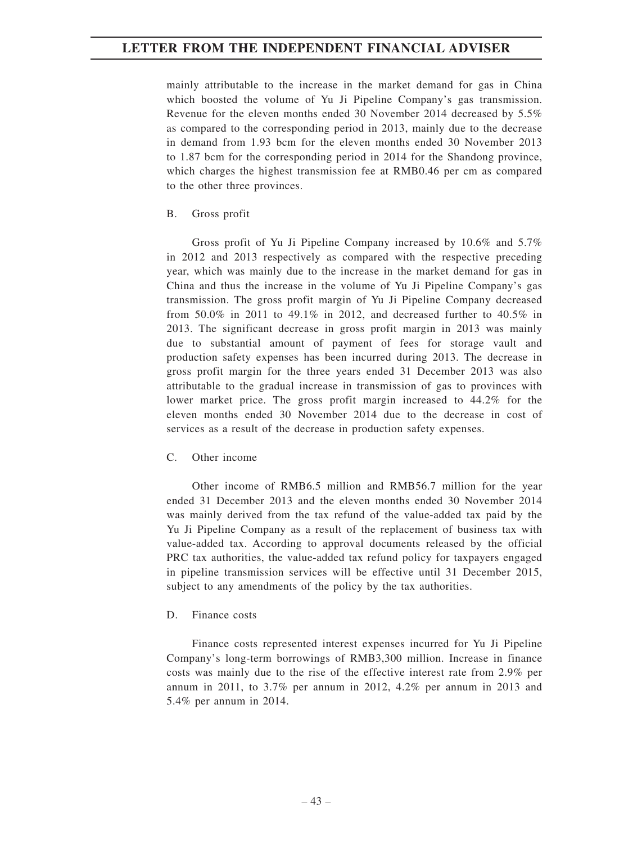mainly attributable to the increase in the market demand for gas in China which boosted the volume of Yu Ji Pipeline Company's gas transmission. Revenue for the eleven months ended 30 November 2014 decreased by 5.5% as compared to the corresponding period in 2013, mainly due to the decrease in demand from 1.93 bcm for the eleven months ended 30 November 2013 to 1.87 bcm for the corresponding period in 2014 for the Shandong province, which charges the highest transmission fee at RMB0.46 per cm as compared to the other three provinces.

## B. Gross profit

Gross profit of Yu Ji Pipeline Company increased by 10.6% and 5.7% in 2012 and 2013 respectively as compared with the respective preceding year, which was mainly due to the increase in the market demand for gas in China and thus the increase in the volume of Yu Ji Pipeline Company's gas transmission. The gross profit margin of Yu Ji Pipeline Company decreased from 50.0% in 2011 to 49.1% in 2012, and decreased further to 40.5% in 2013. The significant decrease in gross profit margin in 2013 was mainly due to substantial amount of payment of fees for storage vault and production safety expenses has been incurred during 2013. The decrease in gross profit margin for the three years ended 31 December 2013 was also attributable to the gradual increase in transmission of gas to provinces with lower market price. The gross profit margin increased to 44.2% for the eleven months ended 30 November 2014 due to the decrease in cost of services as a result of the decrease in production safety expenses.

## C. Other income

Other income of RMB6.5 million and RMB56.7 million for the year ended 31 December 2013 and the eleven months ended 30 November 2014 was mainly derived from the tax refund of the value-added tax paid by the Yu Ji Pipeline Company as a result of the replacement of business tax with value-added tax. According to approval documents released by the official PRC tax authorities, the value-added tax refund policy for taxpayers engaged in pipeline transmission services will be effective until 31 December 2015, subject to any amendments of the policy by the tax authorities.

#### D. Finance costs

Finance costs represented interest expenses incurred for Yu Ji Pipeline Company's long-term borrowings of RMB3,300 million. Increase in finance costs was mainly due to the rise of the effective interest rate from 2.9% per annum in 2011, to 3.7% per annum in 2012, 4.2% per annum in 2013 and 5.4% per annum in 2014.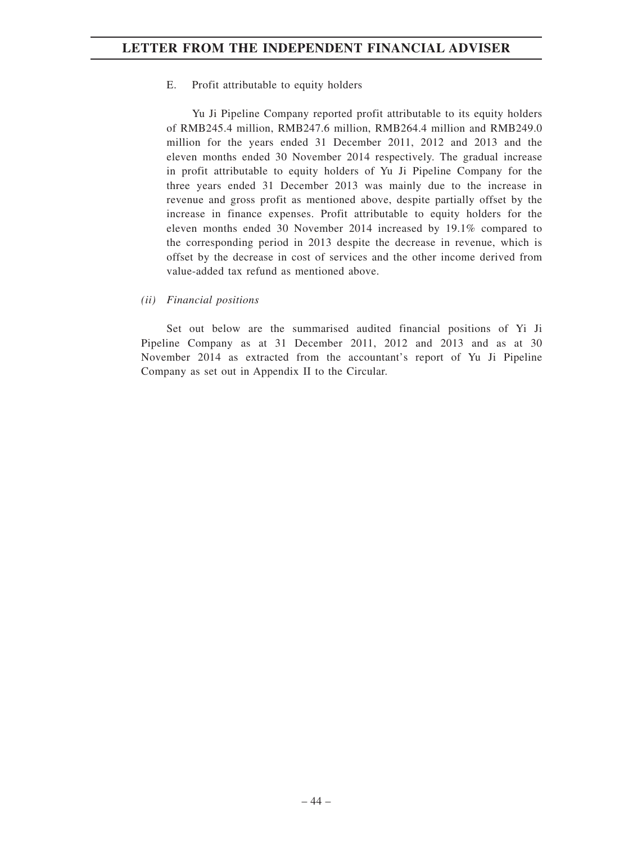E. Profit attributable to equity holders

Yu Ji Pipeline Company reported profit attributable to its equity holders of RMB245.4 million, RMB247.6 million, RMB264.4 million and RMB249.0 million for the years ended 31 December 2011, 2012 and 2013 and the eleven months ended 30 November 2014 respectively. The gradual increase in profit attributable to equity holders of Yu Ji Pipeline Company for the three years ended 31 December 2013 was mainly due to the increase in revenue and gross profit as mentioned above, despite partially offset by the increase in finance expenses. Profit attributable to equity holders for the eleven months ended 30 November 2014 increased by 19.1% compared to the corresponding period in 2013 despite the decrease in revenue, which is offset by the decrease in cost of services and the other income derived from value-added tax refund as mentioned above.

*(ii) Financial positions*

Set out below are the summarised audited financial positions of Yi Ji Pipeline Company as at 31 December 2011, 2012 and 2013 and as at 30 November 2014 as extracted from the accountant's report of Yu Ji Pipeline Company as set out in Appendix II to the Circular.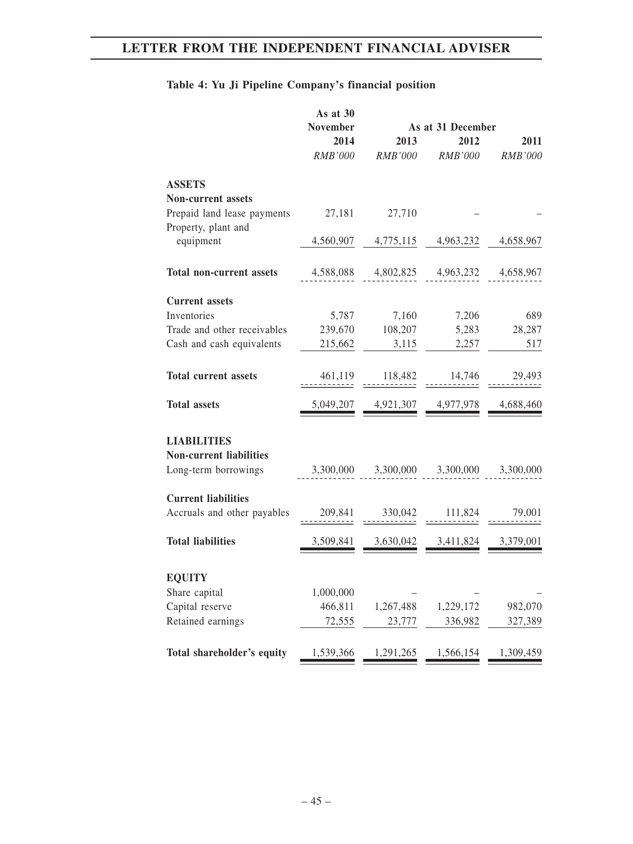# **Table 4: Yu Ji Pipeline Company's financial position**

|                                 | As at 30<br><b>November</b> |                | As at 31 December |                |
|---------------------------------|-----------------------------|----------------|-------------------|----------------|
|                                 | 2014                        | 2013           | 2012              | 2011           |
|                                 | RMB'000                     | <b>RMB'000</b> | RMB'000           | <b>RMB'000</b> |
| <b>ASSETS</b>                   |                             |                |                   |                |
| <b>Non-current assets</b>       |                             |                |                   |                |
| Prepaid land lease payments     | 27,181                      | 27,710         |                   |                |
| Property, plant and             |                             |                |                   |                |
| equipment                       | 4,560,907                   | 4,775,115      | 4,963,232         | 4,658,967      |
| <b>Total non-current assets</b> | 4,588,088                   | 4,802,825      | 4,963,232         | 4,658,967      |
| <b>Current assets</b>           |                             |                |                   |                |
| Inventories                     | 5,787                       | 7,160          | 7,206             | 689            |
| Trade and other receivables     | 239,670                     | 108,207        | 5,283             | 28,287         |
| Cash and cash equivalents       | 215,662                     | 3,115          | 2,257             | 517            |
|                                 |                             |                |                   |                |
| <b>Total current assets</b>     | 461,119                     | 118,482        | 14,746            | 29,493         |
| <b>Total assets</b>             | 5,049,207                   | 4,921,307      | 4,977,978         | 4,688,460      |
| <b>LIABILITIES</b>              |                             |                |                   |                |
| <b>Non-current liabilities</b>  |                             |                |                   |                |
| Long-term borrowings            | 3,300,000                   | 3,300,000      | 3,300,000         | 3,300,000      |
|                                 |                             |                |                   |                |
| <b>Current liabilities</b>      |                             |                |                   |                |
| Accruals and other payables     | 209,841                     | 330,042        | 111,824           | 79,001         |
| <b>Total liabilities</b>        | 3,509,841                   | 3,630,042      | 3,411,824         | 3,379,001      |
|                                 |                             |                |                   |                |
| <b>EQUITY</b>                   |                             |                |                   |                |
| Share capital                   | 1,000,000                   |                |                   |                |
| Capital reserve                 | 466,811                     | 1,267,488      | 1,229,172         | 982,070        |
| Retained earnings               | 72,555                      | 23,777         | 336,982           | 327,389        |
| Total shareholder's equity      | 1,539,366                   | 1,291,265      | 1,566,154         | 1,309,459      |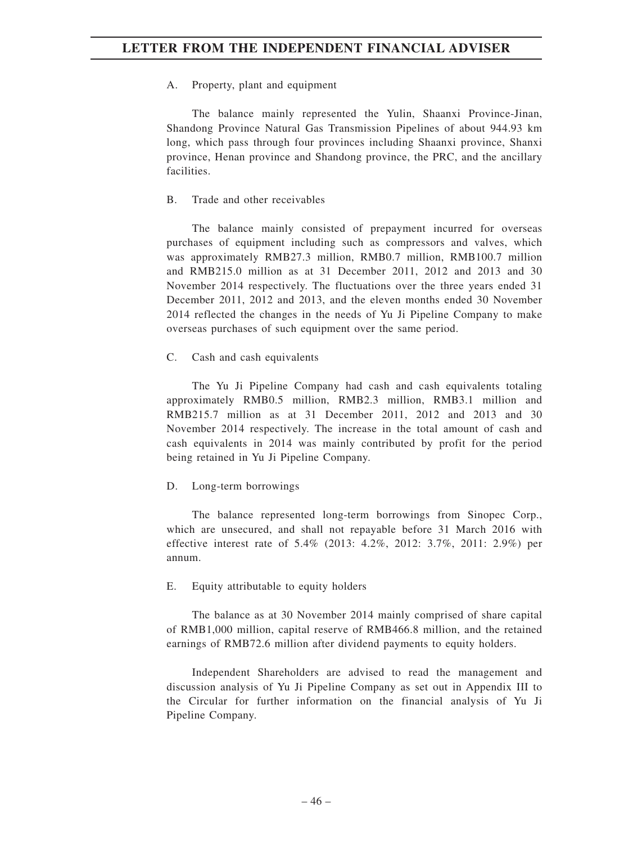A. Property, plant and equipment

The balance mainly represented the Yulin, Shaanxi Province-Jinan, Shandong Province Natural Gas Transmission Pipelines of about 944.93 km long, which pass through four provinces including Shaanxi province, Shanxi province, Henan province and Shandong province, the PRC, and the ancillary facilities.

B. Trade and other receivables

The balance mainly consisted of prepayment incurred for overseas purchases of equipment including such as compressors and valves, which was approximately RMB27.3 million, RMB0.7 million, RMB100.7 million and RMB215.0 million as at 31 December 2011, 2012 and 2013 and 30 November 2014 respectively. The fluctuations over the three years ended 31 December 2011, 2012 and 2013, and the eleven months ended 30 November 2014 reflected the changes in the needs of Yu Ji Pipeline Company to make overseas purchases of such equipment over the same period.

C. Cash and cash equivalents

The Yu Ji Pipeline Company had cash and cash equivalents totaling approximately RMB0.5 million, RMB2.3 million, RMB3.1 million and RMB215.7 million as at 31 December 2011, 2012 and 2013 and 30 November 2014 respectively. The increase in the total amount of cash and cash equivalents in 2014 was mainly contributed by profit for the period being retained in Yu Ji Pipeline Company.

D. Long-term borrowings

The balance represented long-term borrowings from Sinopec Corp., which are unsecured, and shall not repayable before 31 March 2016 with effective interest rate of 5.4% (2013: 4.2%, 2012: 3.7%, 2011: 2.9%) per annum.

E. Equity attributable to equity holders

The balance as at 30 November 2014 mainly comprised of share capital of RMB1,000 million, capital reserve of RMB466.8 million, and the retained earnings of RMB72.6 million after dividend payments to equity holders.

Independent Shareholders are advised to read the management and discussion analysis of Yu Ji Pipeline Company as set out in Appendix III to the Circular for further information on the financial analysis of Yu Ji Pipeline Company.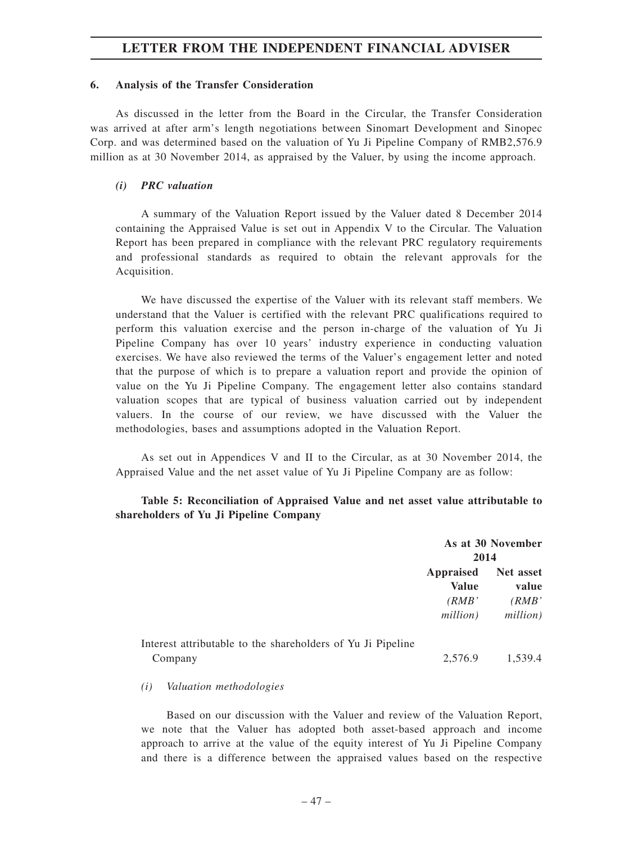## **6. Analysis of the Transfer Consideration**

As discussed in the letter from the Board in the Circular, the Transfer Consideration was arrived at after arm's length negotiations between Sinomart Development and Sinopec Corp. and was determined based on the valuation of Yu Ji Pipeline Company of RMB2,576.9 million as at 30 November 2014, as appraised by the Valuer, by using the income approach.

## *(i) PRC valuation*

A summary of the Valuation Report issued by the Valuer dated 8 December 2014 containing the Appraised Value is set out in Appendix V to the Circular. The Valuation Report has been prepared in compliance with the relevant PRC regulatory requirements and professional standards as required to obtain the relevant approvals for the Acquisition.

We have discussed the expertise of the Valuer with its relevant staff members. We understand that the Valuer is certified with the relevant PRC qualifications required to perform this valuation exercise and the person in-charge of the valuation of Yu Ji Pipeline Company has over 10 years' industry experience in conducting valuation exercises. We have also reviewed the terms of the Valuer's engagement letter and noted that the purpose of which is to prepare a valuation report and provide the opinion of value on the Yu Ji Pipeline Company. The engagement letter also contains standard valuation scopes that are typical of business valuation carried out by independent valuers. In the course of our review, we have discussed with the Valuer the methodologies, bases and assumptions adopted in the Valuation Report.

As set out in Appendices V and II to the Circular, as at 30 November 2014, the Appraised Value and the net asset value of Yu Ji Pipeline Company are as follow:

## **Table 5: Reconciliation of Appraised Value and net asset value attributable to shareholders of Yu Ji Pipeline Company**

|                                                                        | 2014                                    | As at 30 November                       |
|------------------------------------------------------------------------|-----------------------------------------|-----------------------------------------|
|                                                                        | Appraised<br>Value<br>(RMB)<br>million) | Net asset<br>value<br>(RMB)<br>million) |
| Interest attributable to the shareholders of Yu Ji Pipeline<br>Company | 2,576.9                                 | 1,539.4                                 |

## *(i) Valuation methodologies*

Based on our discussion with the Valuer and review of the Valuation Report, we note that the Valuer has adopted both asset-based approach and income approach to arrive at the value of the equity interest of Yu Ji Pipeline Company and there is a difference between the appraised values based on the respective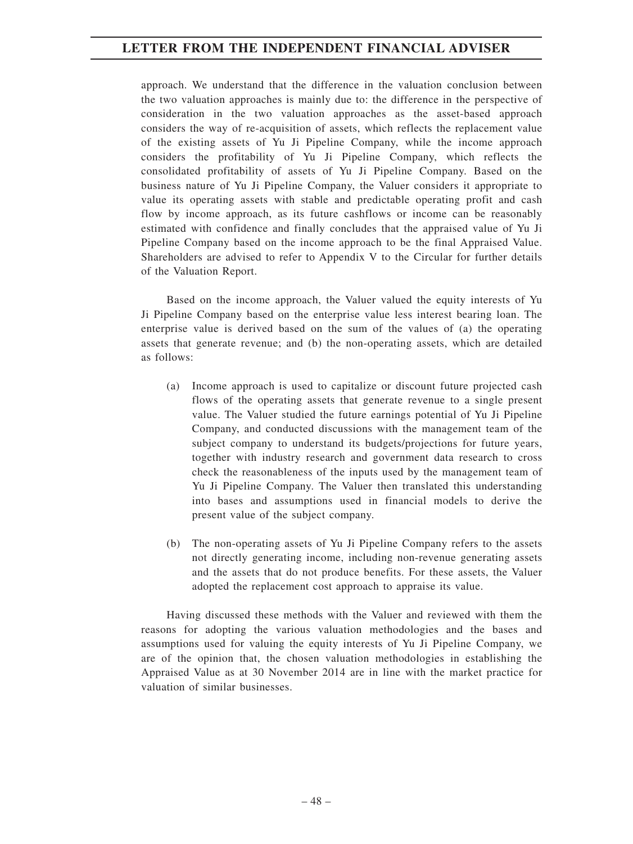approach. We understand that the difference in the valuation conclusion between the two valuation approaches is mainly due to: the difference in the perspective of consideration in the two valuation approaches as the asset-based approach considers the way of re-acquisition of assets, which reflects the replacement value of the existing assets of Yu Ji Pipeline Company, while the income approach considers the profitability of Yu Ji Pipeline Company, which reflects the consolidated profitability of assets of Yu Ji Pipeline Company. Based on the business nature of Yu Ji Pipeline Company, the Valuer considers it appropriate to value its operating assets with stable and predictable operating profit and cash flow by income approach, as its future cashflows or income can be reasonably estimated with confidence and finally concludes that the appraised value of Yu Ji Pipeline Company based on the income approach to be the final Appraised Value. Shareholders are advised to refer to Appendix V to the Circular for further details of the Valuation Report.

Based on the income approach, the Valuer valued the equity interests of Yu Ji Pipeline Company based on the enterprise value less interest bearing loan. The enterprise value is derived based on the sum of the values of (a) the operating assets that generate revenue; and (b) the non-operating assets, which are detailed as follows:

- (a) Income approach is used to capitalize or discount future projected cash flows of the operating assets that generate revenue to a single present value. The Valuer studied the future earnings potential of Yu Ji Pipeline Company, and conducted discussions with the management team of the subject company to understand its budgets/projections for future years, together with industry research and government data research to cross check the reasonableness of the inputs used by the management team of Yu Ji Pipeline Company. The Valuer then translated this understanding into bases and assumptions used in financial models to derive the present value of the subject company.
- (b) The non-operating assets of Yu Ji Pipeline Company refers to the assets not directly generating income, including non-revenue generating assets and the assets that do not produce benefits. For these assets, the Valuer adopted the replacement cost approach to appraise its value.

Having discussed these methods with the Valuer and reviewed with them the reasons for adopting the various valuation methodologies and the bases and assumptions used for valuing the equity interests of Yu Ji Pipeline Company, we are of the opinion that, the chosen valuation methodologies in establishing the Appraised Value as at 30 November 2014 are in line with the market practice for valuation of similar businesses.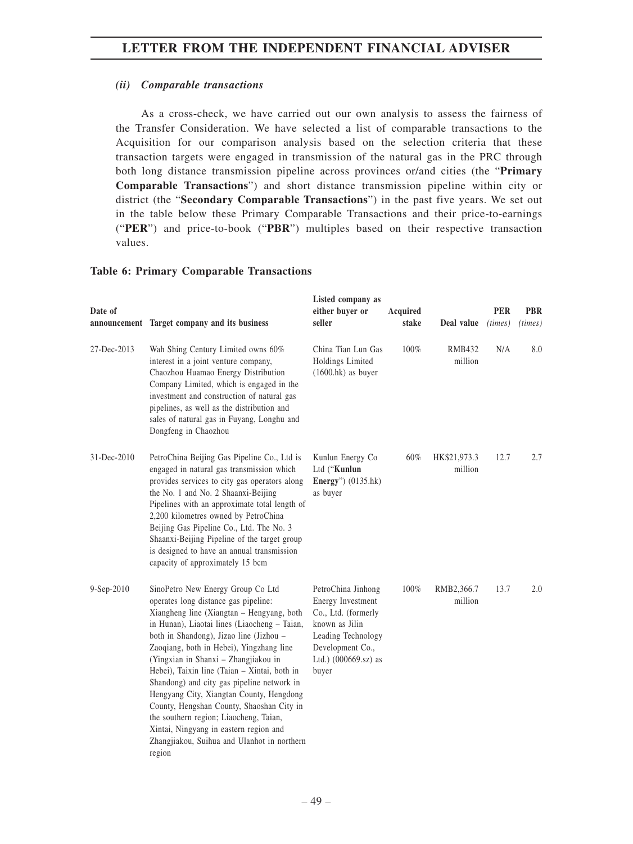## *(ii) Comparable transactions*

As a cross-check, we have carried out our own analysis to assess the fairness of the Transfer Consideration. We have selected a list of comparable transactions to the Acquisition for our comparison analysis based on the selection criteria that these transaction targets were engaged in transmission of the natural gas in the PRC through both long distance transmission pipeline across provinces or/and cities (the "**Primary Comparable Transactions**") and short distance transmission pipeline within city or district (the "**Secondary Comparable Transactions**") in the past five years. We set out in the table below these Primary Comparable Transactions and their price-to-earnings ("**PER**") and price-to-book ("**PBR**") multiples based on their respective transaction values.

## **Table 6: Primary Comparable Transactions**

| Date of     | announcement Target company and its business                                                                                                                                                                                                                                                                                                                                                                                                                                                                                                                                                                                              | Listed company as<br>either buyer or<br>seller                                                                                                              | Acquired<br>stake | Deal value               | <b>PER</b><br>(times) | <b>PBR</b><br>(times) |
|-------------|-------------------------------------------------------------------------------------------------------------------------------------------------------------------------------------------------------------------------------------------------------------------------------------------------------------------------------------------------------------------------------------------------------------------------------------------------------------------------------------------------------------------------------------------------------------------------------------------------------------------------------------------|-------------------------------------------------------------------------------------------------------------------------------------------------------------|-------------------|--------------------------|-----------------------|-----------------------|
| 27-Dec-2013 | Wah Shing Century Limited owns 60%<br>interest in a joint venture company,<br>Chaozhou Huamao Energy Distribution<br>Company Limited, which is engaged in the<br>investment and construction of natural gas<br>pipelines, as well as the distribution and<br>sales of natural gas in Fuyang, Longhu and<br>Dongfeng in Chaozhou                                                                                                                                                                                                                                                                                                           | China Tian Lun Gas<br>Holdings Limited<br>$(1600.hk)$ as buyer                                                                                              | 100%              | <b>RMB432</b><br>million | N/A                   | 8.0                   |
| 31-Dec-2010 | PetroChina Beijing Gas Pipeline Co., Ltd is<br>engaged in natural gas transmission which<br>provides services to city gas operators along<br>the No. 1 and No. 2 Shaanxi-Beijing<br>Pipelines with an approximate total length of<br>2,200 kilometres owned by PetroChina<br>Beijing Gas Pipeline Co., Ltd. The No. 3<br>Shaanxi-Beijing Pipeline of the target group<br>is designed to have an annual transmission<br>capacity of approximately 15 bcm                                                                                                                                                                                   | Kunlun Energy Co<br>Ltd ("Kunlun<br>Energy" $)$ (0135.hk)<br>as buyer                                                                                       | 60%               | HK\$21,973.3<br>million  | 12.7                  | 2.7                   |
| 9-Sep-2010  | SinoPetro New Energy Group Co Ltd<br>operates long distance gas pipeline:<br>Xiangheng line (Xiangtan - Hengyang, both<br>in Hunan), Liaotai lines (Liaocheng - Taian,<br>both in Shandong), Jizao line (Jizhou -<br>Zaoqiang, both in Hebei), Yingzhang line<br>(Yingxian in Shanxi - Zhangjiakou in<br>Hebei), Taixin line (Taian - Xintai, both in<br>Shandong) and city gas pipeline network in<br>Hengyang City, Xiangtan County, Hengdong<br>County, Hengshan County, Shaoshan City in<br>the southern region; Liaocheng, Taian,<br>Xintai, Ningyang in eastern region and<br>Zhangjiakou, Suihua and Ulanhot in northern<br>region | PetroChina Jinhong<br>Energy Investment<br>Co., Ltd. (formerly<br>known as Jilin<br>Leading Technology<br>Development Co.,<br>Ltd.) (000669.sz) as<br>buyer | 100%              | RMB2,366.7<br>million    | 13.7                  | 2.0                   |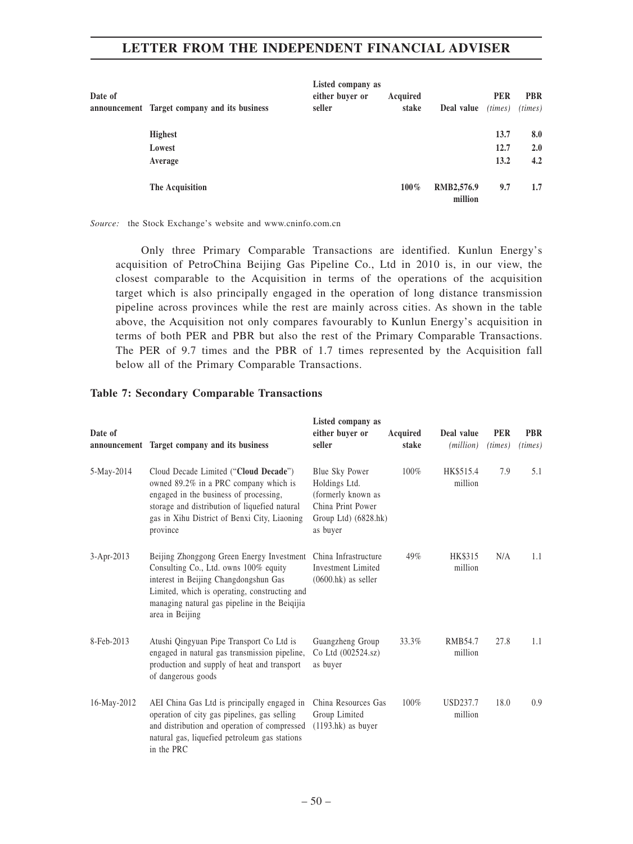| Date of |                                              | Listed company as<br>either buyer or | Acquired |                       | <b>PER</b> | <b>PBR</b> |
|---------|----------------------------------------------|--------------------------------------|----------|-----------------------|------------|------------|
|         | announcement Target company and its business | seller                               | stake    | Deal value            | (times)    | (times)    |
|         | <b>Highest</b>                               |                                      |          |                       | 13.7       | 8.0        |
|         | Lowest                                       |                                      |          |                       | 12.7       | 2.0        |
|         | Average                                      |                                      |          |                       | 13.2       | 4.2        |
|         | The Acquisition                              |                                      | $100\%$  | RMB2,576.9<br>million | 9.7        | 1.7        |

*Source:* the Stock Exchange's website and www.cninfo.com.cn

Only three Primary Comparable Transactions are identified. Kunlun Energy's acquisition of PetroChina Beijing Gas Pipeline Co., Ltd in 2010 is, in our view, the closest comparable to the Acquisition in terms of the operations of the acquisition target which is also principally engaged in the operation of long distance transmission pipeline across provinces while the rest are mainly across cities. As shown in the table above, the Acquisition not only compares favourably to Kunlun Energy's acquisition in terms of both PER and PBR but also the rest of the Primary Comparable Transactions. The PER of 9.7 times and the PBR of 1.7 times represented by the Acquisition fall below all of the Primary Comparable Transactions.

### **Table 7: Secondary Comparable Transactions**

| Date of          | announcement Target company and its business                                                                                                                                                                                                     | Listed company as<br>either buyer or<br>seller                                                                 | Acquired<br>stake | Deal value<br>( <i>million</i> ) | <b>PER</b><br>(times) | <b>PBR</b><br>(times) |
|------------------|--------------------------------------------------------------------------------------------------------------------------------------------------------------------------------------------------------------------------------------------------|----------------------------------------------------------------------------------------------------------------|-------------------|----------------------------------|-----------------------|-----------------------|
| 5-May-2014       | Cloud Decade Limited ("Cloud Decade")<br>owned 89.2% in a PRC company which is<br>engaged in the business of processing,<br>storage and distribution of liquefied natural<br>gas in Xihu District of Benxi City, Liaoning<br>province            | Blue Sky Power<br>Holdings Ltd.<br>(formerly known as<br>China Print Power<br>Group Ltd) (6828.hk)<br>as buyer | $100\%$           | HK\$515.4<br>million             | 7.9                   | 5.1                   |
| $3 - Apr - 2013$ | Beijing Zhonggong Green Energy Investment<br>Consulting Co., Ltd. owns 100% equity<br>interest in Beijing Changdongshun Gas<br>Limited, which is operating, constructing and<br>managing natural gas pipeline in the Beiqijia<br>area in Beijing | China Infrastructure<br><b>Investment Limited</b><br>$(0600.hk)$ as seller                                     | 49%               | HK\$315<br>million               | N/A                   | 1.1                   |
| 8-Feb-2013       | Atushi Qingyuan Pipe Transport Co Ltd is<br>engaged in natural gas transmission pipeline,<br>production and supply of heat and transport<br>of dangerous goods                                                                                   | Guangzheng Group<br>Co Ltd (002524.sz)<br>as buyer                                                             | 33.3%             | RMB54.7<br>million               | 27.8                  | 1.1                   |
| 16-May-2012      | AEI China Gas Ltd is principally engaged in<br>operation of city gas pipelines, gas selling<br>and distribution and operation of compressed<br>natural gas, liquefied petroleum gas stations<br>in the PRC                                       | China Resources Gas<br>Group Limited<br>$(1193.hk)$ as buyer                                                   | 100%              | USD237.7<br>million              | 18.0                  | 0.9                   |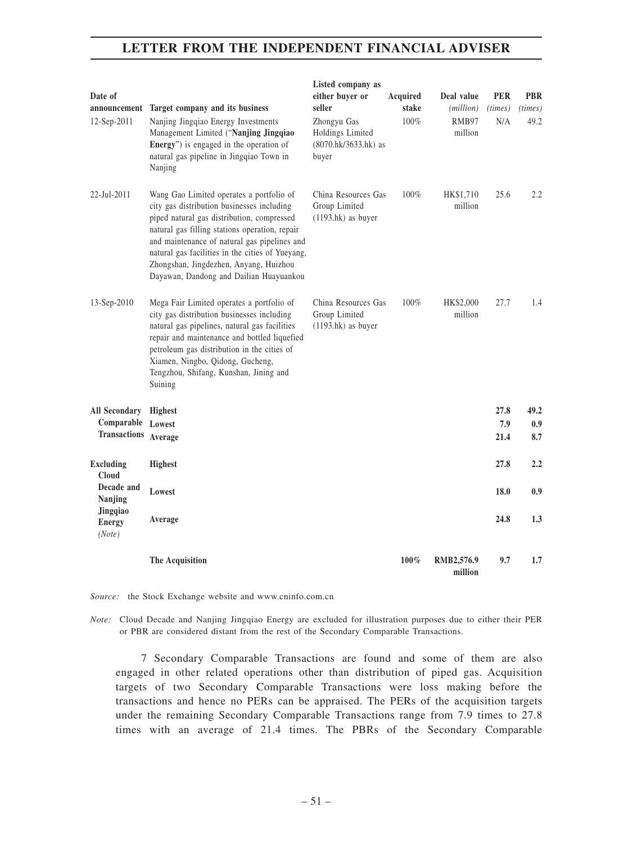| Date of<br>12-Sep-2011                         | announcement Target company and its business<br>Nanjing Jingqiao Energy Investments                                                                                                                                                                                                                                                                                             | Listed company as<br>either buyer or<br>seller<br>Zhongyu Gas | Acquired<br>stake<br>100% | Deal value<br>(million)<br>RMB97 | <b>PER</b><br>(times)<br>N/A | <b>PBR</b><br>(times)<br>49.2 |
|------------------------------------------------|---------------------------------------------------------------------------------------------------------------------------------------------------------------------------------------------------------------------------------------------------------------------------------------------------------------------------------------------------------------------------------|---------------------------------------------------------------|---------------------------|----------------------------------|------------------------------|-------------------------------|
|                                                | Management Limited ("Nanjing Jingqiao<br>Energy") is engaged in the operation of<br>natural gas pipeline in Jingqiao Town in<br>Nanjing                                                                                                                                                                                                                                         | Holdings Limited<br>(8070.hk/3633.hk) as<br>buyer             |                           | million                          |                              |                               |
| 22-Jul-2011                                    | Wang Gao Limited operates a portfolio of<br>city gas distribution businesses including<br>piped natural gas distribution, compressed<br>natural gas filling stations operation, repair<br>and maintenance of natural gas pipelines and<br>natural gas facilities in the cities of Yueyang,<br>Zhongshan, Jingdezhen, Anyang, Huizhou<br>Dayawan, Dandong and Dailian Huayuankou | China Resources Gas<br>Group Limited<br>$(1193.hk)$ as buyer  | 100%                      | HK\$1,710<br>million             | 25.6                         | 2.2                           |
| 13-Sep-2010                                    | Mega Fair Limited operates a portfolio of<br>city gas distribution businesses including<br>natural gas pipelines, natural gas facilities<br>repair and maintenance and bottled liquefied<br>petroleum gas distribution in the cities of<br>Xiamen, Ningbo, Qidong, Gucheng,<br>Tengzhou, Shifang, Kunshan, Jining and<br>Suining                                                | China Resources Gas<br>Group Limited<br>$(1193.hk)$ as buyer  | 100%                      | HK\$2,000<br>million             | 27.7                         | 1.4                           |
| All Secondary Highest<br>Comparable Lowest     |                                                                                                                                                                                                                                                                                                                                                                                 |                                                               |                           |                                  | 27.8                         | 49.2                          |
| Transactions                                   | Average                                                                                                                                                                                                                                                                                                                                                                         |                                                               |                           |                                  | 7.9<br>21.4                  | 0.9 <sub>0</sub><br>8.7       |
| <b>Excluding</b><br><b>Cloud</b><br>Decade and | <b>Highest</b>                                                                                                                                                                                                                                                                                                                                                                  |                                                               |                           |                                  | 27.8                         | 2.2                           |
| Nanjing                                        | Lowest                                                                                                                                                                                                                                                                                                                                                                          |                                                               |                           |                                  | 18.0                         | 0.9                           |
| Jingqiao<br><b>Energy</b><br>(Note)            | Average                                                                                                                                                                                                                                                                                                                                                                         |                                                               |                           |                                  | 24.8                         | 1.3                           |
|                                                | The Acquisition                                                                                                                                                                                                                                                                                                                                                                 |                                                               | 100%                      | RMB2,576.9<br>million            | 9.7                          | 1.7                           |

*Source:* the Stock Exchange website and www.cninfo.com.cn

*Note:* Cloud Decade and Nanjing Jingqiao Energy are excluded for illustration purposes due to either their PER or PBR are considered distant from the rest of the Secondary Comparable Transactions.

7 Secondary Comparable Transactions are found and some of them are also engaged in other related operations other than distribution of piped gas. Acquisition targets of two Secondary Comparable Transactions were loss making before the transactions and hence no PERs can be appraised. The PERs of the acquisition targets under the remaining Secondary Comparable Transactions range from 7.9 times to 27.8 times with an average of 21.4 times. The PBRs of the Secondary Comparable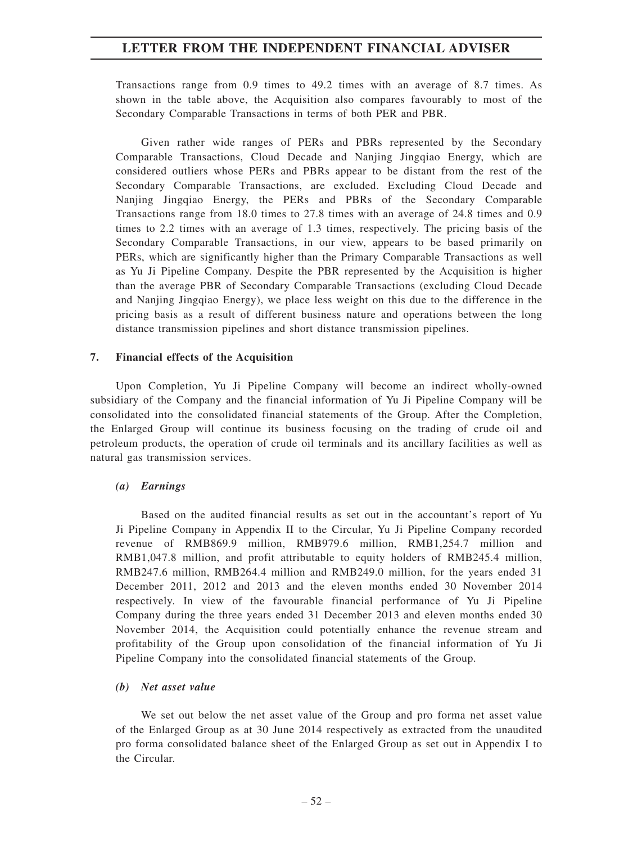Transactions range from 0.9 times to 49.2 times with an average of 8.7 times. As shown in the table above, the Acquisition also compares favourably to most of the Secondary Comparable Transactions in terms of both PER and PBR.

Given rather wide ranges of PERs and PBRs represented by the Secondary Comparable Transactions, Cloud Decade and Nanjing Jingqiao Energy, which are considered outliers whose PERs and PBRs appear to be distant from the rest of the Secondary Comparable Transactions, are excluded. Excluding Cloud Decade and Nanjing Jingqiao Energy, the PERs and PBRs of the Secondary Comparable Transactions range from 18.0 times to 27.8 times with an average of 24.8 times and 0.9 times to 2.2 times with an average of 1.3 times, respectively. The pricing basis of the Secondary Comparable Transactions, in our view, appears to be based primarily on PERs, which are significantly higher than the Primary Comparable Transactions as well as Yu Ji Pipeline Company. Despite the PBR represented by the Acquisition is higher than the average PBR of Secondary Comparable Transactions (excluding Cloud Decade and Nanjing Jingqiao Energy), we place less weight on this due to the difference in the pricing basis as a result of different business nature and operations between the long distance transmission pipelines and short distance transmission pipelines.

### **7. Financial effects of the Acquisition**

Upon Completion, Yu Ji Pipeline Company will become an indirect wholly-owned subsidiary of the Company and the financial information of Yu Ji Pipeline Company will be consolidated into the consolidated financial statements of the Group. After the Completion, the Enlarged Group will continue its business focusing on the trading of crude oil and petroleum products, the operation of crude oil terminals and its ancillary facilities as well as natural gas transmission services.

#### *(a) Earnings*

Based on the audited financial results as set out in the accountant's report of Yu Ji Pipeline Company in Appendix II to the Circular, Yu Ji Pipeline Company recorded revenue of RMB869.9 million, RMB979.6 million, RMB1,254.7 million and RMB1,047.8 million, and profit attributable to equity holders of RMB245.4 million, RMB247.6 million, RMB264.4 million and RMB249.0 million, for the years ended 31 December 2011, 2012 and 2013 and the eleven months ended 30 November 2014 respectively. In view of the favourable financial performance of Yu Ji Pipeline Company during the three years ended 31 December 2013 and eleven months ended 30 November 2014, the Acquisition could potentially enhance the revenue stream and profitability of the Group upon consolidation of the financial information of Yu Ji Pipeline Company into the consolidated financial statements of the Group.

#### *(b) Net asset value*

We set out below the net asset value of the Group and pro forma net asset value of the Enlarged Group as at 30 June 2014 respectively as extracted from the unaudited pro forma consolidated balance sheet of the Enlarged Group as set out in Appendix I to the Circular.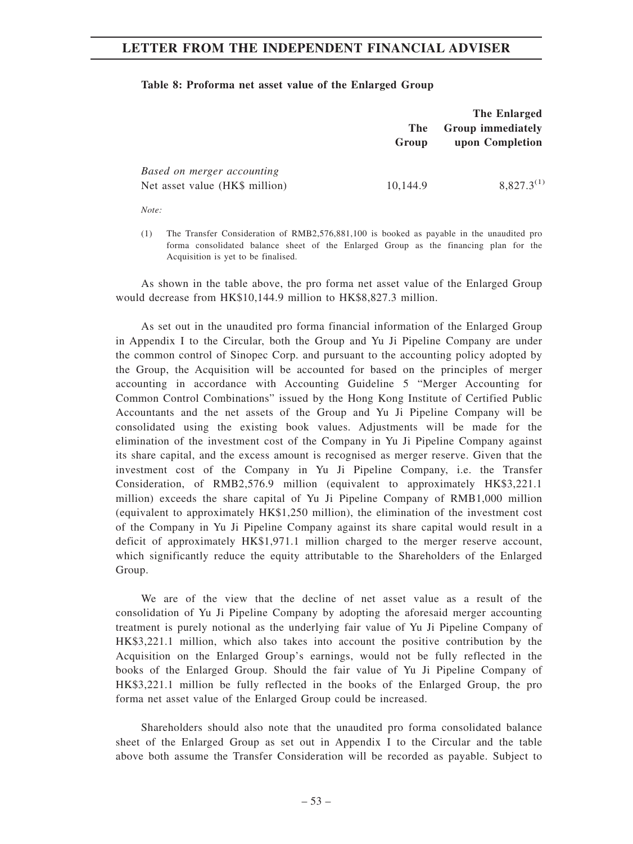#### **Table 8: Proforma net asset value of the Enlarged Group**

|                                                              | <b>The</b><br>Group | <b>The Enlarged</b><br><b>Group immediately</b><br>upon Completion |
|--------------------------------------------------------------|---------------------|--------------------------------------------------------------------|
| Based on merger accounting<br>Net asset value (HK\$ million) | 10,144.9            | $8.827.3^{(1)}$                                                    |

*Note:*

(1) The Transfer Consideration of RMB2,576,881,100 is booked as payable in the unaudited pro forma consolidated balance sheet of the Enlarged Group as the financing plan for the Acquisition is yet to be finalised.

As shown in the table above, the pro forma net asset value of the Enlarged Group would decrease from HK\$10,144.9 million to HK\$8,827.3 million.

As set out in the unaudited pro forma financial information of the Enlarged Group in Appendix I to the Circular, both the Group and Yu Ji Pipeline Company are under the common control of Sinopec Corp. and pursuant to the accounting policy adopted by the Group, the Acquisition will be accounted for based on the principles of merger accounting in accordance with Accounting Guideline 5 "Merger Accounting for Common Control Combinations" issued by the Hong Kong Institute of Certified Public Accountants and the net assets of the Group and Yu Ji Pipeline Company will be consolidated using the existing book values. Adjustments will be made for the elimination of the investment cost of the Company in Yu Ji Pipeline Company against its share capital, and the excess amount is recognised as merger reserve. Given that the investment cost of the Company in Yu Ji Pipeline Company, i.e. the Transfer Consideration, of RMB2,576.9 million (equivalent to approximately HK\$3,221.1 million) exceeds the share capital of Yu Ji Pipeline Company of RMB1,000 million (equivalent to approximately HK\$1,250 million), the elimination of the investment cost of the Company in Yu Ji Pipeline Company against its share capital would result in a deficit of approximately HK\$1,971.1 million charged to the merger reserve account, which significantly reduce the equity attributable to the Shareholders of the Enlarged Group.

We are of the view that the decline of net asset value as a result of the consolidation of Yu Ji Pipeline Company by adopting the aforesaid merger accounting treatment is purely notional as the underlying fair value of Yu Ji Pipeline Company of HK\$3,221.1 million, which also takes into account the positive contribution by the Acquisition on the Enlarged Group's earnings, would not be fully reflected in the books of the Enlarged Group. Should the fair value of Yu Ji Pipeline Company of HK\$3,221.1 million be fully reflected in the books of the Enlarged Group, the pro forma net asset value of the Enlarged Group could be increased.

Shareholders should also note that the unaudited pro forma consolidated balance sheet of the Enlarged Group as set out in Appendix I to the Circular and the table above both assume the Transfer Consideration will be recorded as payable. Subject to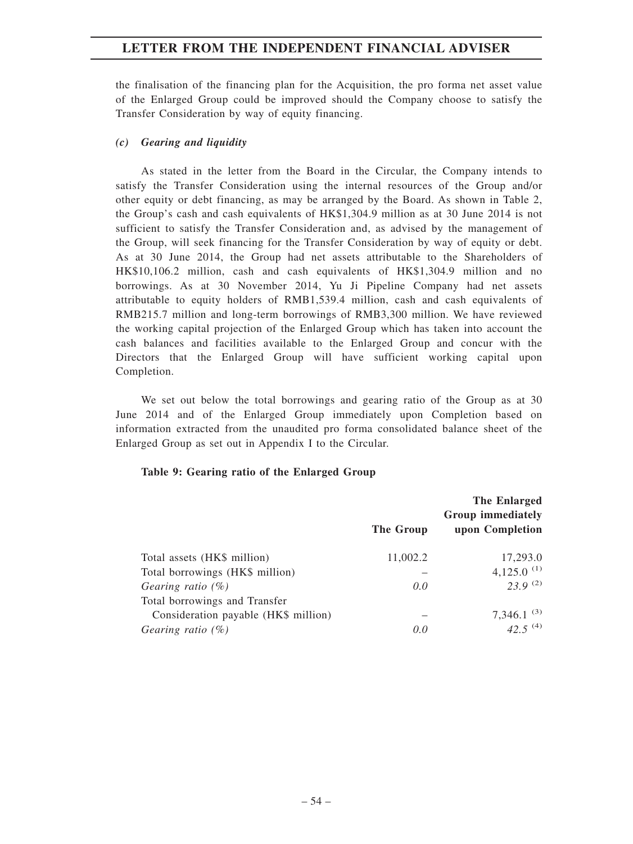the finalisation of the financing plan for the Acquisition, the pro forma net asset value of the Enlarged Group could be improved should the Company choose to satisfy the Transfer Consideration by way of equity financing.

## *(c) Gearing and liquidity*

As stated in the letter from the Board in the Circular, the Company intends to satisfy the Transfer Consideration using the internal resources of the Group and/or other equity or debt financing, as may be arranged by the Board. As shown in Table 2, the Group's cash and cash equivalents of HK\$1,304.9 million as at 30 June 2014 is not sufficient to satisfy the Transfer Consideration and, as advised by the management of the Group, will seek financing for the Transfer Consideration by way of equity or debt. As at 30 June 2014, the Group had net assets attributable to the Shareholders of HK\$10,106.2 million, cash and cash equivalents of HK\$1,304.9 million and no borrowings. As at 30 November 2014, Yu Ji Pipeline Company had net assets attributable to equity holders of RMB1,539.4 million, cash and cash equivalents of RMB215.7 million and long-term borrowings of RMB3,300 million. We have reviewed the working capital projection of the Enlarged Group which has taken into account the cash balances and facilities available to the Enlarged Group and concur with the Directors that the Enlarged Group will have sufficient working capital upon Completion.

We set out below the total borrowings and gearing ratio of the Group as at 30 June 2014 and of the Enlarged Group immediately upon Completion based on information extracted from the unaudited pro forma consolidated balance sheet of the Enlarged Group as set out in Appendix I to the Circular.

## **Table 9: Gearing ratio of the Enlarged Group**

|                                      | The Group | The Enlarged<br>Group immediately<br>upon Completion |
|--------------------------------------|-----------|------------------------------------------------------|
| Total assets (HK\$ million)          | 11,002.2  | 17,293.0                                             |
| Total borrowings (HK\$ million)      |           | 4,125.0 $(1)$                                        |
| Gearing ratio $(\%)$                 | 0.0       | $23.9^{(2)}$                                         |
| Total borrowings and Transfer        |           |                                                      |
| Consideration payable (HK\$ million) |           | 7,346.1 $^{(3)}$                                     |
| Gearing ratio $(\%)$                 | 0.0       | 42.5 $(4)$                                           |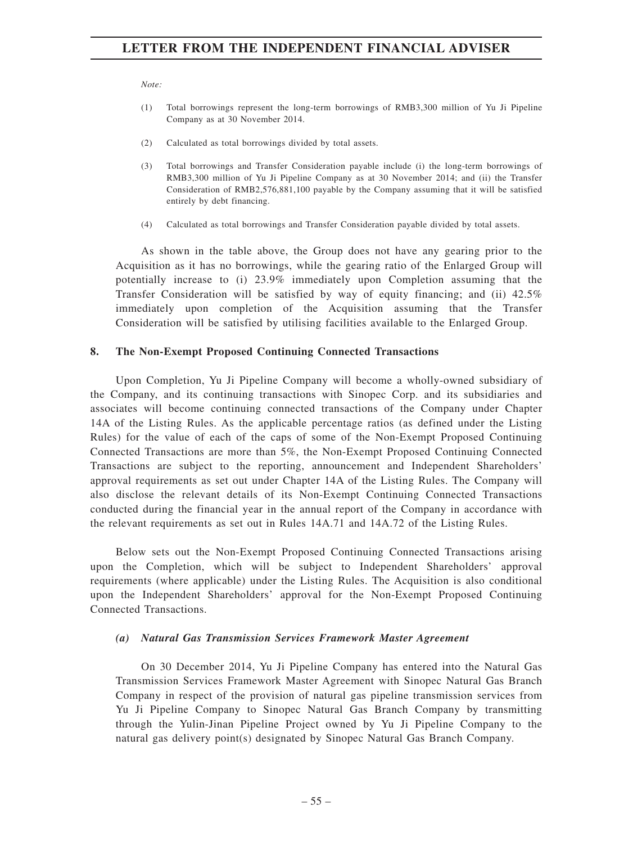*Note:*

- (1) Total borrowings represent the long-term borrowings of RMB3,300 million of Yu Ji Pipeline Company as at 30 November 2014.
- (2) Calculated as total borrowings divided by total assets.
- (3) Total borrowings and Transfer Consideration payable include (i) the long-term borrowings of RMB3,300 million of Yu Ji Pipeline Company as at 30 November 2014; and (ii) the Transfer Consideration of RMB2,576,881,100 payable by the Company assuming that it will be satisfied entirely by debt financing.
- (4) Calculated as total borrowings and Transfer Consideration payable divided by total assets.

As shown in the table above, the Group does not have any gearing prior to the Acquisition as it has no borrowings, while the gearing ratio of the Enlarged Group will potentially increase to (i) 23.9% immediately upon Completion assuming that the Transfer Consideration will be satisfied by way of equity financing; and (ii) 42.5% immediately upon completion of the Acquisition assuming that the Transfer Consideration will be satisfied by utilising facilities available to the Enlarged Group.

## **8. The Non-Exempt Proposed Continuing Connected Transactions**

Upon Completion, Yu Ji Pipeline Company will become a wholly-owned subsidiary of the Company, and its continuing transactions with Sinopec Corp. and its subsidiaries and associates will become continuing connected transactions of the Company under Chapter 14A of the Listing Rules. As the applicable percentage ratios (as defined under the Listing Rules) for the value of each of the caps of some of the Non-Exempt Proposed Continuing Connected Transactions are more than 5%, the Non-Exempt Proposed Continuing Connected Transactions are subject to the reporting, announcement and Independent Shareholders' approval requirements as set out under Chapter 14A of the Listing Rules. The Company will also disclose the relevant details of its Non-Exempt Continuing Connected Transactions conducted during the financial year in the annual report of the Company in accordance with the relevant requirements as set out in Rules 14A.71 and 14A.72 of the Listing Rules.

Below sets out the Non-Exempt Proposed Continuing Connected Transactions arising upon the Completion, which will be subject to Independent Shareholders' approval requirements (where applicable) under the Listing Rules. The Acquisition is also conditional upon the Independent Shareholders' approval for the Non-Exempt Proposed Continuing Connected Transactions.

## *(a) Natural Gas Transmission Services Framework Master Agreement*

On 30 December 2014, Yu Ji Pipeline Company has entered into the Natural Gas Transmission Services Framework Master Agreement with Sinopec Natural Gas Branch Company in respect of the provision of natural gas pipeline transmission services from Yu Ji Pipeline Company to Sinopec Natural Gas Branch Company by transmitting through the Yulin-Jinan Pipeline Project owned by Yu Ji Pipeline Company to the natural gas delivery point(s) designated by Sinopec Natural Gas Branch Company.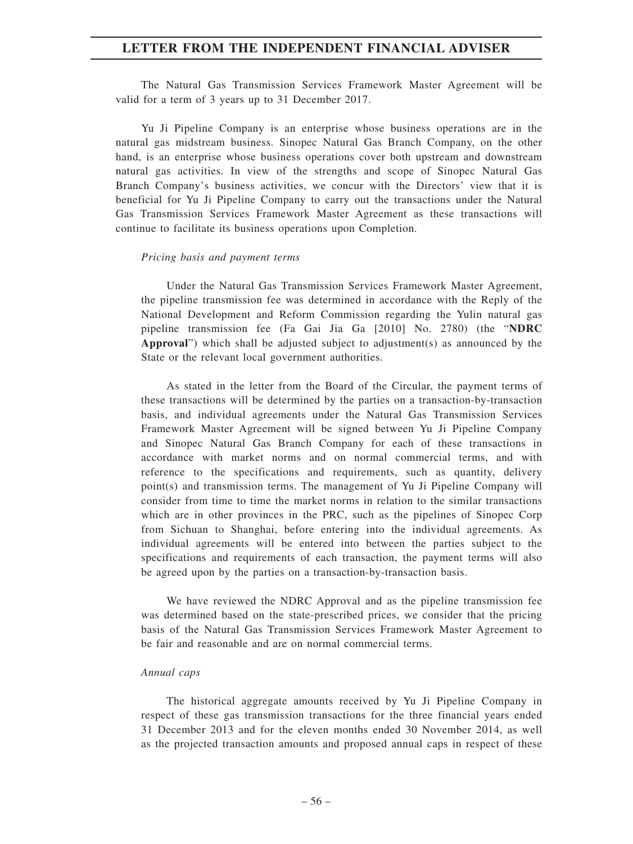The Natural Gas Transmission Services Framework Master Agreement will be valid for a term of 3 years up to 31 December 2017.

Yu Ji Pipeline Company is an enterprise whose business operations are in the natural gas midstream business. Sinopec Natural Gas Branch Company, on the other hand, is an enterprise whose business operations cover both upstream and downstream natural gas activities. In view of the strengths and scope of Sinopec Natural Gas Branch Company's business activities, we concur with the Directors' view that it is beneficial for Yu Ji Pipeline Company to carry out the transactions under the Natural Gas Transmission Services Framework Master Agreement as these transactions will continue to facilitate its business operations upon Completion.

#### *Pricing basis and payment terms*

Under the Natural Gas Transmission Services Framework Master Agreement, the pipeline transmission fee was determined in accordance with the Reply of the National Development and Reform Commission regarding the Yulin natural gas pipeline transmission fee (Fa Gai Jia Ga [2010] No. 2780) (the "**NDRC Approval**") which shall be adjusted subject to adjustment(s) as announced by the State or the relevant local government authorities.

As stated in the letter from the Board of the Circular, the payment terms of these transactions will be determined by the parties on a transaction-by-transaction basis, and individual agreements under the Natural Gas Transmission Services Framework Master Agreement will be signed between Yu Ji Pipeline Company and Sinopec Natural Gas Branch Company for each of these transactions in accordance with market norms and on normal commercial terms, and with reference to the specifications and requirements, such as quantity, delivery point(s) and transmission terms. The management of Yu Ji Pipeline Company will consider from time to time the market norms in relation to the similar transactions which are in other provinces in the PRC, such as the pipelines of Sinopec Corp from Sichuan to Shanghai, before entering into the individual agreements. As individual agreements will be entered into between the parties subject to the specifications and requirements of each transaction, the payment terms will also be agreed upon by the parties on a transaction-by-transaction basis.

We have reviewed the NDRC Approval and as the pipeline transmission fee was determined based on the state-prescribed prices, we consider that the pricing basis of the Natural Gas Transmission Services Framework Master Agreement to be fair and reasonable and are on normal commercial terms.

#### *Annual caps*

The historical aggregate amounts received by Yu Ji Pipeline Company in respect of these gas transmission transactions for the three financial years ended 31 December 2013 and for the eleven months ended 30 November 2014, as well as the projected transaction amounts and proposed annual caps in respect of these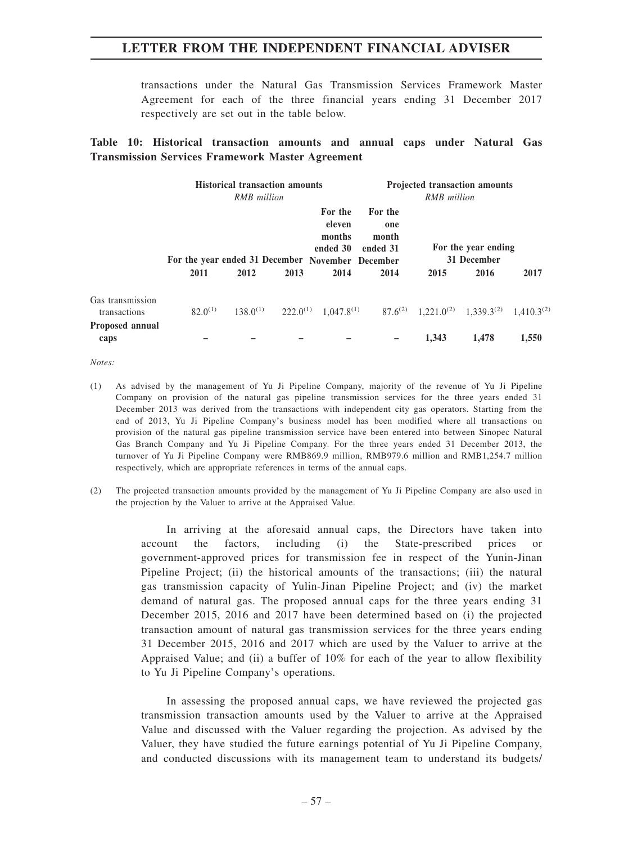transactions under the Natural Gas Transmission Services Framework Master Agreement for each of the three financial years ending 31 December 2017 respectively are set out in the table below.

## **Table 10: Historical transaction amounts and annual caps under Natural Gas Transmission Services Framework Master Agreement**

|                                  | <b>Historical transaction amounts</b><br><b>RMB</b> million |               |      |                                         | <b>Projected transaction amounts</b><br><b>RMB</b> million                                                                           |                                    |       |       |
|----------------------------------|-------------------------------------------------------------|---------------|------|-----------------------------------------|--------------------------------------------------------------------------------------------------------------------------------------|------------------------------------|-------|-------|
|                                  | For the year ended 31 December November December            |               |      | For the<br>eleven<br>months<br>ended 30 | For the<br>one<br>month<br>ended 31                                                                                                  | For the year ending<br>31 December |       |       |
|                                  | 2011                                                        | 2012          | 2013 | 2014                                    | 2014                                                                                                                                 | 2015                               | 2016  | 2017  |
| Gas transmission<br>transactions | $82.0^{(1)}$                                                | $138.0^{(1)}$ |      |                                         | 222.0 <sup>(1)</sup> 1,047.8 <sup>(1)</sup> 87.6 <sup>(2)</sup> 1,221.0 <sup>(2)</sup> 1,339.3 <sup>(2)</sup> 1,410.3 <sup>(2)</sup> |                                    |       |       |
| <b>Proposed annual</b><br>caps   |                                                             |               |      |                                         |                                                                                                                                      | 1,343                              | 1.478 | 1,550 |

*Notes:*

- (1) As advised by the management of Yu Ji Pipeline Company, majority of the revenue of Yu Ji Pipeline Company on provision of the natural gas pipeline transmission services for the three years ended 31 December 2013 was derived from the transactions with independent city gas operators. Starting from the end of 2013, Yu Ji Pipeline Company's business model has been modified where all transactions on provision of the natural gas pipeline transmission service have been entered into between Sinopec Natural Gas Branch Company and Yu Ji Pipeline Company. For the three years ended 31 December 2013, the turnover of Yu Ji Pipeline Company were RMB869.9 million, RMB979.6 million and RMB1,254.7 million respectively, which are appropriate references in terms of the annual caps.
- (2) The projected transaction amounts provided by the management of Yu Ji Pipeline Company are also used in the projection by the Valuer to arrive at the Appraised Value.

In arriving at the aforesaid annual caps, the Directors have taken into account the factors, including (i) the State-prescribed prices or government-approved prices for transmission fee in respect of the Yunin-Jinan Pipeline Project; (ii) the historical amounts of the transactions; (iii) the natural gas transmission capacity of Yulin-Jinan Pipeline Project; and (iv) the market demand of natural gas. The proposed annual caps for the three years ending 31 December 2015, 2016 and 2017 have been determined based on (i) the projected transaction amount of natural gas transmission services for the three years ending 31 December 2015, 2016 and 2017 which are used by the Valuer to arrive at the Appraised Value; and (ii) a buffer of 10% for each of the year to allow flexibility to Yu Ji Pipeline Company's operations.

In assessing the proposed annual caps, we have reviewed the projected gas transmission transaction amounts used by the Valuer to arrive at the Appraised Value and discussed with the Valuer regarding the projection. As advised by the Valuer, they have studied the future earnings potential of Yu Ji Pipeline Company, and conducted discussions with its management team to understand its budgets/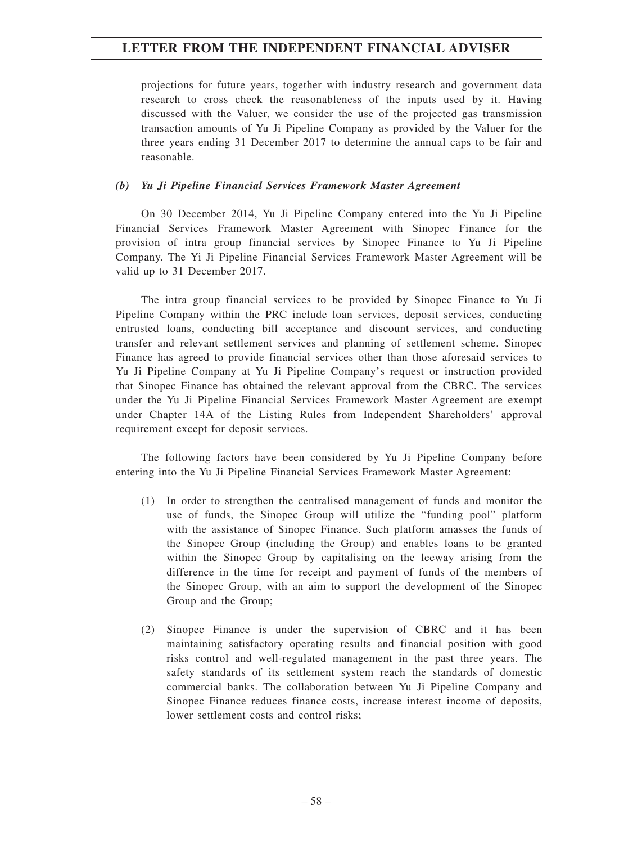projections for future years, together with industry research and government data research to cross check the reasonableness of the inputs used by it. Having discussed with the Valuer, we consider the use of the projected gas transmission transaction amounts of Yu Ji Pipeline Company as provided by the Valuer for the three years ending 31 December 2017 to determine the annual caps to be fair and reasonable.

## *(b) Yu Ji Pipeline Financial Services Framework Master Agreement*

On 30 December 2014, Yu Ji Pipeline Company entered into the Yu Ji Pipeline Financial Services Framework Master Agreement with Sinopec Finance for the provision of intra group financial services by Sinopec Finance to Yu Ji Pipeline Company. The Yi Ji Pipeline Financial Services Framework Master Agreement will be valid up to 31 December 2017.

The intra group financial services to be provided by Sinopec Finance to Yu Ji Pipeline Company within the PRC include loan services, deposit services, conducting entrusted loans, conducting bill acceptance and discount services, and conducting transfer and relevant settlement services and planning of settlement scheme. Sinopec Finance has agreed to provide financial services other than those aforesaid services to Yu Ji Pipeline Company at Yu Ji Pipeline Company's request or instruction provided that Sinopec Finance has obtained the relevant approval from the CBRC. The services under the Yu Ji Pipeline Financial Services Framework Master Agreement are exempt under Chapter 14A of the Listing Rules from Independent Shareholders' approval requirement except for deposit services.

The following factors have been considered by Yu Ji Pipeline Company before entering into the Yu Ji Pipeline Financial Services Framework Master Agreement:

- (1) In order to strengthen the centralised management of funds and monitor the use of funds, the Sinopec Group will utilize the "funding pool" platform with the assistance of Sinopec Finance. Such platform amasses the funds of the Sinopec Group (including the Group) and enables loans to be granted within the Sinopec Group by capitalising on the leeway arising from the difference in the time for receipt and payment of funds of the members of the Sinopec Group, with an aim to support the development of the Sinopec Group and the Group;
- (2) Sinopec Finance is under the supervision of CBRC and it has been maintaining satisfactory operating results and financial position with good risks control and well-regulated management in the past three years. The safety standards of its settlement system reach the standards of domestic commercial banks. The collaboration between Yu Ji Pipeline Company and Sinopec Finance reduces finance costs, increase interest income of deposits, lower settlement costs and control risks;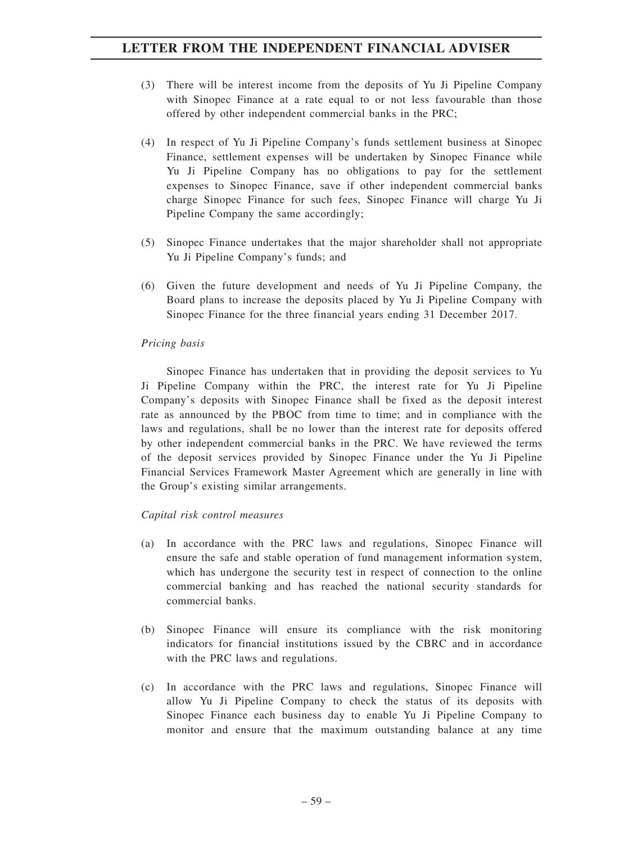- (3) There will be interest income from the deposits of Yu Ji Pipeline Company with Sinopec Finance at a rate equal to or not less favourable than those offered by other independent commercial banks in the PRC;
- (4) In respect of Yu Ji Pipeline Company's funds settlement business at Sinopec Finance, settlement expenses will be undertaken by Sinopec Finance while Yu Ji Pipeline Company has no obligations to pay for the settlement expenses to Sinopec Finance, save if other independent commercial banks charge Sinopec Finance for such fees, Sinopec Finance will charge Yu Ji Pipeline Company the same accordingly;
- (5) Sinopec Finance undertakes that the major shareholder shall not appropriate Yu Ji Pipeline Company's funds; and
- (6) Given the future development and needs of Yu Ji Pipeline Company, the Board plans to increase the deposits placed by Yu Ji Pipeline Company with Sinopec Finance for the three financial years ending 31 December 2017.

## *Pricing basis*

Sinopec Finance has undertaken that in providing the deposit services to Yu Ji Pipeline Company within the PRC, the interest rate for Yu Ji Pipeline Company's deposits with Sinopec Finance shall be fixed as the deposit interest rate as announced by the PBOC from time to time; and in compliance with the laws and regulations, shall be no lower than the interest rate for deposits offered by other independent commercial banks in the PRC. We have reviewed the terms of the deposit services provided by Sinopec Finance under the Yu Ji Pipeline Financial Services Framework Master Agreement which are generally in line with the Group's existing similar arrangements.

## *Capital risk control measures*

- (a) In accordance with the PRC laws and regulations, Sinopec Finance will ensure the safe and stable operation of fund management information system, which has undergone the security test in respect of connection to the online commercial banking and has reached the national security standards for commercial banks.
- (b) Sinopec Finance will ensure its compliance with the risk monitoring indicators for financial institutions issued by the CBRC and in accordance with the PRC laws and regulations.
- (c) In accordance with the PRC laws and regulations, Sinopec Finance will allow Yu Ji Pipeline Company to check the status of its deposits with Sinopec Finance each business day to enable Yu Ji Pipeline Company to monitor and ensure that the maximum outstanding balance at any time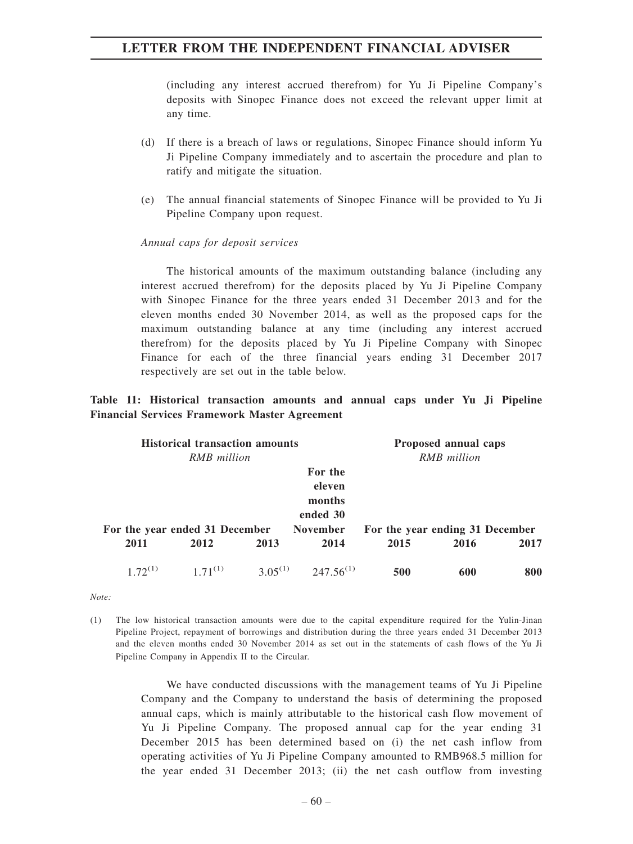(including any interest accrued therefrom) for Yu Ji Pipeline Company's deposits with Sinopec Finance does not exceed the relevant upper limit at any time.

- (d) If there is a breach of laws or regulations, Sinopec Finance should inform Yu Ji Pipeline Company immediately and to ascertain the procedure and plan to ratify and mitigate the situation.
- (e) The annual financial statements of Sinopec Finance will be provided to Yu Ji Pipeline Company upon request.

#### *Annual caps for deposit services*

The historical amounts of the maximum outstanding balance (including any interest accrued therefrom) for the deposits placed by Yu Ji Pipeline Company with Sinopec Finance for the three years ended 31 December 2013 and for the eleven months ended 30 November 2014, as well as the proposed caps for the maximum outstanding balance at any time (including any interest accrued therefrom) for the deposits placed by Yu Ji Pipeline Company with Sinopec Finance for each of the three financial years ending 31 December 2017 respectively are set out in the table below.

## **Table 11: Historical transaction amounts and annual caps under Yu Ji Pipeline Financial Services Framework Master Agreement**

| <b>Historical transaction amounts</b> |              |      |                                                            | Proposed annual caps            |      |      |  |
|---------------------------------------|--------------|------|------------------------------------------------------------|---------------------------------|------|------|--|
|                                       | RMB million  |      |                                                            | <b>RMB</b> million              |      |      |  |
| For the year ended 31 December        |              |      | For the<br>eleven<br>months<br>ended 30<br><b>November</b> | For the year ending 31 December |      |      |  |
| 2011                                  | 2012         | 2013 | 2014                                                       | 2015                            | 2016 | 2017 |  |
| $1.72^{(1)}$                          | $1.71^{(1)}$ |      | $3.05^{(1)}$ $247.56^{(1)}$                                | 500                             | 600  | 800  |  |

*Note:*

We have conducted discussions with the management teams of Yu Ji Pipeline Company and the Company to understand the basis of determining the proposed annual caps, which is mainly attributable to the historical cash flow movement of Yu Ji Pipeline Company. The proposed annual cap for the year ending 31 December 2015 has been determined based on (i) the net cash inflow from operating activities of Yu Ji Pipeline Company amounted to RMB968.5 million for the year ended 31 December 2013; (ii) the net cash outflow from investing

<sup>(1)</sup> The low historical transaction amounts were due to the capital expenditure required for the Yulin-Jinan Pipeline Project, repayment of borrowings and distribution during the three years ended 31 December 2013 and the eleven months ended 30 November 2014 as set out in the statements of cash flows of the Yu Ji Pipeline Company in Appendix II to the Circular.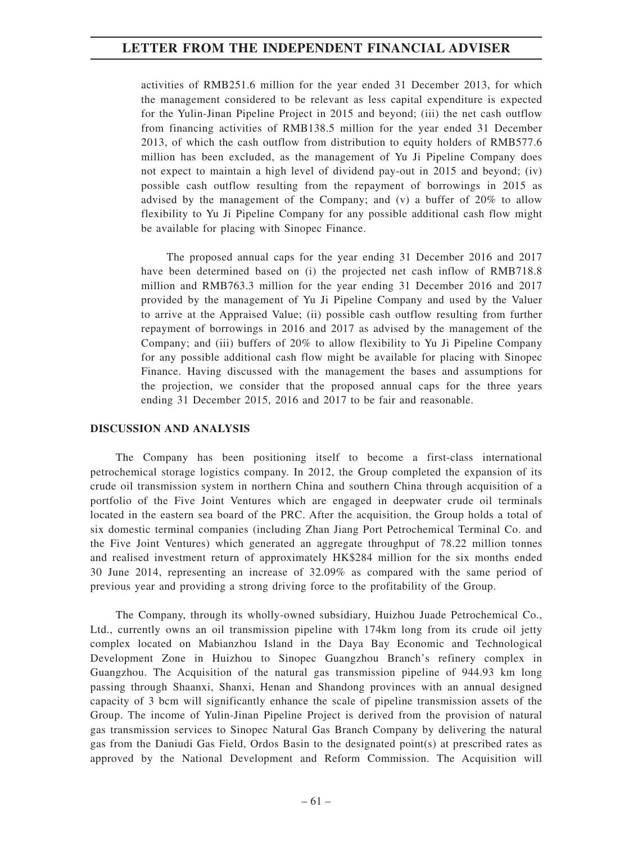activities of RMB251.6 million for the year ended 31 December 2013, for which the management considered to be relevant as less capital expenditure is expected for the Yulin-Jinan Pipeline Project in 2015 and beyond; (iii) the net cash outflow from financing activities of RMB138.5 million for the year ended 31 December 2013, of which the cash outflow from distribution to equity holders of RMB577.6 million has been excluded, as the management of Yu Ji Pipeline Company does not expect to maintain a high level of dividend pay-out in 2015 and beyond; (iv) possible cash outflow resulting from the repayment of borrowings in 2015 as advised by the management of the Company; and (v) a buffer of 20% to allow flexibility to Yu Ji Pipeline Company for any possible additional cash flow might be available for placing with Sinopec Finance.

The proposed annual caps for the year ending 31 December 2016 and 2017 have been determined based on (i) the projected net cash inflow of RMB718.8 million and RMB763.3 million for the year ending 31 December 2016 and 2017 provided by the management of Yu Ji Pipeline Company and used by the Valuer to arrive at the Appraised Value; (ii) possible cash outflow resulting from further repayment of borrowings in 2016 and 2017 as advised by the management of the Company; and (iii) buffers of 20% to allow flexibility to Yu Ji Pipeline Company for any possible additional cash flow might be available for placing with Sinopec Finance. Having discussed with the management the bases and assumptions for the projection, we consider that the proposed annual caps for the three years ending 31 December 2015, 2016 and 2017 to be fair and reasonable.

## **DISCUSSION AND ANALYSIS**

The Company has been positioning itself to become a first-class international petrochemical storage logistics company. In 2012, the Group completed the expansion of its crude oil transmission system in northern China and southern China through acquisition of a portfolio of the Five Joint Ventures which are engaged in deepwater crude oil terminals located in the eastern sea board of the PRC. After the acquisition, the Group holds a total of six domestic terminal companies (including Zhan Jiang Port Petrochemical Terminal Co. and the Five Joint Ventures) which generated an aggregate throughput of 78.22 million tonnes and realised investment return of approximately HK\$284 million for the six months ended 30 June 2014, representing an increase of 32.09% as compared with the same period of previous year and providing a strong driving force to the profitability of the Group.

The Company, through its wholly-owned subsidiary, Huizhou Juade Petrochemical Co., Ltd., currently owns an oil transmission pipeline with 174km long from its crude oil jetty complex located on Mabianzhou Island in the Daya Bay Economic and Technological Development Zone in Huizhou to Sinopec Guangzhou Branch's refinery complex in Guangzhou. The Acquisition of the natural gas transmission pipeline of 944.93 km long passing through Shaanxi, Shanxi, Henan and Shandong provinces with an annual designed capacity of 3 bcm will significantly enhance the scale of pipeline transmission assets of the Group. The income of Yulin-Jinan Pipeline Project is derived from the provision of natural gas transmission services to Sinopec Natural Gas Branch Company by delivering the natural gas from the Daniudi Gas Field, Ordos Basin to the designated point(s) at prescribed rates as approved by the National Development and Reform Commission. The Acquisition will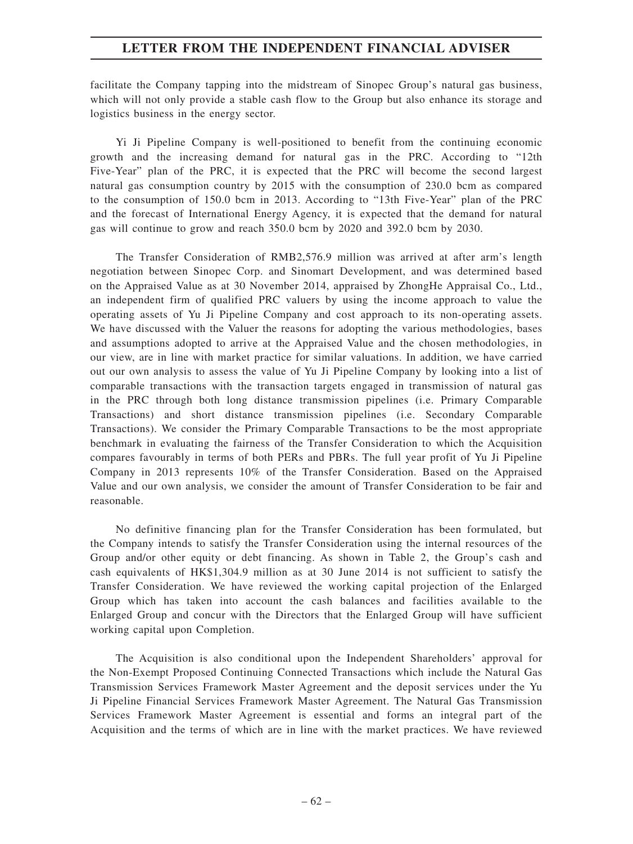facilitate the Company tapping into the midstream of Sinopec Group's natural gas business, which will not only provide a stable cash flow to the Group but also enhance its storage and logistics business in the energy sector.

Yi Ji Pipeline Company is well-positioned to benefit from the continuing economic growth and the increasing demand for natural gas in the PRC. According to "12th Five-Year" plan of the PRC, it is expected that the PRC will become the second largest natural gas consumption country by 2015 with the consumption of 230.0 bcm as compared to the consumption of 150.0 bcm in 2013. According to "13th Five-Year" plan of the PRC and the forecast of International Energy Agency, it is expected that the demand for natural gas will continue to grow and reach 350.0 bcm by 2020 and 392.0 bcm by 2030.

The Transfer Consideration of RMB2,576.9 million was arrived at after arm's length negotiation between Sinopec Corp. and Sinomart Development, and was determined based on the Appraised Value as at 30 November 2014, appraised by ZhongHe Appraisal Co., Ltd., an independent firm of qualified PRC valuers by using the income approach to value the operating assets of Yu Ji Pipeline Company and cost approach to its non-operating assets. We have discussed with the Valuer the reasons for adopting the various methodologies, bases and assumptions adopted to arrive at the Appraised Value and the chosen methodologies, in our view, are in line with market practice for similar valuations. In addition, we have carried out our own analysis to assess the value of Yu Ji Pipeline Company by looking into a list of comparable transactions with the transaction targets engaged in transmission of natural gas in the PRC through both long distance transmission pipelines (i.e. Primary Comparable Transactions) and short distance transmission pipelines (i.e. Secondary Comparable Transactions). We consider the Primary Comparable Transactions to be the most appropriate benchmark in evaluating the fairness of the Transfer Consideration to which the Acquisition compares favourably in terms of both PERs and PBRs. The full year profit of Yu Ji Pipeline Company in 2013 represents 10% of the Transfer Consideration. Based on the Appraised Value and our own analysis, we consider the amount of Transfer Consideration to be fair and reasonable.

No definitive financing plan for the Transfer Consideration has been formulated, but the Company intends to satisfy the Transfer Consideration using the internal resources of the Group and/or other equity or debt financing. As shown in Table 2, the Group's cash and cash equivalents of HK\$1,304.9 million as at 30 June 2014 is not sufficient to satisfy the Transfer Consideration. We have reviewed the working capital projection of the Enlarged Group which has taken into account the cash balances and facilities available to the Enlarged Group and concur with the Directors that the Enlarged Group will have sufficient working capital upon Completion.

The Acquisition is also conditional upon the Independent Shareholders' approval for the Non-Exempt Proposed Continuing Connected Transactions which include the Natural Gas Transmission Services Framework Master Agreement and the deposit services under the Yu Ji Pipeline Financial Services Framework Master Agreement. The Natural Gas Transmission Services Framework Master Agreement is essential and forms an integral part of the Acquisition and the terms of which are in line with the market practices. We have reviewed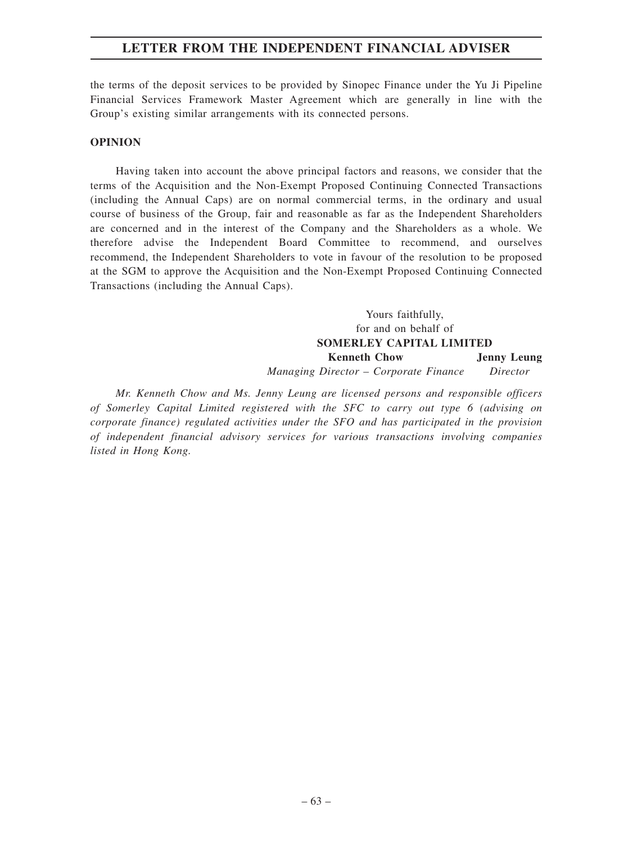the terms of the deposit services to be provided by Sinopec Finance under the Yu Ji Pipeline Financial Services Framework Master Agreement which are generally in line with the Group's existing similar arrangements with its connected persons.

## **OPINION**

Having taken into account the above principal factors and reasons, we consider that the terms of the Acquisition and the Non-Exempt Proposed Continuing Connected Transactions (including the Annual Caps) are on normal commercial terms, in the ordinary and usual course of business of the Group, fair and reasonable as far as the Independent Shareholders are concerned and in the interest of the Company and the Shareholders as a whole. We therefore advise the Independent Board Committee to recommend, and ourselves recommend, the Independent Shareholders to vote in favour of the resolution to be proposed at the SGM to approve the Acquisition and the Non-Exempt Proposed Continuing Connected Transactions (including the Annual Caps).

> Yours faithfully, for and on behalf of **SOMERLEY CAPITAL LIMITED Kenneth Chow** *Managing Director – Corporate Finance* **Jenny Leung** *Director*

*Mr. Kenneth Chow and Ms. Jenny Leung are licensed persons and responsible officers of Somerley Capital Limited registered with the SFC to carry out type 6 (advising on corporate finance) regulated activities under the SFO and has participated in the provision of independent financial advisory services for various transactions involving companies listed in Hong Kong.*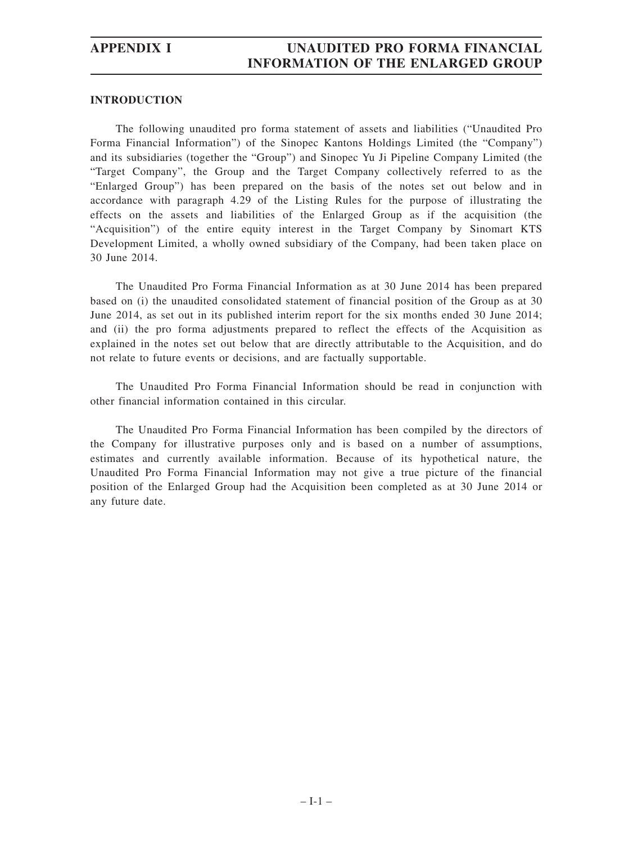## **INTRODUCTION**

The following unaudited pro forma statement of assets and liabilities ("Unaudited Pro Forma Financial Information") of the Sinopec Kantons Holdings Limited (the "Company") and its subsidiaries (together the "Group") and Sinopec Yu Ji Pipeline Company Limited (the "Target Company", the Group and the Target Company collectively referred to as the "Enlarged Group") has been prepared on the basis of the notes set out below and in accordance with paragraph 4.29 of the Listing Rules for the purpose of illustrating the effects on the assets and liabilities of the Enlarged Group as if the acquisition (the "Acquisition") of the entire equity interest in the Target Company by Sinomart KTS Development Limited, a wholly owned subsidiary of the Company, had been taken place on 30 June 2014.

The Unaudited Pro Forma Financial Information as at 30 June 2014 has been prepared based on (i) the unaudited consolidated statement of financial position of the Group as at 30 June 2014, as set out in its published interim report for the six months ended 30 June 2014; and (ii) the pro forma adjustments prepared to reflect the effects of the Acquisition as explained in the notes set out below that are directly attributable to the Acquisition, and do not relate to future events or decisions, and are factually supportable.

The Unaudited Pro Forma Financial Information should be read in conjunction with other financial information contained in this circular.

The Unaudited Pro Forma Financial Information has been compiled by the directors of the Company for illustrative purposes only and is based on a number of assumptions, estimates and currently available information. Because of its hypothetical nature, the Unaudited Pro Forma Financial Information may not give a true picture of the financial position of the Enlarged Group had the Acquisition been completed as at 30 June 2014 or any future date.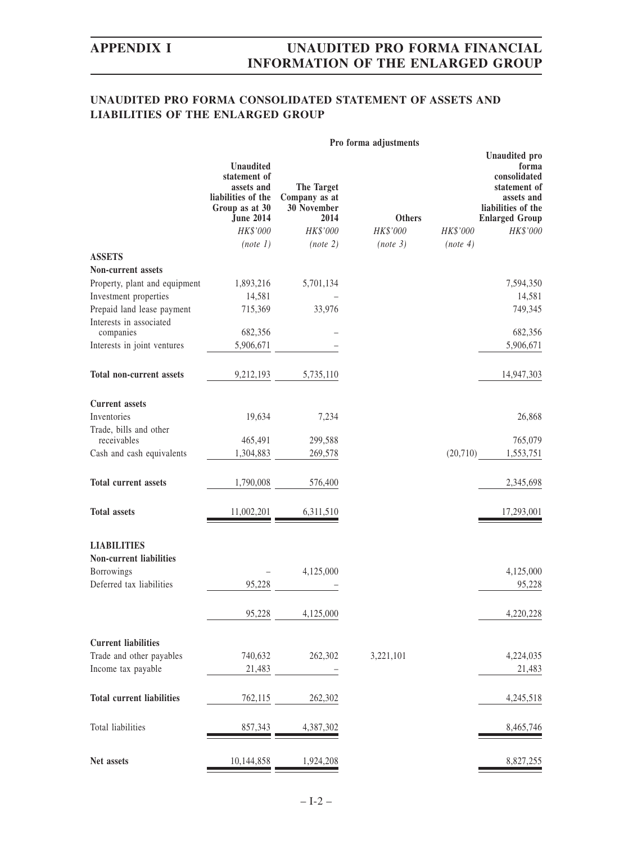# **UNAUDITED PRO FORMA CONSOLIDATED STATEMENT OF ASSETS AND LIABILITIES OF THE ENLARGED GROUP**

|                                      | Pro forma adjustments                                                                                                  |                                                                       |                           |           |                                                                                                                                        |  |  |
|--------------------------------------|------------------------------------------------------------------------------------------------------------------------|-----------------------------------------------------------------------|---------------------------|-----------|----------------------------------------------------------------------------------------------------------------------------------------|--|--|
|                                      | <b>Unaudited</b><br>statement of<br>assets and<br>liabilities of the<br>Group as at 30<br><b>June 2014</b><br>HK\$'000 | <b>The Target</b><br>Company as at<br>30 November<br>2014<br>HK\$'000 | <b>Others</b><br>HK\$'000 | HK\$'000  | <b>Unaudited</b> pro<br>forma<br>consolidated<br>statement of<br>assets and<br>liabilities of the<br><b>Enlarged Group</b><br>HK\$'000 |  |  |
|                                      | (note 1)                                                                                                               | (note 2)                                                              | (note 3)                  | (note 4)  |                                                                                                                                        |  |  |
| <b>ASSETS</b>                        |                                                                                                                        |                                                                       |                           |           |                                                                                                                                        |  |  |
| Non-current assets                   |                                                                                                                        |                                                                       |                           |           |                                                                                                                                        |  |  |
| Property, plant and equipment        | 1,893,216                                                                                                              | 5,701,134                                                             |                           |           | 7,594,350                                                                                                                              |  |  |
| Investment properties                | 14,581                                                                                                                 |                                                                       |                           |           | 14,581                                                                                                                                 |  |  |
| Prepaid land lease payment           | 715,369                                                                                                                | 33,976                                                                |                           |           | 749,345                                                                                                                                |  |  |
| Interests in associated<br>companies | 682,356                                                                                                                |                                                                       |                           |           | 682,356                                                                                                                                |  |  |
| Interests in joint ventures          | 5,906,671                                                                                                              |                                                                       |                           |           | 5,906,671                                                                                                                              |  |  |
|                                      |                                                                                                                        |                                                                       |                           |           |                                                                                                                                        |  |  |
| <b>Total non-current assets</b>      | 9,212,193                                                                                                              | 5,735,110                                                             |                           |           | 14,947,303                                                                                                                             |  |  |
| <b>Current assets</b>                |                                                                                                                        |                                                                       |                           |           |                                                                                                                                        |  |  |
| Inventories                          | 19,634                                                                                                                 | 7,234                                                                 |                           |           | 26,868                                                                                                                                 |  |  |
| Trade, bills and other               |                                                                                                                        |                                                                       |                           |           |                                                                                                                                        |  |  |
| receivables                          | 465,491                                                                                                                | 299,588                                                               |                           |           | 765,079                                                                                                                                |  |  |
| Cash and cash equivalents            | 1,304,883                                                                                                              | 269,578                                                               |                           | (20, 710) | 1,553,751                                                                                                                              |  |  |
| <b>Total current assets</b>          | 1,790,008                                                                                                              | 576,400                                                               |                           |           | 2,345,698                                                                                                                              |  |  |
| <b>Total assets</b>                  | 11,002,201                                                                                                             | 6,311,510                                                             |                           |           | 17,293,001                                                                                                                             |  |  |
| <b>LIABILITIES</b>                   |                                                                                                                        |                                                                       |                           |           |                                                                                                                                        |  |  |
| Non-current liabilities              |                                                                                                                        |                                                                       |                           |           |                                                                                                                                        |  |  |
| Borrowings                           |                                                                                                                        | 4,125,000                                                             |                           |           | 4,125,000                                                                                                                              |  |  |
| Deferred tax liabilities             | 95,228                                                                                                                 |                                                                       |                           |           | 95,228                                                                                                                                 |  |  |
|                                      | 95,228                                                                                                                 | 4,125,000                                                             |                           |           | 4,220,228                                                                                                                              |  |  |
| <b>Current liabilities</b>           |                                                                                                                        |                                                                       |                           |           |                                                                                                                                        |  |  |
|                                      |                                                                                                                        |                                                                       |                           |           |                                                                                                                                        |  |  |
| Trade and other payables             | 740,632                                                                                                                | 262,302                                                               | 3,221,101                 |           | 4,224,035                                                                                                                              |  |  |
| Income tax payable                   | 21,483                                                                                                                 |                                                                       |                           |           | 21,483                                                                                                                                 |  |  |
| <b>Total current liabilities</b>     | 762,115                                                                                                                | 262,302                                                               |                           |           | 4,245,518                                                                                                                              |  |  |
| Total liabilities                    | 857,343                                                                                                                | 4,387,302                                                             |                           |           | 8,465,746                                                                                                                              |  |  |
| Net assets                           | 10,144,858                                                                                                             | 1,924,208                                                             |                           |           | 8,827,255                                                                                                                              |  |  |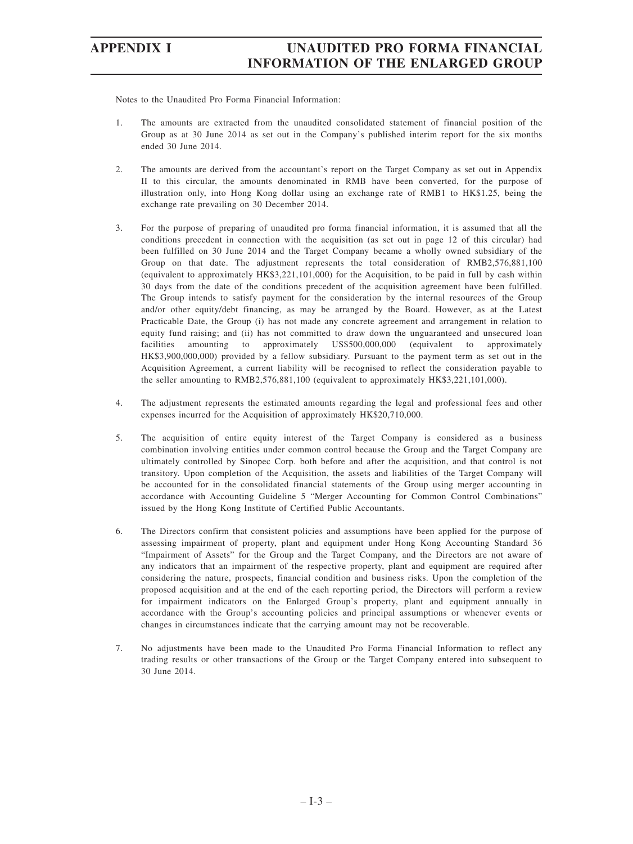Notes to the Unaudited Pro Forma Financial Information:

- 1. The amounts are extracted from the unaudited consolidated statement of financial position of the Group as at 30 June 2014 as set out in the Company's published interim report for the six months ended 30 June 2014.
- 2. The amounts are derived from the accountant's report on the Target Company as set out in Appendix II to this circular, the amounts denominated in RMB have been converted, for the purpose of illustration only, into Hong Kong dollar using an exchange rate of RMB1 to HK\$1.25, being the exchange rate prevailing on 30 December 2014.
- 3. For the purpose of preparing of unaudited pro forma financial information, it is assumed that all the conditions precedent in connection with the acquisition (as set out in page 12 of this circular) had been fulfilled on 30 June 2014 and the Target Company became a wholly owned subsidiary of the Group on that date. The adjustment represents the total consideration of RMB2,576,881,100 (equivalent to approximately HK\$3,221,101,000) for the Acquisition, to be paid in full by cash within 30 days from the date of the conditions precedent of the acquisition agreement have been fulfilled. The Group intends to satisfy payment for the consideration by the internal resources of the Group and/or other equity/debt financing, as may be arranged by the Board. However, as at the Latest Practicable Date, the Group (i) has not made any concrete agreement and arrangement in relation to equity fund raising; and (ii) has not committed to draw down the unguaranteed and unsecured loan facilities amounting to approximately US\$500,000,000 (equivalent to approximately HK\$3,900,000,000) provided by a fellow subsidiary. Pursuant to the payment term as set out in the Acquisition Agreement, a current liability will be recognised to reflect the consideration payable to the seller amounting to RMB2,576,881,100 (equivalent to approximately HK\$3,221,101,000).
- 4. The adjustment represents the estimated amounts regarding the legal and professional fees and other expenses incurred for the Acquisition of approximately HK\$20,710,000.
- 5. The acquisition of entire equity interest of the Target Company is considered as a business combination involving entities under common control because the Group and the Target Company are ultimately controlled by Sinopec Corp. both before and after the acquisition, and that control is not transitory. Upon completion of the Acquisition, the assets and liabilities of the Target Company will be accounted for in the consolidated financial statements of the Group using merger accounting in accordance with Accounting Guideline 5 "Merger Accounting for Common Control Combinations" issued by the Hong Kong Institute of Certified Public Accountants.
- 6. The Directors confirm that consistent policies and assumptions have been applied for the purpose of assessing impairment of property, plant and equipment under Hong Kong Accounting Standard 36 "Impairment of Assets" for the Group and the Target Company, and the Directors are not aware of any indicators that an impairment of the respective property, plant and equipment are required after considering the nature, prospects, financial condition and business risks. Upon the completion of the proposed acquisition and at the end of the each reporting period, the Directors will perform a review for impairment indicators on the Enlarged Group's property, plant and equipment annually in accordance with the Group's accounting policies and principal assumptions or whenever events or changes in circumstances indicate that the carrying amount may not be recoverable.
- 7. No adjustments have been made to the Unaudited Pro Forma Financial Information to reflect any trading results or other transactions of the Group or the Target Company entered into subsequent to 30 June 2014.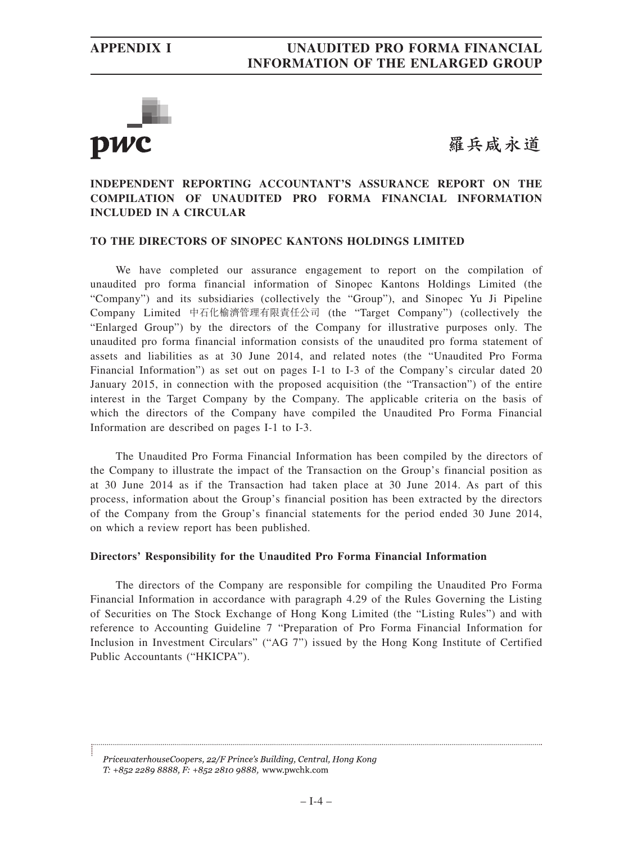

羅兵咸永道

## **INDEPENDENT REPORTING ACCOUNTANT'S ASSURANCE REPORT ON THE COMPILATION OF UNAUDITED PRO FORMA FINANCIAL INFORMATION INCLUDED IN A CIRCULAR**

## **TO THE DIRECTORS OF SINOPEC KANTONS HOLDINGS LIMITED**

We have completed our assurance engagement to report on the compilation of unaudited pro forma financial information of Sinopec Kantons Holdings Limited (the "Company") and its subsidiaries (collectively the "Group"), and Sinopec Yu Ji Pipeline Company Limited 中石化榆濟管理有限責任公司 (the "Target Company") (collectively the "Enlarged Group") by the directors of the Company for illustrative purposes only. The unaudited pro forma financial information consists of the unaudited pro forma statement of assets and liabilities as at 30 June 2014, and related notes (the "Unaudited Pro Forma Financial Information") as set out on pages I-1 to I-3 of the Company's circular dated 20 January 2015, in connection with the proposed acquisition (the "Transaction") of the entire interest in the Target Company by the Company. The applicable criteria on the basis of which the directors of the Company have compiled the Unaudited Pro Forma Financial Information are described on pages I-1 to I-3.

The Unaudited Pro Forma Financial Information has been compiled by the directors of the Company to illustrate the impact of the Transaction on the Group's financial position as at 30 June 2014 as if the Transaction had taken place at 30 June 2014. As part of this process, information about the Group's financial position has been extracted by the directors of the Company from the Group's financial statements for the period ended 30 June 2014, on which a review report has been published.

## **Directors' Responsibility for the Unaudited Pro Forma Financial Information**

The directors of the Company are responsible for compiling the Unaudited Pro Forma Financial Information in accordance with paragraph 4.29 of the Rules Governing the Listing of Securities on The Stock Exchange of Hong Kong Limited (the "Listing Rules") and with reference to Accounting Guideline 7 "Preparation of Pro Forma Financial Information for Inclusion in Investment Circulars" ("AG 7") issued by the Hong Kong Institute of Certified Public Accountants ("HKICPA").

PricewaterhouseCoopers, 22/F Prince's Building, Central, Hong Kong T: +852 2289 8888, F: +852 2810 9888, www.pwchk.com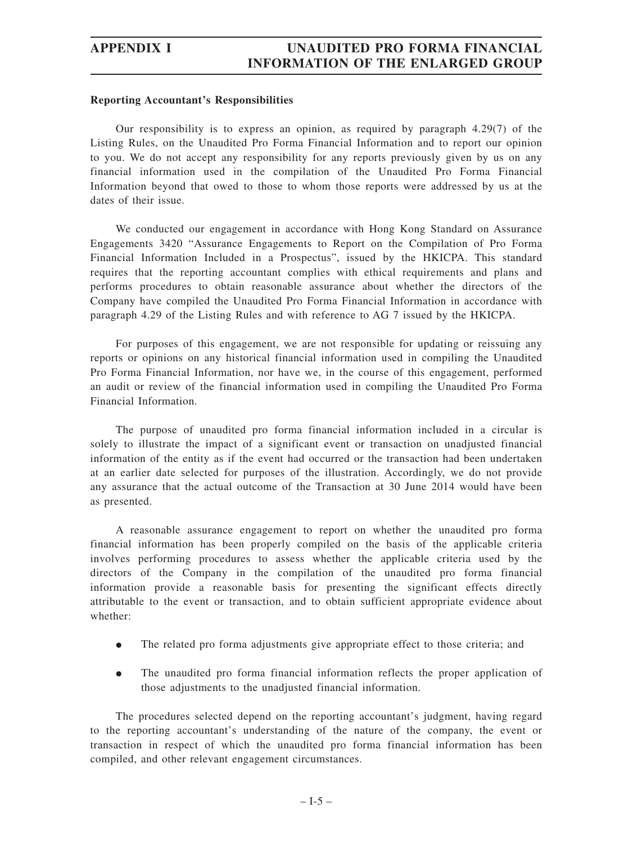## **Reporting Accountant's Responsibilities**

Our responsibility is to express an opinion, as required by paragraph 4.29(7) of the Listing Rules, on the Unaudited Pro Forma Financial Information and to report our opinion to you. We do not accept any responsibility for any reports previously given by us on any financial information used in the compilation of the Unaudited Pro Forma Financial Information beyond that owed to those to whom those reports were addressed by us at the dates of their issue.

We conducted our engagement in accordance with Hong Kong Standard on Assurance Engagements 3420 "Assurance Engagements to Report on the Compilation of Pro Forma Financial Information Included in a Prospectus", issued by the HKICPA. This standard requires that the reporting accountant complies with ethical requirements and plans and performs procedures to obtain reasonable assurance about whether the directors of the Company have compiled the Unaudited Pro Forma Financial Information in accordance with paragraph 4.29 of the Listing Rules and with reference to AG 7 issued by the HKICPA.

For purposes of this engagement, we are not responsible for updating or reissuing any reports or opinions on any historical financial information used in compiling the Unaudited Pro Forma Financial Information, nor have we, in the course of this engagement, performed an audit or review of the financial information used in compiling the Unaudited Pro Forma Financial Information.

The purpose of unaudited pro forma financial information included in a circular is solely to illustrate the impact of a significant event or transaction on unadjusted financial information of the entity as if the event had occurred or the transaction had been undertaken at an earlier date selected for purposes of the illustration. Accordingly, we do not provide any assurance that the actual outcome of the Transaction at 30 June 2014 would have been as presented.

A reasonable assurance engagement to report on whether the unaudited pro forma financial information has been properly compiled on the basis of the applicable criteria involves performing procedures to assess whether the applicable criteria used by the directors of the Company in the compilation of the unaudited pro forma financial information provide a reasonable basis for presenting the significant effects directly attributable to the event or transaction, and to obtain sufficient appropriate evidence about whether:

- $\bullet$ The related pro forma adjustments give appropriate effect to those criteria; and
- $\bullet$  The unaudited pro forma financial information reflects the proper application of those adjustments to the unadjusted financial information.

The procedures selected depend on the reporting accountant's judgment, having regard to the reporting accountant's understanding of the nature of the company, the event or transaction in respect of which the unaudited pro forma financial information has been compiled, and other relevant engagement circumstances.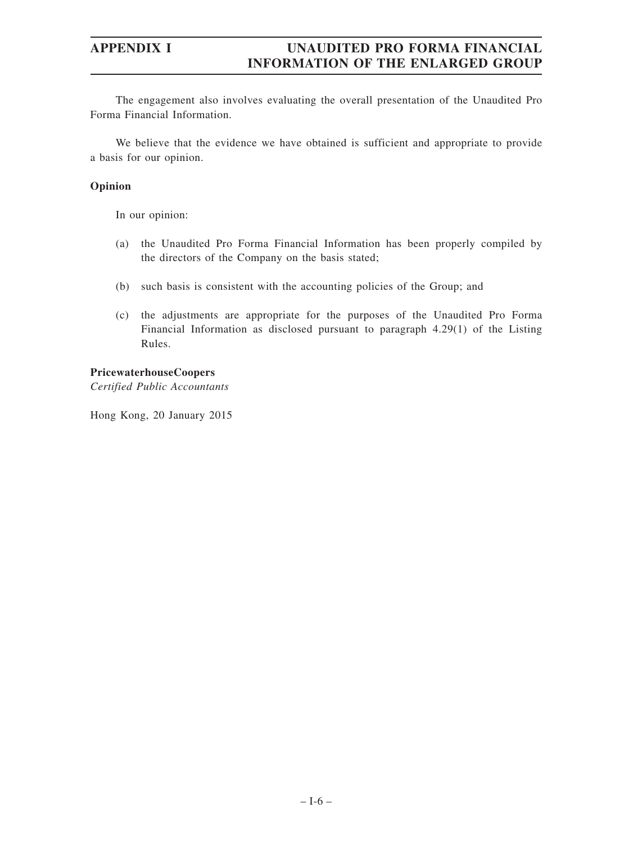The engagement also involves evaluating the overall presentation of the Unaudited Pro Forma Financial Information.

We believe that the evidence we have obtained is sufficient and appropriate to provide a basis for our opinion.

## **Opinion**

In our opinion:

- (a) the Unaudited Pro Forma Financial Information has been properly compiled by the directors of the Company on the basis stated;
- (b) such basis is consistent with the accounting policies of the Group; and
- (c) the adjustments are appropriate for the purposes of the Unaudited Pro Forma Financial Information as disclosed pursuant to paragraph 4.29(1) of the Listing Rules.

## **PricewaterhouseCoopers**

*Certified Public Accountants*

Hong Kong, 20 January 2015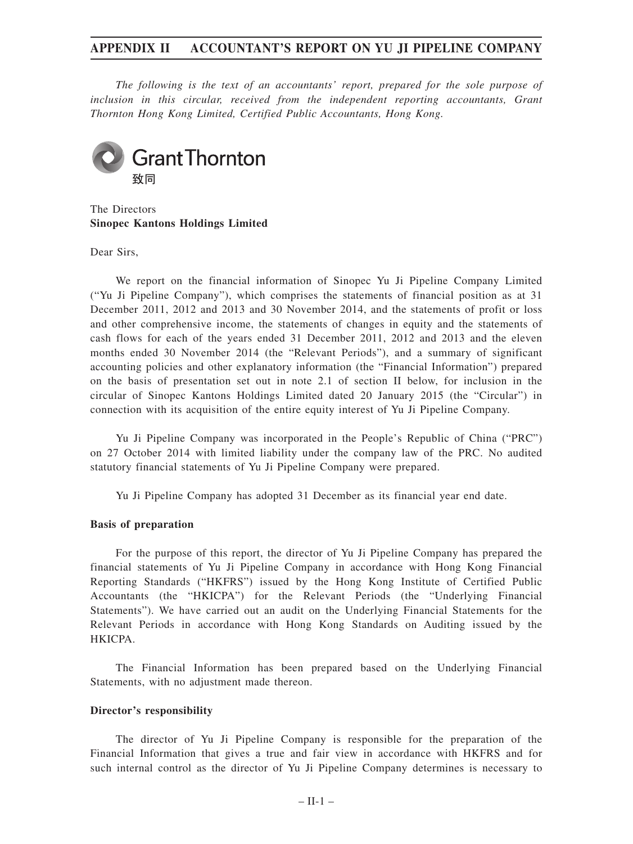# **APPENDIX II ACCOUNTANT'S REPORT ON YU JI PIPELINE COMPANY**

*The following is the text of an accountants' report, prepared for the sole purpose of inclusion in this circular, received from the independent reporting accountants, Grant Thornton Hong Kong Limited, Certified Public Accountants, Hong Kong.*



The Directors **Sinopec Kantons Holdings Limited**

Dear Sirs,

We report on the financial information of Sinopec Yu Ji Pipeline Company Limited ("Yu Ji Pipeline Company"), which comprises the statements of financial position as at 31 December 2011, 2012 and 2013 and 30 November 2014, and the statements of profit or loss and other comprehensive income, the statements of changes in equity and the statements of cash flows for each of the years ended 31 December 2011, 2012 and 2013 and the eleven months ended 30 November 2014 (the "Relevant Periods"), and a summary of significant accounting policies and other explanatory information (the "Financial Information") prepared on the basis of presentation set out in note 2.1 of section II below, for inclusion in the circular of Sinopec Kantons Holdings Limited dated 20 January 2015 (the "Circular") in connection with its acquisition of the entire equity interest of Yu Ji Pipeline Company.

Yu Ji Pipeline Company was incorporated in the People's Republic of China ("PRC") on 27 October 2014 with limited liability under the company law of the PRC. No audited statutory financial statements of Yu Ji Pipeline Company were prepared.

Yu Ji Pipeline Company has adopted 31 December as its financial year end date.

## **Basis of preparation**

For the purpose of this report, the director of Yu Ji Pipeline Company has prepared the financial statements of Yu Ji Pipeline Company in accordance with Hong Kong Financial Reporting Standards ("HKFRS") issued by the Hong Kong Institute of Certified Public Accountants (the "HKICPA") for the Relevant Periods (the "Underlying Financial Statements"). We have carried out an audit on the Underlying Financial Statements for the Relevant Periods in accordance with Hong Kong Standards on Auditing issued by the HKICPA.

The Financial Information has been prepared based on the Underlying Financial Statements, with no adjustment made thereon.

## **Director's responsibility**

The director of Yu Ji Pipeline Company is responsible for the preparation of the Financial Information that gives a true and fair view in accordance with HKFRS and for such internal control as the director of Yu Ji Pipeline Company determines is necessary to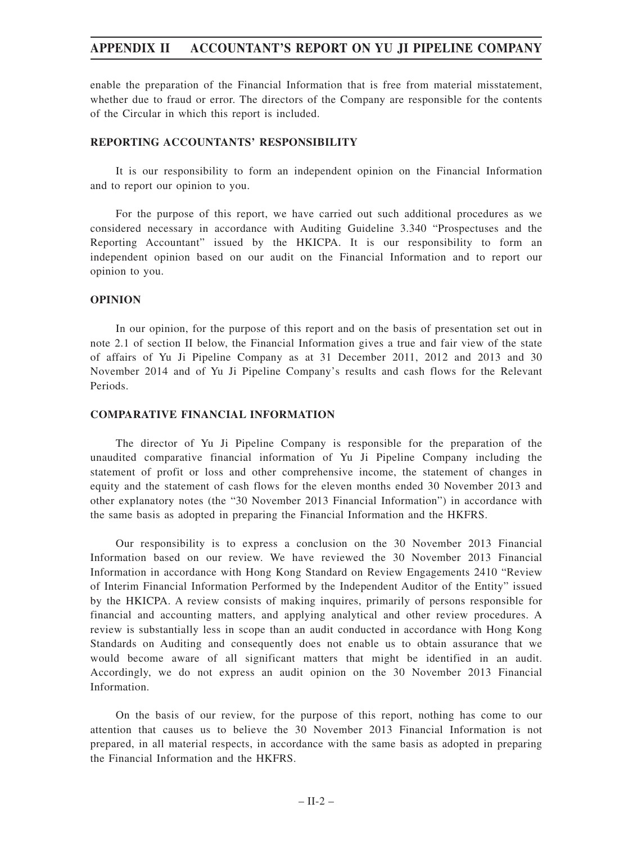enable the preparation of the Financial Information that is free from material misstatement, whether due to fraud or error. The directors of the Company are responsible for the contents of the Circular in which this report is included.

# **REPORTING ACCOUNTANTS' RESPONSIBILITY**

It is our responsibility to form an independent opinion on the Financial Information and to report our opinion to you.

For the purpose of this report, we have carried out such additional procedures as we considered necessary in accordance with Auditing Guideline 3.340 "Prospectuses and the Reporting Accountant" issued by the HKICPA. It is our responsibility to form an independent opinion based on our audit on the Financial Information and to report our opinion to you.

# **OPINION**

In our opinion, for the purpose of this report and on the basis of presentation set out in note 2.1 of section II below, the Financial Information gives a true and fair view of the state of affairs of Yu Ji Pipeline Company as at 31 December 2011, 2012 and 2013 and 30 November 2014 and of Yu Ji Pipeline Company's results and cash flows for the Relevant Periods.

# **COMPARATIVE FINANCIAL INFORMATION**

The director of Yu Ji Pipeline Company is responsible for the preparation of the unaudited comparative financial information of Yu Ji Pipeline Company including the statement of profit or loss and other comprehensive income, the statement of changes in equity and the statement of cash flows for the eleven months ended 30 November 2013 and other explanatory notes (the "30 November 2013 Financial Information") in accordance with the same basis as adopted in preparing the Financial Information and the HKFRS.

Our responsibility is to express a conclusion on the 30 November 2013 Financial Information based on our review. We have reviewed the 30 November 2013 Financial Information in accordance with Hong Kong Standard on Review Engagements 2410 "Review of Interim Financial Information Performed by the Independent Auditor of the Entity" issued by the HKICPA. A review consists of making inquires, primarily of persons responsible for financial and accounting matters, and applying analytical and other review procedures. A review is substantially less in scope than an audit conducted in accordance with Hong Kong Standards on Auditing and consequently does not enable us to obtain assurance that we would become aware of all significant matters that might be identified in an audit. Accordingly, we do not express an audit opinion on the 30 November 2013 Financial Information.

On the basis of our review, for the purpose of this report, nothing has come to our attention that causes us to believe the 30 November 2013 Financial Information is not prepared, in all material respects, in accordance with the same basis as adopted in preparing the Financial Information and the HKFRS.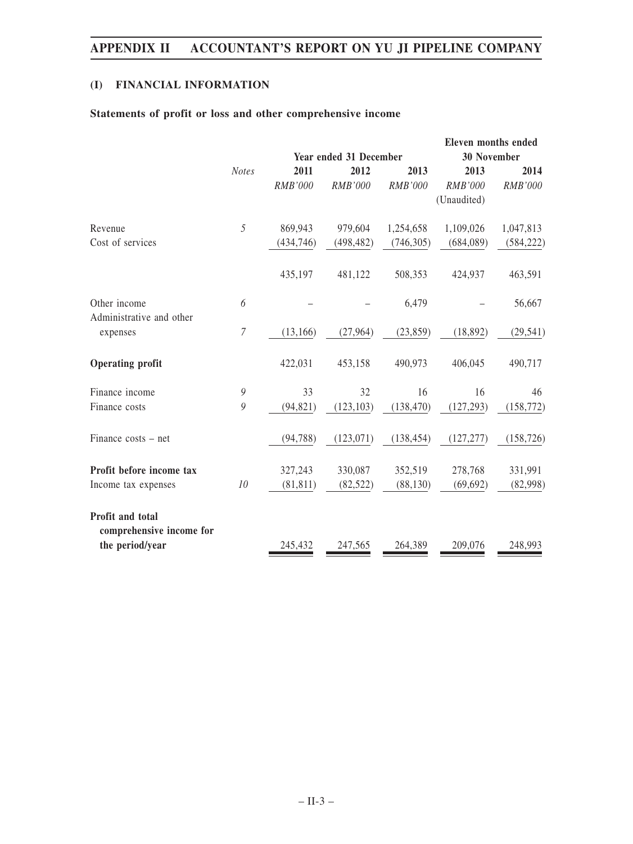# **(I) FINANCIAL INFORMATION**

# **Statements of profit or loss and other comprehensive income**

|                                              |                  |                               |                |                |                    | Eleven months ended |
|----------------------------------------------|------------------|-------------------------------|----------------|----------------|--------------------|---------------------|
|                                              |                  | <b>Year ended 31 December</b> |                |                | <b>30 November</b> |                     |
|                                              | <b>Notes</b>     | 2011                          | 2012           | 2013           | 2013               | 2014                |
|                                              |                  | <b>RMB'000</b>                | <b>RMB'000</b> | <b>RMB'000</b> | <b>RMB'000</b>     | <b>RMB'000</b>      |
|                                              |                  |                               |                |                | (Unaudited)        |                     |
| Revenue                                      | 5                | 869,943                       | 979,604        | 1,254,658      | 1,109,026          | 1,047,813           |
| Cost of services                             |                  | (434, 746)                    | (498, 482)     | (746, 305)     | (684, 089)         | (584, 222)          |
|                                              |                  | 435,197                       | 481,122        | 508,353        | 424,937            | 463,591             |
| Other income<br>Administrative and other     | 6                |                               |                | 6,479          |                    | 56,667              |
| expenses                                     | $\boldsymbol{7}$ | (13, 166)                     | (27,964)       | (23, 859)      | (18, 892)          | (29, 541)           |
| <b>Operating profit</b>                      |                  | 422,031                       | 453,158        | 490,973        | 406,045            | 490,717             |
| Finance income                               | 9                | 33                            | 32             | 16             | 16                 | 46                  |
| Finance costs                                | 9                | (94, 821)                     | (123, 103)     | (138, 470)     | (127, 293)         | (158, 772)          |
| Finance costs – net                          |                  | (94, 788)                     | (123, 071)     | (138, 454)     | (127, 277)         | (158, 726)          |
| Profit before income tax                     |                  | 327,243                       | 330,087        | 352,519        | 278,768            | 331,991             |
| Income tax expenses                          | 10               | (81, 811)                     | (82, 522)      | (88, 130)      | (69, 692)          | (82,998)            |
| Profit and total<br>comprehensive income for |                  |                               |                |                |                    |                     |
| the period/year                              |                  | 245,432                       | 247,565        | 264,389        | 209,076            | 248,993             |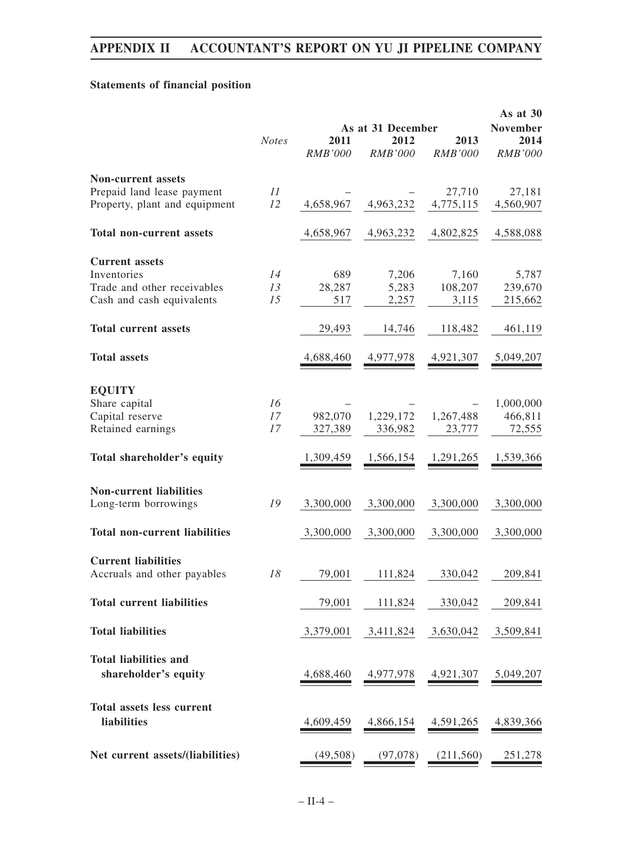# **Statements of financial position**

|                                      |              |                |                   | As at 30       |                 |
|--------------------------------------|--------------|----------------|-------------------|----------------|-----------------|
|                                      |              |                | As at 31 December |                | <b>November</b> |
|                                      | <b>Notes</b> | 2011           | 2012              | 2013           | 2014            |
|                                      |              | <b>RMB'000</b> | <b>RMB'000</b>    | <b>RMB'000</b> | <b>RMB'000</b>  |
| <b>Non-current assets</b>            |              |                |                   |                |                 |
| Prepaid land lease payment           | 11           |                |                   | 27,710         | 27,181          |
|                                      |              |                |                   |                |                 |
| Property, plant and equipment        | 12           | 4,658,967      | 4,963,232         | 4,775,115      | 4,560,907       |
| <b>Total non-current assets</b>      |              | 4,658,967      | 4,963,232         | 4,802,825      | 4,588,088       |
| <b>Current assets</b>                |              |                |                   |                |                 |
| Inventories                          | 14           | 689            | 7,206             | 7,160          | 5,787           |
| Trade and other receivables          | 13           | 28,287         |                   | 108,207        |                 |
|                                      |              |                | 5,283             |                | 239,670         |
| Cash and cash equivalents            | 15           | 517            | 2,257             | 3,115          | 215,662         |
| <b>Total current assets</b>          |              | 29,493         | 14,746            | 118,482        | 461,119         |
| <b>Total assets</b>                  |              | 4,688,460      | 4,977,978         | 4,921,307      | 5,049,207       |
| <b>EQUITY</b>                        |              |                |                   |                |                 |
|                                      |              |                |                   |                |                 |
| Share capital                        | 16           |                |                   |                | 1,000,000       |
| Capital reserve                      | 17           | 982,070        | 1,229,172         | 1,267,488      | 466,811         |
| Retained earnings                    | 17           | 327,389        | 336,982           | 23,777         | 72,555          |
| Total shareholder's equity           |              | 1,309,459      | 1,566,154         | 1,291,265      | 1,539,366       |
| <b>Non-current liabilities</b>       |              |                |                   |                |                 |
|                                      |              |                |                   |                |                 |
| Long-term borrowings                 | 19           | 3,300,000      | 3,300,000         | 3,300,000      | 3,300,000       |
| <b>Total non-current liabilities</b> |              | 3,300,000      | 3,300,000         | 3,300,000      | 3,300,000       |
| <b>Current liabilities</b>           |              |                |                   |                |                 |
| Accruals and other payables          | 18           | 79,001         | 111,824           | 330,042        | 209,841         |
| <b>Total current liabilities</b>     |              | 79,001         | 111,824           | 330,042        | 209,841         |
|                                      |              |                |                   |                |                 |
| <b>Total liabilities</b>             |              | 3,379,001      | 3,411,824         | 3,630,042      | 3,509,841       |
| <b>Total liabilities and</b>         |              |                |                   |                |                 |
| shareholder's equity                 |              | 4,688,460      | 4,977,978         | 4,921,307      | 5,049,207       |
| <b>Total assets less current</b>     |              |                |                   |                |                 |
| liabilities                          |              | 4,609,459      | 4,866,154         | 4,591,265      | 4,839,366       |
|                                      |              |                |                   |                |                 |
| Net current assets/(liabilities)     |              | (49,508)       | (97,078)          | (211,560)      | 251,278         |
|                                      |              |                |                   |                |                 |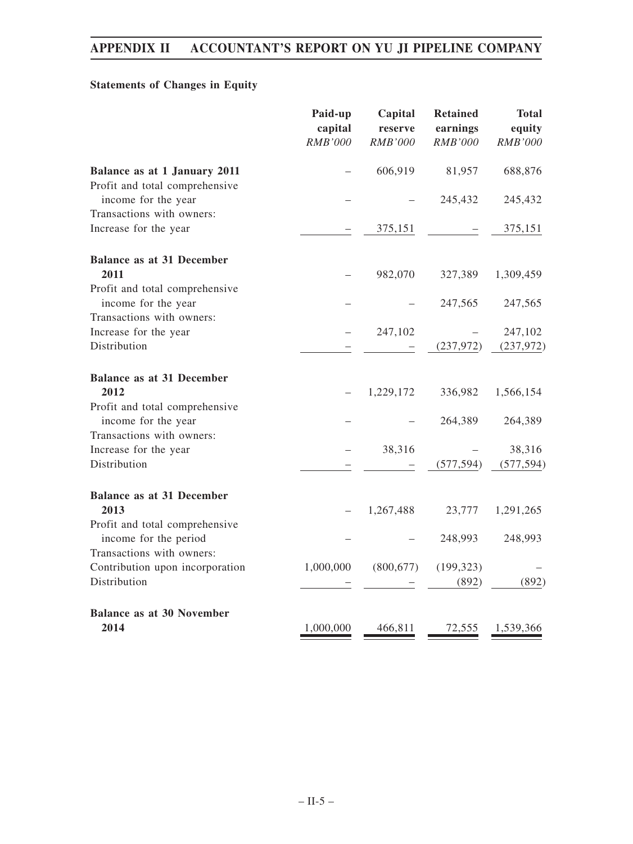# **Statements of Changes in Equity**

|                                                         | Paid-up<br>capital<br><b>RMB'000</b> | Capital<br>reserve<br><b>RMB'000</b> | <b>Retained</b><br>earnings<br>RMB'000 | <b>Total</b><br>equity<br>RMB'000 |
|---------------------------------------------------------|--------------------------------------|--------------------------------------|----------------------------------------|-----------------------------------|
| Balance as at 1 January 2011                            |                                      | 606,919                              | 81,957                                 | 688,876                           |
| Profit and total comprehensive<br>income for the year   |                                      |                                      | 245,432                                | 245,432                           |
| Transactions with owners:                               |                                      |                                      |                                        |                                   |
| Increase for the year                                   |                                      | 375,151                              |                                        | 375,151                           |
| <b>Balance as at 31 December</b>                        |                                      |                                      |                                        |                                   |
| 2011                                                    |                                      | 982,070                              | 327,389                                | 1,309,459                         |
| Profit and total comprehensive                          |                                      |                                      |                                        |                                   |
| income for the year                                     |                                      |                                      | 247,565                                | 247,565                           |
| Transactions with owners:                               |                                      |                                      |                                        |                                   |
| Increase for the year                                   |                                      | 247,102                              |                                        | 247,102                           |
| Distribution                                            |                                      |                                      | (237, 972)                             | (237, 972)                        |
| <b>Balance as at 31 December</b>                        |                                      |                                      |                                        |                                   |
| 2012                                                    |                                      | 1,229,172                            | 336,982                                | 1,566,154                         |
| Profit and total comprehensive<br>income for the year   |                                      |                                      | 264,389                                | 264,389                           |
| Transactions with owners:                               |                                      |                                      |                                        |                                   |
| Increase for the year                                   |                                      | 38,316                               |                                        | 38,316                            |
| Distribution                                            |                                      |                                      | (577, 594)                             | (577, 594)                        |
| <b>Balance as at 31 December</b>                        |                                      |                                      |                                        |                                   |
| 2013                                                    |                                      | 1,267,488                            | 23,777                                 | 1,291,265                         |
| Profit and total comprehensive<br>income for the period |                                      |                                      | 248,993                                | 248,993                           |
| Transactions with owners:                               |                                      |                                      |                                        |                                   |
| Contribution upon incorporation                         | 1,000,000                            | (800, 677)                           | (199, 323)                             |                                   |
| Distribution                                            |                                      |                                      | (892)                                  | (892)                             |
|                                                         |                                      |                                      |                                        |                                   |
| <b>Balance as at 30 November</b>                        |                                      |                                      |                                        |                                   |
| 2014                                                    | 1,000,000                            | 466,811                              | 72,555                                 | 1,539,366                         |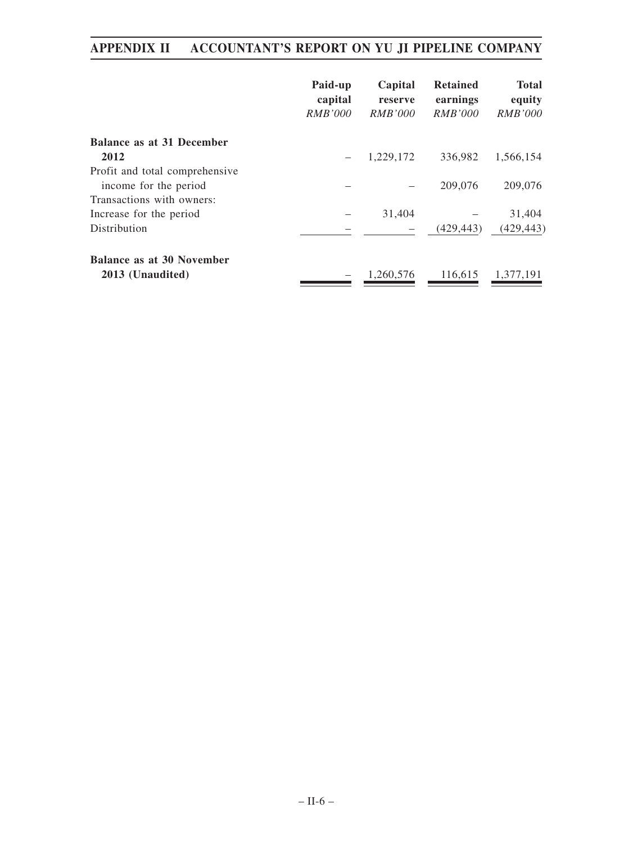|                                  | Paid-up<br>capital<br><i>RMB'000</i> | Capital<br>reserve<br>RMB'000 | <b>Retained</b><br>earnings<br><i>RMB'000</i> | <b>Total</b><br>equity<br><i>RMB'000</i> |
|----------------------------------|--------------------------------------|-------------------------------|-----------------------------------------------|------------------------------------------|
| <b>Balance as at 31 December</b> |                                      |                               |                                               |                                          |
| 2012                             |                                      | 1,229,172                     | 336,982                                       | 1,566,154                                |
| Profit and total comprehensive   |                                      |                               |                                               |                                          |
| income for the period            |                                      |                               | 209,076                                       | 209,076                                  |
| Transactions with owners:        |                                      |                               |                                               |                                          |
| Increase for the period          |                                      | 31,404                        |                                               | 31,404                                   |
| Distribution                     |                                      |                               | (429, 443)                                    | (429, 443)                               |
| <b>Balance as at 30 November</b> |                                      |                               |                                               |                                          |
| 2013 (Unaudited)                 |                                      | 1.260.576                     | 116,615                                       | 1,377,191                                |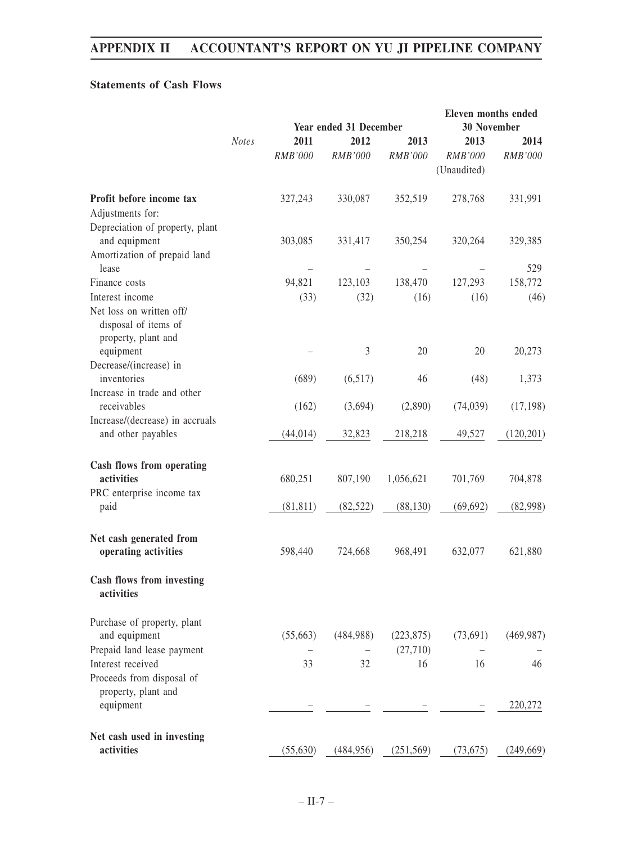# **Statements of Cash Flows**

|                                                                                  |              | <b>Year ended 31 December</b> |                 |                        | <b>Eleven months ended</b><br>30 November |                 |
|----------------------------------------------------------------------------------|--------------|-------------------------------|-----------------|------------------------|-------------------------------------------|-----------------|
|                                                                                  | <b>Notes</b> | 2011<br><b>RMB'000</b>        | 2012<br>RMB'000 | 2013<br><b>RMB'000</b> | 2013<br>RMB'000<br>(Unaudited)            | 2014<br>RMB'000 |
| Profit before income tax<br>Adjustments for:                                     |              | 327,243                       | 330,087         | 352,519                | 278,768                                   | 331,991         |
| Depreciation of property, plant<br>and equipment<br>Amortization of prepaid land |              | 303,085                       | 331,417         | 350,254                | 320,264                                   | 329,385         |
| lease                                                                            |              |                               |                 |                        |                                           | 529             |
| Finance costs                                                                    |              | 94,821                        | 123,103         | 138,470                | 127,293                                   | 158,772         |
| Interest income                                                                  |              | (33)                          | (32)            | (16)                   | (16)                                      | (46)            |
| Net loss on written off/<br>disposal of items of<br>property, plant and          |              |                               |                 |                        |                                           |                 |
| equipment                                                                        |              |                               | $\mathfrak{Z}$  | 20                     | 20                                        | 20,273          |
| Decrease/(increase) in<br>inventories                                            |              | (689)                         | (6,517)         | 46                     | (48)                                      | 1,373           |
| Increase in trade and other<br>receivables                                       |              | (162)                         | (3,694)         | (2,890)                | (74, 039)                                 | (17, 198)       |
| Increase/(decrease) in accruals<br>and other payables                            |              | (44, 014)                     | 32,823          | 218,218                | 49,527                                    | (120, 201)      |
| Cash flows from operating<br>activities                                          |              | 680,251                       | 807,190         | 1,056,621              | 701,769                                   | 704,878         |
| PRC enterprise income tax<br>paid                                                |              | (81, 811)                     | (82, 522)       | (88, 130)              | (69, 692)                                 | (82,998)        |
| Net cash generated from<br>operating activities                                  |              | 598,440                       | 724,668         | 968,491                | 632,077                                   | 621,880         |
| <b>Cash flows from investing</b><br>activities                                   |              |                               |                 |                        |                                           |                 |
| Purchase of property, plant                                                      |              |                               |                 |                        |                                           |                 |
| and equipment                                                                    |              | (55,663)                      | (484,988)       | (223, 875)<br>(27,710) | (73,691)                                  | (469, 987)      |
| Prepaid land lease payment<br>Interest received                                  |              | 33                            | 32              | 16                     | 16                                        | 46              |
| Proceeds from disposal of<br>property, plant and                                 |              |                               |                 |                        |                                           |                 |
| equipment                                                                        |              |                               |                 |                        |                                           | 220,272         |
| Net cash used in investing<br>activities                                         |              | (55, 630)                     | (484, 956)      | (251, 569)             | (73, 675)                                 | (249, 669)      |
|                                                                                  |              |                               |                 |                        |                                           |                 |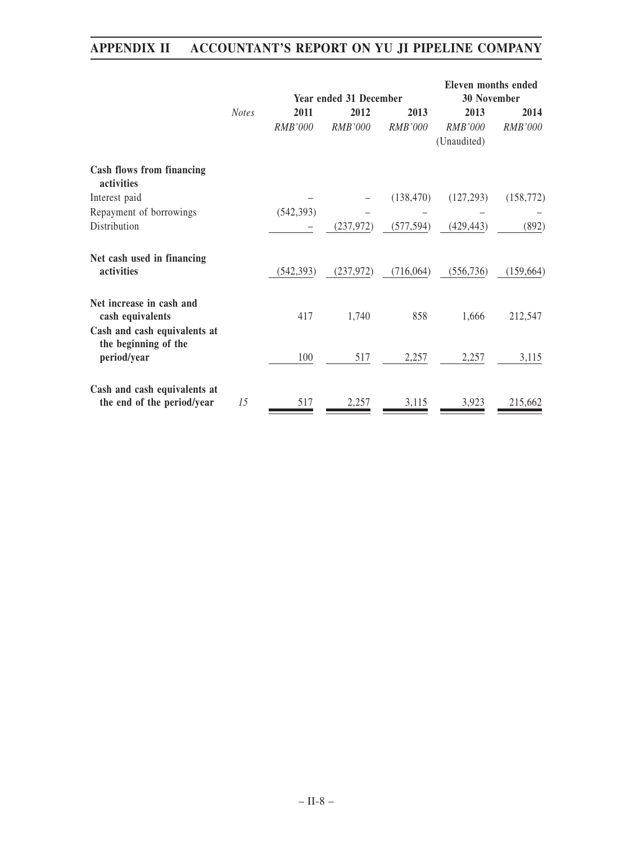|                                                                              |              | <b>Year ended 31 December</b> |                |                | <b>Eleven months ended</b><br><b>30 November</b> |                |
|------------------------------------------------------------------------------|--------------|-------------------------------|----------------|----------------|--------------------------------------------------|----------------|
|                                                                              | <b>Notes</b> | 2011                          | 2012           | 2013           | 2013                                             | 2014           |
|                                                                              |              | RMB'000                       | <i>RMB'000</i> | <b>RMB'000</b> | RMB'000                                          | <b>RMB'000</b> |
|                                                                              |              |                               |                |                | (Unaudited)                                      |                |
| Cash flows from financing<br>activities                                      |              |                               |                |                |                                                  |                |
| Interest paid                                                                |              |                               |                | (138, 470)     | (127, 293)                                       | (158, 772)     |
| Repayment of borrowings                                                      |              | (542, 393)                    |                |                |                                                  |                |
| Distribution                                                                 |              |                               | (237, 972)     | (577, 594)     | (429, 443)                                       | (892)          |
| Net cash used in financing<br>activities                                     |              | (542, 393)                    | (237, 972)     | (716,064)      | (556, 736)                                       | (159, 664)     |
| Net increase in cash and<br>cash equivalents<br>Cash and cash equivalents at |              | 417                           | 1,740          | 858            | 1,666                                            | 212,547        |
| the beginning of the<br>period/year                                          |              | 100                           | 517            | 2,257          | 2,257                                            | 3,115          |
| Cash and cash equivalents at<br>the end of the period/year                   | 15           | 517                           | 2,257          | 3,115          | 3,923                                            | 215,662        |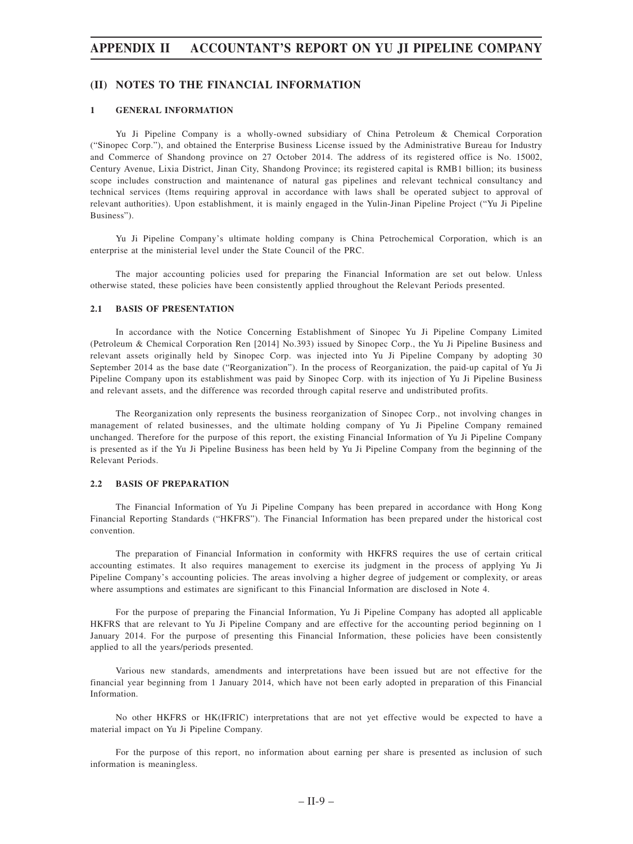# **(II) NOTES TO THE FINANCIAL INFORMATION**

### **1 GENERAL INFORMATION**

Yu Ji Pipeline Company is a wholly-owned subsidiary of China Petroleum & Chemical Corporation ("Sinopec Corp."), and obtained the Enterprise Business License issued by the Administrative Bureau for Industry and Commerce of Shandong province on 27 October 2014. The address of its registered office is No. 15002, Century Avenue, Lixia District, Jinan City, Shandong Province; its registered capital is RMB1 billion; its business scope includes construction and maintenance of natural gas pipelines and relevant technical consultancy and technical services (Items requiring approval in accordance with laws shall be operated subject to approval of relevant authorities). Upon establishment, it is mainly engaged in the Yulin-Jinan Pipeline Project ("Yu Ji Pipeline Business").

Yu Ji Pipeline Company's ultimate holding company is China Petrochemical Corporation, which is an enterprise at the ministerial level under the State Council of the PRC.

The major accounting policies used for preparing the Financial Information are set out below. Unless otherwise stated, these policies have been consistently applied throughout the Relevant Periods presented.

#### **2.1 BASIS OF PRESENTATION**

In accordance with the Notice Concerning Establishment of Sinopec Yu Ji Pipeline Company Limited (Petroleum & Chemical Corporation Ren [2014] No.393) issued by Sinopec Corp., the Yu Ji Pipeline Business and relevant assets originally held by Sinopec Corp. was injected into Yu Ji Pipeline Company by adopting 30 September 2014 as the base date ("Reorganization"). In the process of Reorganization, the paid-up capital of Yu Ji Pipeline Company upon its establishment was paid by Sinopec Corp. with its injection of Yu Ji Pipeline Business and relevant assets, and the difference was recorded through capital reserve and undistributed profits.

The Reorganization only represents the business reorganization of Sinopec Corp., not involving changes in management of related businesses, and the ultimate holding company of Yu Ji Pipeline Company remained unchanged. Therefore for the purpose of this report, the existing Financial Information of Yu Ji Pipeline Company is presented as if the Yu Ji Pipeline Business has been held by Yu Ji Pipeline Company from the beginning of the Relevant Periods.

#### **2.2 BASIS OF PREPARATION**

The Financial Information of Yu Ji Pipeline Company has been prepared in accordance with Hong Kong Financial Reporting Standards ("HKFRS"). The Financial Information has been prepared under the historical cost convention.

The preparation of Financial Information in conformity with HKFRS requires the use of certain critical accounting estimates. It also requires management to exercise its judgment in the process of applying Yu Ji Pipeline Company's accounting policies. The areas involving a higher degree of judgement or complexity, or areas where assumptions and estimates are significant to this Financial Information are disclosed in Note 4.

For the purpose of preparing the Financial Information, Yu Ji Pipeline Company has adopted all applicable HKFRS that are relevant to Yu Ji Pipeline Company and are effective for the accounting period beginning on 1 January 2014. For the purpose of presenting this Financial Information, these policies have been consistently applied to all the years/periods presented.

Various new standards, amendments and interpretations have been issued but are not effective for the financial year beginning from 1 January 2014, which have not been early adopted in preparation of this Financial Information.

No other HKFRS or HK(IFRIC) interpretations that are not yet effective would be expected to have a material impact on Yu Ji Pipeline Company.

For the purpose of this report, no information about earning per share is presented as inclusion of such information is meaningless.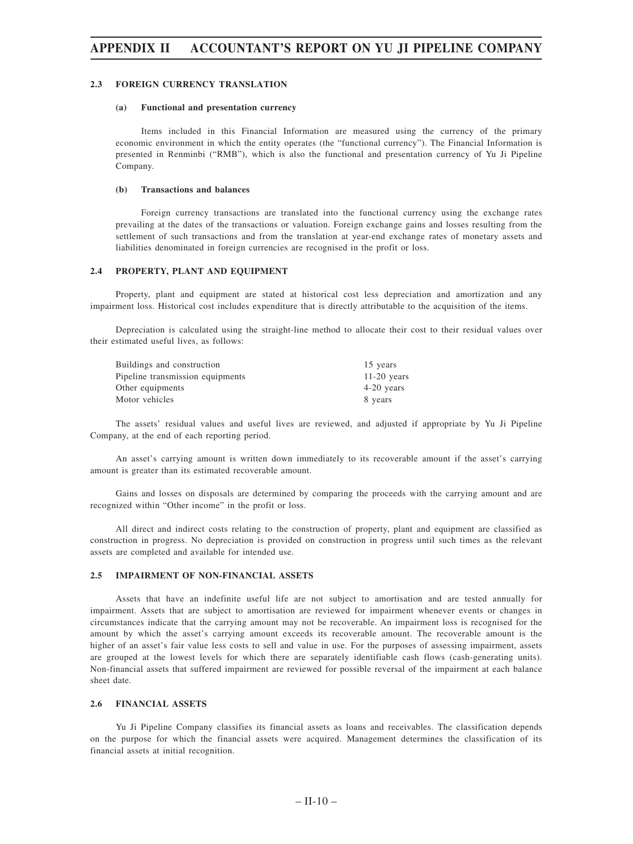#### **2.3 FOREIGN CURRENCY TRANSLATION**

#### **(a) Functional and presentation currency**

Items included in this Financial Information are measured using the currency of the primary economic environment in which the entity operates (the "functional currency"). The Financial Information is presented in Renminbi ("RMB"), which is also the functional and presentation currency of Yu Ji Pipeline Company.

#### **(b) Transactions and balances**

Foreign currency transactions are translated into the functional currency using the exchange rates prevailing at the dates of the transactions or valuation. Foreign exchange gains and losses resulting from the settlement of such transactions and from the translation at year-end exchange rates of monetary assets and liabilities denominated in foreign currencies are recognised in the profit or loss.

### **2.4 PROPERTY, PLANT AND EQUIPMENT**

Property, plant and equipment are stated at historical cost less depreciation and amortization and any impairment loss. Historical cost includes expenditure that is directly attributable to the acquisition of the items.

Depreciation is calculated using the straight-line method to allocate their cost to their residual values over their estimated useful lives, as follows:

| Buildings and construction       | 15 years      |
|----------------------------------|---------------|
| Pipeline transmission equipments | $11-20$ years |
| Other equipments                 | $4-20$ years  |
| Motor vehicles                   | 8 years       |

The assets' residual values and useful lives are reviewed, and adjusted if appropriate by Yu Ji Pipeline Company, at the end of each reporting period.

An asset's carrying amount is written down immediately to its recoverable amount if the asset's carrying amount is greater than its estimated recoverable amount.

Gains and losses on disposals are determined by comparing the proceeds with the carrying amount and are recognized within "Other income" in the profit or loss.

All direct and indirect costs relating to the construction of property, plant and equipment are classified as construction in progress. No depreciation is provided on construction in progress until such times as the relevant assets are completed and available for intended use.

### **2.5 IMPAIRMENT OF NON-FINANCIAL ASSETS**

Assets that have an indefinite useful life are not subject to amortisation and are tested annually for impairment. Assets that are subject to amortisation are reviewed for impairment whenever events or changes in circumstances indicate that the carrying amount may not be recoverable. An impairment loss is recognised for the amount by which the asset's carrying amount exceeds its recoverable amount. The recoverable amount is the higher of an asset's fair value less costs to sell and value in use. For the purposes of assessing impairment, assets are grouped at the lowest levels for which there are separately identifiable cash flows (cash-generating units). Non-financial assets that suffered impairment are reviewed for possible reversal of the impairment at each balance sheet date.

#### **2.6 FINANCIAL ASSETS**

Yu Ji Pipeline Company classifies its financial assets as loans and receivables. The classification depends on the purpose for which the financial assets were acquired. Management determines the classification of its financial assets at initial recognition.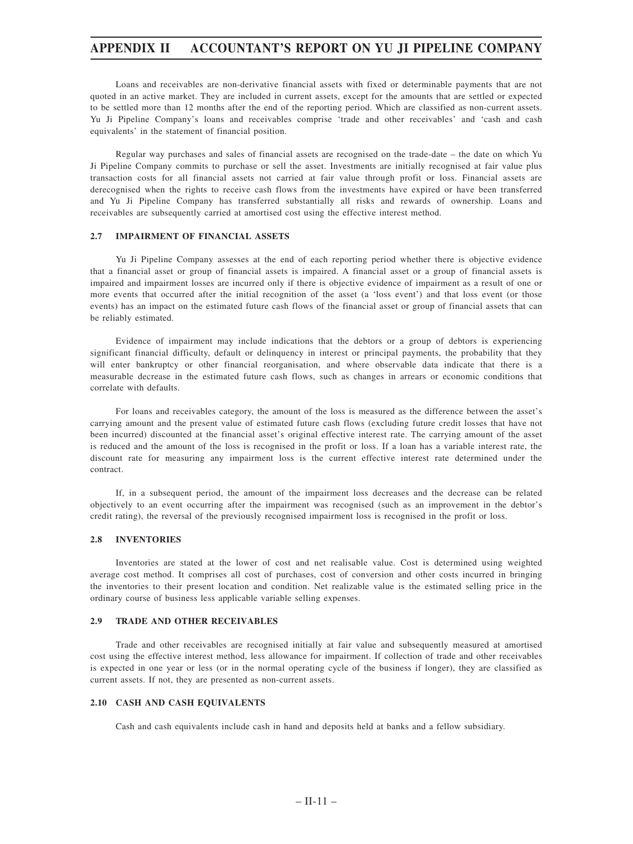Loans and receivables are non-derivative financial assets with fixed or determinable payments that are not quoted in an active market. They are included in current assets, except for the amounts that are settled or expected to be settled more than 12 months after the end of the reporting period. Which are classified as non-current assets. Yu Ji Pipeline Company's loans and receivables comprise 'trade and other receivables' and 'cash and cash equivalents' in the statement of financial position.

Regular way purchases and sales of financial assets are recognised on the trade-date – the date on which Yu Ji Pipeline Company commits to purchase or sell the asset. Investments are initially recognised at fair value plus transaction costs for all financial assets not carried at fair value through profit or loss. Financial assets are derecognised when the rights to receive cash flows from the investments have expired or have been transferred and Yu Ji Pipeline Company has transferred substantially all risks and rewards of ownership. Loans and receivables are subsequently carried at amortised cost using the effective interest method.

#### **2.7 IMPAIRMENT OF FINANCIAL ASSETS**

Yu Ji Pipeline Company assesses at the end of each reporting period whether there is objective evidence that a financial asset or group of financial assets is impaired. A financial asset or a group of financial assets is impaired and impairment losses are incurred only if there is objective evidence of impairment as a result of one or more events that occurred after the initial recognition of the asset (a 'loss event') and that loss event (or those events) has an impact on the estimated future cash flows of the financial asset or group of financial assets that can be reliably estimated.

Evidence of impairment may include indications that the debtors or a group of debtors is experiencing significant financial difficulty, default or delinquency in interest or principal payments, the probability that they will enter bankruptcy or other financial reorganisation, and where observable data indicate that there is a measurable decrease in the estimated future cash flows, such as changes in arrears or economic conditions that correlate with defaults.

For loans and receivables category, the amount of the loss is measured as the difference between the asset's carrying amount and the present value of estimated future cash flows (excluding future credit losses that have not been incurred) discounted at the financial asset's original effective interest rate. The carrying amount of the asset is reduced and the amount of the loss is recognised in the profit or loss. If a loan has a variable interest rate, the discount rate for measuring any impairment loss is the current effective interest rate determined under the contract.

If, in a subsequent period, the amount of the impairment loss decreases and the decrease can be related objectively to an event occurring after the impairment was recognised (such as an improvement in the debtor's credit rating), the reversal of the previously recognised impairment loss is recognised in the profit or loss.

### **2.8 INVENTORIES**

Inventories are stated at the lower of cost and net realisable value. Cost is determined using weighted average cost method. It comprises all cost of purchases, cost of conversion and other costs incurred in bringing the inventories to their present location and condition. Net realizable value is the estimated selling price in the ordinary course of business less applicable variable selling expenses.

#### **2.9 TRADE AND OTHER RECEIVABLES**

Trade and other receivables are recognised initially at fair value and subsequently measured at amortised cost using the effective interest method, less allowance for impairment. If collection of trade and other receivables is expected in one year or less (or in the normal operating cycle of the business if longer), they are classified as current assets. If not, they are presented as non-current assets.

#### **2.10 CASH AND CASH EQUIVALENTS**

Cash and cash equivalents include cash in hand and deposits held at banks and a fellow subsidiary.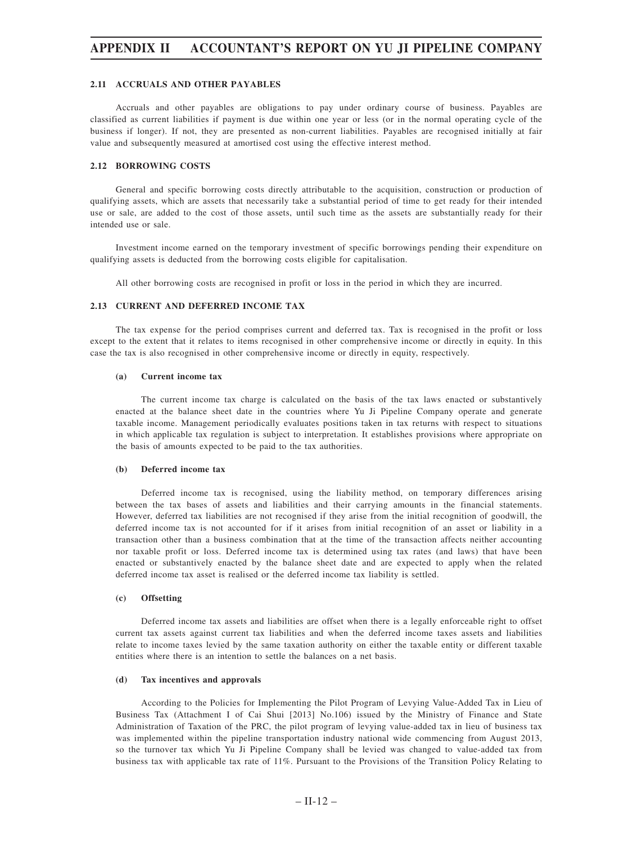#### **2.11 ACCRUALS AND OTHER PAYABLES**

Accruals and other payables are obligations to pay under ordinary course of business. Payables are classified as current liabilities if payment is due within one year or less (or in the normal operating cycle of the business if longer). If not, they are presented as non-current liabilities. Payables are recognised initially at fair value and subsequently measured at amortised cost using the effective interest method.

### **2.12 BORROWING COSTS**

General and specific borrowing costs directly attributable to the acquisition, construction or production of qualifying assets, which are assets that necessarily take a substantial period of time to get ready for their intended use or sale, are added to the cost of those assets, until such time as the assets are substantially ready for their intended use or sale.

Investment income earned on the temporary investment of specific borrowings pending their expenditure on qualifying assets is deducted from the borrowing costs eligible for capitalisation.

All other borrowing costs are recognised in profit or loss in the period in which they are incurred.

#### **2.13 CURRENT AND DEFERRED INCOME TAX**

The tax expense for the period comprises current and deferred tax. Tax is recognised in the profit or loss except to the extent that it relates to items recognised in other comprehensive income or directly in equity. In this case the tax is also recognised in other comprehensive income or directly in equity, respectively.

#### **(a) Current income tax**

The current income tax charge is calculated on the basis of the tax laws enacted or substantively enacted at the balance sheet date in the countries where Yu Ji Pipeline Company operate and generate taxable income. Management periodically evaluates positions taken in tax returns with respect to situations in which applicable tax regulation is subject to interpretation. It establishes provisions where appropriate on the basis of amounts expected to be paid to the tax authorities.

#### **(b) Deferred income tax**

Deferred income tax is recognised, using the liability method, on temporary differences arising between the tax bases of assets and liabilities and their carrying amounts in the financial statements. However, deferred tax liabilities are not recognised if they arise from the initial recognition of goodwill, the deferred income tax is not accounted for if it arises from initial recognition of an asset or liability in a transaction other than a business combination that at the time of the transaction affects neither accounting nor taxable profit or loss. Deferred income tax is determined using tax rates (and laws) that have been enacted or substantively enacted by the balance sheet date and are expected to apply when the related deferred income tax asset is realised or the deferred income tax liability is settled.

#### **(c) Offsetting**

Deferred income tax assets and liabilities are offset when there is a legally enforceable right to offset current tax assets against current tax liabilities and when the deferred income taxes assets and liabilities relate to income taxes levied by the same taxation authority on either the taxable entity or different taxable entities where there is an intention to settle the balances on a net basis.

#### **(d) Tax incentives and approvals**

According to the Policies for Implementing the Pilot Program of Levying Value-Added Tax in Lieu of Business Tax (Attachment I of Cai Shui [2013] No.106) issued by the Ministry of Finance and State Administration of Taxation of the PRC, the pilot program of levying value-added tax in lieu of business tax was implemented within the pipeline transportation industry national wide commencing from August 2013, so the turnover tax which Yu Ji Pipeline Company shall be levied was changed to value-added tax from business tax with applicable tax rate of 11%. Pursuant to the Provisions of the Transition Policy Relating to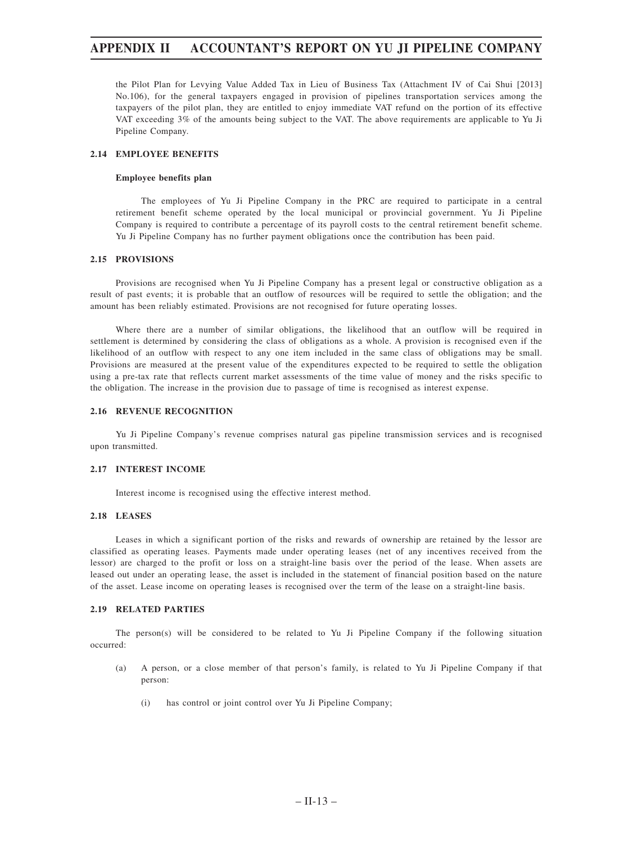the Pilot Plan for Levying Value Added Tax in Lieu of Business Tax (Attachment IV of Cai Shui [2013] No.106), for the general taxpayers engaged in provision of pipelines transportation services among the taxpayers of the pilot plan, they are entitled to enjoy immediate VAT refund on the portion of its effective VAT exceeding 3% of the amounts being subject to the VAT. The above requirements are applicable to Yu Ji Pipeline Company.

### **2.14 EMPLOYEE BENEFITS**

### **Employee benefits plan**

The employees of Yu Ji Pipeline Company in the PRC are required to participate in a central retirement benefit scheme operated by the local municipal or provincial government. Yu Ji Pipeline Company is required to contribute a percentage of its payroll costs to the central retirement benefit scheme. Yu Ji Pipeline Company has no further payment obligations once the contribution has been paid.

### **2.15 PROVISIONS**

Provisions are recognised when Yu Ji Pipeline Company has a present legal or constructive obligation as a result of past events; it is probable that an outflow of resources will be required to settle the obligation; and the amount has been reliably estimated. Provisions are not recognised for future operating losses.

Where there are a number of similar obligations, the likelihood that an outflow will be required in settlement is determined by considering the class of obligations as a whole. A provision is recognised even if the likelihood of an outflow with respect to any one item included in the same class of obligations may be small. Provisions are measured at the present value of the expenditures expected to be required to settle the obligation using a pre-tax rate that reflects current market assessments of the time value of money and the risks specific to the obligation. The increase in the provision due to passage of time is recognised as interest expense.

#### **2.16 REVENUE RECOGNITION**

Yu Ji Pipeline Company's revenue comprises natural gas pipeline transmission services and is recognised upon transmitted.

#### **2.17 INTEREST INCOME**

Interest income is recognised using the effective interest method.

### **2.18 LEASES**

Leases in which a significant portion of the risks and rewards of ownership are retained by the lessor are classified as operating leases. Payments made under operating leases (net of any incentives received from the lessor) are charged to the profit or loss on a straight-line basis over the period of the lease. When assets are leased out under an operating lease, the asset is included in the statement of financial position based on the nature of the asset. Lease income on operating leases is recognised over the term of the lease on a straight-line basis.

### **2.19 RELATED PARTIES**

The person(s) will be considered to be related to Yu Ji Pipeline Company if the following situation occurred:

- (a) A person, or a close member of that person's family, is related to Yu Ji Pipeline Company if that person:
	- (i) has control or joint control over Yu Ji Pipeline Company;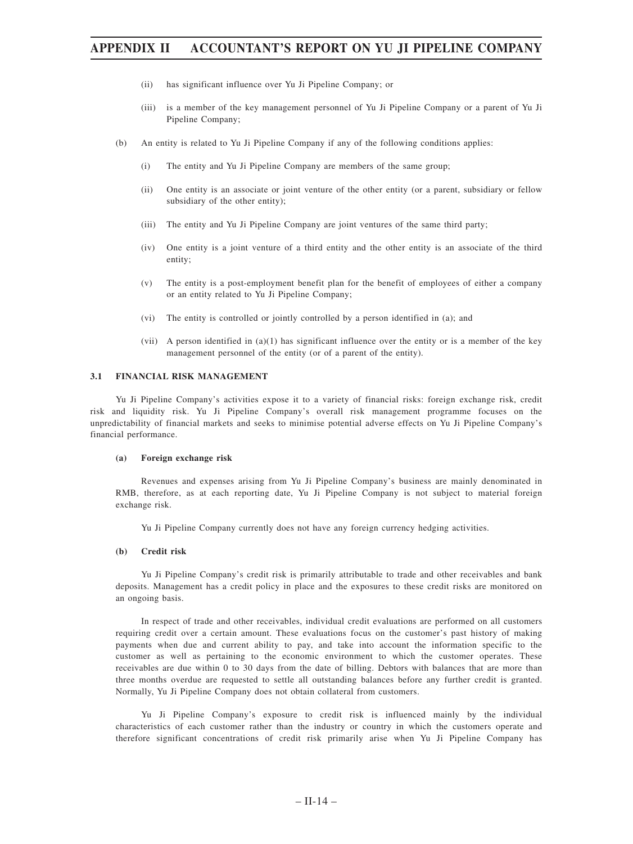- (ii) has significant influence over Yu Ji Pipeline Company; or
- (iii) is a member of the key management personnel of Yu Ji Pipeline Company or a parent of Yu Ji Pipeline Company;
- (b) An entity is related to Yu Ji Pipeline Company if any of the following conditions applies:
	- (i) The entity and Yu Ji Pipeline Company are members of the same group;
	- (ii) One entity is an associate or joint venture of the other entity (or a parent, subsidiary or fellow subsidiary of the other entity);
	- (iii) The entity and Yu Ji Pipeline Company are joint ventures of the same third party;
	- (iv) One entity is a joint venture of a third entity and the other entity is an associate of the third entity;
	- (v) The entity is a post-employment benefit plan for the benefit of employees of either a company or an entity related to Yu Ji Pipeline Company;
	- (vi) The entity is controlled or jointly controlled by a person identified in (a); and
	- (vii) A person identified in (a)(1) has significant influence over the entity or is a member of the key management personnel of the entity (or of a parent of the entity).

#### **3.1 FINANCIAL RISK MANAGEMENT**

Yu Ji Pipeline Company's activities expose it to a variety of financial risks: foreign exchange risk, credit risk and liquidity risk. Yu Ji Pipeline Company's overall risk management programme focuses on the unpredictability of financial markets and seeks to minimise potential adverse effects on Yu Ji Pipeline Company's financial performance.

#### **(a) Foreign exchange risk**

Revenues and expenses arising from Yu Ji Pipeline Company's business are mainly denominated in RMB, therefore, as at each reporting date, Yu Ji Pipeline Company is not subject to material foreign exchange risk.

Yu Ji Pipeline Company currently does not have any foreign currency hedging activities.

### **(b) Credit risk**

Yu Ji Pipeline Company's credit risk is primarily attributable to trade and other receivables and bank deposits. Management has a credit policy in place and the exposures to these credit risks are monitored on an ongoing basis.

In respect of trade and other receivables, individual credit evaluations are performed on all customers requiring credit over a certain amount. These evaluations focus on the customer's past history of making payments when due and current ability to pay, and take into account the information specific to the customer as well as pertaining to the economic environment to which the customer operates. These receivables are due within 0 to 30 days from the date of billing. Debtors with balances that are more than three months overdue are requested to settle all outstanding balances before any further credit is granted. Normally, Yu Ji Pipeline Company does not obtain collateral from customers.

Yu Ji Pipeline Company's exposure to credit risk is influenced mainly by the individual characteristics of each customer rather than the industry or country in which the customers operate and therefore significant concentrations of credit risk primarily arise when Yu Ji Pipeline Company has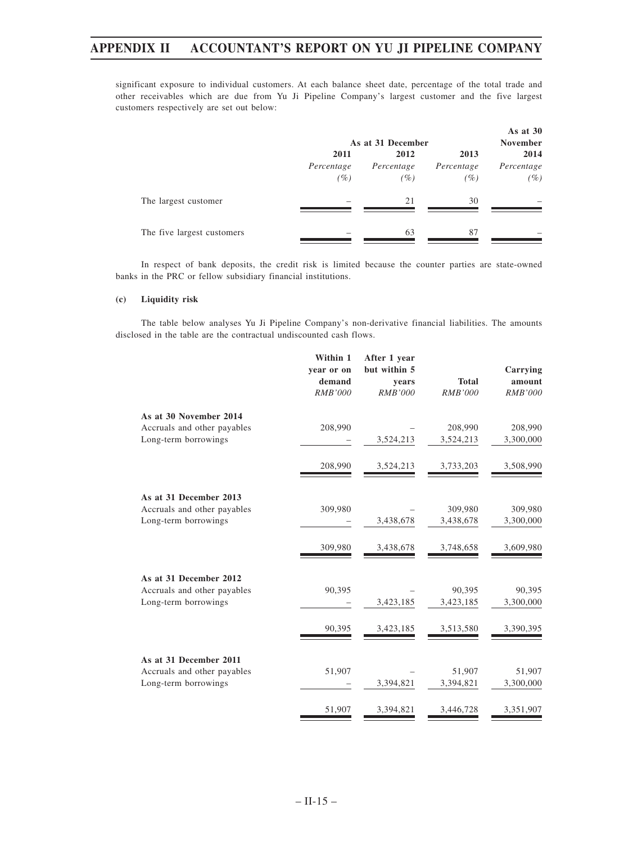significant exposure to individual customers. At each balance sheet date, percentage of the total trade and other receivables which are due from Yu Ji Pipeline Company's largest customer and the five largest customers respectively are set out below:

|                            |            | As at 31 December   |            |            |  |  |
|----------------------------|------------|---------------------|------------|------------|--|--|
|                            | 2011       | 2012                | 2013       | 2014       |  |  |
|                            | Percentage | Percentage          | Percentage | Percentage |  |  |
|                            | (%)        | $\left( \% \right)$ | (%)        | (%)        |  |  |
| The largest customer       | -          | 21                  | 30         | -          |  |  |
| The five largest customers | -          | 63                  | 87         | -          |  |  |

In respect of bank deposits, the credit risk is limited because the counter parties are state-owned banks in the PRC or fellow subsidiary financial institutions.

### **(c) Liquidity risk**

The table below analyses Yu Ji Pipeline Company's non-derivative financial liabilities. The amounts disclosed in the table are the contractual undiscounted cash flows.

|                                                       | Within 1<br>year or on<br>demand<br><b>RMB'000</b> | After 1 year<br>but within 5<br>years<br><b>RMB'000</b> | <b>Total</b><br><b>RMB'000</b> | Carrying<br>amount<br><b>RMB'000</b> |
|-------------------------------------------------------|----------------------------------------------------|---------------------------------------------------------|--------------------------------|--------------------------------------|
| As at 30 November 2014                                |                                                    |                                                         |                                |                                      |
| Accruals and other payables                           | 208,990                                            |                                                         | 208,990                        | 208,990                              |
| Long-term borrowings                                  |                                                    | 3,524,213                                               | 3,524,213                      | 3,300,000                            |
|                                                       | 208,990                                            | 3,524,213                                               | 3,733,203                      | 3,508,990                            |
| As at 31 December 2013                                |                                                    |                                                         |                                |                                      |
| Accruals and other payables                           | 309,980                                            |                                                         | 309,980                        | 309,980                              |
| Long-term borrowings                                  |                                                    | 3,438,678                                               | 3,438,678                      | 3,300,000                            |
|                                                       | 309,980                                            | 3,438,678                                               | 3,748,658                      | 3,609,980                            |
| As at 31 December 2012                                |                                                    |                                                         |                                |                                      |
| Accruals and other payables                           | 90,395                                             |                                                         | 90,395                         | 90,395                               |
| Long-term borrowings                                  |                                                    | 3,423,185                                               | 3,423,185                      | 3,300,000                            |
|                                                       | 90,395                                             | 3,423,185                                               | 3,513,580                      | 3,390,395                            |
|                                                       |                                                    |                                                         |                                |                                      |
| As at 31 December 2011<br>Accruals and other payables | 51,907                                             |                                                         | 51,907                         | 51,907                               |
| Long-term borrowings                                  |                                                    | 3,394,821                                               | 3,394,821                      | 3,300,000                            |
|                                                       |                                                    |                                                         |                                |                                      |
|                                                       | 51,907                                             | 3,394,821                                               | 3,446,728                      | 3,351,907                            |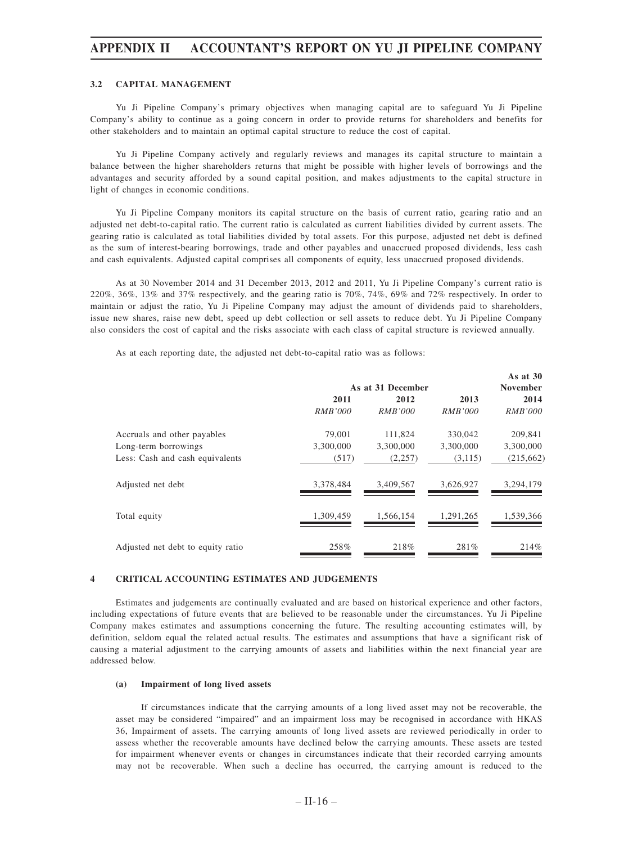### **3.2 CAPITAL MANAGEMENT**

Yu Ji Pipeline Company's primary objectives when managing capital are to safeguard Yu Ji Pipeline Company's ability to continue as a going concern in order to provide returns for shareholders and benefits for other stakeholders and to maintain an optimal capital structure to reduce the cost of capital.

Yu Ji Pipeline Company actively and regularly reviews and manages its capital structure to maintain a balance between the higher shareholders returns that might be possible with higher levels of borrowings and the advantages and security afforded by a sound capital position, and makes adjustments to the capital structure in light of changes in economic conditions.

Yu Ji Pipeline Company monitors its capital structure on the basis of current ratio, gearing ratio and an adjusted net debt-to-capital ratio. The current ratio is calculated as current liabilities divided by current assets. The gearing ratio is calculated as total liabilities divided by total assets. For this purpose, adjusted net debt is defined as the sum of interest-bearing borrowings, trade and other payables and unaccrued proposed dividends, less cash and cash equivalents. Adjusted capital comprises all components of equity, less unaccrued proposed dividends.

As at 30 November 2014 and 31 December 2013, 2012 and 2011, Yu Ji Pipeline Company's current ratio is 220%, 36%, 13% and 37% respectively, and the gearing ratio is 70%, 74%, 69% and 72% respectively. In order to maintain or adjust the ratio, Yu Ji Pipeline Company may adjust the amount of dividends paid to shareholders, issue new shares, raise new debt, speed up debt collection or sell assets to reduce debt. Yu Ji Pipeline Company also considers the cost of capital and the risks associate with each class of capital structure is reviewed annually.

As at each reporting date, the adjusted net debt-to-capital ratio was as follows:

| <b>November</b><br>2014<br><b>RMB'000</b> |
|-------------------------------------------|
|                                           |
|                                           |
|                                           |
| 209,841                                   |
| 3,300,000                                 |
| (215, 662)                                |
| 3,294,179                                 |
| 1,539,366                                 |
| 214\%                                     |
|                                           |

#### **4 CRITICAL ACCOUNTING ESTIMATES AND JUDGEMENTS**

Estimates and judgements are continually evaluated and are based on historical experience and other factors, including expectations of future events that are believed to be reasonable under the circumstances. Yu Ji Pipeline Company makes estimates and assumptions concerning the future. The resulting accounting estimates will, by definition, seldom equal the related actual results. The estimates and assumptions that have a significant risk of causing a material adjustment to the carrying amounts of assets and liabilities within the next financial year are addressed below.

#### **(a) Impairment of long lived assets**

If circumstances indicate that the carrying amounts of a long lived asset may not be recoverable, the asset may be considered "impaired" and an impairment loss may be recognised in accordance with HKAS 36, Impairment of assets. The carrying amounts of long lived assets are reviewed periodically in order to assess whether the recoverable amounts have declined below the carrying amounts. These assets are tested for impairment whenever events or changes in circumstances indicate that their recorded carrying amounts may not be recoverable. When such a decline has occurred, the carrying amount is reduced to the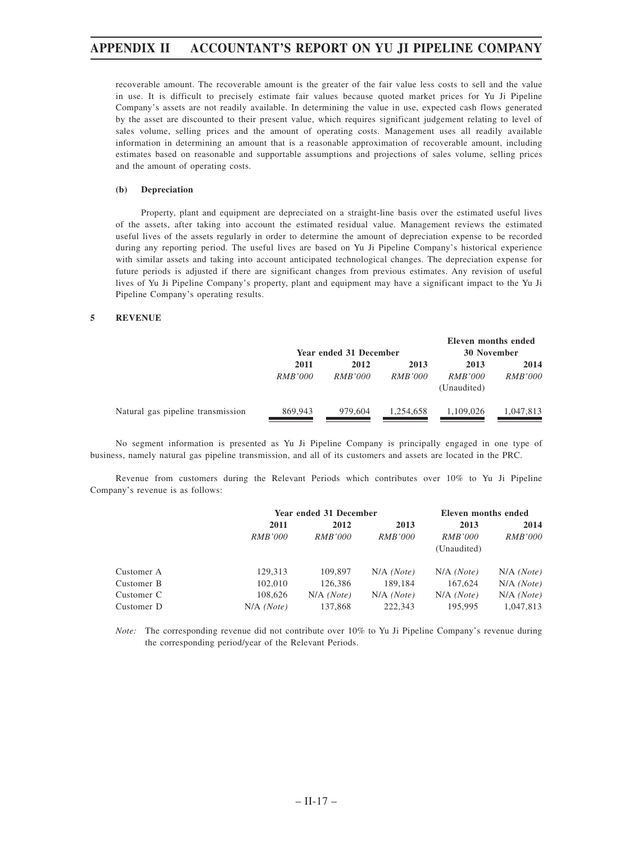recoverable amount. The recoverable amount is the greater of the fair value less costs to sell and the value in use. It is difficult to precisely estimate fair values because quoted market prices for Yu Ji Pipeline Company's assets are not readily available. In determining the value in use, expected cash flows generated by the asset are discounted to their present value, which requires significant judgement relating to level of sales volume, selling prices and the amount of operating costs. Management uses all readily available information in determining an amount that is a reasonable approximation of recoverable amount, including estimates based on reasonable and supportable assumptions and projections of sales volume, selling prices and the amount of operating costs.

### **(b) Depreciation**

Property, plant and equipment are depreciated on a straight-line basis over the estimated useful lives of the assets, after taking into account the estimated residual value. Management reviews the estimated useful lives of the assets regularly in order to determine the amount of depreciation expense to be recorded during any reporting period. The useful lives are based on Yu Ji Pipeline Company's historical experience with similar assets and taking into account anticipated technological changes. The depreciation expense for future periods is adjusted if there are significant changes from previous estimates. Any revision of useful lives of Yu Ji Pipeline Company's property, plant and equipment may have a significant impact to the Yu Ji Pipeline Company's operating results.

### **5 REVENUE**

|                        |                |                | Eleven months ended |                |
|------------------------|----------------|----------------|---------------------|----------------|
| Year ended 31 December |                |                | <b>30 November</b>  |                |
| 2011                   | 2012           | 2013           | 2013                | 2014           |
| <i>RMB'000</i>         | <i>RMB'000</i> | <i>RMB'000</i> | <i>RMB'000</i>      | <i>RMB'000</i> |
|                        |                |                | (Unaudited)         |                |
| 869,943                | 979,604        | 1.254.658      | 1.109.026           | 1,047,813      |
|                        |                |                |                     |                |

No segment information is presented as Yu Ji Pipeline Company is principally engaged in one type of business, namely natural gas pipeline transmission, and all of its customers and assets are located in the PRC.

Revenue from customers during the Relevant Periods which contributes over 10% to Yu Ji Pipeline Company's revenue is as follows:

|            |                | Year ended 31 December | Eleven months ended |                |                |  |
|------------|----------------|------------------------|---------------------|----------------|----------------|--|
|            | 2011           | 2013<br>2012           |                     | 2013           | 2014           |  |
|            | <i>RMB'000</i> | <i>RMB'000</i>         | <i>RMB'000</i>      | <i>RMB'000</i> | <i>RMB'000</i> |  |
|            |                |                        |                     | (Unaudited)    |                |  |
| Customer A | 129.313        | 109,897                | $N/A$ (Note)        | $N/A$ (Note)   | $N/A$ (Note)   |  |
| Customer B | 102,010        | 126,386                | 189,184             | 167,624        | $N/A$ (Note)   |  |
| Customer C | 108,626        | $N/A$ (Note)           | $N/A$ (Note)        | $N/A$ (Note)   | $N/A$ (Note)   |  |
| Customer D | $N/A$ (Note)   | 137,868                | 222,343             | 195,995        | 1.047.813      |  |

*Note:* The corresponding revenue did not contribute over 10% to Yu Ji Pipeline Company's revenue during the corresponding period/year of the Relevant Periods.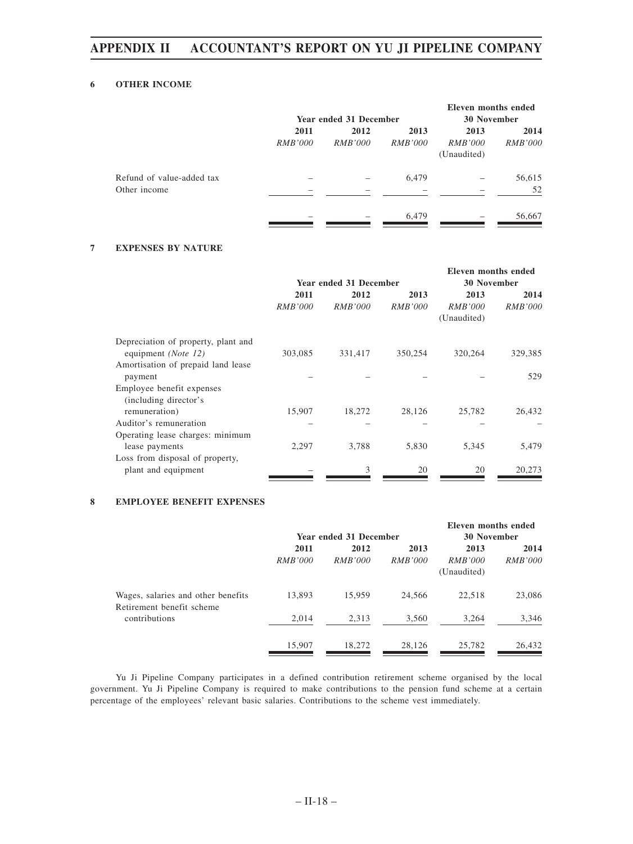# **6 OTHER INCOME**

|                           |                |                        |                | Eleven months ended |                |
|---------------------------|----------------|------------------------|----------------|---------------------|----------------|
|                           |                | Year ended 31 December |                | <b>30 November</b>  |                |
|                           | 2011           | 2012                   | 2013           | 2013                | 2014           |
|                           | <i>RMB'000</i> | <i>RMB'000</i>         | <i>RMB'000</i> | <i>RMB'000</i>      | <i>RMB'000</i> |
|                           |                |                        |                | (Unaudited)         |                |
| Refund of value-added tax |                |                        | 6,479          |                     | 56,615         |
| Other income              |                |                        |                |                     | 52             |
|                           |                |                        | 6,479          | -                   | 56,667         |

# **7 EXPENSES BY NATURE**

|                                     |                |                        |                | Eleven months ended |                |
|-------------------------------------|----------------|------------------------|----------------|---------------------|----------------|
|                                     |                | Year ended 31 December |                | <b>30 November</b>  |                |
|                                     | 2011           | 2012                   | 2013           | 2013                | 2014           |
|                                     | <i>RMB'000</i> | <i>RMB'000</i>         | <i>RMB'000</i> | <i>RMB'000</i>      | <i>RMB'000</i> |
|                                     |                |                        |                | (Unaudited)         |                |
| Depreciation of property, plant and |                |                        |                |                     |                |
| equipment (Note 12)                 | 303,085        | 331,417                | 350,254        | 320,264             | 329,385        |
| Amortisation of prepaid land lease  |                |                        |                |                     |                |
| payment                             |                |                        |                |                     | 529            |
| Employee benefit expenses           |                |                        |                |                     |                |
| (including director's               |                |                        |                |                     |                |
| remuneration)                       | 15,907         | 18,272                 | 28,126         | 25,782              | 26,432         |
| Auditor's remuneration              |                |                        |                |                     |                |
| Operating lease charges: minimum    |                |                        |                |                     |                |
| lease payments                      | 2,297          | 3,788                  | 5,830          | 5,345               | 5,479          |
| Loss from disposal of property,     |                |                        |                |                     |                |
| plant and equipment                 |                | 3                      | 20             | 20                  | 20,273         |
|                                     |                |                        |                |                     |                |

# **8 EMPLOYEE BENEFIT EXPENSES**

|                                                                 | <b>Year ended 31 December</b> |                        |                        | Eleven months ended<br><b>30 November</b> |                        |
|-----------------------------------------------------------------|-------------------------------|------------------------|------------------------|-------------------------------------------|------------------------|
|                                                                 | 2011<br><i>RMB'000</i>        | 2012<br><i>RMB'000</i> | 2013<br><i>RMB'000</i> | 2013<br><i>RMB'000</i><br>(Unaudited)     | 2014<br><i>RMB'000</i> |
| Wages, salaries and other benefits<br>Retirement benefit scheme | 13,893                        | 15,959                 | 24.566                 | 22,518                                    | 23,086                 |
| contributions                                                   | 2,014                         | 2,313                  | 3,560                  | 3,264                                     | 3,346                  |
|                                                                 | 15,907                        | 18,272                 | 28,126                 | 25,782                                    | 26,432                 |

Yu Ji Pipeline Company participates in a defined contribution retirement scheme organised by the local government. Yu Ji Pipeline Company is required to make contributions to the pension fund scheme at a certain percentage of the employees' relevant basic salaries. Contributions to the scheme vest immediately.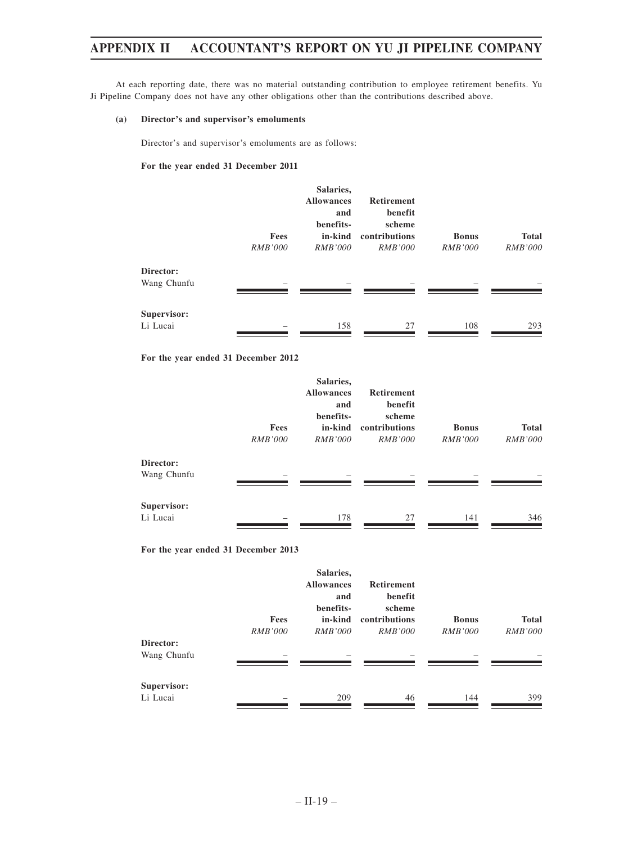At each reporting date, there was no material outstanding contribution to employee retirement benefits. Yu Ji Pipeline Company does not have any other obligations other than the contributions described above.

### **(a) Director's and supervisor's emoluments**

Director's and supervisor's emoluments are as follows:

### **For the year ended 31 December 2011**

|                          | Fees<br><b>RMB'000</b> | Salaries,<br><b>Allowances</b><br>and<br>benefits-<br>in-kind<br><i>RMB'000</i> | <b>Retirement</b><br>benefit<br>scheme<br>contributions<br><i>RMB'000</i> | <b>Bonus</b><br><i>RMB'000</i> | <b>Total</b><br><i>RMB'000</i> |
|--------------------------|------------------------|---------------------------------------------------------------------------------|---------------------------------------------------------------------------|--------------------------------|--------------------------------|
| Director:<br>Wang Chunfu |                        |                                                                                 |                                                                           |                                |                                |
| Supervisor:<br>Li Lucai  |                        | 158                                                                             | 27                                                                        | 108                            | 293                            |

### **For the year ended 31 December 2012**

|                          | Fees<br><b>RMB'000</b> | Salaries,<br><b>Allowances</b><br>and<br>benefits-<br>in-kind<br><i>RMB'000</i> | <b>Retirement</b><br>benefit<br>scheme<br>contributions<br><i>RMB'000</i> | <b>Bonus</b><br><i>RMB'000</i> | <b>Total</b><br><b>RMB'000</b> |
|--------------------------|------------------------|---------------------------------------------------------------------------------|---------------------------------------------------------------------------|--------------------------------|--------------------------------|
| Director:<br>Wang Chunfu |                        |                                                                                 |                                                                           |                                |                                |
| Supervisor:<br>Li Lucai  |                        | 178                                                                             | 27                                                                        | 141                            | 346                            |

# **For the year ended 31 December 2013**

|             | Fees           | Salaries,<br><b>Allowances</b><br>and<br>benefits-<br>in-kind | <b>Retirement</b><br>benefit<br>scheme<br>contributions | <b>Bonus</b>   | <b>Total</b>   |
|-------------|----------------|---------------------------------------------------------------|---------------------------------------------------------|----------------|----------------|
|             | <i>RMB'000</i> | <i>RMB'000</i>                                                | <i>RMB'000</i>                                          | <i>RMB'000</i> | <i>RMB'000</i> |
| Director:   |                |                                                               |                                                         |                |                |
| Wang Chunfu | -              | -                                                             | -                                                       |                |                |
| Supervisor: |                |                                                               |                                                         |                |                |
| Li Lucai    |                | 209                                                           | 46                                                      | 144            | 399            |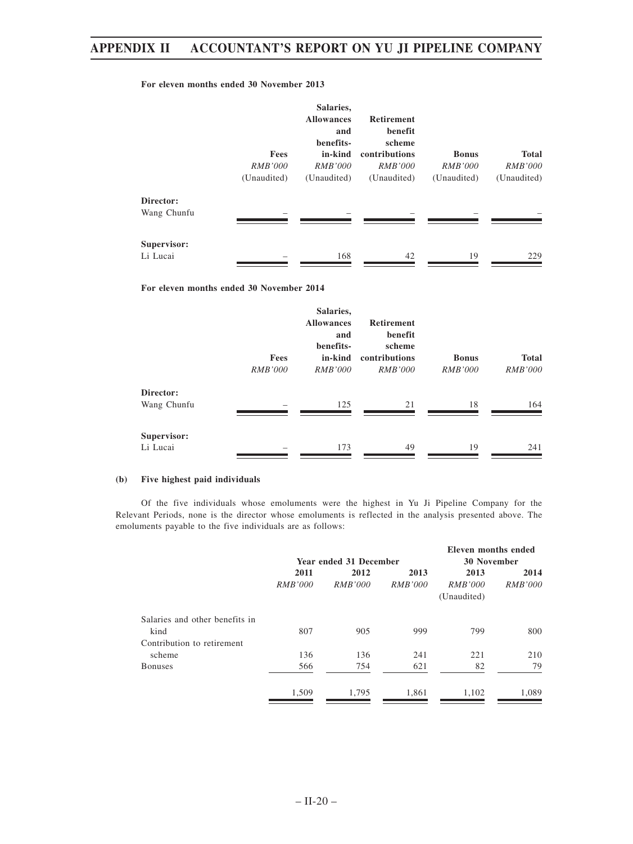### **For eleven months ended 30 November 2013**

|                          | Fees<br><i>RMB'000</i> | Salaries,<br><b>Allowances</b><br>and<br>benefits-<br>in-kind<br><i>RMB'000</i> | <b>Retirement</b><br>benefit<br>scheme<br>contributions<br><i>RMB'000</i> | <b>Bonus</b><br><i>RMB'000</i> | <b>Total</b><br><i>RMB'000</i> |
|--------------------------|------------------------|---------------------------------------------------------------------------------|---------------------------------------------------------------------------|--------------------------------|--------------------------------|
|                          | (Unaudited)            | (Unaudited)                                                                     | (Unaudited)                                                               | (Unaudited)                    | (Unaudited)                    |
| Director:<br>Wang Chunfu |                        |                                                                                 |                                                                           |                                |                                |
| Supervisor:<br>Li Lucai  |                        | 168                                                                             | 42                                                                        | 19                             | 229                            |

**For eleven months ended 30 November 2014**

|                                   | Fees<br><i>RMB'000</i> | Salaries,<br><b>Allowances</b><br>and<br>benefits-<br>in-kind<br><i>RMB'000</i> | <b>Retirement</b><br>benefit<br>scheme<br>contributions<br><i>RMB'000</i> | <b>Bonus</b><br><i>RMB'000</i> | <b>Total</b><br><i>RMB'000</i> |
|-----------------------------------|------------------------|---------------------------------------------------------------------------------|---------------------------------------------------------------------------|--------------------------------|--------------------------------|
| Director:                         |                        |                                                                                 |                                                                           |                                |                                |
| Wang Chunfu<br><b>Supervisor:</b> |                        | 125                                                                             | 21                                                                        | 18                             | 164                            |
| Li Lucai                          |                        | 173                                                                             | 49                                                                        | 19                             | 241                            |

### **(b) Five highest paid individuals**

Of the five individuals whose emoluments were the highest in Yu Ji Pipeline Company for the Relevant Periods, none is the director whose emoluments is reflected in the analysis presented above. The emoluments payable to the five individuals are as follows:

|                                |                |                        |                | Eleven months ended |                    |  |
|--------------------------------|----------------|------------------------|----------------|---------------------|--------------------|--|
|                                |                | Year ended 31 December |                |                     | <b>30 November</b> |  |
|                                | 2011           | 2012                   | 2013           | 2013                | 2014               |  |
|                                | <i>RMB'000</i> | <i>RMB'000</i>         | <i>RMB'000</i> | <i>RMB'000</i>      | <i>RMB'000</i>     |  |
|                                |                |                        |                | (Unaudited)         |                    |  |
| Salaries and other benefits in |                |                        |                |                     |                    |  |
| kind                           | 807            | 905                    | 999            | 799                 | 800                |  |
| Contribution to retirement     |                |                        |                |                     |                    |  |
| scheme                         | 136            | 136                    | 241            | 221                 | 210                |  |
| <b>Bonuses</b>                 | 566            | 754                    | 621            | 82                  | 79                 |  |
|                                | 1,509          | 1,795                  | 1,861          | 1,102               | 1,089              |  |
|                                |                |                        |                |                     |                    |  |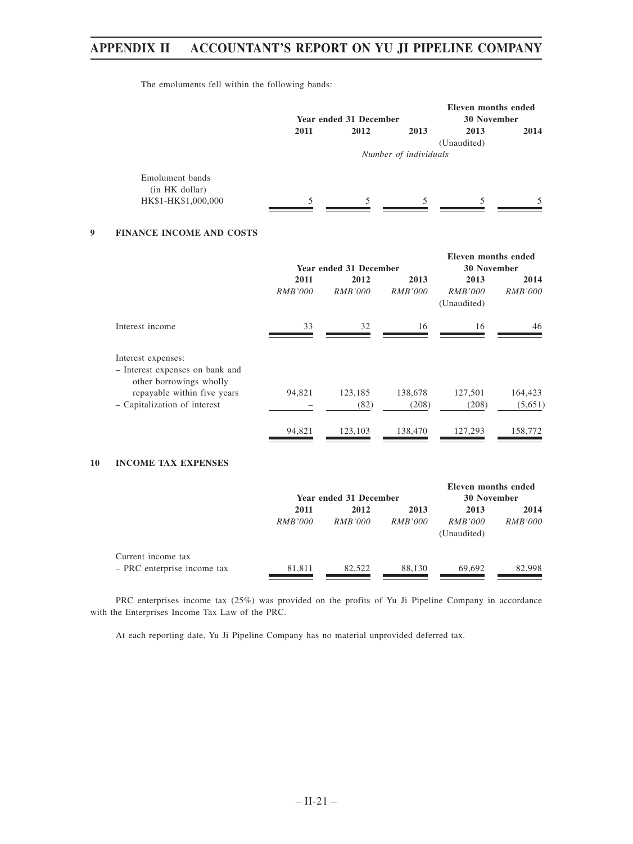The emoluments fell within the following bands:

|                     |      | Year ended 31 December |                       | Eleven months ended<br>30 November |      |
|---------------------|------|------------------------|-----------------------|------------------------------------|------|
|                     | 2011 | 2012                   | 2013                  | 2013                               | 2014 |
|                     |      |                        |                       | (Unaudited)                        |      |
|                     |      |                        | Number of individuals |                                    |      |
| Emolument bands     |      |                        |                       |                                    |      |
| (in HK dollar)      |      |                        |                       |                                    |      |
| HK\$1-HK\$1,000,000 | 5    | 5                      | 5                     | 5                                  | 5    |

### **9 FINANCE INCOME AND COSTS**

|        |                          |                                   | <b>30 November</b>                                           |                                                           |
|--------|--------------------------|-----------------------------------|--------------------------------------------------------------|-----------------------------------------------------------|
| 2011   | 2012                     | 2013                              | 2013                                                         | 2014<br><i>RMB'000</i>                                    |
|        |                          |                                   | (Unaudited)                                                  |                                                           |
| 33     | 32                       | 16                                | 16                                                           | 46                                                        |
|        |                          |                                   |                                                              |                                                           |
|        |                          |                                   |                                                              |                                                           |
|        |                          |                                   |                                                              |                                                           |
|        |                          |                                   |                                                              | 164,423                                                   |
|        |                          |                                   |                                                              | (5,651)                                                   |
| 94,821 | 123,103                  | 138,470                           | 127,293                                                      | 158,772                                                   |
|        | <i>RMB'000</i><br>94,821 | <i>RMB'000</i><br>123,185<br>(82) | Year ended 31 December<br><i>RMB'000</i><br>138,678<br>(208) | Eleven months ended<br><i>RMB'000</i><br>127,501<br>(208) |

# **10 INCOME TAX EXPENSES**

|                                                   | Year ended 31 December |                        |                        | Eleven months ended<br>30 November    |                        |
|---------------------------------------------------|------------------------|------------------------|------------------------|---------------------------------------|------------------------|
|                                                   | 2011<br><i>RMB'000</i> | 2012<br><i>RMB'000</i> | 2013<br><i>RMB'000</i> | 2013<br><i>RMB'000</i><br>(Unaudited) | 2014<br><i>RMB'000</i> |
| Current income tax<br>- PRC enterprise income tax | 81,811                 | 82.522                 | 88.130                 | 69.692                                | 82,998                 |

PRC enterprises income tax (25%) was provided on the profits of Yu Ji Pipeline Company in accordance with the Enterprises Income Tax Law of the PRC.

At each reporting date, Yu Ji Pipeline Company has no material unprovided deferred tax.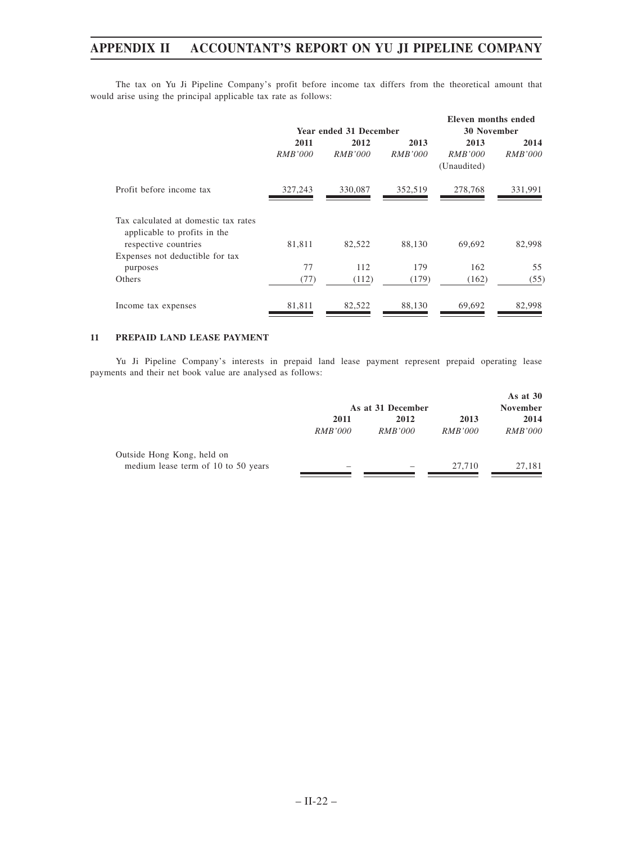The tax on Yu Ji Pipeline Company's profit before income tax differs from the theoretical amount that would arise using the principal applicable tax rate as follows:

|                                                                                              |                        |                        |                        | Eleven months ended                   |                        |
|----------------------------------------------------------------------------------------------|------------------------|------------------------|------------------------|---------------------------------------|------------------------|
|                                                                                              |                        | Year ended 31 December |                        | <b>30 November</b>                    |                        |
|                                                                                              | 2011<br><i>RMB'000</i> | 2012<br><i>RMB'000</i> | 2013<br><i>RMB'000</i> | 2013<br><i>RMB'000</i><br>(Unaudited) | 2014<br><i>RMB'000</i> |
| Profit before income tax                                                                     | 327,243                | 330,087                | 352,519                | 278,768                               | 331,991                |
| Tax calculated at domestic tax rates<br>applicable to profits in the<br>respective countries | 81,811                 | 82,522                 | 88,130                 | 69,692                                | 82,998                 |
| Expenses not deductible for tax<br>purposes<br>Others                                        | 77<br>(77)             | 112<br>(112)           | 179<br>(179)           | 162<br>(162)                          | 55<br>(55)             |
| Income tax expenses                                                                          | 81,811                 | 82,522                 | 88,130                 | 69,692                                | 82,998                 |

### **11 PREPAID LAND LEASE PAYMENT**

Yu Ji Pipeline Company's interests in prepaid land lease payment represent prepaid operating lease payments and their net book value are analysed as follows:

|                                     | As at 31 December |                |                | As at $30$<br><b>November</b> |
|-------------------------------------|-------------------|----------------|----------------|-------------------------------|
|                                     | 2011              | 2012           | 2013           | 2014                          |
|                                     | <i>RMB'000</i>    | <i>RMB'000</i> | <i>RMB'000</i> | <i>RMB'000</i>                |
| Outside Hong Kong, held on          |                   |                |                |                               |
| medium lease term of 10 to 50 years |                   |                | 27,710         | 27,181                        |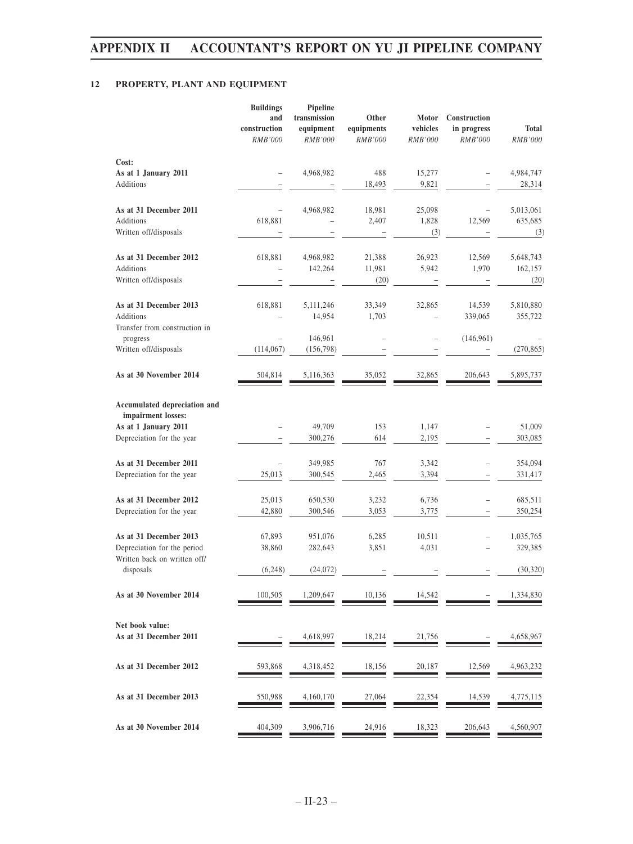# **12 PROPERTY, PLANT AND EQUIPMENT**

|                                                                         | <b>Buildings</b><br>and<br>construction<br><b>RMB'000</b> | <b>Pipeline</b><br>transmission<br>equipment<br>RMB'000 | Other<br>equipments<br>RMB'000 | Motor<br>vehicles<br>RMB'000 | Construction<br>in progress<br>RMB'000 | <b>Total</b><br>RMB'000      |
|-------------------------------------------------------------------------|-----------------------------------------------------------|---------------------------------------------------------|--------------------------------|------------------------------|----------------------------------------|------------------------------|
| Cost:                                                                   |                                                           |                                                         |                                |                              |                                        |                              |
| As at 1 January 2011<br>Additions                                       |                                                           | 4,968,982                                               | 488<br>18,493                  | 15,277<br>9,821              |                                        | 4,984,747<br>28,314          |
| As at 31 December 2011<br>Additions<br>Written off/disposals            | 618,881                                                   | 4,968,982                                               | 18,981<br>2,407                | 25,098<br>1,828<br>(3)       | 12,569                                 | 5,013,061<br>635,685<br>(3)  |
|                                                                         |                                                           |                                                         |                                |                              |                                        |                              |
| As at 31 December 2012<br><b>Additions</b><br>Written off/disposals     | 618,881                                                   | 4,968,982<br>142,264                                    | 21,388<br>11,981<br>(20)       | 26,923<br>5,942              | 12,569<br>1,970                        | 5,648,743<br>162,157<br>(20) |
| As at 31 December 2013<br><b>Additions</b>                              | 618,881                                                   | 5,111,246<br>14,954                                     | 33,349<br>1,703                | 32,865                       | 14,539<br>339,065                      | 5,810,880<br>355,722         |
| Transfer from construction in<br>progress<br>Written off/disposals      | (114, 067)                                                | 146,961<br>(156, 798)                                   | $\overline{a}$                 | $\overline{a}$               | (146, 961)                             | (270, 865)                   |
| As at 30 November 2014                                                  | 504,814                                                   | 5,116,363                                               | 35,052                         | 32,865                       | 206,643                                | 5,895,737                    |
| Accumulated depreciation and                                            |                                                           |                                                         |                                |                              |                                        |                              |
| impairment losses:<br>As at 1 January 2011<br>Depreciation for the year |                                                           | 49,709<br>300,276                                       | 153<br>614                     | 1,147<br>2,195               |                                        | 51,009<br>303,085            |
| As at 31 December 2011<br>Depreciation for the year                     | 25,013                                                    | 349,985<br>300,545                                      | 767<br>2,465                   | 3,342<br>3,394               |                                        | 354,094<br>331,417           |
| As at 31 December 2012<br>Depreciation for the year                     | 25,013<br>42,880                                          | 650,530<br>300,546                                      | 3,232<br>3,053                 | 6,736<br>3,775               |                                        | 685,511<br>350,254           |
| As at 31 December 2013<br>Depreciation for the period                   | 67,893<br>38,860                                          | 951,076<br>282,643                                      | 6,285<br>3,851                 | 10,511<br>4,031              |                                        | 1,035,765<br>329,385         |
| Written back on written off/<br>disposals                               | (6,248)                                                   | (24,072)                                                |                                |                              |                                        | (30, 320)                    |
| As at 30 November 2014                                                  | 100,505                                                   | 1,209,647                                               | 10,136                         | 14,542                       |                                        | 1,334,830                    |
| Net book value:<br>As at 31 December 2011                               |                                                           | 4,618,997                                               | 18,214                         | 21,756                       |                                        | 4,658,967                    |
| As at 31 December 2012                                                  | 593,868                                                   | 4,318,452                                               | 18,156                         | 20,187                       | 12,569                                 | 4,963,232                    |
| As at 31 December 2013                                                  | 550,988                                                   | 4,160,170                                               | 27,064                         | 22,354                       | 14,539                                 | 4,775,115                    |
| As at 30 November 2014                                                  | 404,309                                                   | 3,906,716                                               | 24,916                         | 18,323                       | 206,643                                | 4,560,907                    |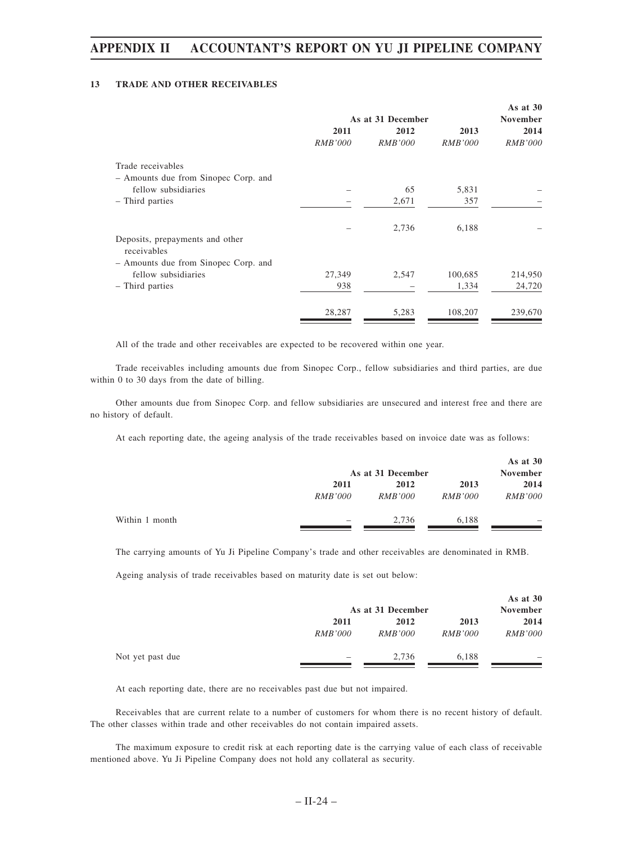### **13 TRADE AND OTHER RECEIVABLES**

|                                                | As at 31 December |                |                | As at $30$<br><b>November</b> |
|------------------------------------------------|-------------------|----------------|----------------|-------------------------------|
|                                                | 2011              | 2012           | 2013           | 2014                          |
|                                                | <i>RMB'000</i>    | <i>RMB'000</i> | <i>RMB'000</i> | <i>RMB'000</i>                |
| Trade receivables                              |                   |                |                |                               |
| - Amounts due from Sinopec Corp. and           |                   |                |                |                               |
| fellow subsidiaries                            |                   | 65             | 5,831          |                               |
| - Third parties                                |                   | 2,671          | 357            |                               |
|                                                |                   | 2,736          | 6,188          |                               |
| Deposits, prepayments and other<br>receivables |                   |                |                |                               |
| - Amounts due from Sinopec Corp. and           |                   |                |                |                               |
| fellow subsidiaries                            | 27,349            | 2,547          | 100,685        | 214,950                       |
| - Third parties                                | 938               |                | 1,334          | 24,720                        |
|                                                | 28,287            | 5,283          | 108,207        | 239,670                       |

All of the trade and other receivables are expected to be recovered within one year.

Trade receivables including amounts due from Sinopec Corp., fellow subsidiaries and third parties, are due within 0 to 30 days from the date of billing.

Other amounts due from Sinopec Corp. and fellow subsidiaries are unsecured and interest free and there are no history of default.

At each reporting date, the ageing analysis of the trade receivables based on invoice date was as follows:

|                |                | As at 31 December |                |                          |
|----------------|----------------|-------------------|----------------|--------------------------|
|                | 2011           | 2012              | 2013           | 2014                     |
|                | <i>RMB'000</i> | <i>RMB'000</i>    | <i>RMB'000</i> | <i>RMB'000</i>           |
| Within 1 month | -              | 2.736             | 6.188          | $\overline{\phantom{a}}$ |

The carrying amounts of Yu Ji Pipeline Company's trade and other receivables are denominated in RMB.

Ageing analysis of trade receivables based on maturity date is set out below:

|                  |                | As at 31 December |                |                          |  |
|------------------|----------------|-------------------|----------------|--------------------------|--|
|                  | 2011           | 2012              | 2013           | 2014                     |  |
|                  | <i>RMB'000</i> | <i>RMB'000</i>    | <i>RMB'000</i> | <i>RMB'000</i>           |  |
| Not yet past due | -              | 2.736             | 6.188          | $\overline{\phantom{a}}$ |  |

At each reporting date, there are no receivables past due but not impaired.

Receivables that are current relate to a number of customers for whom there is no recent history of default. The other classes within trade and other receivables do not contain impaired assets.

The maximum exposure to credit risk at each reporting date is the carrying value of each class of receivable mentioned above. Yu Ji Pipeline Company does not hold any collateral as security.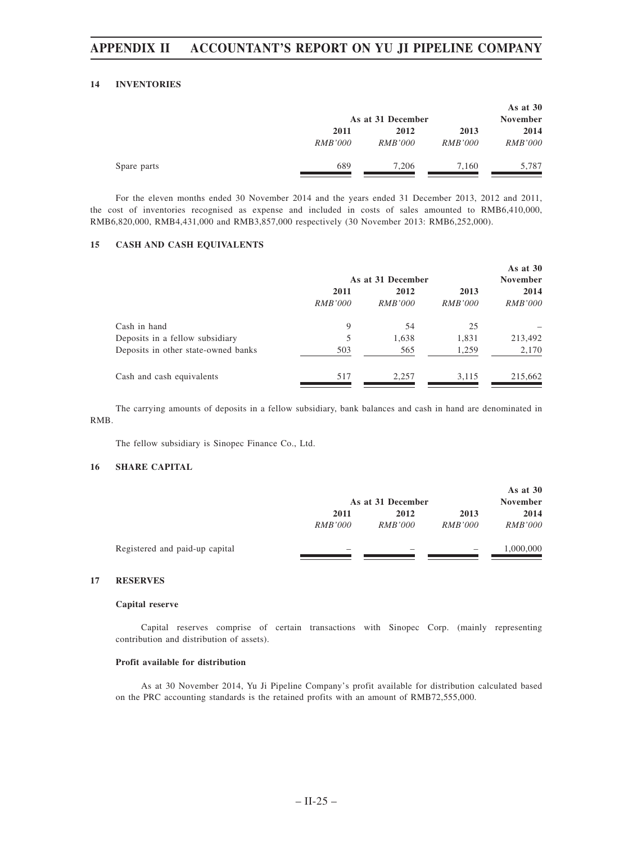#### **14 INVENTORIES**

|             | As at 31 December |                |                | As at $30$<br><b>November</b> |
|-------------|-------------------|----------------|----------------|-------------------------------|
|             | 2011              | 2012           | 2013           | 2014                          |
|             | <i>RMB'000</i>    | <i>RMB'000</i> | <i>RMB'000</i> | <i>RMB'000</i>                |
| Spare parts | 689               | 7.206          | 7.160          | 5.787                         |

For the eleven months ended 30 November 2014 and the years ended 31 December 2013, 2012 and 2011, the cost of inventories recognised as expense and included in costs of sales amounted to RMB6,410,000, RMB6,820,000, RMB4,431,000 and RMB3,857,000 respectively (30 November 2013: RMB6,252,000).

### **15 CASH AND CASH EQUIVALENTS**

|                                     | As at 31 December |                |                | As at $30$<br><b>November</b> |  |
|-------------------------------------|-------------------|----------------|----------------|-------------------------------|--|
|                                     | 2011              | 2012           | 2013           | 2014                          |  |
|                                     | <i>RMB'000</i>    | <i>RMB'000</i> | <i>RMB'000</i> | <i>RMB'000</i>                |  |
| Cash in hand                        | 9                 | 54             | 25             |                               |  |
| Deposits in a fellow subsidiary     | 5                 | 1,638          | 1,831          | 213,492                       |  |
| Deposits in other state-owned banks | 503               | 565            | 1,259          | 2,170                         |  |
| Cash and cash equivalents           | 517               | 2.257          | 3,115          | 215,662                       |  |

The carrying amounts of deposits in a fellow subsidiary, bank balances and cash in hand are denominated in RMB.

The fellow subsidiary is Sinopec Finance Co., Ltd.

### **16 SHARE CAPITAL**

|                                |                | As at 31 December |                | As at $30$<br><b>November</b> |
|--------------------------------|----------------|-------------------|----------------|-------------------------------|
|                                | 2011           | 2012              | 2013           | 2014                          |
|                                | <i>RMB'000</i> | <i>RMB'000</i>    | <i>RMB'000</i> | <i>RMB'000</i>                |
| Registered and paid-up capital |                |                   |                | 1,000,000                     |

## **17 RESERVES**

#### **Capital reserve**

Capital reserves comprise of certain transactions with Sinopec Corp. (mainly representing contribution and distribution of assets).

### **Profit available for distribution**

As at 30 November 2014, Yu Ji Pipeline Company's profit available for distribution calculated based on the PRC accounting standards is the retained profits with an amount of RMB72,555,000.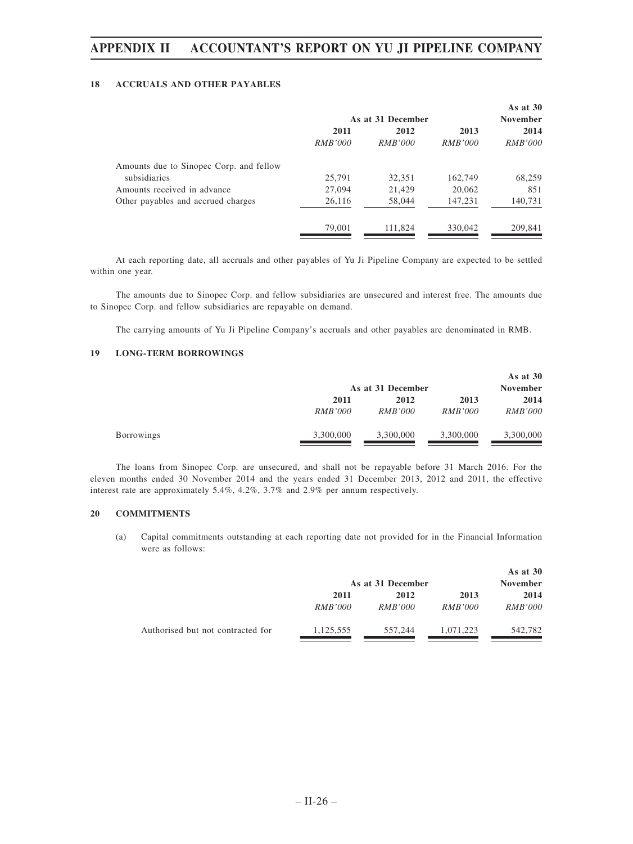### **18 ACCRUALS AND OTHER PAYABLES**

|                                         | As at 31 December |                |                | As at $30$<br><b>November</b> |
|-----------------------------------------|-------------------|----------------|----------------|-------------------------------|
|                                         | 2011              | 2012           | 2013           | 2014                          |
|                                         | <i>RMB'000</i>    | <i>RMB'000</i> | <i>RMB'000</i> | <i>RMB'000</i>                |
| Amounts due to Sinopec Corp. and fellow |                   |                |                |                               |
| subsidiaries                            | 25,791            | 32,351         | 162,749        | 68,259                        |
| Amounts received in advance             | 27,094            | 21,429         | 20,062         | 851                           |
| Other payables and accrued charges      | 26,116            | 58,044         | 147,231        | 140,731                       |
|                                         | 79,001            | 111,824        | 330,042        | 209.841                       |

At each reporting date, all accruals and other payables of Yu Ji Pipeline Company are expected to be settled within one year.

The amounts due to Sinopec Corp. and fellow subsidiaries are unsecured and interest free. The amounts due to Sinopec Corp. and fellow subsidiaries are repayable on demand.

The carrying amounts of Yu Ji Pipeline Company's accruals and other payables are denominated in RMB.

# **19 LONG-TERM BORROWINGS**

|                   |                | As at 31 December |                |                |  |
|-------------------|----------------|-------------------|----------------|----------------|--|
|                   | 2011           | 2012              | 2013           | 2014           |  |
|                   | <i>RMB'000</i> | <i>RMB'000</i>    | <i>RMB'000</i> | <i>RMB'000</i> |  |
| <b>Borrowings</b> | 3,300,000      | 3,300,000         | 3,300,000      | 3,300,000      |  |

The loans from Sinopec Corp. are unsecured, and shall not be repayable before 31 March 2016. For the eleven months ended 30 November 2014 and the years ended 31 December 2013, 2012 and 2011, the effective interest rate are approximately 5.4%, 4.2%, 3.7% and 2.9% per annum respectively.

### **20 COMMITMENTS**

(a) Capital commitments outstanding at each reporting date not provided for in the Financial Information were as follows:

|                                   | As at 31 December |                |                | As at $30$<br><b>November</b> |
|-----------------------------------|-------------------|----------------|----------------|-------------------------------|
|                                   | 2011              | 2012           | 2013           | 2014                          |
|                                   | <i>RMB'000</i>    | <i>RMB'000</i> | <i>RMB'000</i> | <i>RMB'000</i>                |
| Authorised but not contracted for | 1,125,555         | 557,244        | 1.071.223      | 542,782                       |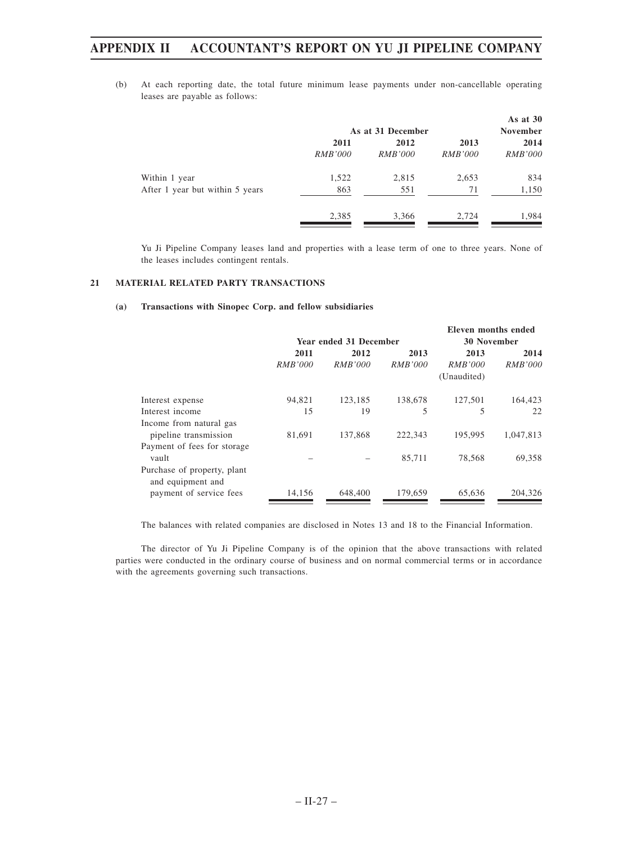(b) At each reporting date, the total future minimum lease payments under non-cancellable operating leases are payable as follows:

|                                 |                |                   |                | As at $30$      |
|---------------------------------|----------------|-------------------|----------------|-----------------|
|                                 |                | As at 31 December |                | <b>November</b> |
|                                 | 2011           | 2012              | 2013           | 2014            |
|                                 | <i>RMB'000</i> | <i>RMB'000</i>    | <i>RMB'000</i> | <i>RMB'000</i>  |
| Within 1 year                   | 1,522          | 2,815             | 2,653          | 834             |
| After 1 year but within 5 years | 863            | 551               | 71             | 1,150           |
|                                 | 2,385          | 3,366             | 2.724          | 1,984           |

Yu Ji Pipeline Company leases land and properties with a lease term of one to three years. None of the leases includes contingent rentals.

#### **21 MATERIAL RELATED PARTY TRANSACTIONS**

#### **(a) Transactions with Sinopec Corp. and fellow subsidiaries**

|                                                  |                |                        |                    | Eleven months ended |                |
|--------------------------------------------------|----------------|------------------------|--------------------|---------------------|----------------|
|                                                  |                | Year ended 31 December | <b>30 November</b> |                     |                |
|                                                  | 2011           | 2012                   | 2013               | 2013                | 2014           |
|                                                  | <i>RMB'000</i> | <i>RMB'000</i>         | <i>RMB'000</i>     | <i>RMB'000</i>      | <i>RMB'000</i> |
|                                                  |                |                        |                    | (Unaudited)         |                |
| Interest expense                                 | 94,821         | 123,185                | 138,678            | 127,501             | 164,423        |
| Interest income                                  | 15             | 19                     | 5                  | 5                   | 22             |
| Income from natural gas                          |                |                        |                    |                     |                |
| pipeline transmission                            | 81,691         | 137,868                | 222,343            | 195,995             | 1,047,813      |
| Payment of fees for storage                      |                |                        |                    |                     |                |
| vault                                            |                |                        | 85,711             | 78.568              | 69,358         |
| Purchase of property, plant<br>and equipment and |                |                        |                    |                     |                |
| payment of service fees                          | 14,156         | 648,400                | 179,659            | 65,636              | 204,326        |

The balances with related companies are disclosed in Notes 13 and 18 to the Financial Information.

The director of Yu Ji Pipeline Company is of the opinion that the above transactions with related parties were conducted in the ordinary course of business and on normal commercial terms or in accordance with the agreements governing such transactions.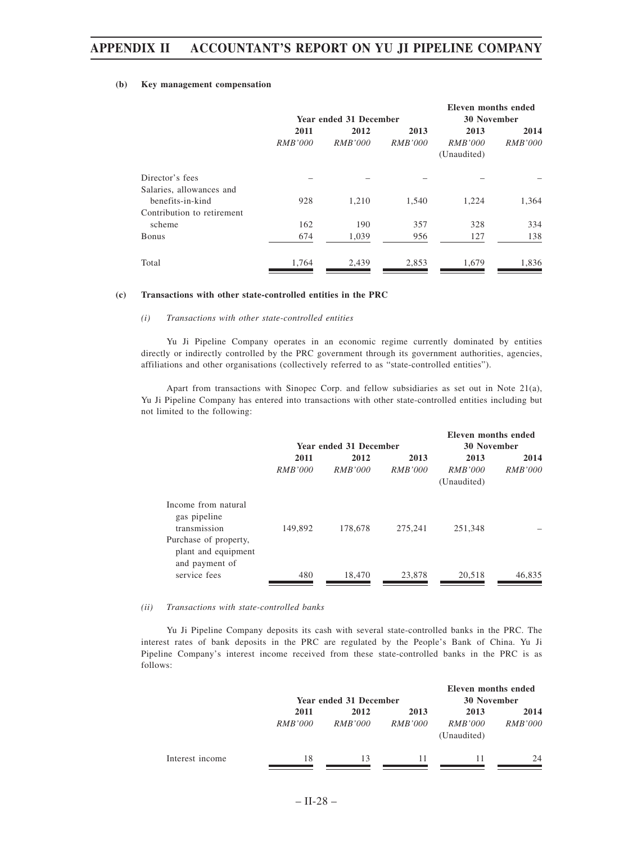### **(b) Key management compensation**

|                            |                |                        |                    | <b>Eleven months ended</b> |                |
|----------------------------|----------------|------------------------|--------------------|----------------------------|----------------|
|                            |                | Year ended 31 December | <b>30 November</b> |                            |                |
|                            | 2011           | 2012                   | 2013               | 2013                       | 2014           |
|                            | <i>RMB'000</i> | <i>RMB'000</i>         | <i>RMB'000</i>     | <i>RMB'000</i>             | <i>RMB'000</i> |
|                            |                |                        |                    | (Unaudited)                |                |
| Director's fees            |                |                        |                    |                            |                |
| Salaries, allowances and   |                |                        |                    |                            |                |
| benefits-in-kind           | 928            | 1.210                  | 1,540              | 1,224                      | 1,364          |
| Contribution to retirement |                |                        |                    |                            |                |
| scheme                     | 162            | 190                    | 357                | 328                        | 334            |
| <b>Bonus</b>               | 674            | 1,039                  | 956                | 127                        | 138            |
| Total                      | 1,764          | 2,439                  | 2,853              | 1,679                      | 1,836          |

#### **(c) Transactions with other state-controlled entities in the PRC**

### *(i) Transactions with other state-controlled entities*

Yu Ji Pipeline Company operates in an economic regime currently dominated by entities directly or indirectly controlled by the PRC government through its government authorities, agencies, affiliations and other organisations (collectively referred to as "state-controlled entities").

Apart from transactions with Sinopec Corp. and fellow subsidiaries as set out in Note 21(a), Yu Ji Pipeline Company has entered into transactions with other state-controlled entities including but not limited to the following:

|                                                                                                                       |                        |                        |                        | Eleven months ended                   |                        |
|-----------------------------------------------------------------------------------------------------------------------|------------------------|------------------------|------------------------|---------------------------------------|------------------------|
|                                                                                                                       |                        | Year ended 31 December | <b>30 November</b>     |                                       |                        |
|                                                                                                                       | 2011<br><i>RMB'000</i> | 2012<br><i>RMB'000</i> | 2013<br><i>RMB'000</i> | 2013<br><i>RMB'000</i><br>(Unaudited) | 2014<br><i>RMB'000</i> |
| Income from natural<br>gas pipeline<br>transmission<br>Purchase of property,<br>plant and equipment<br>and payment of | 149,892                | 178,678                | 275,241                | 251,348                               |                        |
| service fees                                                                                                          | 480                    | 18,470                 | 23,878                 | 20,518                                | 46,835                 |

#### *(ii) Transactions with state-controlled banks*

Yu Ji Pipeline Company deposits its cash with several state-controlled banks in the PRC. The interest rates of bank deposits in the PRC are regulated by the People's Bank of China. Yu Ji Pipeline Company's interest income received from these state-controlled banks in the PRC is as follows:

|                 |                | Year ended 31 December |                | Eleven months ended<br><b>30 November</b> |                |
|-----------------|----------------|------------------------|----------------|-------------------------------------------|----------------|
|                 | 2011           | 2012                   | 2013           | 2013                                      | 2014           |
|                 | <i>RMB'000</i> | <i>RMB'000</i>         | <i>RMB'000</i> | <i>RMB'000</i><br>(Unaudited)             | <i>RMB'000</i> |
| Interest income | 18             | 13                     | 11             | 11                                        | 24             |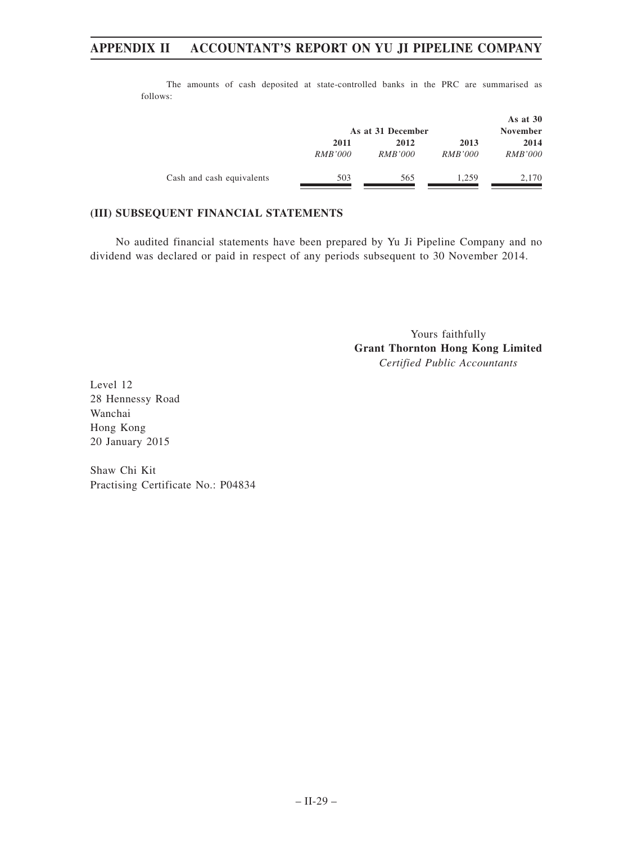|                           |                        | As at 31 December      |                        | As at $30$<br><b>November</b> |
|---------------------------|------------------------|------------------------|------------------------|-------------------------------|
|                           | 2011<br><i>RMB'000</i> | 2012<br><i>RMB'000</i> | 2013<br><i>RMB'000</i> | 2014<br><i>RMB'000</i>        |
| Cash and cash equivalents | 503                    | 565                    | 1.259                  | 2,170                         |

The amounts of cash deposited at state-controlled banks in the PRC are summarised as follows:

# **(III) SUBSEQUENT FINANCIAL STATEMENTS**

No audited financial statements have been prepared by Yu Ji Pipeline Company and no dividend was declared or paid in respect of any periods subsequent to 30 November 2014.

> Yours faithfully **Grant Thornton Hong Kong Limited** *Certified Public Accountants*

Level 12 28 Hennessy Road Wanchai Hong Kong 20 January 2015

Shaw Chi Kit Practising Certificate No.: P04834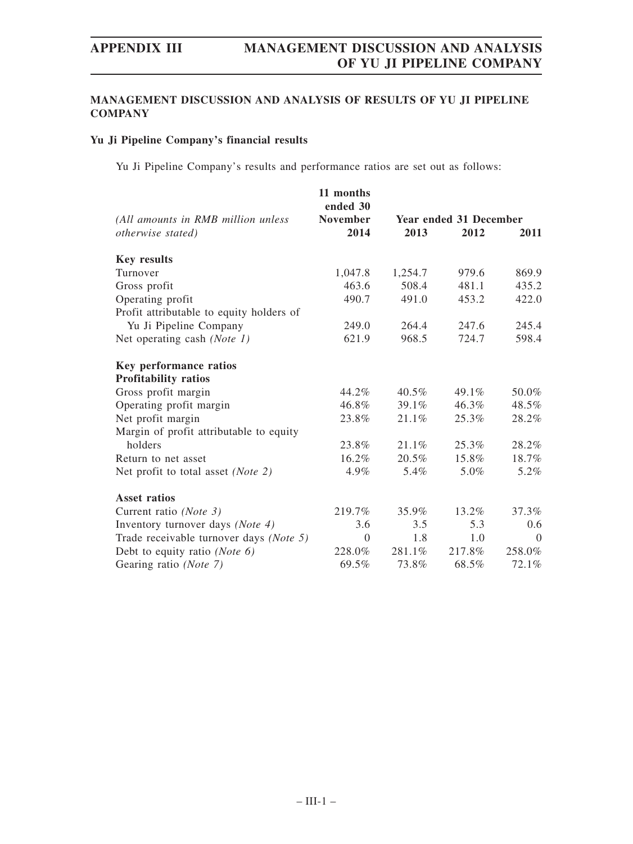# **MANAGEMENT DISCUSSION AND ANALYSIS OF RESULTS OF YU JI PIPELINE COMPANY**

# **Yu Ji Pipeline Company's financial results**

Yu Ji Pipeline Company's results and performance ratios are set out as follows:

|                                          | 11 months<br>ended 30 |                               |          |          |  |
|------------------------------------------|-----------------------|-------------------------------|----------|----------|--|
| (All amounts in RMB million unless       | <b>November</b>       | <b>Year ended 31 December</b> |          |          |  |
| otherwise stated)                        | 2014                  | 2013                          | 2012     | 2011     |  |
| <b>Key results</b>                       |                       |                               |          |          |  |
| Turnover                                 | 1,047.8               | 1,254.7                       | 979.6    | 869.9    |  |
| Gross profit                             | 463.6                 | 508.4                         | 481.1    | 435.2    |  |
| Operating profit                         | 490.7                 | 491.0                         | 453.2    | 422.0    |  |
| Profit attributable to equity holders of |                       |                               |          |          |  |
| Yu Ji Pipeline Company                   | 249.0                 | 264.4                         | 247.6    | 245.4    |  |
| Net operating cash (Note 1)              | 621.9                 | 968.5                         | 724.7    | 598.4    |  |
| <b>Key performance ratios</b>            |                       |                               |          |          |  |
| <b>Profitability ratios</b>              |                       |                               |          |          |  |
| Gross profit margin                      | 44.2%                 | 40.5%                         | 49.1%    | 50.0%    |  |
| Operating profit margin                  | 46.8%                 | 39.1%                         | $46.3\%$ | 48.5%    |  |
| Net profit margin                        | 23.8%                 | 21.1%                         | 25.3%    | 28.2%    |  |
| Margin of profit attributable to equity  |                       |                               |          |          |  |
| holders                                  | 23.8%                 | 21.1%                         | 25.3%    | 28.2%    |  |
| Return to net asset                      | 16.2%                 | 20.5%                         | 15.8%    | 18.7%    |  |
| Net profit to total asset (Note 2)       | 4.9%                  | 5.4%                          | 5.0%     | 5.2%     |  |
| <b>Asset ratios</b>                      |                       |                               |          |          |  |
| Current ratio (Note 3)                   | 219.7%                | 35.9%                         | 13.2%    | 37.3%    |  |
| Inventory turnover days (Note 4)         | 3.6                   | 3.5                           | 5.3      | 0.6      |  |
| Trade receivable turnover days (Note 5)  | $\theta$              | 1.8                           | 1.0      | $\Omega$ |  |
| Debt to equity ratio ( <i>Note 6</i> )   | 228.0%                | 281.1%                        | 217.8%   | 258.0%   |  |
| Gearing ratio (Note 7)                   | 69.5%                 | 73.8%                         | 68.5%    | 72.1%    |  |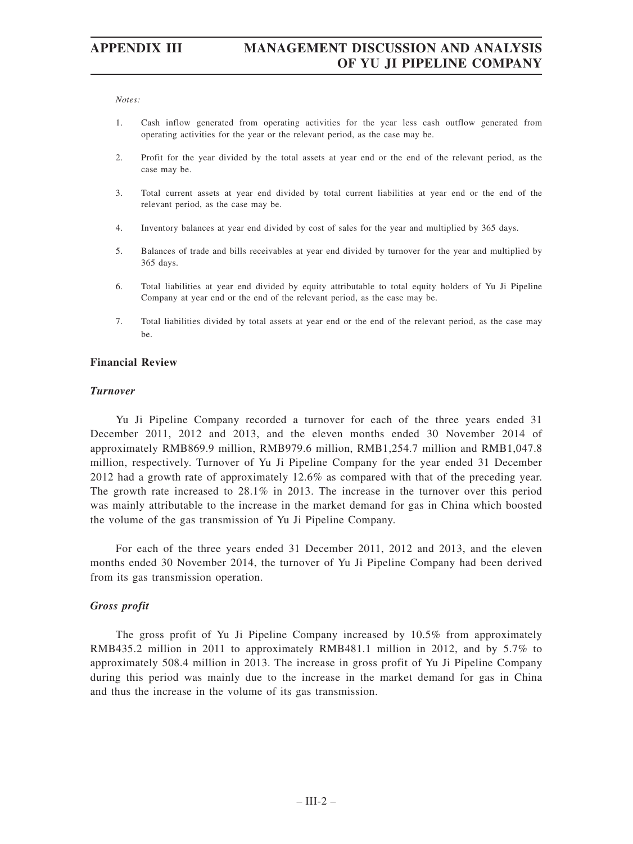#### *Notes:*

- 1. Cash inflow generated from operating activities for the year less cash outflow generated from operating activities for the year or the relevant period, as the case may be.
- 2. Profit for the year divided by the total assets at year end or the end of the relevant period, as the case may be.
- 3. Total current assets at year end divided by total current liabilities at year end or the end of the relevant period, as the case may be.
- 4. Inventory balances at year end divided by cost of sales for the year and multiplied by 365 days.
- 5. Balances of trade and bills receivables at year end divided by turnover for the year and multiplied by 365 days.
- 6. Total liabilities at year end divided by equity attributable to total equity holders of Yu Ji Pipeline Company at year end or the end of the relevant period, as the case may be.
- 7. Total liabilities divided by total assets at year end or the end of the relevant period, as the case may be.

### **Financial Review**

### *Turnover*

Yu Ji Pipeline Company recorded a turnover for each of the three years ended 31 December 2011, 2012 and 2013, and the eleven months ended 30 November 2014 of approximately RMB869.9 million, RMB979.6 million, RMB1,254.7 million and RMB1,047.8 million, respectively. Turnover of Yu Ji Pipeline Company for the year ended 31 December 2012 had a growth rate of approximately 12.6% as compared with that of the preceding year. The growth rate increased to 28.1% in 2013. The increase in the turnover over this period was mainly attributable to the increase in the market demand for gas in China which boosted the volume of the gas transmission of Yu Ji Pipeline Company.

For each of the three years ended 31 December 2011, 2012 and 2013, and the eleven months ended 30 November 2014, the turnover of Yu Ji Pipeline Company had been derived from its gas transmission operation.

# *Gross profit*

The gross profit of Yu Ji Pipeline Company increased by 10.5% from approximately RMB435.2 million in 2011 to approximately RMB481.1 million in 2012, and by 5.7% to approximately 508.4 million in 2013. The increase in gross profit of Yu Ji Pipeline Company during this period was mainly due to the increase in the market demand for gas in China and thus the increase in the volume of its gas transmission.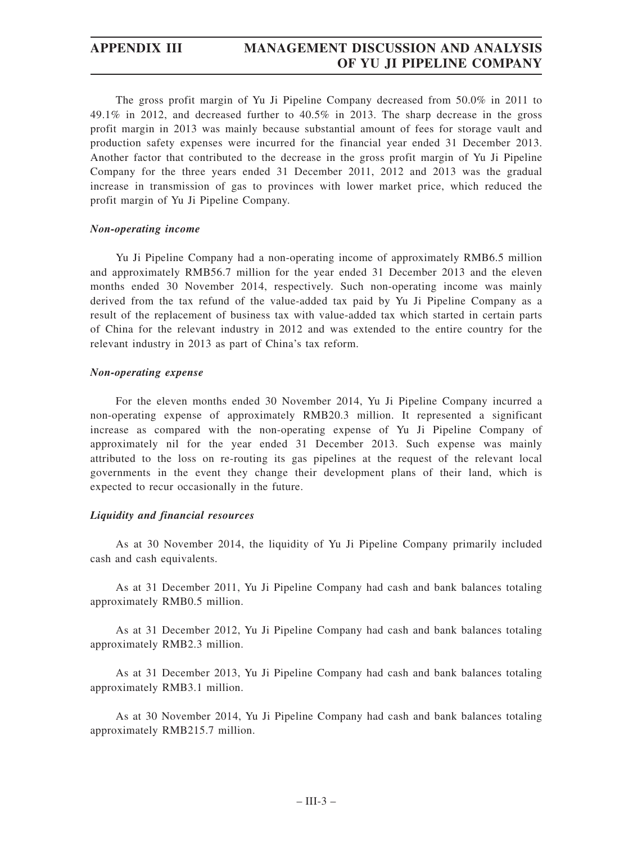# **APPENDIX III MANAGEMENT DISCUSSION AND ANALYSIS OF YU JI PIPELINE COMPANY**

The gross profit margin of Yu Ji Pipeline Company decreased from 50.0% in 2011 to 49.1% in 2012, and decreased further to 40.5% in 2013. The sharp decrease in the gross profit margin in 2013 was mainly because substantial amount of fees for storage vault and production safety expenses were incurred for the financial year ended 31 December 2013. Another factor that contributed to the decrease in the gross profit margin of Yu Ji Pipeline Company for the three years ended 31 December 2011, 2012 and 2013 was the gradual increase in transmission of gas to provinces with lower market price, which reduced the profit margin of Yu Ji Pipeline Company.

# *Non-operating income*

Yu Ji Pipeline Company had a non-operating income of approximately RMB6.5 million and approximately RMB56.7 million for the year ended 31 December 2013 and the eleven months ended 30 November 2014, respectively. Such non-operating income was mainly derived from the tax refund of the value-added tax paid by Yu Ji Pipeline Company as a result of the replacement of business tax with value-added tax which started in certain parts of China for the relevant industry in 2012 and was extended to the entire country for the relevant industry in 2013 as part of China's tax reform.

# *Non-operating expense*

For the eleven months ended 30 November 2014, Yu Ji Pipeline Company incurred a non-operating expense of approximately RMB20.3 million. It represented a significant increase as compared with the non-operating expense of Yu Ji Pipeline Company of approximately nil for the year ended 31 December 2013. Such expense was mainly attributed to the loss on re-routing its gas pipelines at the request of the relevant local governments in the event they change their development plans of their land, which is expected to recur occasionally in the future.

# *Liquidity and financial resources*

As at 30 November 2014, the liquidity of Yu Ji Pipeline Company primarily included cash and cash equivalents.

As at 31 December 2011, Yu Ji Pipeline Company had cash and bank balances totaling approximately RMB0.5 million.

As at 31 December 2012, Yu Ji Pipeline Company had cash and bank balances totaling approximately RMB2.3 million.

As at 31 December 2013, Yu Ji Pipeline Company had cash and bank balances totaling approximately RMB3.1 million.

As at 30 November 2014, Yu Ji Pipeline Company had cash and bank balances totaling approximately RMB215.7 million.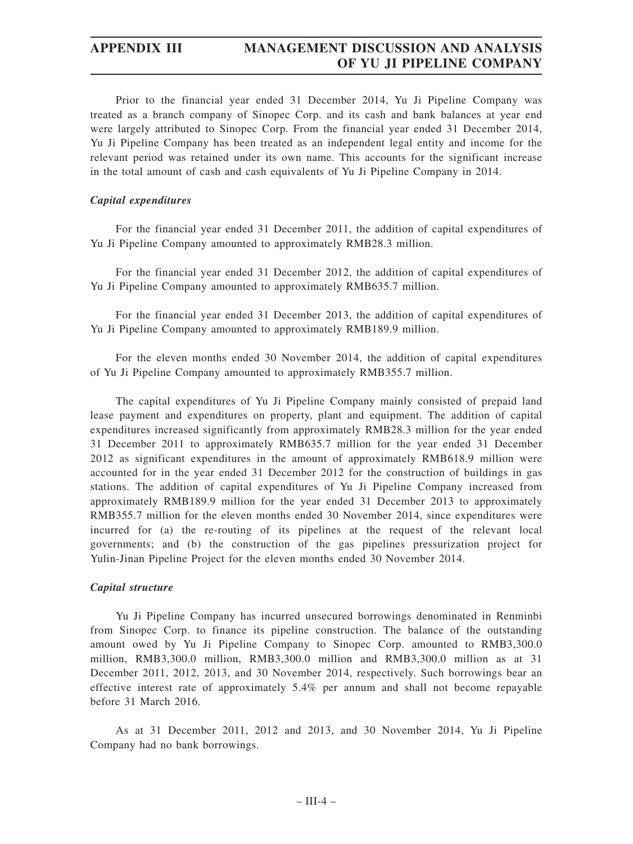# **APPENDIX III MANAGEMENT DISCUSSION AND ANALYSIS OF YU JI PIPELINE COMPANY**

Prior to the financial year ended 31 December 2014, Yu Ji Pipeline Company was treated as a branch company of Sinopec Corp. and its cash and bank balances at year end were largely attributed to Sinopec Corp. From the financial year ended 31 December 2014, Yu Ji Pipeline Company has been treated as an independent legal entity and income for the relevant period was retained under its own name. This accounts for the significant increase in the total amount of cash and cash equivalents of Yu Ji Pipeline Company in 2014.

# *Capital expenditures*

For the financial year ended 31 December 2011, the addition of capital expenditures of Yu Ji Pipeline Company amounted to approximately RMB28.3 million.

For the financial year ended 31 December 2012, the addition of capital expenditures of Yu Ji Pipeline Company amounted to approximately RMB635.7 million.

For the financial year ended 31 December 2013, the addition of capital expenditures of Yu Ji Pipeline Company amounted to approximately RMB189.9 million.

For the eleven months ended 30 November 2014, the addition of capital expenditures of Yu Ji Pipeline Company amounted to approximately RMB355.7 million.

The capital expenditures of Yu Ji Pipeline Company mainly consisted of prepaid land lease payment and expenditures on property, plant and equipment. The addition of capital expenditures increased significantly from approximately RMB28.3 million for the year ended 31 December 2011 to approximately RMB635.7 million for the year ended 31 December 2012 as significant expenditures in the amount of approximately RMB618.9 million were accounted for in the year ended 31 December 2012 for the construction of buildings in gas stations. The addition of capital expenditures of Yu Ji Pipeline Company increased from approximately RMB189.9 million for the year ended 31 December 2013 to approximately RMB355.7 million for the eleven months ended 30 November 2014, since expenditures were incurred for (a) the re-routing of its pipelines at the request of the relevant local governments; and (b) the construction of the gas pipelines pressurization project for Yulin-Jinan Pipeline Project for the eleven months ended 30 November 2014.

# *Capital structure*

Yu Ji Pipeline Company has incurred unsecured borrowings denominated in Renminbi from Sinopec Corp. to finance its pipeline construction. The balance of the outstanding amount owed by Yu Ji Pipeline Company to Sinopec Corp. amounted to RMB3,300.0 million, RMB3,300.0 million, RMB3,300.0 million and RMB3,300.0 million as at 31 December 2011, 2012, 2013, and 30 November 2014, respectively. Such borrowings bear an effective interest rate of approximately 5.4% per annum and shall not become repayable before 31 March 2016.

As at 31 December 2011, 2012 and 2013, and 30 November 2014, Yu Ji Pipeline Company had no bank borrowings.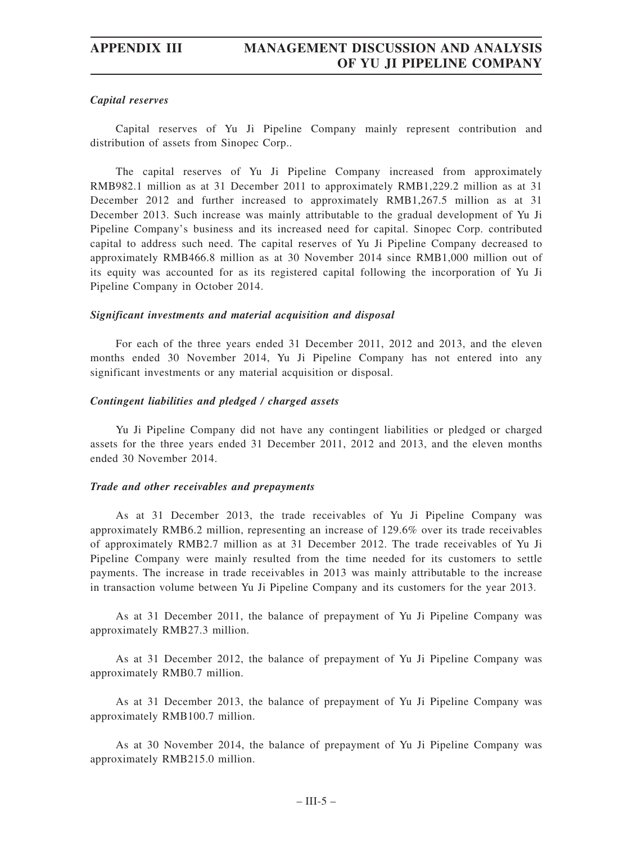# *Capital reserves*

Capital reserves of Yu Ji Pipeline Company mainly represent contribution and distribution of assets from Sinopec Corp..

The capital reserves of Yu Ji Pipeline Company increased from approximately RMB982.1 million as at 31 December 2011 to approximately RMB1,229.2 million as at 31 December 2012 and further increased to approximately RMB1,267.5 million as at 31 December 2013. Such increase was mainly attributable to the gradual development of Yu Ji Pipeline Company's business and its increased need for capital. Sinopec Corp. contributed capital to address such need. The capital reserves of Yu Ji Pipeline Company decreased to approximately RMB466.8 million as at 30 November 2014 since RMB1,000 million out of its equity was accounted for as its registered capital following the incorporation of Yu Ji Pipeline Company in October 2014.

# *Significant investments and material acquisition and disposal*

For each of the three years ended 31 December 2011, 2012 and 2013, and the eleven months ended 30 November 2014, Yu Ji Pipeline Company has not entered into any significant investments or any material acquisition or disposal.

# *Contingent liabilities and pledged / charged assets*

Yu Ji Pipeline Company did not have any contingent liabilities or pledged or charged assets for the three years ended 31 December 2011, 2012 and 2013, and the eleven months ended 30 November 2014.

# *Trade and other receivables and prepayments*

As at 31 December 2013, the trade receivables of Yu Ji Pipeline Company was approximately RMB6.2 million, representing an increase of 129.6% over its trade receivables of approximately RMB2.7 million as at 31 December 2012. The trade receivables of Yu Ji Pipeline Company were mainly resulted from the time needed for its customers to settle payments. The increase in trade receivables in 2013 was mainly attributable to the increase in transaction volume between Yu Ji Pipeline Company and its customers for the year 2013.

As at 31 December 2011, the balance of prepayment of Yu Ji Pipeline Company was approximately RMB27.3 million.

As at 31 December 2012, the balance of prepayment of Yu Ji Pipeline Company was approximately RMB0.7 million.

As at 31 December 2013, the balance of prepayment of Yu Ji Pipeline Company was approximately RMB100.7 million.

As at 30 November 2014, the balance of prepayment of Yu Ji Pipeline Company was approximately RMB215.0 million.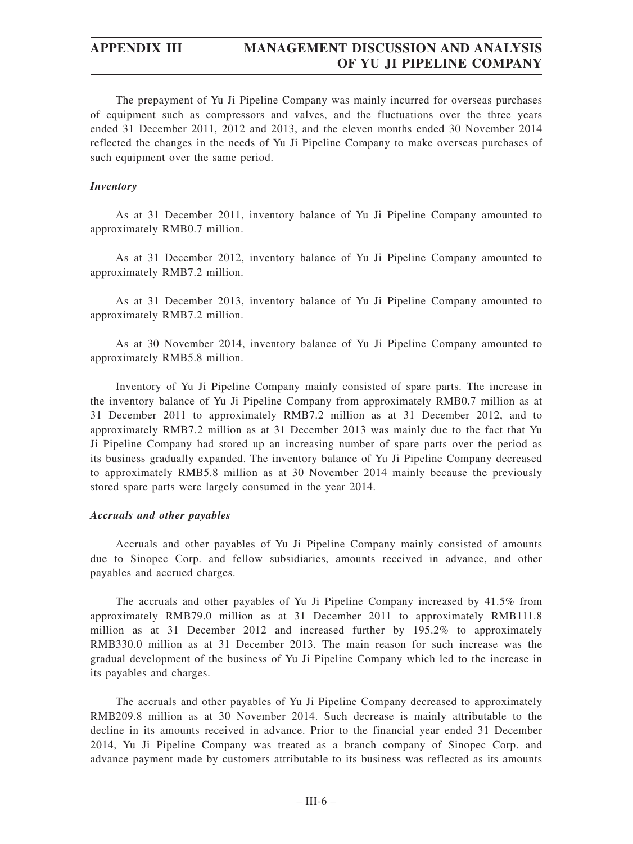# **APPENDIX III MANAGEMENT DISCUSSION AND ANALYSIS OF YU JI PIPELINE COMPANY**

The prepayment of Yu Ji Pipeline Company was mainly incurred for overseas purchases of equipment such as compressors and valves, and the fluctuations over the three years ended 31 December 2011, 2012 and 2013, and the eleven months ended 30 November 2014 reflected the changes in the needs of Yu Ji Pipeline Company to make overseas purchases of such equipment over the same period.

# *Inventory*

As at 31 December 2011, inventory balance of Yu Ji Pipeline Company amounted to approximately RMB0.7 million.

As at 31 December 2012, inventory balance of Yu Ji Pipeline Company amounted to approximately RMB7.2 million.

As at 31 December 2013, inventory balance of Yu Ji Pipeline Company amounted to approximately RMB7.2 million.

As at 30 November 2014, inventory balance of Yu Ji Pipeline Company amounted to approximately RMB5.8 million.

Inventory of Yu Ji Pipeline Company mainly consisted of spare parts. The increase in the inventory balance of Yu Ji Pipeline Company from approximately RMB0.7 million as at 31 December 2011 to approximately RMB7.2 million as at 31 December 2012, and to approximately RMB7.2 million as at 31 December 2013 was mainly due to the fact that Yu Ji Pipeline Company had stored up an increasing number of spare parts over the period as its business gradually expanded. The inventory balance of Yu Ji Pipeline Company decreased to approximately RMB5.8 million as at 30 November 2014 mainly because the previously stored spare parts were largely consumed in the year 2014.

# *Accruals and other payables*

Accruals and other payables of Yu Ji Pipeline Company mainly consisted of amounts due to Sinopec Corp. and fellow subsidiaries, amounts received in advance, and other payables and accrued charges.

The accruals and other payables of Yu Ji Pipeline Company increased by 41.5% from approximately RMB79.0 million as at 31 December 2011 to approximately RMB111.8 million as at 31 December 2012 and increased further by 195.2% to approximately RMB330.0 million as at 31 December 2013. The main reason for such increase was the gradual development of the business of Yu Ji Pipeline Company which led to the increase in its payables and charges.

The accruals and other payables of Yu Ji Pipeline Company decreased to approximately RMB209.8 million as at 30 November 2014. Such decrease is mainly attributable to the decline in its amounts received in advance. Prior to the financial year ended 31 December 2014, Yu Ji Pipeline Company was treated as a branch company of Sinopec Corp. and advance payment made by customers attributable to its business was reflected as its amounts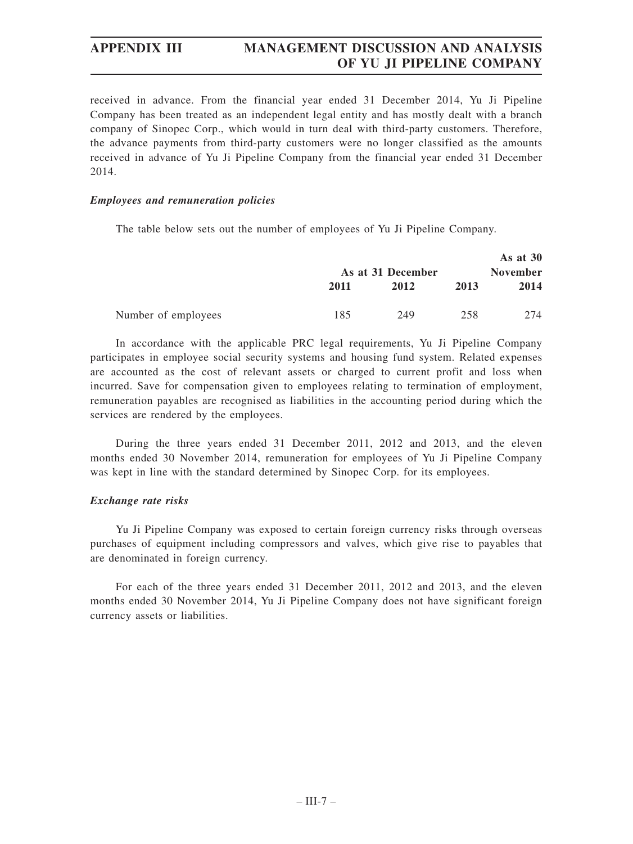received in advance. From the financial year ended 31 December 2014, Yu Ji Pipeline Company has been treated as an independent legal entity and has mostly dealt with a branch company of Sinopec Corp., which would in turn deal with third-party customers. Therefore, the advance payments from third-party customers were no longer classified as the amounts received in advance of Yu Ji Pipeline Company from the financial year ended 31 December 2014.

# *Employees and remuneration policies*

The table below sets out the number of employees of Yu Ji Pipeline Company.

|                     |      |                           |      | As at $30$              |
|---------------------|------|---------------------------|------|-------------------------|
|                     | 2011 | As at 31 December<br>2012 | 2013 | <b>November</b><br>2014 |
| Number of employees | 185  | 249                       | 258  | 274                     |

In accordance with the applicable PRC legal requirements, Yu Ji Pipeline Company participates in employee social security systems and housing fund system. Related expenses are accounted as the cost of relevant assets or charged to current profit and loss when incurred. Save for compensation given to employees relating to termination of employment, remuneration payables are recognised as liabilities in the accounting period during which the services are rendered by the employees.

During the three years ended 31 December 2011, 2012 and 2013, and the eleven months ended 30 November 2014, remuneration for employees of Yu Ji Pipeline Company was kept in line with the standard determined by Sinopec Corp. for its employees.

# *Exchange rate risks*

Yu Ji Pipeline Company was exposed to certain foreign currency risks through overseas purchases of equipment including compressors and valves, which give rise to payables that are denominated in foreign currency.

For each of the three years ended 31 December 2011, 2012 and 2013, and the eleven months ended 30 November 2014, Yu Ji Pipeline Company does not have significant foreign currency assets or liabilities.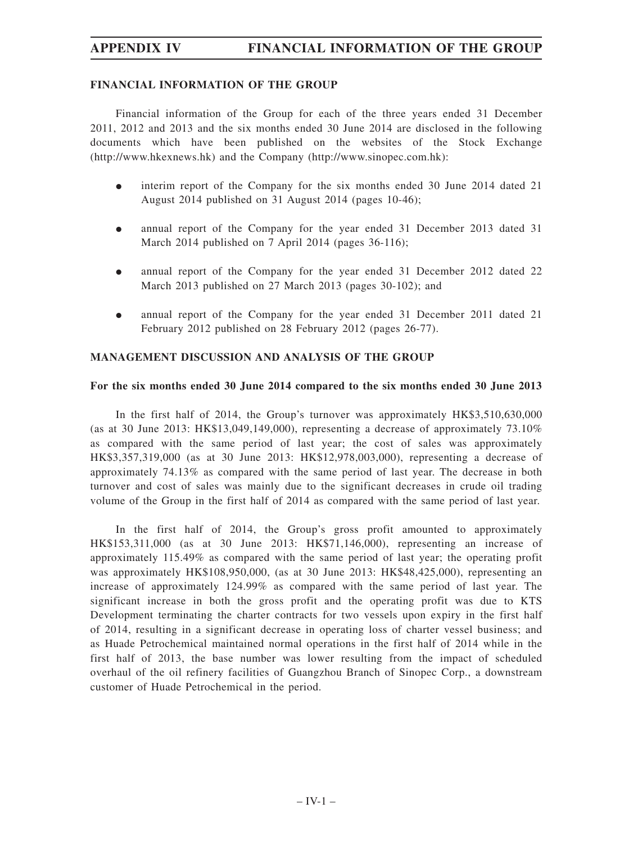# **APPENDIX IV FINANCIAL INFORMATION OF THE GROUP**

# **FINANCIAL INFORMATION OF THE GROUP**

Financial information of the Group for each of the three years ended 31 December 2011, 2012 and 2013 and the six months ended 30 June 2014 are disclosed in the following documents which have been published on the websites of the Stock Exchange (http://www.hkexnews.hk) and the Company (http://www.sinopec.com.hk):

- $\bullet$  interim report of the Company for the six months ended 30 June 2014 dated 21 August 2014 published on 31 August 2014 (pages 10-46);
- $\bullet$  annual report of the Company for the year ended 31 December 2013 dated 31 March 2014 published on 7 April 2014 (pages 36-116);
- $\bullet$  annual report of the Company for the year ended 31 December 2012 dated 22 March 2013 published on 27 March 2013 (pages 30-102); and
- $\bullet$  annual report of the Company for the year ended 31 December 2011 dated 21 February 2012 published on 28 February 2012 (pages 26-77).

# **MANAGEMENT DISCUSSION AND ANALYSIS OF THE GROUP**

# **For the six months ended 30 June 2014 compared to the six months ended 30 June 2013**

In the first half of 2014, the Group's turnover was approximately HK\$3,510,630,000 (as at 30 June 2013: HK\$13,049,149,000), representing a decrease of approximately  $73.10\%$ as compared with the same period of last year; the cost of sales was approximately HK\$3,357,319,000 (as at 30 June 2013: HK\$12,978,003,000), representing a decrease of approximately 74.13% as compared with the same period of last year. The decrease in both turnover and cost of sales was mainly due to the significant decreases in crude oil trading volume of the Group in the first half of 2014 as compared with the same period of last year.

In the first half of 2014, the Group's gross profit amounted to approximately HK\$153,311,000 (as at 30 June 2013: HK\$71,146,000), representing an increase of approximately 115.49% as compared with the same period of last year; the operating profit was approximately HK\$108,950,000, (as at 30 June 2013: HK\$48,425,000), representing an increase of approximately 124.99% as compared with the same period of last year. The significant increase in both the gross profit and the operating profit was due to KTS Development terminating the charter contracts for two vessels upon expiry in the first half of 2014, resulting in a significant decrease in operating loss of charter vessel business; and as Huade Petrochemical maintained normal operations in the first half of 2014 while in the first half of 2013, the base number was lower resulting from the impact of scheduled overhaul of the oil refinery facilities of Guangzhou Branch of Sinopec Corp., a downstream customer of Huade Petrochemical in the period.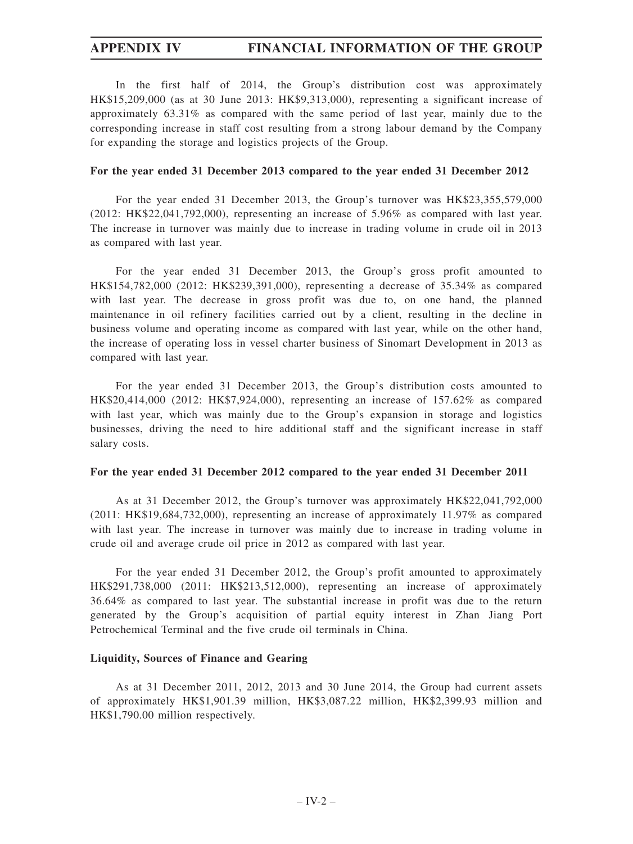In the first half of 2014, the Group's distribution cost was approximately HK\$15,209,000 (as at 30 June 2013: HK\$9,313,000), representing a significant increase of approximately 63.31% as compared with the same period of last year, mainly due to the corresponding increase in staff cost resulting from a strong labour demand by the Company for expanding the storage and logistics projects of the Group.

#### **For the year ended 31 December 2013 compared to the year ended 31 December 2012**

For the year ended 31 December 2013, the Group's turnover was HK\$23,355,579,000 (2012: HK\$22,041,792,000), representing an increase of 5.96% as compared with last year. The increase in turnover was mainly due to increase in trading volume in crude oil in 2013 as compared with last year.

For the year ended 31 December 2013, the Group's gross profit amounted to HK\$154,782,000 (2012: HK\$239,391,000), representing a decrease of 35.34% as compared with last year. The decrease in gross profit was due to, on one hand, the planned maintenance in oil refinery facilities carried out by a client, resulting in the decline in business volume and operating income as compared with last year, while on the other hand, the increase of operating loss in vessel charter business of Sinomart Development in 2013 as compared with last year.

For the year ended 31 December 2013, the Group's distribution costs amounted to HK\$20,414,000 (2012: HK\$7,924,000), representing an increase of 157.62% as compared with last year, which was mainly due to the Group's expansion in storage and logistics businesses, driving the need to hire additional staff and the significant increase in staff salary costs.

#### **For the year ended 31 December 2012 compared to the year ended 31 December 2011**

As at 31 December 2012, the Group's turnover was approximately HK\$22,041,792,000 (2011: HK\$19,684,732,000), representing an increase of approximately 11.97% as compared with last year. The increase in turnover was mainly due to increase in trading volume in crude oil and average crude oil price in 2012 as compared with last year.

For the year ended 31 December 2012, the Group's profit amounted to approximately HK\$291,738,000 (2011: HK\$213,512,000), representing an increase of approximately 36.64% as compared to last year. The substantial increase in profit was due to the return generated by the Group's acquisition of partial equity interest in Zhan Jiang Port Petrochemical Terminal and the five crude oil terminals in China.

#### **Liquidity, Sources of Finance and Gearing**

As at 31 December 2011, 2012, 2013 and 30 June 2014, the Group had current assets of approximately HK\$1,901.39 million, HK\$3,087.22 million, HK\$2,399.93 million and HK\$1,790.00 million respectively.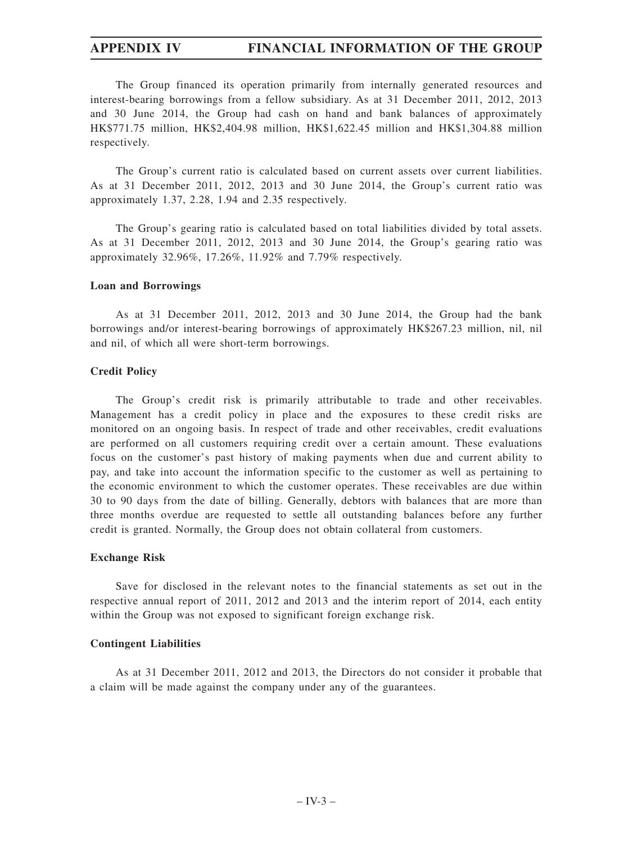The Group financed its operation primarily from internally generated resources and interest-bearing borrowings from a fellow subsidiary. As at 31 December 2011, 2012, 2013 and 30 June 2014, the Group had cash on hand and bank balances of approximately HK\$771.75 million, HK\$2,404.98 million, HK\$1,622.45 million and HK\$1,304.88 million respectively.

The Group's current ratio is calculated based on current assets over current liabilities. As at 31 December 2011, 2012, 2013 and 30 June 2014, the Group's current ratio was approximately 1.37, 2.28, 1.94 and 2.35 respectively.

The Group's gearing ratio is calculated based on total liabilities divided by total assets. As at 31 December 2011, 2012, 2013 and 30 June 2014, the Group's gearing ratio was approximately 32.96%, 17.26%, 11.92% and 7.79% respectively.

#### **Loan and Borrowings**

As at 31 December 2011, 2012, 2013 and 30 June 2014, the Group had the bank borrowings and/or interest-bearing borrowings of approximately HK\$267.23 million, nil, nil and nil, of which all were short-term borrowings.

#### **Credit Policy**

The Group's credit risk is primarily attributable to trade and other receivables. Management has a credit policy in place and the exposures to these credit risks are monitored on an ongoing basis. In respect of trade and other receivables, credit evaluations are performed on all customers requiring credit over a certain amount. These evaluations focus on the customer's past history of making payments when due and current ability to pay, and take into account the information specific to the customer as well as pertaining to the economic environment to which the customer operates. These receivables are due within 30 to 90 days from the date of billing. Generally, debtors with balances that are more than three months overdue are requested to settle all outstanding balances before any further credit is granted. Normally, the Group does not obtain collateral from customers.

#### **Exchange Risk**

Save for disclosed in the relevant notes to the financial statements as set out in the respective annual report of 2011, 2012 and 2013 and the interim report of 2014, each entity within the Group was not exposed to significant foreign exchange risk.

#### **Contingent Liabilities**

As at 31 December 2011, 2012 and 2013, the Directors do not consider it probable that a claim will be made against the company under any of the guarantees.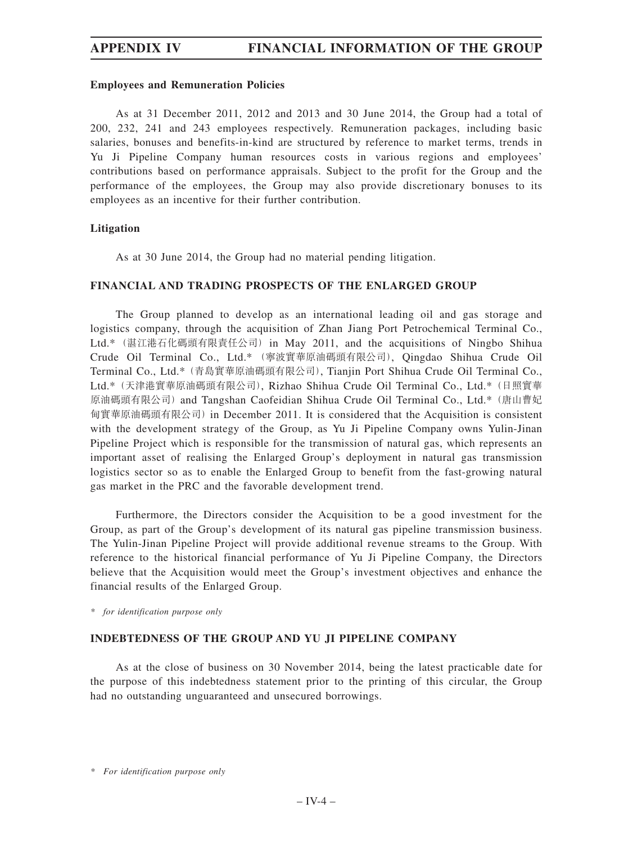#### **Employees and Remuneration Policies**

As at 31 December 2011, 2012 and 2013 and 30 June 2014, the Group had a total of 200, 232, 241 and 243 employees respectively. Remuneration packages, including basic salaries, bonuses and benefits-in-kind are structured by reference to market terms, trends in Yu Ji Pipeline Company human resources costs in various regions and employees' contributions based on performance appraisals. Subject to the profit for the Group and the performance of the employees, the Group may also provide discretionary bonuses to its employees as an incentive for their further contribution.

#### **Litigation**

As at 30 June 2014, the Group had no material pending litigation.

#### **FINANCIAL AND TRADING PROSPECTS OF THE ENLARGED GROUP**

The Group planned to develop as an international leading oil and gas storage and logistics company, through the acquisition of Zhan Jiang Port Petrochemical Terminal Co., Ltd.\*(湛江港石化碼頭有限責任公司)in May 2011, and the acquisitions of Ningbo Shihua Crude Oil Terminal Co., Ltd.\* (寧波實華原油碼頭有限公司), Qingdao Shihua Crude Oil Terminal Co., Ltd.\*(青島實華原油碼頭有限公司), Tianjin Port Shihua Crude Oil Terminal Co., Ltd.\*(天津港實華原油碼頭有限公司), Rizhao Shihua Crude Oil Terminal Co., Ltd.\*(日照實華 原油碼頭有限公司) and Tangshan Caofeidian Shihua Crude Oil Terminal Co., Ltd.\* (唐山曹妃 甸實華原油碼頭有限公司)in December 2011. It is considered that the Acquisition is consistent with the development strategy of the Group, as Yu Ji Pipeline Company owns Yulin-Jinan Pipeline Project which is responsible for the transmission of natural gas, which represents an important asset of realising the Enlarged Group's deployment in natural gas transmission logistics sector so as to enable the Enlarged Group to benefit from the fast-growing natural gas market in the PRC and the favorable development trend.

Furthermore, the Directors consider the Acquisition to be a good investment for the Group, as part of the Group's development of its natural gas pipeline transmission business. The Yulin-Jinan Pipeline Project will provide additional revenue streams to the Group. With reference to the historical financial performance of Yu Ji Pipeline Company, the Directors believe that the Acquisition would meet the Group's investment objectives and enhance the financial results of the Enlarged Group.

*\* for identification purpose only*

#### **INDEBTEDNESS OF THE GROUP AND YU JI PIPELINE COMPANY**

As at the close of business on 30 November 2014, being the latest practicable date for the purpose of this indebtedness statement prior to the printing of this circular, the Group had no outstanding unguaranteed and unsecured borrowings.

*\* For identification purpose only*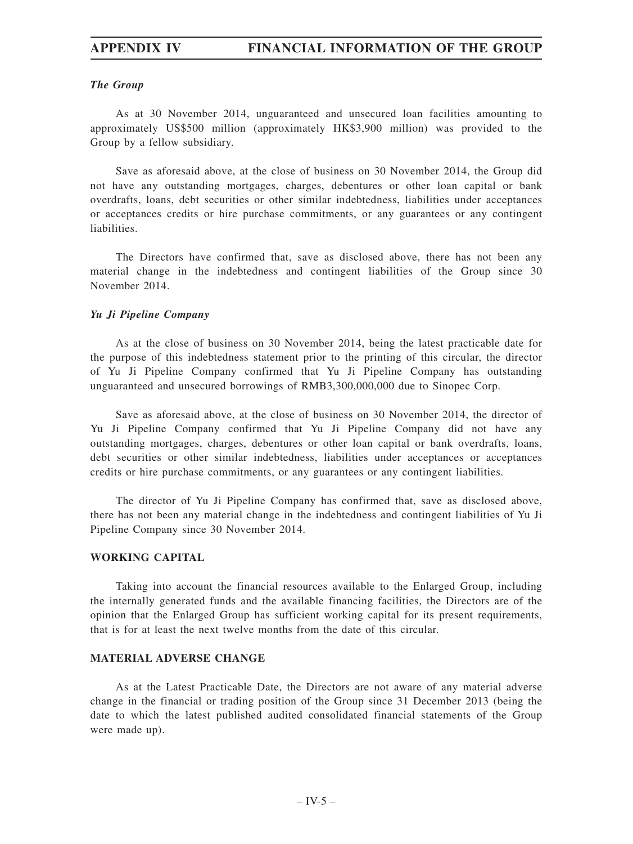#### *The Group*

As at 30 November 2014, unguaranteed and unsecured loan facilities amounting to approximately US\$500 million (approximately HK\$3,900 million) was provided to the Group by a fellow subsidiary.

Save as aforesaid above, at the close of business on 30 November 2014, the Group did not have any outstanding mortgages, charges, debentures or other loan capital or bank overdrafts, loans, debt securities or other similar indebtedness, liabilities under acceptances or acceptances credits or hire purchase commitments, or any guarantees or any contingent liabilities.

The Directors have confirmed that, save as disclosed above, there has not been any material change in the indebtedness and contingent liabilities of the Group since 30 November 2014.

#### *Yu Ji Pipeline Company*

As at the close of business on 30 November 2014, being the latest practicable date for the purpose of this indebtedness statement prior to the printing of this circular, the director of Yu Ji Pipeline Company confirmed that Yu Ji Pipeline Company has outstanding unguaranteed and unsecured borrowings of RMB3,300,000,000 due to Sinopec Corp.

Save as aforesaid above, at the close of business on 30 November 2014, the director of Yu Ji Pipeline Company confirmed that Yu Ji Pipeline Company did not have any outstanding mortgages, charges, debentures or other loan capital or bank overdrafts, loans, debt securities or other similar indebtedness, liabilities under acceptances or acceptances credits or hire purchase commitments, or any guarantees or any contingent liabilities.

The director of Yu Ji Pipeline Company has confirmed that, save as disclosed above, there has not been any material change in the indebtedness and contingent liabilities of Yu Ji Pipeline Company since 30 November 2014.

#### **WORKING CAPITAL**

Taking into account the financial resources available to the Enlarged Group, including the internally generated funds and the available financing facilities, the Directors are of the opinion that the Enlarged Group has sufficient working capital for its present requirements, that is for at least the next twelve months from the date of this circular.

#### **MATERIAL ADVERSE CHANGE**

As at the Latest Practicable Date, the Directors are not aware of any material adverse change in the financial or trading position of the Group since 31 December 2013 (being the date to which the latest published audited consolidated financial statements of the Group were made up).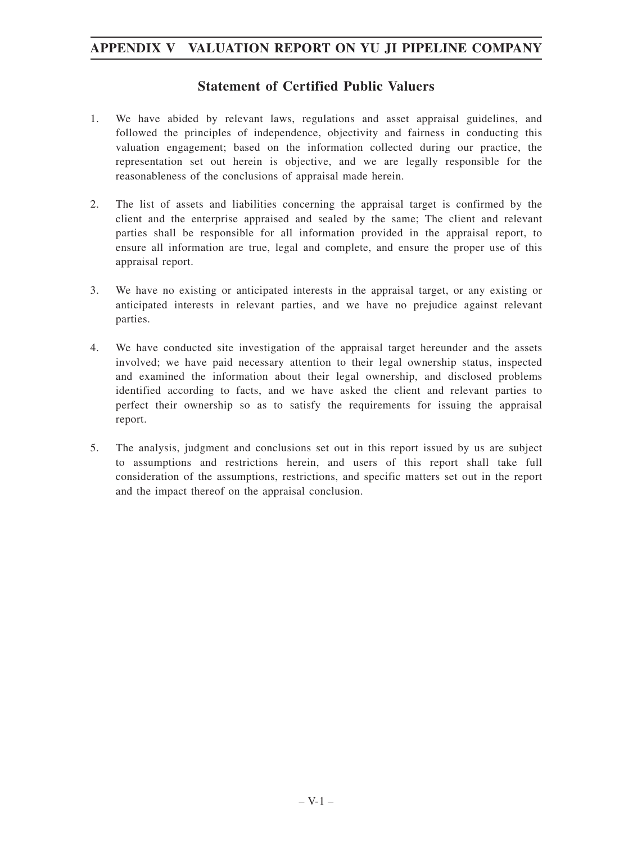## **Statement of Certified Public Valuers**

- 1. We have abided by relevant laws, regulations and asset appraisal guidelines, and followed the principles of independence, objectivity and fairness in conducting this valuation engagement; based on the information collected during our practice, the representation set out herein is objective, and we are legally responsible for the reasonableness of the conclusions of appraisal made herein.
- 2. The list of assets and liabilities concerning the appraisal target is confirmed by the client and the enterprise appraised and sealed by the same; The client and relevant parties shall be responsible for all information provided in the appraisal report, to ensure all information are true, legal and complete, and ensure the proper use of this appraisal report.
- 3. We have no existing or anticipated interests in the appraisal target, or any existing or anticipated interests in relevant parties, and we have no prejudice against relevant parties.
- 4. We have conducted site investigation of the appraisal target hereunder and the assets involved; we have paid necessary attention to their legal ownership status, inspected and examined the information about their legal ownership, and disclosed problems identified according to facts, and we have asked the client and relevant parties to perfect their ownership so as to satisfy the requirements for issuing the appraisal report.
- 5. The analysis, judgment and conclusions set out in this report issued by us are subject to assumptions and restrictions herein, and users of this report shall take full consideration of the assumptions, restrictions, and specific matters set out in the report and the impact thereof on the appraisal conclusion.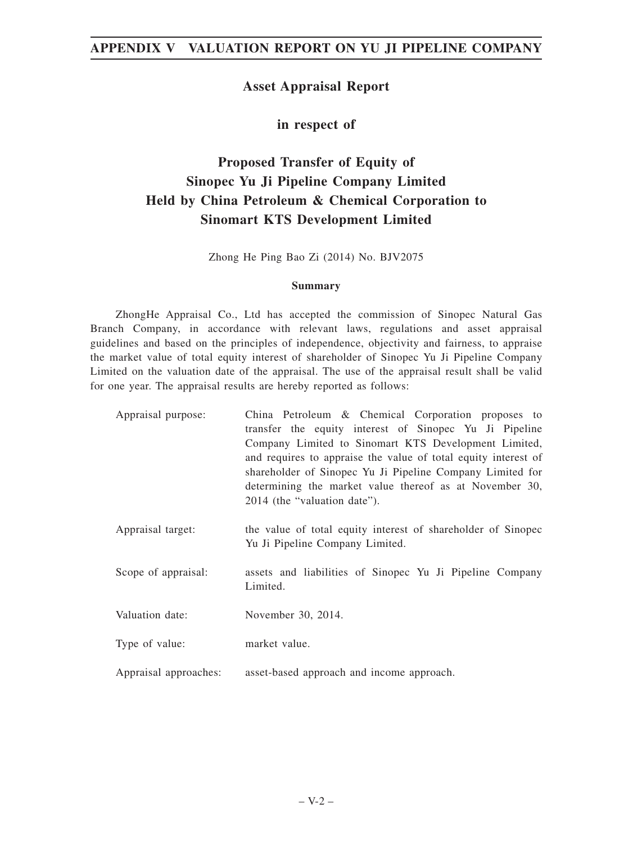## **Asset Appraisal Report**

**in respect of**

# **Proposed Transfer of Equity of Sinopec Yu Ji Pipeline Company Limited Held by China Petroleum & Chemical Corporation to Sinomart KTS Development Limited**

Zhong He Ping Bao Zi (2014) No. BJV2075

#### **Summary**

ZhongHe Appraisal Co., Ltd has accepted the commission of Sinopec Natural Gas Branch Company, in accordance with relevant laws, regulations and asset appraisal guidelines and based on the principles of independence, objectivity and fairness, to appraise the market value of total equity interest of shareholder of Sinopec Yu Ji Pipeline Company Limited on the valuation date of the appraisal. The use of the appraisal result shall be valid for one year. The appraisal results are hereby reported as follows:

| Appraisal purpose:    | China Petroleum & Chemical Corporation proposes to<br>transfer the equity interest of Sinopec Yu Ji Pipeline<br>Company Limited to Sinomart KTS Development Limited,<br>and requires to appraise the value of total equity interest of<br>shareholder of Sinopec Yu Ji Pipeline Company Limited for<br>determining the market value thereof as at November 30,<br>2014 (the "valuation date"). |
|-----------------------|------------------------------------------------------------------------------------------------------------------------------------------------------------------------------------------------------------------------------------------------------------------------------------------------------------------------------------------------------------------------------------------------|
| Appraisal target:     | the value of total equity interest of shareholder of Sinopec<br>Yu Ji Pipeline Company Limited.                                                                                                                                                                                                                                                                                                |
| Scope of appraisal:   | assets and liabilities of Sinopec Yu Ji Pipeline Company<br>Limited.                                                                                                                                                                                                                                                                                                                           |
| Valuation date:       | November 30, 2014.                                                                                                                                                                                                                                                                                                                                                                             |
| Type of value:        | market value.                                                                                                                                                                                                                                                                                                                                                                                  |
| Appraisal approaches: | asset-based approach and income approach.                                                                                                                                                                                                                                                                                                                                                      |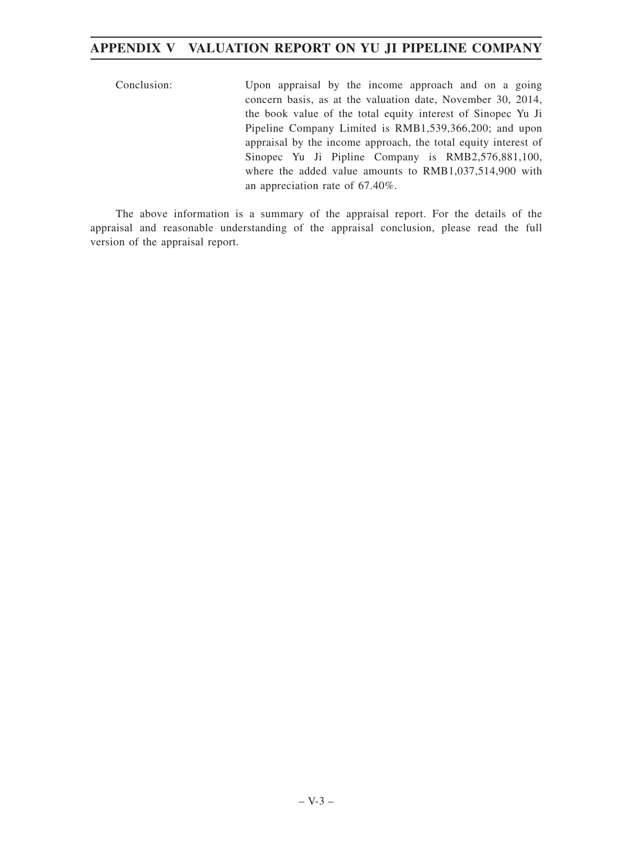Conclusion: Upon appraisal by the income approach and on a going concern basis, as at the valuation date, November 30, 2014, the book value of the total equity interest of Sinopec Yu Ji Pipeline Company Limited is RMB1,539,366,200; and upon appraisal by the income approach, the total equity interest of Sinopec Yu Ji Pipline Company is RMB2,576,881,100, where the added value amounts to RMB1,037,514,900 with an appreciation rate of 67.40%.

The above information is a summary of the appraisal report. For the details of the appraisal and reasonable understanding of the appraisal conclusion, please read the full version of the appraisal report.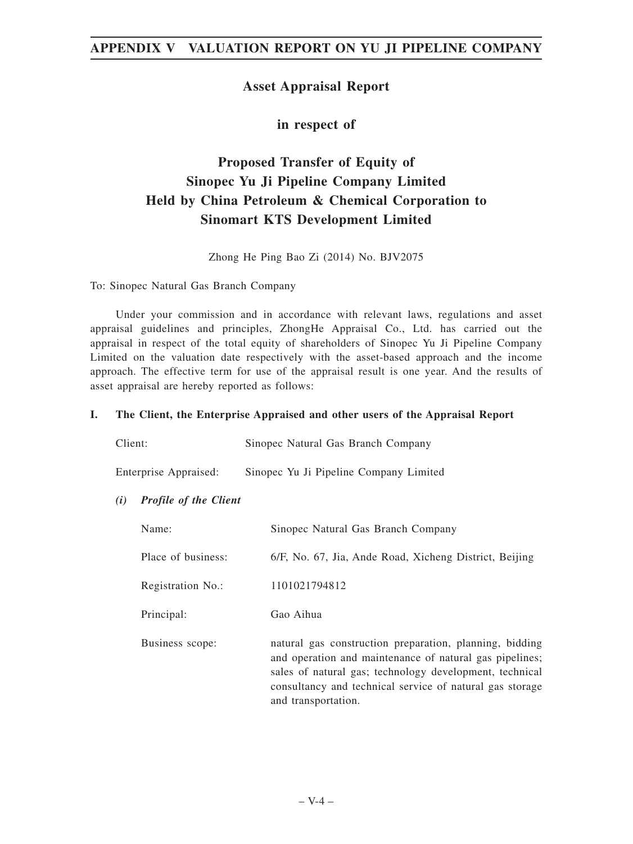## **Asset Appraisal Report**

**in respect of**

# **Proposed Transfer of Equity of Sinopec Yu Ji Pipeline Company Limited Held by China Petroleum & Chemical Corporation to Sinomart KTS Development Limited**

Zhong He Ping Bao Zi (2014) No. BJV2075

To: Sinopec Natural Gas Branch Company

Under your commission and in accordance with relevant laws, regulations and asset appraisal guidelines and principles, ZhongHe Appraisal Co., Ltd. has carried out the appraisal in respect of the total equity of shareholders of Sinopec Yu Ji Pipeline Company Limited on the valuation date respectively with the asset-based approach and the income approach. The effective term for use of the appraisal result is one year. And the results of asset appraisal are hereby reported as follows:

#### **I. The Client, the Enterprise Appraised and other users of the Appraisal Report**

| Client: | Sinopec Natural Gas Branch Company |  |
|---------|------------------------------------|--|
|         |                                    |  |

Enterprise Appraised: Sinopec Yu Ji Pipeline Company Limited

*(i) Profile of the Client*

| Name:              | Sinopec Natural Gas Branch Company                                                                                                                                                                                                                               |
|--------------------|------------------------------------------------------------------------------------------------------------------------------------------------------------------------------------------------------------------------------------------------------------------|
| Place of business: | 6/F, No. 67, Jia, Ande Road, Xicheng District, Beijing                                                                                                                                                                                                           |
| Registration No.:  | 1101021794812                                                                                                                                                                                                                                                    |
| Principal:         | Gao Aihua                                                                                                                                                                                                                                                        |
| Business scope:    | natural gas construction preparation, planning, bidding<br>and operation and maintenance of natural gas pipelines;<br>sales of natural gas; technology development, technical<br>consultancy and technical service of natural gas storage<br>and transportation. |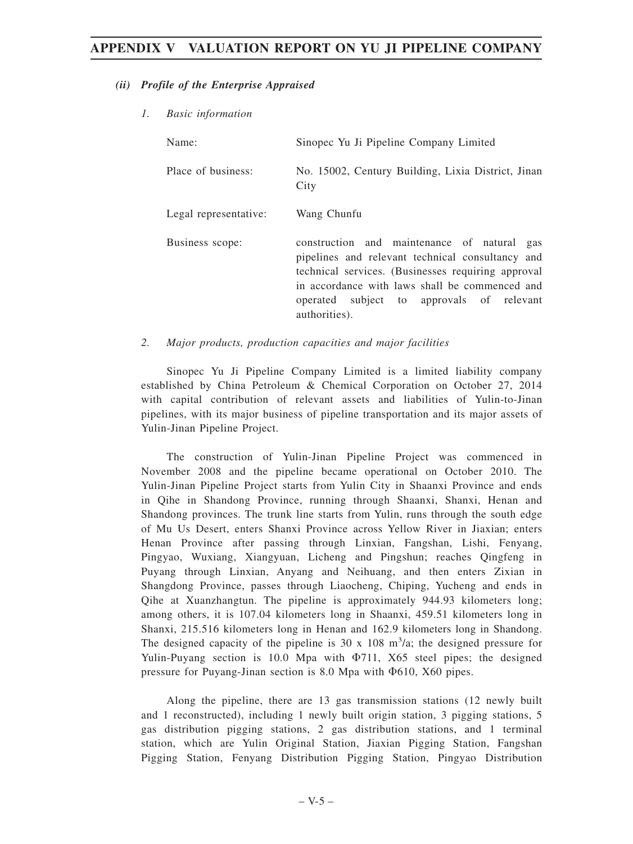#### *(ii) Profile of the Enterprise Appraised*

*1. Basic information*

| Name:                 | Sinopec Yu Ji Pipeline Company Limited                                                                                                                                                                                                                                |  |  |  |
|-----------------------|-----------------------------------------------------------------------------------------------------------------------------------------------------------------------------------------------------------------------------------------------------------------------|--|--|--|
| Place of business:    | No. 15002, Century Building, Lixia District, Jinan<br>City                                                                                                                                                                                                            |  |  |  |
| Legal representative: | Wang Chunfu                                                                                                                                                                                                                                                           |  |  |  |
| Business scope:       | construction and maintenance of natural gas<br>pipelines and relevant technical consultancy and<br>technical services. (Businesses requiring approval<br>in accordance with laws shall be commenced and<br>operated subject to approvals of relevant<br>authorities). |  |  |  |

*2. Major products, production capacities and major facilities*

Sinopec Yu Ji Pipeline Company Limited is a limited liability company established by China Petroleum & Chemical Corporation on October 27, 2014 with capital contribution of relevant assets and liabilities of Yulin-to-Jinan pipelines, with its major business of pipeline transportation and its major assets of Yulin-Jinan Pipeline Project.

The construction of Yulin-Jinan Pipeline Project was commenced in November 2008 and the pipeline became operational on October 2010. The Yulin-Jinan Pipeline Project starts from Yulin City in Shaanxi Province and ends in Qihe in Shandong Province, running through Shaanxi, Shanxi, Henan and Shandong provinces. The trunk line starts from Yulin, runs through the south edge of Mu Us Desert, enters Shanxi Province across Yellow River in Jiaxian; enters Henan Province after passing through Linxian, Fangshan, Lishi, Fenyang, Pingyao, Wuxiang, Xiangyuan, Licheng and Pingshun; reaches Qingfeng in Puyang through Linxian, Anyang and Neihuang, and then enters Zixian in Shangdong Province, passes through Liaocheng, Chiping, Yucheng and ends in Qihe at Xuanzhangtun. The pipeline is approximately 944.93 kilometers long; among others, it is 107.04 kilometers long in Shaanxi, 459.51 kilometers long in Shanxi, 215.516 kilometers long in Henan and 162.9 kilometers long in Shandong. The designed capacity of the pipeline is 30 x 108  $m^3/a$ ; the designed pressure for Yulin-Puyang section is 10.0 Mpa with  $\Phi$ 711, X65 steel pipes; the designed pressure for Puyang-Jinan section is  $8.0$  Mpa with  $\Phi$ 610, X60 pipes.

Along the pipeline, there are 13 gas transmission stations (12 newly built and 1 reconstructed), including 1 newly built origin station, 3 pigging stations, 5 gas distribution pigging stations, 2 gas distribution stations, and 1 terminal station, which are Yulin Original Station, Jiaxian Pigging Station, Fangshan Pigging Station, Fenyang Distribution Pigging Station, Pingyao Distribution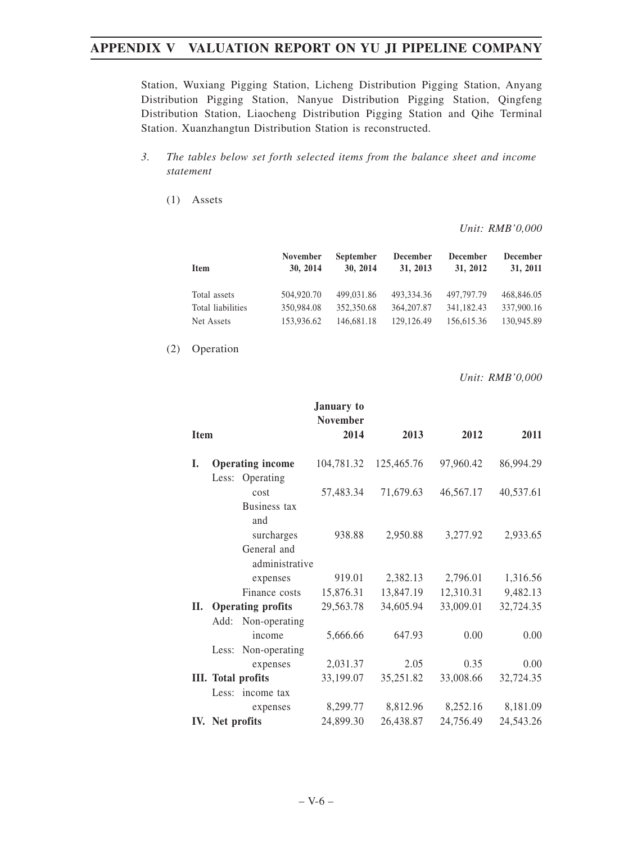Station, Wuxiang Pigging Station, Licheng Distribution Pigging Station, Anyang Distribution Pigging Station, Nanyue Distribution Pigging Station, Qingfeng Distribution Station, Liaocheng Distribution Pigging Station and Qihe Terminal Station. Xuanzhangtun Distribution Station is reconstructed.

- *3. The tables below set forth selected items from the balance sheet and income statement*
	- (1) Assets

*Unit: RMB'0,000*

| Item              | <b>November</b><br>30. 2014 | <b>September</b><br>30, 2014 | <b>December</b><br>31, 2013 | <b>December</b><br>31, 2012 | <b>December</b><br>31, 2011 |
|-------------------|-----------------------------|------------------------------|-----------------------------|-----------------------------|-----------------------------|
| Total assets      | 504,920.70                  | 499,031.86                   | 493,334.36                  | 497,797.79                  | 468,846.05                  |
| Total liabilities | 350,984.08                  | 352,350.68                   | 364, 207.87                 | 341,182.43                  | 337,900.16                  |
| Net Assets        | 153,936.62                  | 146.681.18                   | 129,126.49                  | 156,615.36                  | 130,945.89                  |

(2) Operation

*Unit: RMB'0,000*

| <b>Item</b> |                               | January to<br><b>November</b><br>2014 | 2013       | 2012      | 2011      |
|-------------|-------------------------------|---------------------------------------|------------|-----------|-----------|
|             |                               |                                       |            |           |           |
| L.          | <b>Operating income</b>       | 104,781.32                            | 125,465.76 | 97,960.42 | 86,994.29 |
|             | Less: Operating               |                                       |            |           |           |
|             | cost                          | 57,483.34                             | 71,679.63  | 46,567.17 | 40,537.61 |
|             | Business tax<br>and           |                                       |            |           |           |
|             | surcharges                    | 938.88                                | 2,950.88   | 3,277.92  | 2,933.65  |
|             | General and<br>administrative |                                       |            |           |           |
|             | expenses                      | 919.01                                | 2,382.13   | 2,796.01  | 1,316.56  |
|             | Finance costs                 | 15,876.31                             | 13,847.19  | 12,310.31 | 9,482.13  |
| ΙΙ.         | <b>Operating profits</b>      | 29,563.78                             | 34,605.94  | 33,009.01 | 32,724.35 |
|             | Non-operating<br>Add:         |                                       |            |           |           |
|             | income                        | 5,666.66                              | 647.93     | 0.00      | 0.00      |
|             | Non-operating<br>Less:        |                                       |            |           |           |
|             | expenses                      | 2,031.37                              | 2.05       | 0.35      | 0.00      |
|             | <b>III.</b> Total profits     | 33,199.07                             | 35,251.82  | 33,008.66 | 32,724.35 |
|             | Less: income tax              |                                       |            |           |           |
|             | expenses                      | 8,299.77                              | 8,812.96   | 8,252.16  | 8,181.09  |
|             | IV. Net profits               | 24,899.30                             | 26,438.87  | 24,756.49 | 24,543.26 |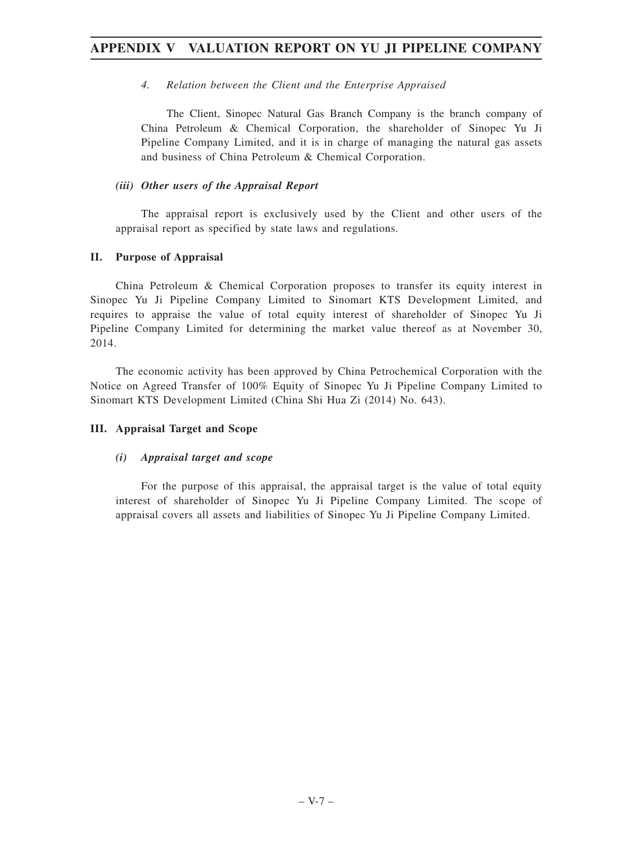### *4. Relation between the Client and the Enterprise Appraised*

The Client, Sinopec Natural Gas Branch Company is the branch company of China Petroleum & Chemical Corporation, the shareholder of Sinopec Yu Ji Pipeline Company Limited, and it is in charge of managing the natural gas assets and business of China Petroleum & Chemical Corporation.

### *(iii) Other users of the Appraisal Report*

The appraisal report is exclusively used by the Client and other users of the appraisal report as specified by state laws and regulations.

### **II. Purpose of Appraisal**

China Petroleum & Chemical Corporation proposes to transfer its equity interest in Sinopec Yu Ji Pipeline Company Limited to Sinomart KTS Development Limited, and requires to appraise the value of total equity interest of shareholder of Sinopec Yu Ji Pipeline Company Limited for determining the market value thereof as at November 30, 2014.

The economic activity has been approved by China Petrochemical Corporation with the Notice on Agreed Transfer of 100% Equity of Sinopec Yu Ji Pipeline Company Limited to Sinomart KTS Development Limited (China Shi Hua Zi (2014) No. 643).

## **III. Appraisal Target and Scope**

## *(i) Appraisal target and scope*

For the purpose of this appraisal, the appraisal target is the value of total equity interest of shareholder of Sinopec Yu Ji Pipeline Company Limited. The scope of appraisal covers all assets and liabilities of Sinopec Yu Ji Pipeline Company Limited.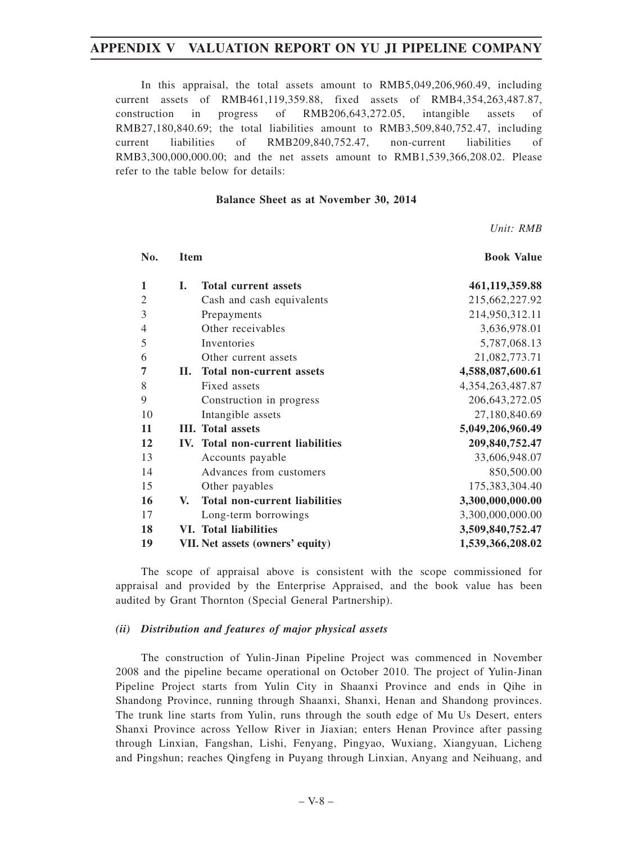In this appraisal, the total assets amount to RMB5,049,206,960.49, including current assets of RMB461,119,359.88, fixed assets of RMB4,354,263,487.87, construction in progress of RMB206,643,272.05, intangible assets of RMB27,180,840.69; the total liabilities amount to RMB3,509,840,752.47, including current liabilities of RMB209,840,752.47, non-current liabilities of RMB3,300,000,000.00; and the net assets amount to RMB1,539,366,208.02. Please refer to the table below for details:

#### **Balance Sheet as at November 30, 2014**

*Unit: RMB*

| No.            | <b>Item</b> |                                      | <b>Book Value</b>    |  |
|----------------|-------------|--------------------------------------|----------------------|--|
| 1              | I.          | <b>Total current assets</b>          | 461,119,359.88       |  |
| $\mathfrak{2}$ |             | Cash and cash equivalents            | 215,662,227.92       |  |
| 3              |             | Prepayments                          | 214,950,312.11       |  |
| $\overline{4}$ |             | Other receivables                    | 3,636,978.01         |  |
| 5              |             | Inventories                          | 5,787,068.13         |  |
| 6              |             | Other current assets                 | 21,082,773.71        |  |
| 7              | П.          | <b>Total non-current assets</b>      | 4,588,087,600.61     |  |
| 8              |             | Fixed assets                         | 4, 354, 263, 487. 87 |  |
| 9              |             | Construction in progress             | 206, 643, 272. 05    |  |
| 10             |             | Intangible assets                    | 27,180,840.69        |  |
| 11             |             | <b>III.</b> Total assets             | 5,049,206,960.49     |  |
| 12             |             | IV. Total non-current liabilities    | 209,840,752.47       |  |
| 13             |             | Accounts payable                     | 33,606,948.07        |  |
| 14             |             | Advances from customers              | 850,500.00           |  |
| 15             |             | Other payables                       | 175,383,304.40       |  |
| 16             | V.          | <b>Total non-current liabilities</b> | 3,300,000,000.00     |  |
| 17             |             | Long-term borrowings                 | 3,300,000,000.00     |  |
| 18             |             | <b>VI.</b> Total liabilities         | 3,509,840,752.47     |  |
| 19             |             | VII. Net assets (owners' equity)     | 1,539,366,208.02     |  |

The scope of appraisal above is consistent with the scope commissioned for appraisal and provided by the Enterprise Appraised, and the book value has been audited by Grant Thornton (Special General Partnership).

#### *(ii) Distribution and features of major physical assets*

The construction of Yulin-Jinan Pipeline Project was commenced in November 2008 and the pipeline became operational on October 2010. The project of Yulin-Jinan Pipeline Project starts from Yulin City in Shaanxi Province and ends in Qihe in Shandong Province, running through Shaanxi, Shanxi, Henan and Shandong provinces. The trunk line starts from Yulin, runs through the south edge of Mu Us Desert, enters Shanxi Province across Yellow River in Jiaxian; enters Henan Province after passing through Linxian, Fangshan, Lishi, Fenyang, Pingyao, Wuxiang, Xiangyuan, Licheng and Pingshun; reaches Qingfeng in Puyang through Linxian, Anyang and Neihuang, and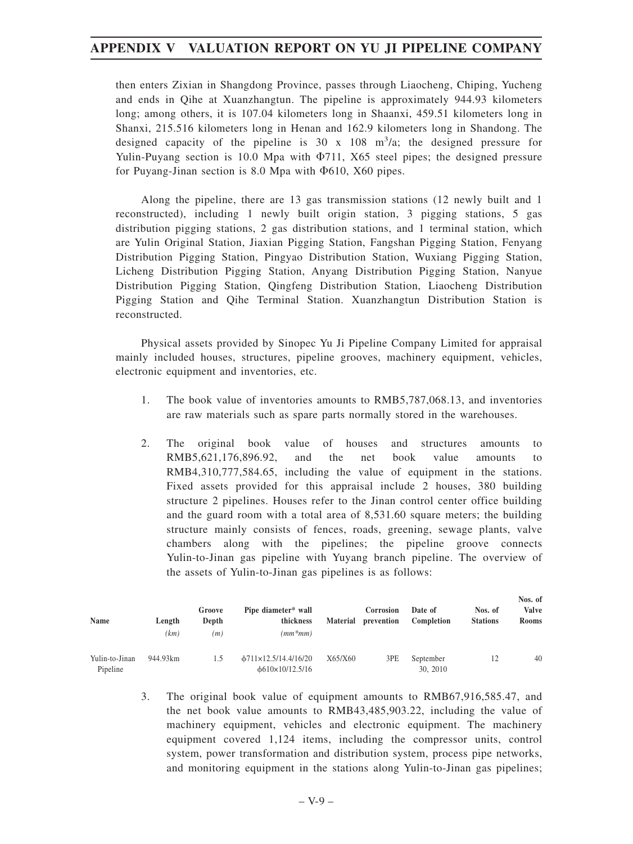then enters Zixian in Shangdong Province, passes through Liaocheng, Chiping, Yucheng and ends in Qihe at Xuanzhangtun. The pipeline is approximately 944.93 kilometers long; among others, it is 107.04 kilometers long in Shaanxi, 459.51 kilometers long in Shanxi, 215.516 kilometers long in Henan and 162.9 kilometers long in Shandong. The designed capacity of the pipeline is  $30 \times 108$  m<sup>3</sup>/a; the designed pressure for Yulin-Puyang section is 10.0 Mpa with  $\Phi$ 711, X65 steel pipes; the designed pressure for Puyang-Jinan section is 8.0 Mpa with  $\Phi$ 610, X60 pipes.

Along the pipeline, there are 13 gas transmission stations (12 newly built and 1 reconstructed), including 1 newly built origin station, 3 pigging stations, 5 gas distribution pigging stations, 2 gas distribution stations, and 1 terminal station, which are Yulin Original Station, Jiaxian Pigging Station, Fangshan Pigging Station, Fenyang Distribution Pigging Station, Pingyao Distribution Station, Wuxiang Pigging Station, Licheng Distribution Pigging Station, Anyang Distribution Pigging Station, Nanyue Distribution Pigging Station, Qingfeng Distribution Station, Liaocheng Distribution Pigging Station and Qihe Terminal Station. Xuanzhangtun Distribution Station is reconstructed.

Physical assets provided by Sinopec Yu Ji Pipeline Company Limited for appraisal mainly included houses, structures, pipeline grooves, machinery equipment, vehicles, electronic equipment and inventories, etc.

- 1. The book value of inventories amounts to RMB5,787,068.13, and inventories are raw materials such as spare parts normally stored in the warehouses.
- 2. The original book value of houses and structures amounts to RMB5,621,176,896.92, and the net book value amounts to RMB4,310,777,584.65, including the value of equipment in the stations. Fixed assets provided for this appraisal include 2 houses, 380 building structure 2 pipelines. Houses refer to the Jinan control center office building and the guard room with a total area of 8,531.60 square meters; the building structure mainly consists of fences, roads, greening, sewage plants, valve chambers along with the pipelines; the pipeline groove connects Yulin-to-Jinan gas pipeline with Yuyang branch pipeline. The overview of the assets of Yulin-to-Jinan gas pipelines is as follows:

| Name                       | Length<br>(km) | Groove<br>Depth<br>(m) | Pipe diameter* wall<br>thickness<br>$(mm*mm)$                       | <b>Material</b> | Corrosion<br>prevention | Date of<br>Completion | Nos. of<br><b>Stations</b> | Nos. of<br><b>Valve</b><br><b>Rooms</b> |
|----------------------------|----------------|------------------------|---------------------------------------------------------------------|-----------------|-------------------------|-----------------------|----------------------------|-----------------------------------------|
| Yulin-to-Jinan<br>Pipeline | 944.93km       | 1.5                    | $\frac{1}{2}$ 0711×12.5/14.4/16/20<br>$\frac{610\times10}{12.5}/16$ | X65/X60         | 3PE                     | September<br>30, 2010 |                            | 40                                      |

3. The original book value of equipment amounts to RMB67,916,585.47, and the net book value amounts to RMB43,485,903.22, including the value of machinery equipment, vehicles and electronic equipment. The machinery equipment covered 1,124 items, including the compressor units, control system, power transformation and distribution system, process pipe networks, and monitoring equipment in the stations along Yulin-to-Jinan gas pipelines;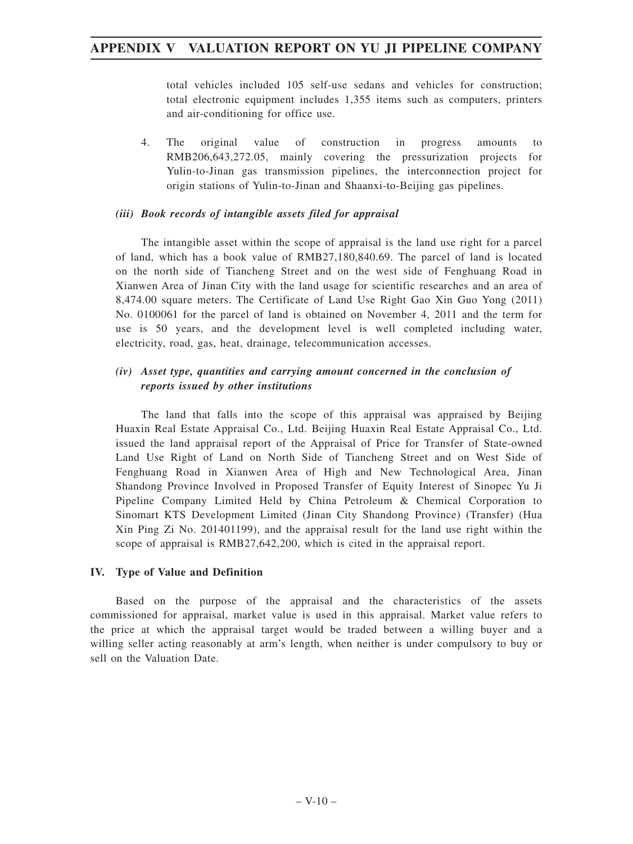total vehicles included 105 self-use sedans and vehicles for construction; total electronic equipment includes 1,355 items such as computers, printers and air-conditioning for office use.

4. The original value of construction in progress amounts to RMB206,643,272.05, mainly covering the pressurization projects for Yulin-to-Jinan gas transmission pipelines, the interconnection project for origin stations of Yulin-to-Jinan and Shaanxi-to-Beijing gas pipelines.

#### *(iii) Book records of intangible assets filed for appraisal*

The intangible asset within the scope of appraisal is the land use right for a parcel of land, which has a book value of RMB27,180,840.69. The parcel of land is located on the north side of Tiancheng Street and on the west side of Fenghuang Road in Xianwen Area of Jinan City with the land usage for scientific researches and an area of 8,474.00 square meters. The Certificate of Land Use Right Gao Xin Guo Yong (2011) No. 0100061 for the parcel of land is obtained on November 4, 2011 and the term for use is 50 years, and the development level is well completed including water, electricity, road, gas, heat, drainage, telecommunication accesses.

### *(iv) Asset type, quantities and carrying amount concerned in the conclusion of reports issued by other institutions*

The land that falls into the scope of this appraisal was appraised by Beijing Huaxin Real Estate Appraisal Co., Ltd. Beijing Huaxin Real Estate Appraisal Co., Ltd. issued the land appraisal report of the Appraisal of Price for Transfer of State-owned Land Use Right of Land on North Side of Tiancheng Street and on West Side of Fenghuang Road in Xianwen Area of High and New Technological Area, Jinan Shandong Province Involved in Proposed Transfer of Equity Interest of Sinopec Yu Ji Pipeline Company Limited Held by China Petroleum & Chemical Corporation to Sinomart KTS Development Limited (Jinan City Shandong Province) (Transfer) (Hua Xin Ping Zi No. 201401199), and the appraisal result for the land use right within the scope of appraisal is RMB27,642,200, which is cited in the appraisal report.

#### **IV. Type of Value and Definition**

Based on the purpose of the appraisal and the characteristics of the assets commissioned for appraisal, market value is used in this appraisal. Market value refers to the price at which the appraisal target would be traded between a willing buyer and a willing seller acting reasonably at arm's length, when neither is under compulsory to buy or sell on the Valuation Date.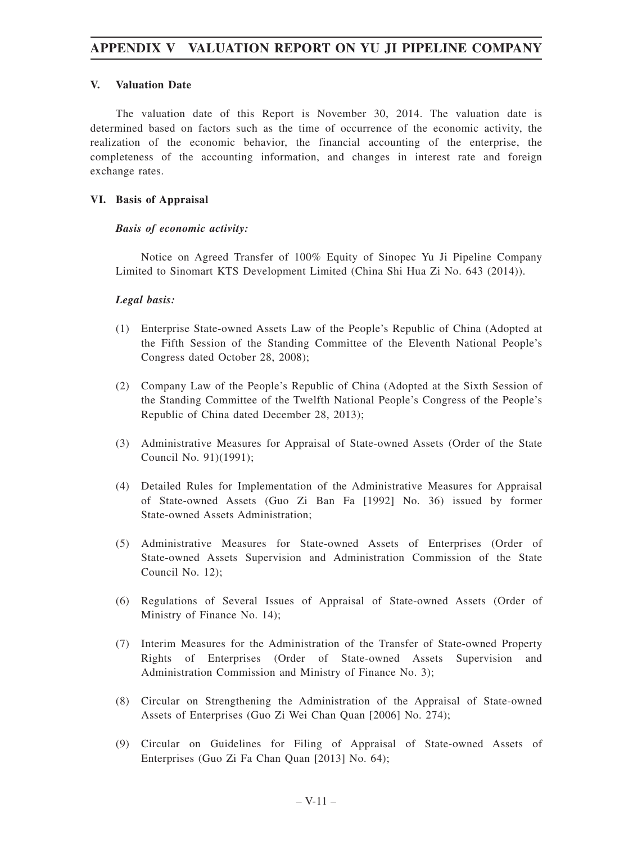### **V. Valuation Date**

The valuation date of this Report is November 30, 2014. The valuation date is determined based on factors such as the time of occurrence of the economic activity, the realization of the economic behavior, the financial accounting of the enterprise, the completeness of the accounting information, and changes in interest rate and foreign exchange rates.

### **VI. Basis of Appraisal**

#### *Basis of economic activity:*

Notice on Agreed Transfer of 100% Equity of Sinopec Yu Ji Pipeline Company Limited to Sinomart KTS Development Limited (China Shi Hua Zi No. 643 (2014)).

### *Legal basis:*

- (1) Enterprise State-owned Assets Law of the People's Republic of China (Adopted at the Fifth Session of the Standing Committee of the Eleventh National People's Congress dated October 28, 2008);
- (2) Company Law of the People's Republic of China (Adopted at the Sixth Session of the Standing Committee of the Twelfth National People's Congress of the People's Republic of China dated December 28, 2013);
- (3) Administrative Measures for Appraisal of State-owned Assets (Order of the State Council No. 91)(1991);
- (4) Detailed Rules for Implementation of the Administrative Measures for Appraisal of State-owned Assets (Guo Zi Ban Fa [1992] No. 36) issued by former State-owned Assets Administration;
- (5) Administrative Measures for State-owned Assets of Enterprises (Order of State-owned Assets Supervision and Administration Commission of the State Council No. 12);
- (6) Regulations of Several Issues of Appraisal of State-owned Assets (Order of Ministry of Finance No. 14);
- (7) Interim Measures for the Administration of the Transfer of State-owned Property Rights of Enterprises (Order of State-owned Assets Supervision and Administration Commission and Ministry of Finance No. 3);
- (8) Circular on Strengthening the Administration of the Appraisal of State-owned Assets of Enterprises (Guo Zi Wei Chan Quan [2006] No. 274);
- (9) Circular on Guidelines for Filing of Appraisal of State-owned Assets of Enterprises (Guo Zi Fa Chan Quan [2013] No. 64);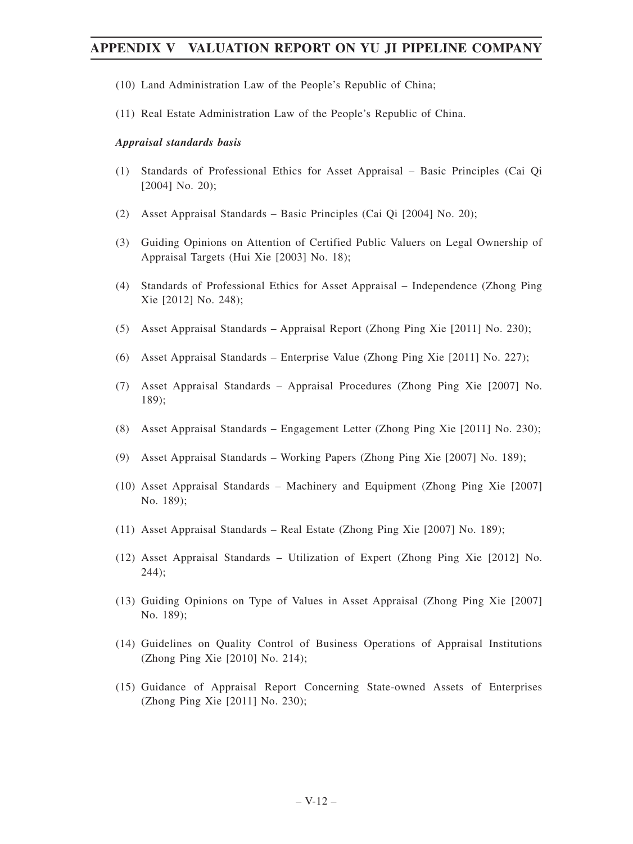- (10) Land Administration Law of the People's Republic of China;
- (11) Real Estate Administration Law of the People's Republic of China.

#### *Appraisal standards basis*

- (1) Standards of Professional Ethics for Asset Appraisal Basic Principles (Cai Qi [2004] No. 20);
- (2) Asset Appraisal Standards Basic Principles (Cai Qi [2004] No. 20);
- (3) Guiding Opinions on Attention of Certified Public Valuers on Legal Ownership of Appraisal Targets (Hui Xie [2003] No. 18);
- (4) Standards of Professional Ethics for Asset Appraisal Independence (Zhong Ping Xie [2012] No. 248);
- (5) Asset Appraisal Standards Appraisal Report (Zhong Ping Xie [2011] No. 230);
- (6) Asset Appraisal Standards Enterprise Value (Zhong Ping Xie [2011] No. 227);
- (7) Asset Appraisal Standards Appraisal Procedures (Zhong Ping Xie [2007] No. 189);
- (8) Asset Appraisal Standards Engagement Letter (Zhong Ping Xie [2011] No. 230);
- (9) Asset Appraisal Standards Working Papers (Zhong Ping Xie [2007] No. 189);
- (10) Asset Appraisal Standards Machinery and Equipment (Zhong Ping Xie [2007] No. 189);
- (11) Asset Appraisal Standards Real Estate (Zhong Ping Xie [2007] No. 189);
- (12) Asset Appraisal Standards Utilization of Expert (Zhong Ping Xie [2012] No. 244);
- (13) Guiding Opinions on Type of Values in Asset Appraisal (Zhong Ping Xie [2007] No. 189);
- (14) Guidelines on Quality Control of Business Operations of Appraisal Institutions (Zhong Ping Xie [2010] No. 214);
- (15) Guidance of Appraisal Report Concerning State-owned Assets of Enterprises (Zhong Ping Xie [2011] No. 230);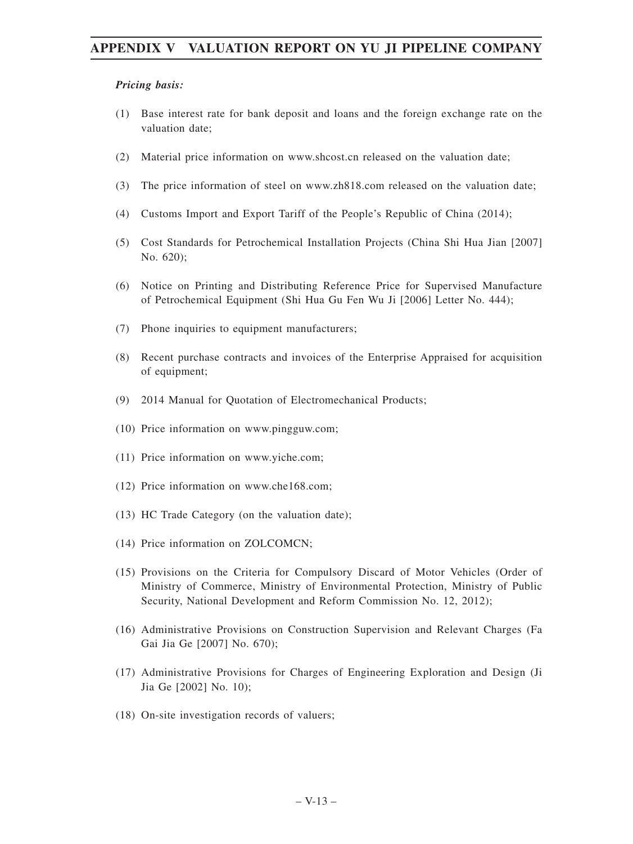#### *Pricing basis:*

- (1) Base interest rate for bank deposit and loans and the foreign exchange rate on the valuation date;
- (2) Material price information on www.shcost.cn released on the valuation date;
- (3) The price information of steel on www.zh818.com released on the valuation date;
- (4) Customs Import and Export Tariff of the People's Republic of China (2014);
- (5) Cost Standards for Petrochemical Installation Projects (China Shi Hua Jian [2007] No. 620);
- (6) Notice on Printing and Distributing Reference Price for Supervised Manufacture of Petrochemical Equipment (Shi Hua Gu Fen Wu Ji [2006] Letter No. 444);
- (7) Phone inquiries to equipment manufacturers;
- (8) Recent purchase contracts and invoices of the Enterprise Appraised for acquisition of equipment;
- (9) 2014 Manual for Quotation of Electromechanical Products;
- (10) Price information on www.pingguw.com;
- (11) Price information on www.yiche.com;
- (12) Price information on www.che168.com;
- (13) HC Trade Category (on the valuation date);
- (14) Price information on ZOLCOMCN;
- (15) Provisions on the Criteria for Compulsory Discard of Motor Vehicles (Order of Ministry of Commerce, Ministry of Environmental Protection, Ministry of Public Security, National Development and Reform Commission No. 12, 2012);
- (16) Administrative Provisions on Construction Supervision and Relevant Charges (Fa Gai Jia Ge [2007] No. 670);
- (17) Administrative Provisions for Charges of Engineering Exploration and Design (Ji Jia Ge [2002] No. 10);
- (18) On-site investigation records of valuers;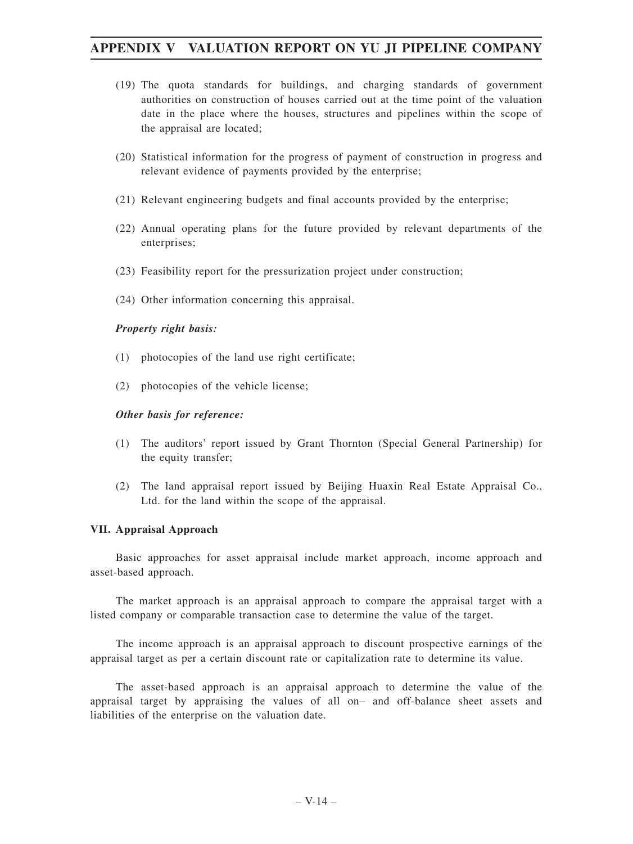- (19) The quota standards for buildings, and charging standards of government authorities on construction of houses carried out at the time point of the valuation date in the place where the houses, structures and pipelines within the scope of the appraisal are located;
- (20) Statistical information for the progress of payment of construction in progress and relevant evidence of payments provided by the enterprise;
- (21) Relevant engineering budgets and final accounts provided by the enterprise;
- (22) Annual operating plans for the future provided by relevant departments of the enterprises;
- (23) Feasibility report for the pressurization project under construction;
- (24) Other information concerning this appraisal.

#### *Property right basis:*

- (1) photocopies of the land use right certificate;
- (2) photocopies of the vehicle license;

#### *Other basis for reference:*

- (1) The auditors' report issued by Grant Thornton (Special General Partnership) for the equity transfer;
- (2) The land appraisal report issued by Beijing Huaxin Real Estate Appraisal Co., Ltd. for the land within the scope of the appraisal.

#### **VII. Appraisal Approach**

Basic approaches for asset appraisal include market approach, income approach and asset-based approach.

The market approach is an appraisal approach to compare the appraisal target with a listed company or comparable transaction case to determine the value of the target.

The income approach is an appraisal approach to discount prospective earnings of the appraisal target as per a certain discount rate or capitalization rate to determine its value.

The asset-based approach is an appraisal approach to determine the value of the appraisal target by appraising the values of all on– and off-balance sheet assets and liabilities of the enterprise on the valuation date.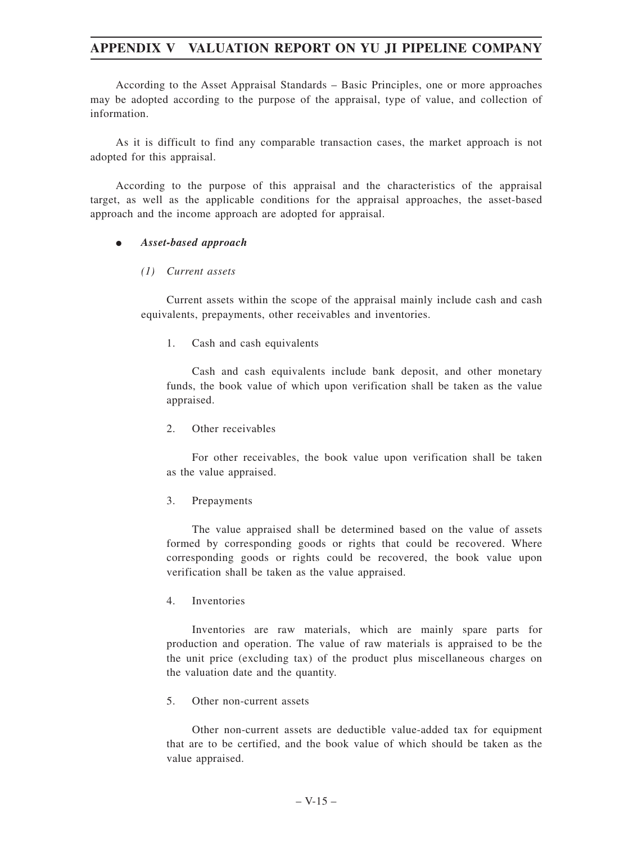According to the Asset Appraisal Standards – Basic Principles, one or more approaches may be adopted according to the purpose of the appraisal, type of value, and collection of information.

As it is difficult to find any comparable transaction cases, the market approach is not adopted for this appraisal.

According to the purpose of this appraisal and the characteristics of the appraisal target, as well as the applicable conditions for the appraisal approaches, the asset-based approach and the income approach are adopted for appraisal.

#### $\bullet$ *Asset-based approach*

#### *(1) Current assets*

Current assets within the scope of the appraisal mainly include cash and cash equivalents, prepayments, other receivables and inventories.

1. Cash and cash equivalents

Cash and cash equivalents include bank deposit, and other monetary funds, the book value of which upon verification shall be taken as the value appraised.

2. Other receivables

For other receivables, the book value upon verification shall be taken as the value appraised.

3. Prepayments

The value appraised shall be determined based on the value of assets formed by corresponding goods or rights that could be recovered. Where corresponding goods or rights could be recovered, the book value upon verification shall be taken as the value appraised.

4. Inventories

Inventories are raw materials, which are mainly spare parts for production and operation. The value of raw materials is appraised to be the the unit price (excluding tax) of the product plus miscellaneous charges on the valuation date and the quantity.

5. Other non-current assets

Other non-current assets are deductible value-added tax for equipment that are to be certified, and the book value of which should be taken as the value appraised.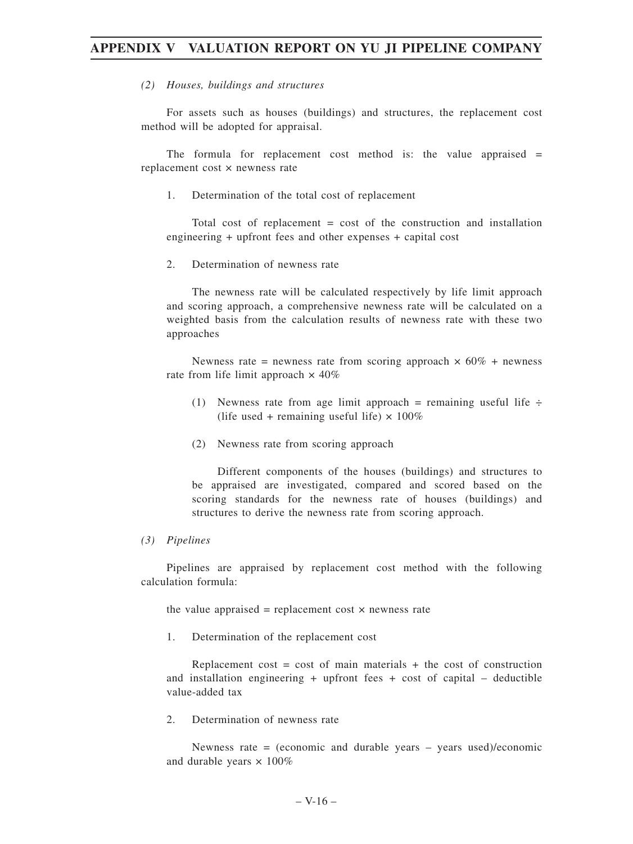#### *(2) Houses, buildings and structures*

For assets such as houses (buildings) and structures, the replacement cost method will be adopted for appraisal.

The formula for replacement cost method is: the value appraised  $=$ replacement cost × newness rate

1. Determination of the total cost of replacement

Total cost of replacement = cost of the construction and installation engineering + upfront fees and other expenses + capital cost

2. Determination of newness rate

The newness rate will be calculated respectively by life limit approach and scoring approach, a comprehensive newness rate will be calculated on a weighted basis from the calculation results of newness rate with these two approaches

Newness rate = newness rate from scoring approach  $\times$  60% + newness rate from life limit approach  $\times$  40%

- (1) Newness rate from age limit approach = remaining useful life  $\div$ (life used + remaining useful life)  $\times$  100%
- (2) Newness rate from scoring approach

Different components of the houses (buildings) and structures to be appraised are investigated, compared and scored based on the scoring standards for the newness rate of houses (buildings) and structures to derive the newness rate from scoring approach.

#### *(3) Pipelines*

Pipelines are appraised by replacement cost method with the following calculation formula:

the value appraised = replacement cost  $\times$  newness rate

1. Determination of the replacement cost

Replacement cost = cost of main materials + the cost of construction and installation engineering  $+$  upfront fees  $+$  cost of capital  $-$  deductible value-added tax

2. Determination of newness rate

Newness rate = (economic and durable years – years used)/economic and durable years  $\times$  100%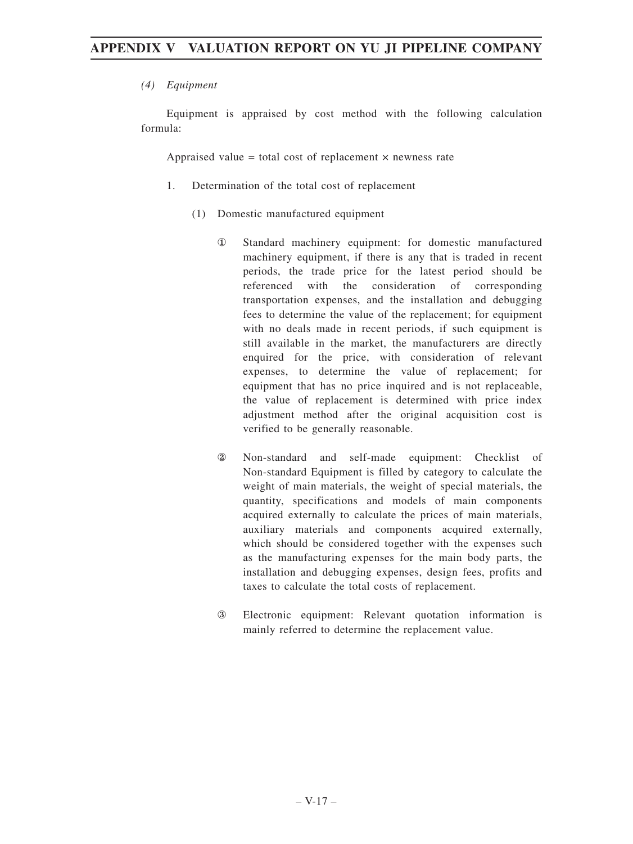#### *(4) Equipment*

Equipment is appraised by cost method with the following calculation formula:

Appraised value = total cost of replacement  $\times$  newness rate

- 1. Determination of the total cost of replacement
	- (1) Domestic manufactured equipment
		- ① Standard machinery equipment: for domestic manufactured machinery equipment, if there is any that is traded in recent periods, the trade price for the latest period should be referenced with the consideration of corresponding transportation expenses, and the installation and debugging fees to determine the value of the replacement; for equipment with no deals made in recent periods, if such equipment is still available in the market, the manufacturers are directly enquired for the price, with consideration of relevant expenses, to determine the value of replacement; for equipment that has no price inquired and is not replaceable, the value of replacement is determined with price index adjustment method after the original acquisition cost is verified to be generally reasonable.
		- ② Non-standard and self-made equipment: Checklist of Non-standard Equipment is filled by category to calculate the weight of main materials, the weight of special materials, the quantity, specifications and models of main components acquired externally to calculate the prices of main materials, auxiliary materials and components acquired externally, which should be considered together with the expenses such as the manufacturing expenses for the main body parts, the installation and debugging expenses, design fees, profits and taxes to calculate the total costs of replacement.
		- ③ Electronic equipment: Relevant quotation information is mainly referred to determine the replacement value.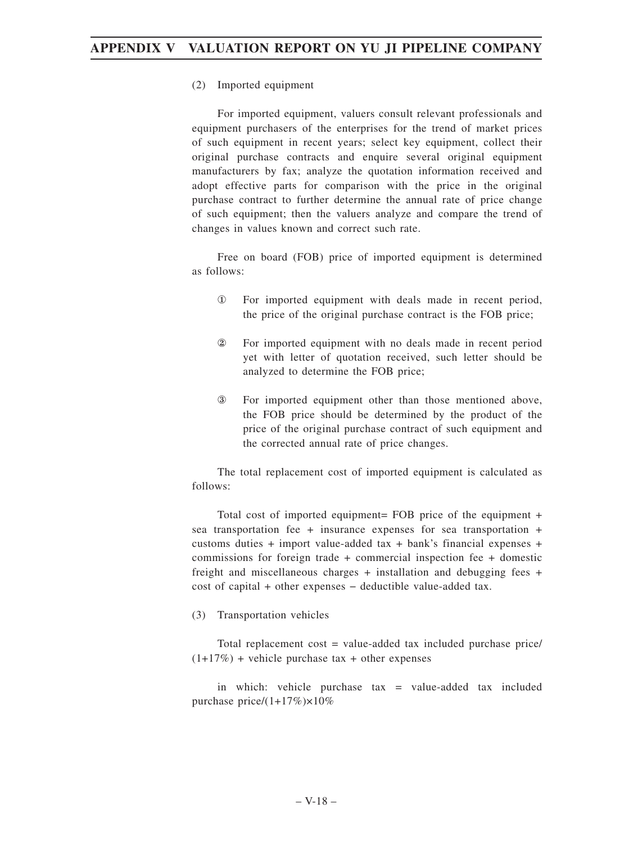#### (2) Imported equipment

For imported equipment, valuers consult relevant professionals and equipment purchasers of the enterprises for the trend of market prices of such equipment in recent years; select key equipment, collect their original purchase contracts and enquire several original equipment manufacturers by fax; analyze the quotation information received and adopt effective parts for comparison with the price in the original purchase contract to further determine the annual rate of price change of such equipment; then the valuers analyze and compare the trend of changes in values known and correct such rate.

Free on board (FOB) price of imported equipment is determined as follows:

- ① For imported equipment with deals made in recent period, the price of the original purchase contract is the FOB price;
- ② For imported equipment with no deals made in recent period yet with letter of quotation received, such letter should be analyzed to determine the FOB price;
- ③ For imported equipment other than those mentioned above, the FOB price should be determined by the product of the price of the original purchase contract of such equipment and the corrected annual rate of price changes.

The total replacement cost of imported equipment is calculated as follows:

Total cost of imported equipment= FOB price of the equipment + sea transportation fee + insurance expenses for sea transportation + customs duties + import value-added tax + bank's financial expenses + commissions for foreign trade + commercial inspection fee + domestic freight and miscellaneous charges + installation and debugging fees + cost of capital + other expenses − deductible value-added tax.

(3) Transportation vehicles

Total replacement cost = value-added tax included purchase price/  $(1+17%)$  + vehicle purchase tax + other expenses

in which: vehicle purchase tax = value-added tax included purchase price/ $(1+17\%) \times 10\%$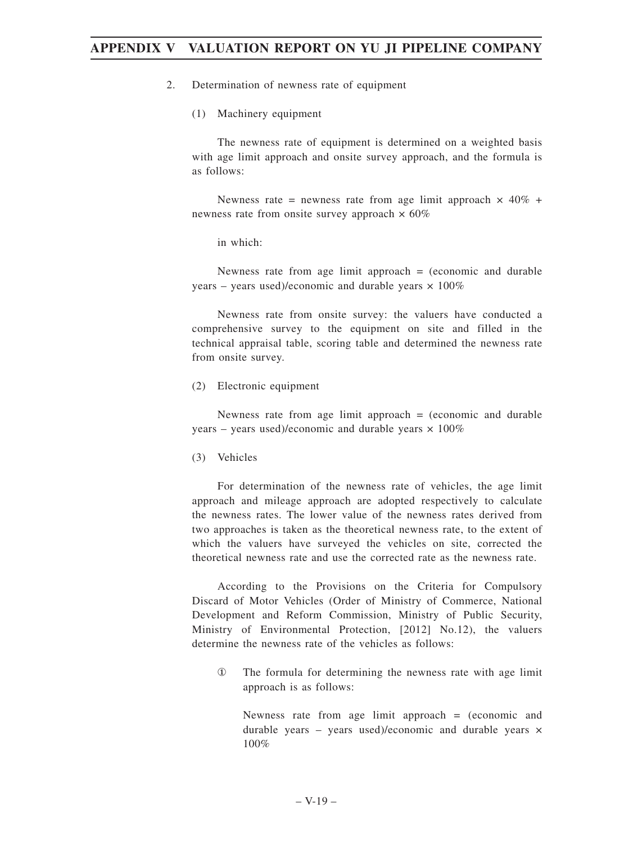- 2. Determination of newness rate of equipment
	- (1) Machinery equipment

The newness rate of equipment is determined on a weighted basis with age limit approach and onsite survey approach, and the formula is as follows:

Newness rate = newness rate from age limit approach  $\times$  40% + newness rate from onsite survey approach  $\times 60\%$ 

in which:

Newness rate from age limit approach  $=$  (economic and durable years – years used)/economic and durable years  $\times$  100%

Newness rate from onsite survey: the valuers have conducted a comprehensive survey to the equipment on site and filled in the technical appraisal table, scoring table and determined the newness rate from onsite survey.

(2) Electronic equipment

Newness rate from age limit approach  $=$  (economic and durable years – years used)/economic and durable years  $\times$  100%

(3) Vehicles

For determination of the newness rate of vehicles, the age limit approach and mileage approach are adopted respectively to calculate the newness rates. The lower value of the newness rates derived from two approaches is taken as the theoretical newness rate, to the extent of which the valuers have surveyed the vehicles on site, corrected the theoretical newness rate and use the corrected rate as the newness rate.

According to the Provisions on the Criteria for Compulsory Discard of Motor Vehicles (Order of Ministry of Commerce, National Development and Reform Commission, Ministry of Public Security, Ministry of Environmental Protection, [2012] No.12), the valuers determine the newness rate of the vehicles as follows:

① The formula for determining the newness rate with age limit approach is as follows:

Newness rate from age limit approach = (economic and durable years – years used)/economic and durable years  $\times$ 100%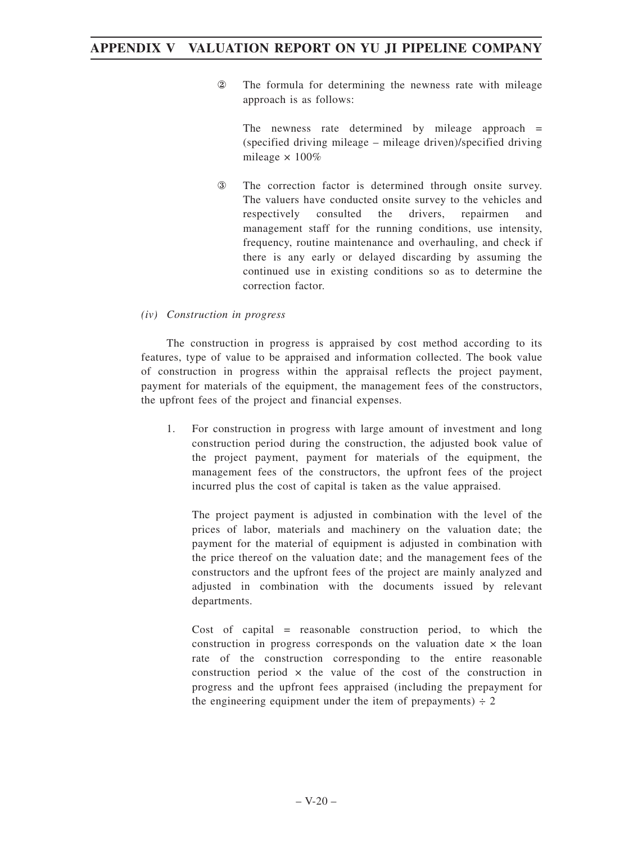② The formula for determining the newness rate with mileage approach is as follows:

The newness rate determined by mileage approach  $=$ (specified driving mileage – mileage driven)/specified driving mileage × 100%

③ The correction factor is determined through onsite survey. The valuers have conducted onsite survey to the vehicles and respectively consulted the drivers, repairmen and management staff for the running conditions, use intensity, frequency, routine maintenance and overhauling, and check if there is any early or delayed discarding by assuming the continued use in existing conditions so as to determine the correction factor.

#### *(iv) Construction in progress*

The construction in progress is appraised by cost method according to its features, type of value to be appraised and information collected. The book value of construction in progress within the appraisal reflects the project payment, payment for materials of the equipment, the management fees of the constructors, the upfront fees of the project and financial expenses.

1. For construction in progress with large amount of investment and long construction period during the construction, the adjusted book value of the project payment, payment for materials of the equipment, the management fees of the constructors, the upfront fees of the project incurred plus the cost of capital is taken as the value appraised.

The project payment is adjusted in combination with the level of the prices of labor, materials and machinery on the valuation date; the payment for the material of equipment is adjusted in combination with the price thereof on the valuation date; and the management fees of the constructors and the upfront fees of the project are mainly analyzed and adjusted in combination with the documents issued by relevant departments.

Cost of capital = reasonable construction period, to which the construction in progress corresponds on the valuation date  $\times$  the loan rate of the construction corresponding to the entire reasonable construction period  $\times$  the value of the cost of the construction in progress and the upfront fees appraised (including the prepayment for the engineering equipment under the item of prepayments)  $\div$  2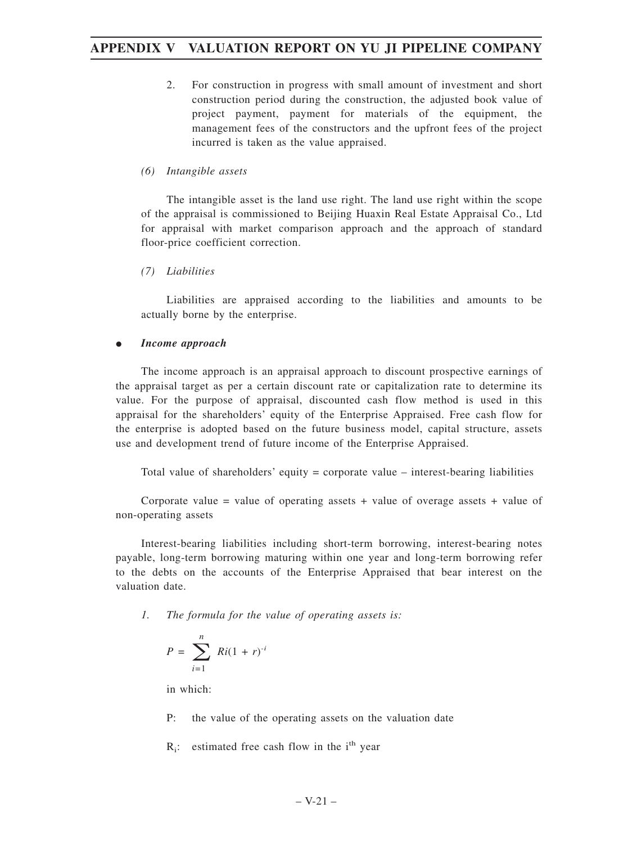2. For construction in progress with small amount of investment and short construction period during the construction, the adjusted book value of project payment, payment for materials of the equipment, the management fees of the constructors and the upfront fees of the project incurred is taken as the value appraised.

#### *(6) Intangible assets*

The intangible asset is the land use right. The land use right within the scope of the appraisal is commissioned to Beijing Huaxin Real Estate Appraisal Co., Ltd for appraisal with market comparison approach and the approach of standard floor-price coefficient correction.

#### *(7) Liabilities*

Liabilities are appraised according to the liabilities and amounts to be actually borne by the enterprise.

#### $\bullet$ *Income approach*

The income approach is an appraisal approach to discount prospective earnings of the appraisal target as per a certain discount rate or capitalization rate to determine its value. For the purpose of appraisal, discounted cash flow method is used in this appraisal for the shareholders' equity of the Enterprise Appraised. Free cash flow for the enterprise is adopted based on the future business model, capital structure, assets use and development trend of future income of the Enterprise Appraised.

Total value of shareholders' equity = corporate value – interest-bearing liabilities

Corporate value  $=$  value of operating assets  $+$  value of overage assets  $+$  value of non-operating assets

Interest-bearing liabilities including short-term borrowing, interest-bearing notes payable, long-term borrowing maturing within one year and long-term borrowing refer to the debts on the accounts of the Enterprise Appraised that bear interest on the valuation date.

*1. The formula for the value of operating assets is:*

$$
P = \sum_{i=1}^{n} Ri(1+r)^{-i}
$$

in which:

P: the value of the operating assets on the valuation date

 $R_i$ : estimated free cash flow in the i<sup>th</sup> year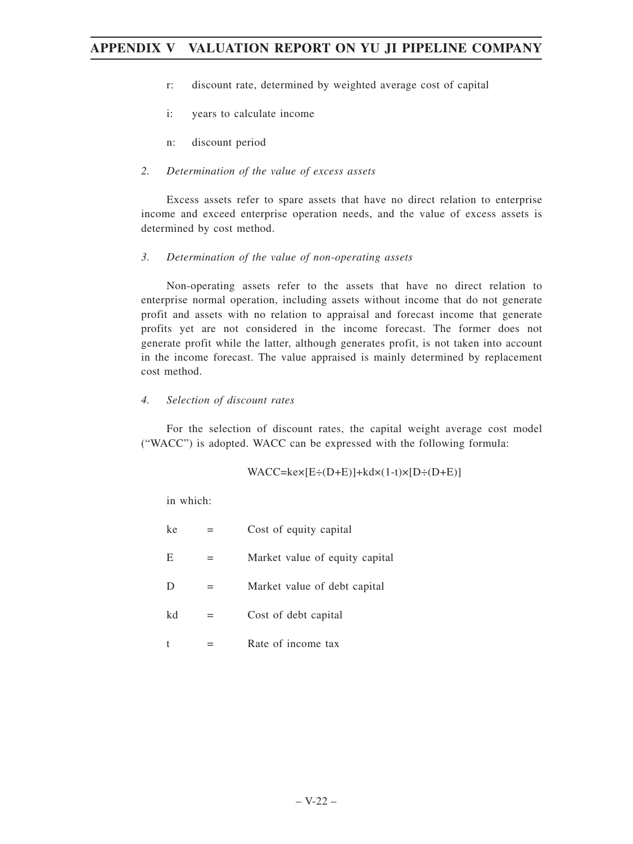- r: discount rate, determined by weighted average cost of capital
- i: years to calculate income
- n: discount period

#### *2. Determination of the value of excess assets*

Excess assets refer to spare assets that have no direct relation to enterprise income and exceed enterprise operation needs, and the value of excess assets is determined by cost method.

### *3. Determination of the value of non-operating assets*

Non-operating assets refer to the assets that have no direct relation to enterprise normal operation, including assets without income that do not generate profit and assets with no relation to appraisal and forecast income that generate profits yet are not considered in the income forecast. The former does not generate profit while the latter, although generates profit, is not taken into account in the income forecast. The value appraised is mainly determined by replacement cost method.

## *4. Selection of discount rates*

For the selection of discount rates, the capital weight average cost model ("WACC") is adopted. WACC can be expressed with the following formula:

$$
WACC = ke \times [E \div (D+E)] + kd \times (1-t) \times [D \div (D+E)]
$$

in which:

| ke |   | Cost of equity capital         |
|----|---|--------------------------------|
| E  |   | Market value of equity capital |
| D  |   | Market value of debt capital   |
| kd | = | Cost of debt capital           |
|    |   | Rate of income tax             |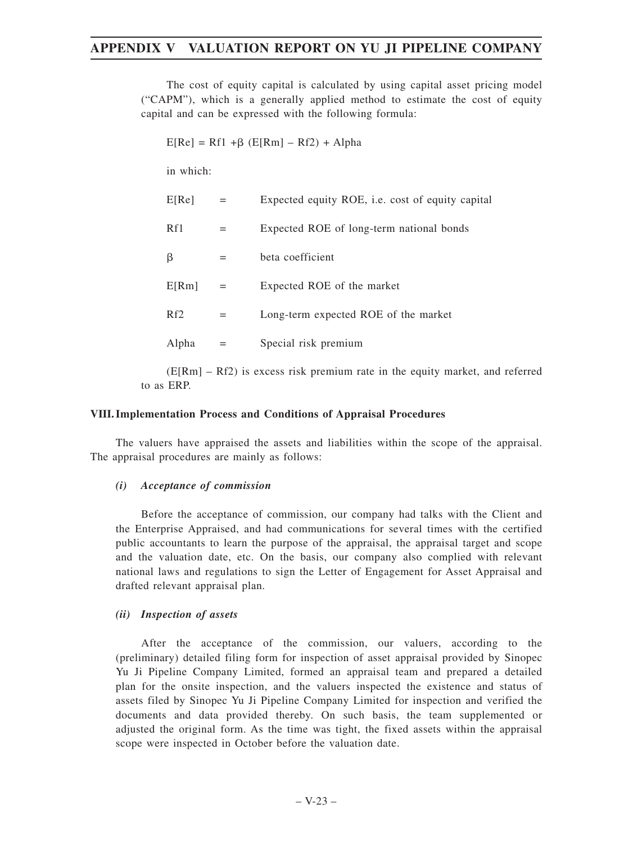The cost of equity capital is calculated by using capital asset pricing model ("CAPM"), which is a generally applied method to estimate the cost of equity capital and can be expressed with the following formula:

 $E[Re] = Rf1 + \beta (E[Rm] - Rf2) + Alpha$ 

in which:

| E[Re]           | $=$ | Expected equity ROE, <i>i.e.</i> cost of equity capital |
|-----------------|-----|---------------------------------------------------------|
| Rf1             |     | Expected ROE of long-term national bonds                |
| β               |     | beta coefficient                                        |
| E[Rm]           |     | Expected ROE of the market                              |
| Rf <sub>2</sub> |     | Long-term expected ROE of the market                    |
| Alpha           |     | Special risk premium                                    |
|                 |     |                                                         |

(E[Rm] – Rf2) is excess risk premium rate in the equity market, and referred to as ERP.

#### **VIII.Implementation Process and Conditions of Appraisal Procedures**

The valuers have appraised the assets and liabilities within the scope of the appraisal. The appraisal procedures are mainly as follows:

#### *(i) Acceptance of commission*

Before the acceptance of commission, our company had talks with the Client and the Enterprise Appraised, and had communications for several times with the certified public accountants to learn the purpose of the appraisal, the appraisal target and scope and the valuation date, etc. On the basis, our company also complied with relevant national laws and regulations to sign the Letter of Engagement for Asset Appraisal and drafted relevant appraisal plan.

#### *(ii) Inspection of assets*

After the acceptance of the commission, our valuers, according to the (preliminary) detailed filing form for inspection of asset appraisal provided by Sinopec Yu Ji Pipeline Company Limited, formed an appraisal team and prepared a detailed plan for the onsite inspection, and the valuers inspected the existence and status of assets filed by Sinopec Yu Ji Pipeline Company Limited for inspection and verified the documents and data provided thereby. On such basis, the team supplemented or adjusted the original form. As the time was tight, the fixed assets within the appraisal scope were inspected in October before the valuation date.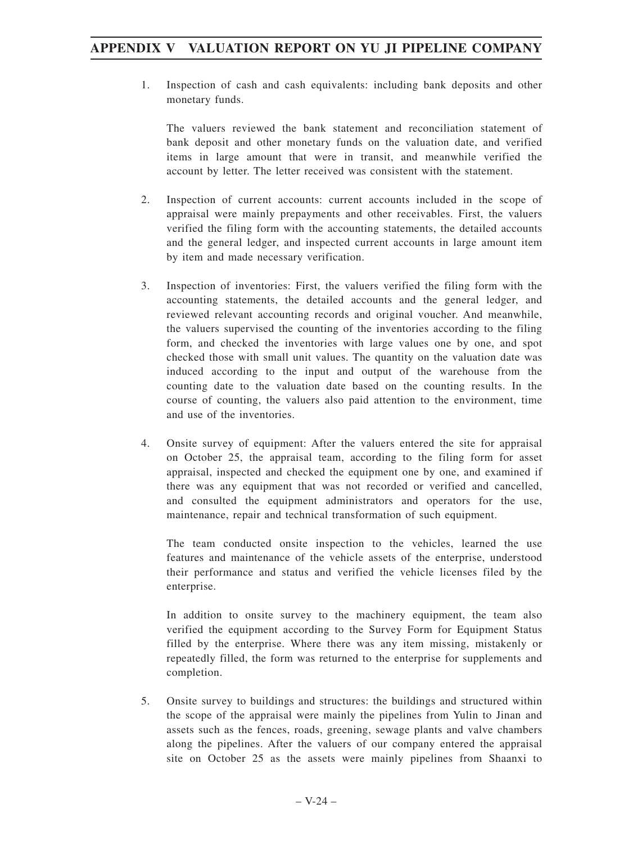1. Inspection of cash and cash equivalents: including bank deposits and other monetary funds.

The valuers reviewed the bank statement and reconciliation statement of bank deposit and other monetary funds on the valuation date, and verified items in large amount that were in transit, and meanwhile verified the account by letter. The letter received was consistent with the statement.

- 2. Inspection of current accounts: current accounts included in the scope of appraisal were mainly prepayments and other receivables. First, the valuers verified the filing form with the accounting statements, the detailed accounts and the general ledger, and inspected current accounts in large amount item by item and made necessary verification.
- 3. Inspection of inventories: First, the valuers verified the filing form with the accounting statements, the detailed accounts and the general ledger, and reviewed relevant accounting records and original voucher. And meanwhile, the valuers supervised the counting of the inventories according to the filing form, and checked the inventories with large values one by one, and spot checked those with small unit values. The quantity on the valuation date was induced according to the input and output of the warehouse from the counting date to the valuation date based on the counting results. In the course of counting, the valuers also paid attention to the environment, time and use of the inventories.
- 4. Onsite survey of equipment: After the valuers entered the site for appraisal on October 25, the appraisal team, according to the filing form for asset appraisal, inspected and checked the equipment one by one, and examined if there was any equipment that was not recorded or verified and cancelled, and consulted the equipment administrators and operators for the use, maintenance, repair and technical transformation of such equipment.

The team conducted onsite inspection to the vehicles, learned the use features and maintenance of the vehicle assets of the enterprise, understood their performance and status and verified the vehicle licenses filed by the enterprise.

In addition to onsite survey to the machinery equipment, the team also verified the equipment according to the Survey Form for Equipment Status filled by the enterprise. Where there was any item missing, mistakenly or repeatedly filled, the form was returned to the enterprise for supplements and completion.

5. Onsite survey to buildings and structures: the buildings and structured within the scope of the appraisal were mainly the pipelines from Yulin to Jinan and assets such as the fences, roads, greening, sewage plants and valve chambers along the pipelines. After the valuers of our company entered the appraisal site on October 25 as the assets were mainly pipelines from Shaanxi to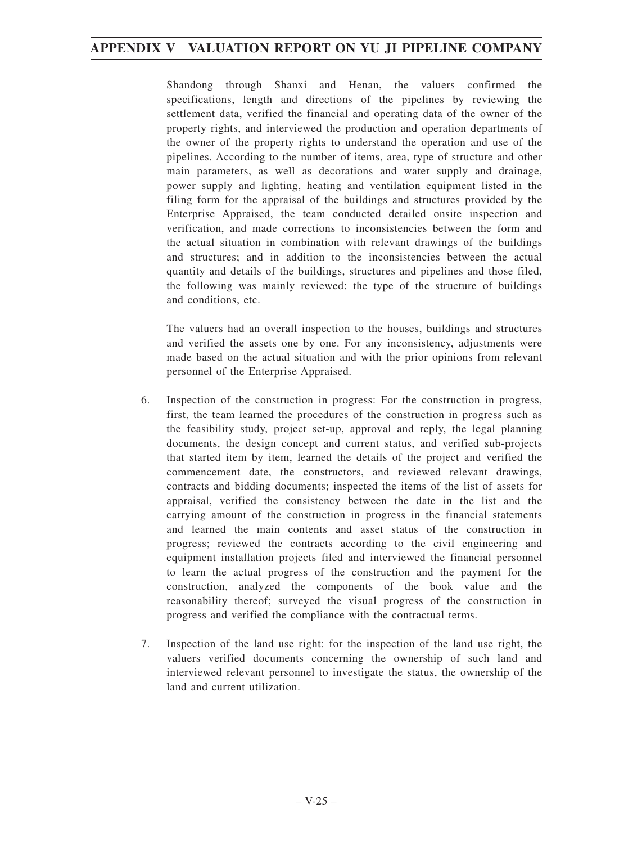Shandong through Shanxi and Henan, the valuers confirmed the specifications, length and directions of the pipelines by reviewing the settlement data, verified the financial and operating data of the owner of the property rights, and interviewed the production and operation departments of the owner of the property rights to understand the operation and use of the pipelines. According to the number of items, area, type of structure and other main parameters, as well as decorations and water supply and drainage, power supply and lighting, heating and ventilation equipment listed in the filing form for the appraisal of the buildings and structures provided by the Enterprise Appraised, the team conducted detailed onsite inspection and verification, and made corrections to inconsistencies between the form and the actual situation in combination with relevant drawings of the buildings and structures; and in addition to the inconsistencies between the actual quantity and details of the buildings, structures and pipelines and those filed, the following was mainly reviewed: the type of the structure of buildings and conditions, etc.

The valuers had an overall inspection to the houses, buildings and structures and verified the assets one by one. For any inconsistency, adjustments were made based on the actual situation and with the prior opinions from relevant personnel of the Enterprise Appraised.

- 6. Inspection of the construction in progress: For the construction in progress, first, the team learned the procedures of the construction in progress such as the feasibility study, project set-up, approval and reply, the legal planning documents, the design concept and current status, and verified sub-projects that started item by item, learned the details of the project and verified the commencement date, the constructors, and reviewed relevant drawings, contracts and bidding documents; inspected the items of the list of assets for appraisal, verified the consistency between the date in the list and the carrying amount of the construction in progress in the financial statements and learned the main contents and asset status of the construction in progress; reviewed the contracts according to the civil engineering and equipment installation projects filed and interviewed the financial personnel to learn the actual progress of the construction and the payment for the construction, analyzed the components of the book value and the reasonability thereof; surveyed the visual progress of the construction in progress and verified the compliance with the contractual terms.
- 7. Inspection of the land use right: for the inspection of the land use right, the valuers verified documents concerning the ownership of such land and interviewed relevant personnel to investigate the status, the ownership of the land and current utilization.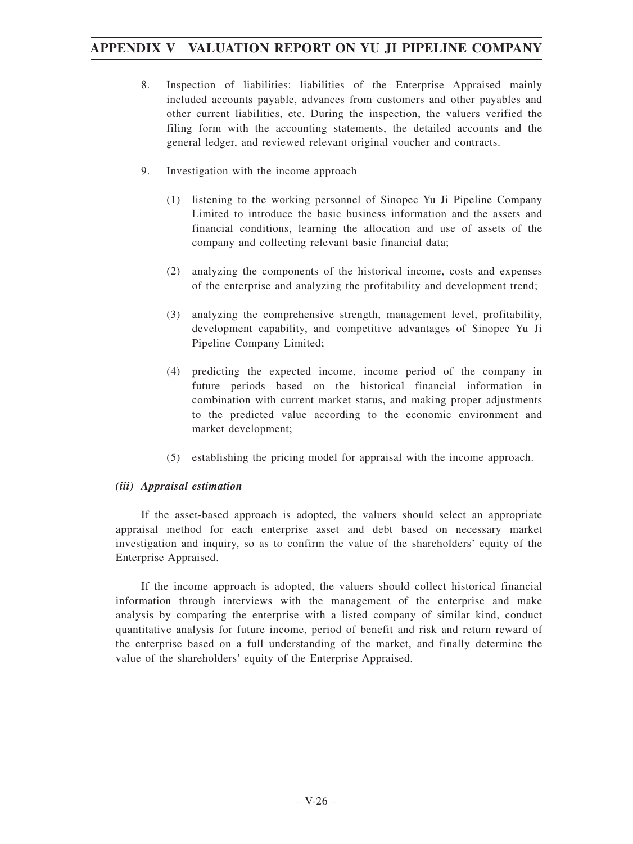- 8. Inspection of liabilities: liabilities of the Enterprise Appraised mainly included accounts payable, advances from customers and other payables and other current liabilities, etc. During the inspection, the valuers verified the filing form with the accounting statements, the detailed accounts and the general ledger, and reviewed relevant original voucher and contracts.
- 9. Investigation with the income approach
	- (1) listening to the working personnel of Sinopec Yu Ji Pipeline Company Limited to introduce the basic business information and the assets and financial conditions, learning the allocation and use of assets of the company and collecting relevant basic financial data;
	- (2) analyzing the components of the historical income, costs and expenses of the enterprise and analyzing the profitability and development trend;
	- (3) analyzing the comprehensive strength, management level, profitability, development capability, and competitive advantages of Sinopec Yu Ji Pipeline Company Limited;
	- (4) predicting the expected income, income period of the company in future periods based on the historical financial information in combination with current market status, and making proper adjustments to the predicted value according to the economic environment and market development;
	- (5) establishing the pricing model for appraisal with the income approach.

#### *(iii) Appraisal estimation*

If the asset-based approach is adopted, the valuers should select an appropriate appraisal method for each enterprise asset and debt based on necessary market investigation and inquiry, so as to confirm the value of the shareholders' equity of the Enterprise Appraised.

If the income approach is adopted, the valuers should collect historical financial information through interviews with the management of the enterprise and make analysis by comparing the enterprise with a listed company of similar kind, conduct quantitative analysis for future income, period of benefit and risk and return reward of the enterprise based on a full understanding of the market, and finally determine the value of the shareholders' equity of the Enterprise Appraised.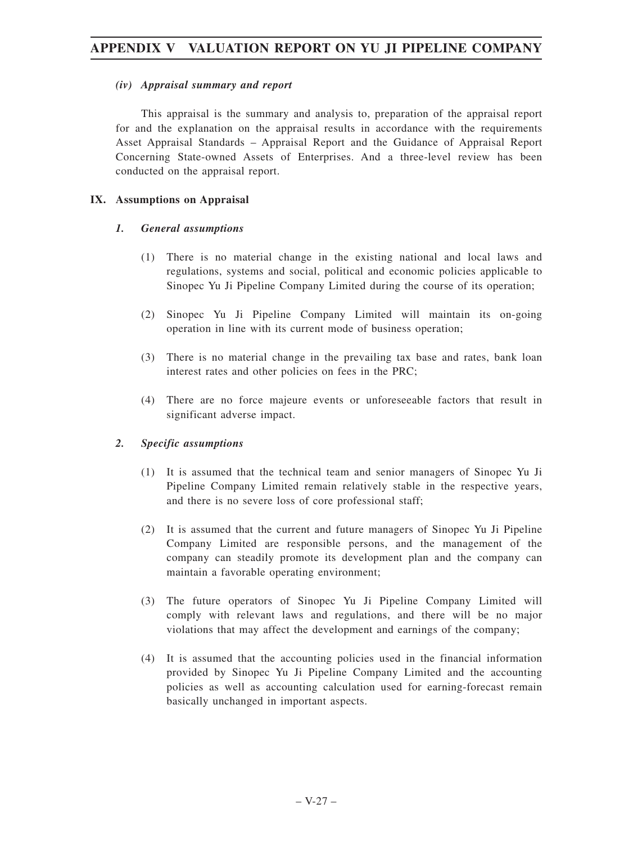#### *(iv) Appraisal summary and report*

This appraisal is the summary and analysis to, preparation of the appraisal report for and the explanation on the appraisal results in accordance with the requirements Asset Appraisal Standards – Appraisal Report and the Guidance of Appraisal Report Concerning State-owned Assets of Enterprises. And a three-level review has been conducted on the appraisal report.

#### **IX. Assumptions on Appraisal**

#### *1. General assumptions*

- (1) There is no material change in the existing national and local laws and regulations, systems and social, political and economic policies applicable to Sinopec Yu Ji Pipeline Company Limited during the course of its operation;
- (2) Sinopec Yu Ji Pipeline Company Limited will maintain its on-going operation in line with its current mode of business operation;
- (3) There is no material change in the prevailing tax base and rates, bank loan interest rates and other policies on fees in the PRC;
- (4) There are no force majeure events or unforeseeable factors that result in significant adverse impact.

#### *2. Specific assumptions*

- (1) It is assumed that the technical team and senior managers of Sinopec Yu Ji Pipeline Company Limited remain relatively stable in the respective years, and there is no severe loss of core professional staff;
- (2) It is assumed that the current and future managers of Sinopec Yu Ji Pipeline Company Limited are responsible persons, and the management of the company can steadily promote its development plan and the company can maintain a favorable operating environment;
- (3) The future operators of Sinopec Yu Ji Pipeline Company Limited will comply with relevant laws and regulations, and there will be no major violations that may affect the development and earnings of the company;
- (4) It is assumed that the accounting policies used in the financial information provided by Sinopec Yu Ji Pipeline Company Limited and the accounting policies as well as accounting calculation used for earning-forecast remain basically unchanged in important aspects.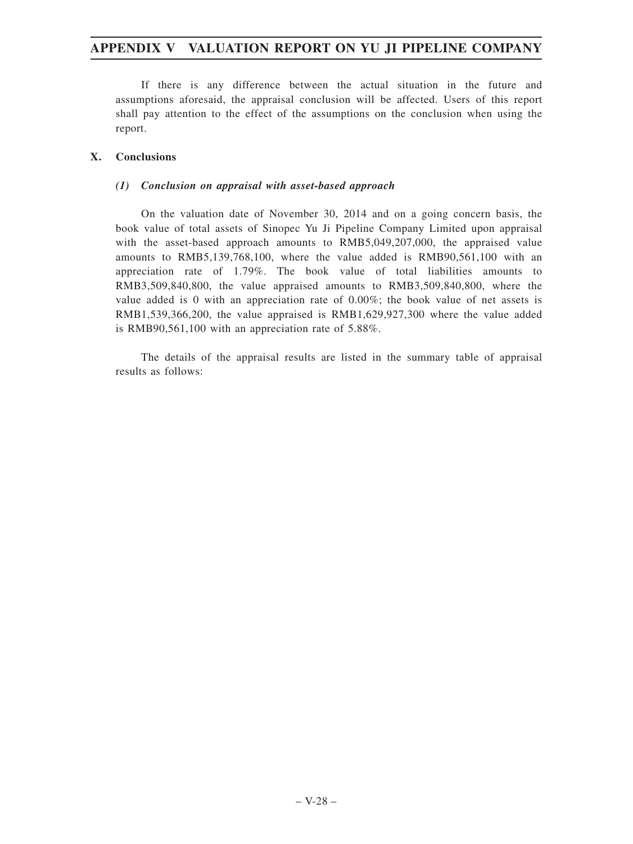If there is any difference between the actual situation in the future and assumptions aforesaid, the appraisal conclusion will be affected. Users of this report shall pay attention to the effect of the assumptions on the conclusion when using the report.

#### **X. Conclusions**

#### *(1) Conclusion on appraisal with asset-based approach*

On the valuation date of November 30, 2014 and on a going concern basis, the book value of total assets of Sinopec Yu Ji Pipeline Company Limited upon appraisal with the asset-based approach amounts to RMB5,049,207,000, the appraised value amounts to RMB5,139,768,100, where the value added is RMB90,561,100 with an appreciation rate of 1.79%. The book value of total liabilities amounts to RMB3,509,840,800, the value appraised amounts to RMB3,509,840,800, where the value added is 0 with an appreciation rate of 0.00%; the book value of net assets is RMB1,539,366,200, the value appraised is RMB1,629,927,300 where the value added is RMB90,561,100 with an appreciation rate of 5.88%.

The details of the appraisal results are listed in the summary table of appraisal results as follows: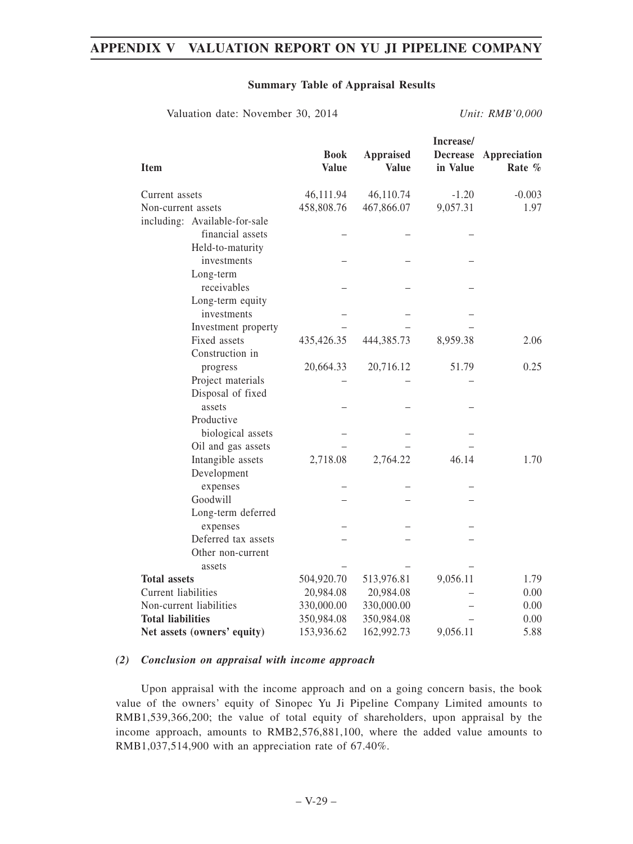#### **Summary Table of Appraisal Results**

Valuation date: November 30, 2014 *Unit: RMB'0,000*

| 46,111.94<br>46,110.74<br>$-1.20$<br>$-0.003$<br>Current assets<br>458,808.76<br>467,866.07<br>9,057.31<br>Non-current assets<br>including: Available-for-sale<br>financial assets<br>Held-to-maturity<br>investments<br>Long-term<br>receivables<br>Long-term equity | <b>Item</b> | <b>Book</b><br><b>Value</b> | <b>Appraised</b><br><b>Value</b> | Increase/<br><b>Decrease</b><br>in Value | Appreciation<br>Rate % |
|-----------------------------------------------------------------------------------------------------------------------------------------------------------------------------------------------------------------------------------------------------------------------|-------------|-----------------------------|----------------------------------|------------------------------------------|------------------------|
|                                                                                                                                                                                                                                                                       |             |                             |                                  |                                          |                        |
|                                                                                                                                                                                                                                                                       |             |                             |                                  |                                          | 1.97                   |
|                                                                                                                                                                                                                                                                       |             |                             |                                  |                                          |                        |
|                                                                                                                                                                                                                                                                       |             |                             |                                  |                                          |                        |
|                                                                                                                                                                                                                                                                       |             |                             |                                  |                                          |                        |
|                                                                                                                                                                                                                                                                       |             |                             |                                  |                                          |                        |
|                                                                                                                                                                                                                                                                       |             |                             |                                  |                                          |                        |
|                                                                                                                                                                                                                                                                       |             |                             |                                  |                                          |                        |
|                                                                                                                                                                                                                                                                       |             |                             |                                  |                                          |                        |
| investments                                                                                                                                                                                                                                                           |             |                             |                                  |                                          |                        |
| Investment property                                                                                                                                                                                                                                                   |             |                             |                                  |                                          |                        |
| Fixed assets<br>435,426.35<br>444,385.73<br>8,959.38<br>2.06                                                                                                                                                                                                          |             |                             |                                  |                                          |                        |
| Construction in                                                                                                                                                                                                                                                       |             |                             |                                  |                                          |                        |
| 20,664.33<br>20,716.12<br>51.79<br>0.25<br>progress                                                                                                                                                                                                                   |             |                             |                                  |                                          |                        |
| Project materials                                                                                                                                                                                                                                                     |             |                             |                                  |                                          |                        |
| Disposal of fixed                                                                                                                                                                                                                                                     |             |                             |                                  |                                          |                        |
| assets                                                                                                                                                                                                                                                                |             |                             |                                  |                                          |                        |
| Productive                                                                                                                                                                                                                                                            |             |                             |                                  |                                          |                        |
| biological assets                                                                                                                                                                                                                                                     |             |                             |                                  |                                          |                        |
| Oil and gas assets                                                                                                                                                                                                                                                    |             |                             |                                  |                                          |                        |
| 2,718.08<br>2,764.22<br>46.14<br>Intangible assets<br>1.70                                                                                                                                                                                                            |             |                             |                                  |                                          |                        |
| Development                                                                                                                                                                                                                                                           |             |                             |                                  |                                          |                        |
| expenses<br>Goodwill                                                                                                                                                                                                                                                  |             |                             |                                  |                                          |                        |
|                                                                                                                                                                                                                                                                       |             |                             |                                  |                                          |                        |
| Long-term deferred                                                                                                                                                                                                                                                    |             |                             |                                  |                                          |                        |
| expenses<br>Deferred tax assets                                                                                                                                                                                                                                       |             |                             |                                  |                                          |                        |
| Other non-current                                                                                                                                                                                                                                                     |             |                             |                                  |                                          |                        |
| assets                                                                                                                                                                                                                                                                |             |                             |                                  |                                          |                        |
| <b>Total assets</b><br>9,056.11<br>504,920.70<br>513,976.81<br>1.79                                                                                                                                                                                                   |             |                             |                                  |                                          |                        |
| Current liabilities<br>20,984.08<br>0.00<br>20,984.08                                                                                                                                                                                                                 |             |                             |                                  |                                          |                        |
| Non-current liabilities<br>330,000.00<br>330,000.00<br>0.00                                                                                                                                                                                                           |             |                             |                                  |                                          |                        |
| <b>Total liabilities</b><br>0.00<br>350,984.08<br>350,984.08                                                                                                                                                                                                          |             |                             |                                  |                                          |                        |
| 153,936.62<br>162,992.73<br>9,056.11<br>5.88<br>Net assets (owners' equity)                                                                                                                                                                                           |             |                             |                                  |                                          |                        |

#### *(2) Conclusion on appraisal with income approach*

Upon appraisal with the income approach and on a going concern basis, the book value of the owners' equity of Sinopec Yu Ji Pipeline Company Limited amounts to RMB1,539,366,200; the value of total equity of shareholders, upon appraisal by the income approach, amounts to RMB2,576,881,100, where the added value amounts to RMB1,037,514,900 with an appreciation rate of 67.40%.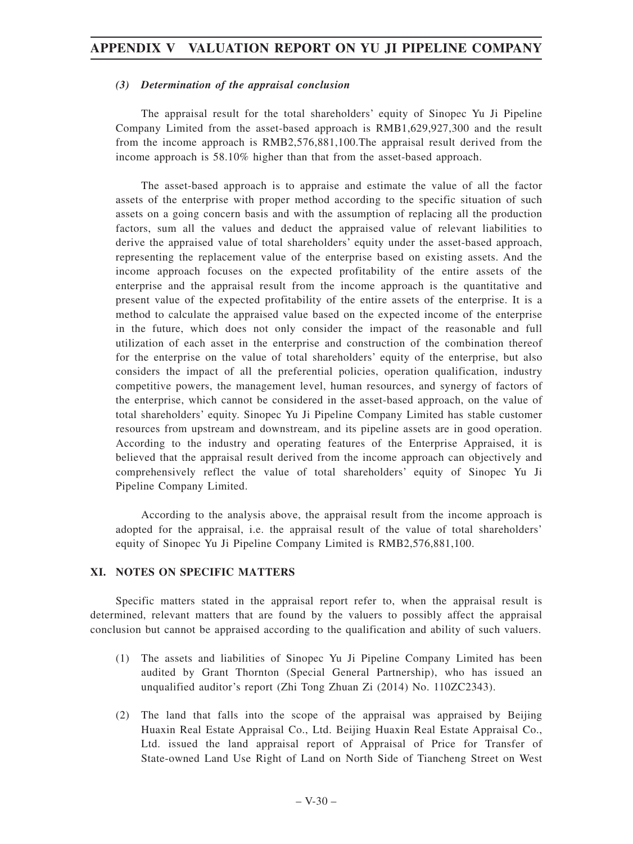#### *(3) Determination of the appraisal conclusion*

The appraisal result for the total shareholders' equity of Sinopec Yu Ji Pipeline Company Limited from the asset-based approach is RMB1,629,927,300 and the result from the income approach is RMB2,576,881,100.The appraisal result derived from the income approach is 58.10% higher than that from the asset-based approach.

The asset-based approach is to appraise and estimate the value of all the factor assets of the enterprise with proper method according to the specific situation of such assets on a going concern basis and with the assumption of replacing all the production factors, sum all the values and deduct the appraised value of relevant liabilities to derive the appraised value of total shareholders' equity under the asset-based approach, representing the replacement value of the enterprise based on existing assets. And the income approach focuses on the expected profitability of the entire assets of the enterprise and the appraisal result from the income approach is the quantitative and present value of the expected profitability of the entire assets of the enterprise. It is a method to calculate the appraised value based on the expected income of the enterprise in the future, which does not only consider the impact of the reasonable and full utilization of each asset in the enterprise and construction of the combination thereof for the enterprise on the value of total shareholders' equity of the enterprise, but also considers the impact of all the preferential policies, operation qualification, industry competitive powers, the management level, human resources, and synergy of factors of the enterprise, which cannot be considered in the asset-based approach, on the value of total shareholders' equity. Sinopec Yu Ji Pipeline Company Limited has stable customer resources from upstream and downstream, and its pipeline assets are in good operation. According to the industry and operating features of the Enterprise Appraised, it is believed that the appraisal result derived from the income approach can objectively and comprehensively reflect the value of total shareholders' equity of Sinopec Yu Ji Pipeline Company Limited.

According to the analysis above, the appraisal result from the income approach is adopted for the appraisal, i.e. the appraisal result of the value of total shareholders' equity of Sinopec Yu Ji Pipeline Company Limited is RMB2,576,881,100.

#### **XI. NOTES ON SPECIFIC MATTERS**

Specific matters stated in the appraisal report refer to, when the appraisal result is determined, relevant matters that are found by the valuers to possibly affect the appraisal conclusion but cannot be appraised according to the qualification and ability of such valuers.

- (1) The assets and liabilities of Sinopec Yu Ji Pipeline Company Limited has been audited by Grant Thornton (Special General Partnership), who has issued an unqualified auditor's report (Zhi Tong Zhuan Zi (2014) No. 110ZC2343).
- (2) The land that falls into the scope of the appraisal was appraised by Beijing Huaxin Real Estate Appraisal Co., Ltd. Beijing Huaxin Real Estate Appraisal Co., Ltd. issued the land appraisal report of Appraisal of Price for Transfer of State-owned Land Use Right of Land on North Side of Tiancheng Street on West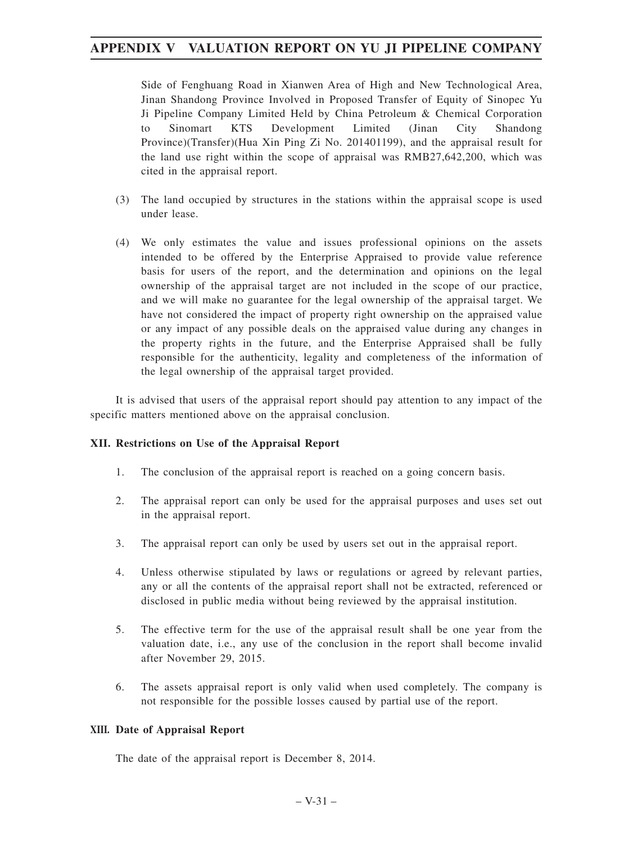Side of Fenghuang Road in Xianwen Area of High and New Technological Area, Jinan Shandong Province Involved in Proposed Transfer of Equity of Sinopec Yu Ji Pipeline Company Limited Held by China Petroleum & Chemical Corporation to Sinomart KTS Development Limited (Jinan City Shandong Province)(Transfer)(Hua Xin Ping Zi No. 201401199), and the appraisal result for the land use right within the scope of appraisal was RMB27,642,200, which was cited in the appraisal report.

- (3) The land occupied by structures in the stations within the appraisal scope is used under lease.
- (4) We only estimates the value and issues professional opinions on the assets intended to be offered by the Enterprise Appraised to provide value reference basis for users of the report, and the determination and opinions on the legal ownership of the appraisal target are not included in the scope of our practice, and we will make no guarantee for the legal ownership of the appraisal target. We have not considered the impact of property right ownership on the appraised value or any impact of any possible deals on the appraised value during any changes in the property rights in the future, and the Enterprise Appraised shall be fully responsible for the authenticity, legality and completeness of the information of the legal ownership of the appraisal target provided.

It is advised that users of the appraisal report should pay attention to any impact of the specific matters mentioned above on the appraisal conclusion.

#### **XII. Restrictions on Use of the Appraisal Report**

- 1. The conclusion of the appraisal report is reached on a going concern basis.
- 2. The appraisal report can only be used for the appraisal purposes and uses set out in the appraisal report.
- 3. The appraisal report can only be used by users set out in the appraisal report.
- 4. Unless otherwise stipulated by laws or regulations or agreed by relevant parties, any or all the contents of the appraisal report shall not be extracted, referenced or disclosed in public media without being reviewed by the appraisal institution.
- 5. The effective term for the use of the appraisal result shall be one year from the valuation date, i.e., any use of the conclusion in the report shall become invalid after November 29, 2015.
- 6. The assets appraisal report is only valid when used completely. The company is not responsible for the possible losses caused by partial use of the report.

#### **XIII. Date of Appraisal Report**

The date of the appraisal report is December 8, 2014.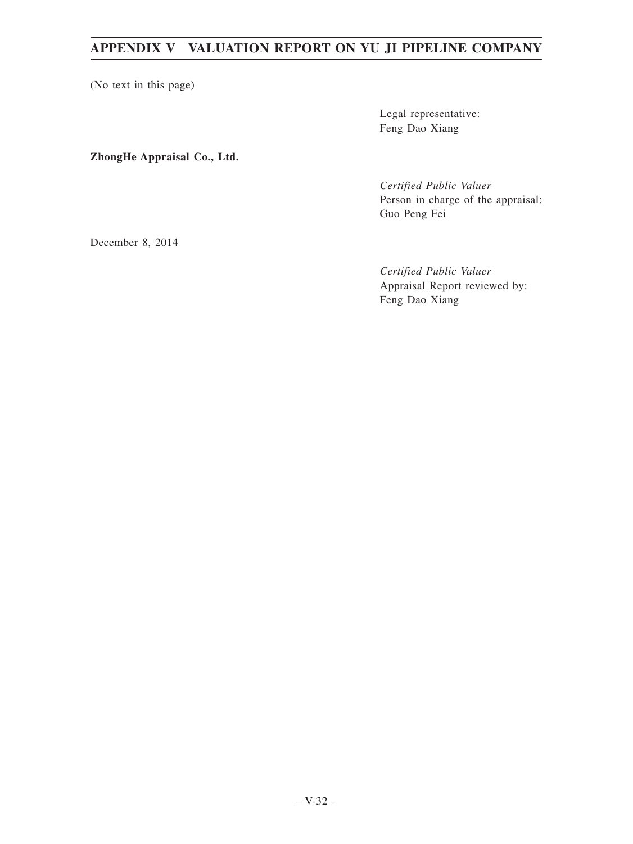(No text in this page)

Legal representative: Feng Dao Xiang

**ZhongHe Appraisal Co., Ltd.**

*Certified Public Valuer* Person in charge of the appraisal: Guo Peng Fei

December 8, 2014

*Certified Public Valuer* Appraisal Report reviewed by: Feng Dao Xiang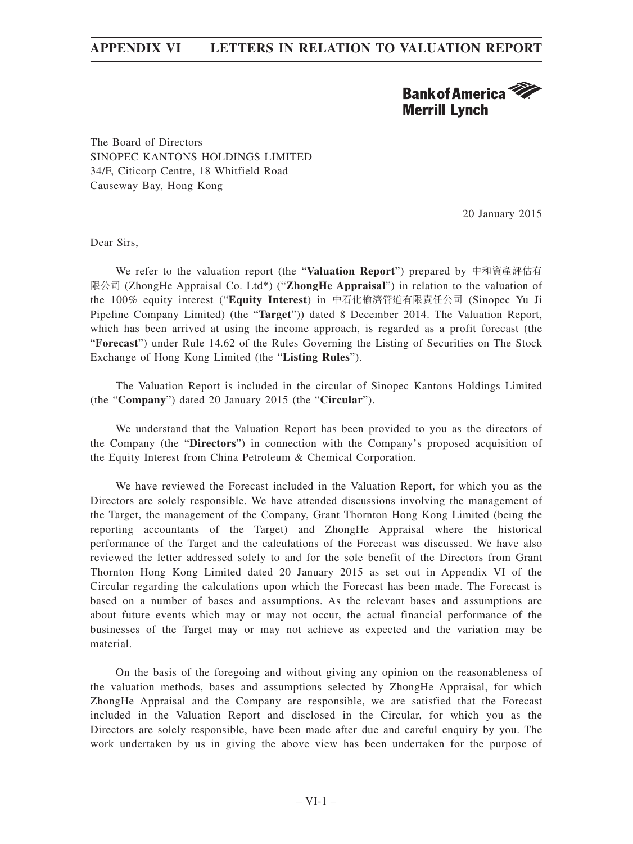# **Bank of America Merrill Lynch**

The Board of Directors SINOPEC KANTONS HOLDINGS LIMITED 34/F, Citicorp Centre, 18 Whitfield Road Causeway Bay, Hong Kong

20 January 2015

Dear Sirs,

We refer to the valuation report (the "**Valuation Report**") prepared by 中和資產評估有 限公司 (ZhongHe Appraisal Co. Ltd\*) ("**ZhongHe Appraisal**") in relation to the valuation of the 100% equity interest ("**Equity Interest**) in 中石化榆濟管道有限責任公司 (Sinopec Yu Ji Pipeline Company Limited) (the "**Target**")) dated 8 December 2014. The Valuation Report, which has been arrived at using the income approach, is regarded as a profit forecast (the "**Forecast**") under Rule 14.62 of the Rules Governing the Listing of Securities on The Stock Exchange of Hong Kong Limited (the "**Listing Rules**").

The Valuation Report is included in the circular of Sinopec Kantons Holdings Limited (the "**Company**") dated 20 January 2015 (the "**Circular**").

We understand that the Valuation Report has been provided to you as the directors of the Company (the "**Directors**") in connection with the Company's proposed acquisition of the Equity Interest from China Petroleum & Chemical Corporation.

We have reviewed the Forecast included in the Valuation Report, for which you as the Directors are solely responsible. We have attended discussions involving the management of the Target, the management of the Company, Grant Thornton Hong Kong Limited (being the reporting accountants of the Target) and ZhongHe Appraisal where the historical performance of the Target and the calculations of the Forecast was discussed. We have also reviewed the letter addressed solely to and for the sole benefit of the Directors from Grant Thornton Hong Kong Limited dated 20 January 2015 as set out in Appendix VI of the Circular regarding the calculations upon which the Forecast has been made. The Forecast is based on a number of bases and assumptions. As the relevant bases and assumptions are about future events which may or may not occur, the actual financial performance of the businesses of the Target may or may not achieve as expected and the variation may be material.

On the basis of the foregoing and without giving any opinion on the reasonableness of the valuation methods, bases and assumptions selected by ZhongHe Appraisal, for which ZhongHe Appraisal and the Company are responsible, we are satisfied that the Forecast included in the Valuation Report and disclosed in the Circular, for which you as the Directors are solely responsible, have been made after due and careful enquiry by you. The work undertaken by us in giving the above view has been undertaken for the purpose of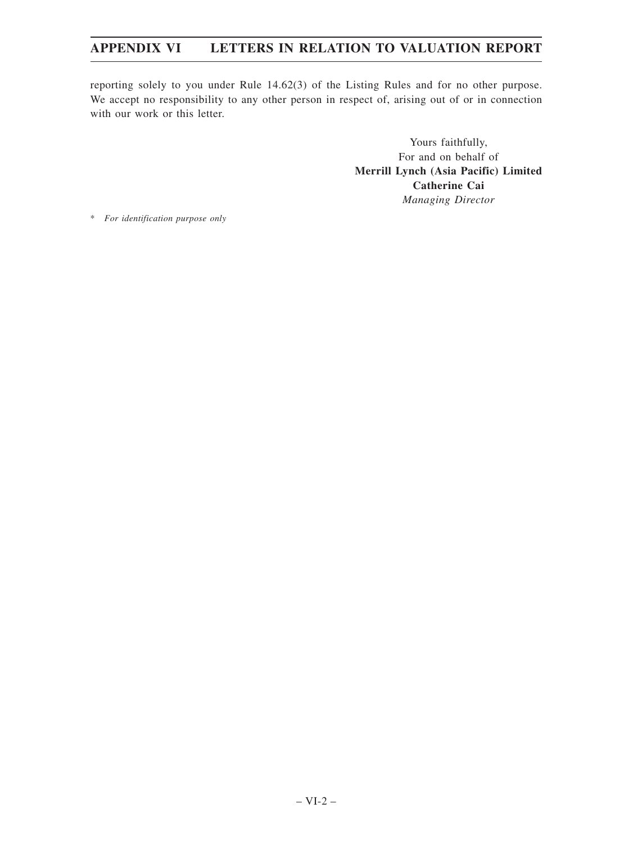reporting solely to you under Rule 14.62(3) of the Listing Rules and for no other purpose. We accept no responsibility to any other person in respect of, arising out of or in connection with our work or this letter.

> Yours faithfully, For and on behalf of **Merrill Lynch (Asia Pacific) Limited Catherine Cai** *Managing Director*

\* *For identification purpose only*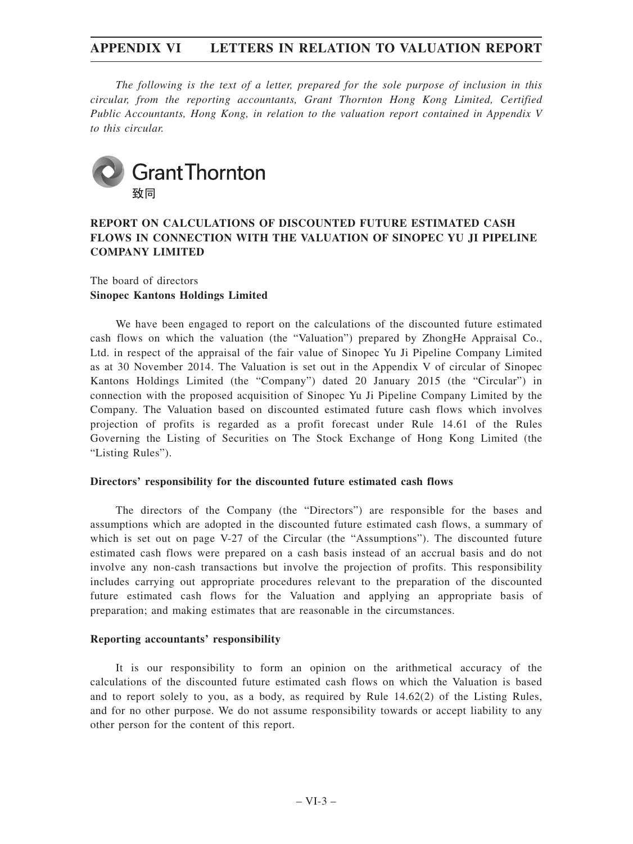*The following is the text of a letter, prepared for the sole purpose of inclusion in this circular, from the reporting accountants, Grant Thornton Hong Kong Limited, Certified Public Accountants, Hong Kong, in relation to the valuation report contained in Appendix V to this circular.*



### **REPORT ON CALCULATIONS OF DISCOUNTED FUTURE ESTIMATED CASH FLOWS IN CONNECTION WITH THE VALUATION OF SINOPEC YU JI PIPELINE COMPANY LIMITED**

### The board of directors **Sinopec Kantons Holdings Limited**

We have been engaged to report on the calculations of the discounted future estimated cash flows on which the valuation (the "Valuation") prepared by ZhongHe Appraisal Co., Ltd. in respect of the appraisal of the fair value of Sinopec Yu Ji Pipeline Company Limited as at 30 November 2014. The Valuation is set out in the Appendix V of circular of Sinopec Kantons Holdings Limited (the "Company") dated 20 January 2015 (the "Circular") in connection with the proposed acquisition of Sinopec Yu Ji Pipeline Company Limited by the Company. The Valuation based on discounted estimated future cash flows which involves projection of profits is regarded as a profit forecast under Rule 14.61 of the Rules Governing the Listing of Securities on The Stock Exchange of Hong Kong Limited (the "Listing Rules").

#### **Directors' responsibility for the discounted future estimated cash flows**

The directors of the Company (the "Directors") are responsible for the bases and assumptions which are adopted in the discounted future estimated cash flows, a summary of which is set out on page V-27 of the Circular (the "Assumptions"). The discounted future estimated cash flows were prepared on a cash basis instead of an accrual basis and do not involve any non-cash transactions but involve the projection of profits. This responsibility includes carrying out appropriate procedures relevant to the preparation of the discounted future estimated cash flows for the Valuation and applying an appropriate basis of preparation; and making estimates that are reasonable in the circumstances.

#### **Reporting accountants' responsibility**

It is our responsibility to form an opinion on the arithmetical accuracy of the calculations of the discounted future estimated cash flows on which the Valuation is based and to report solely to you, as a body, as required by Rule 14.62(2) of the Listing Rules, and for no other purpose. We do not assume responsibility towards or accept liability to any other person for the content of this report.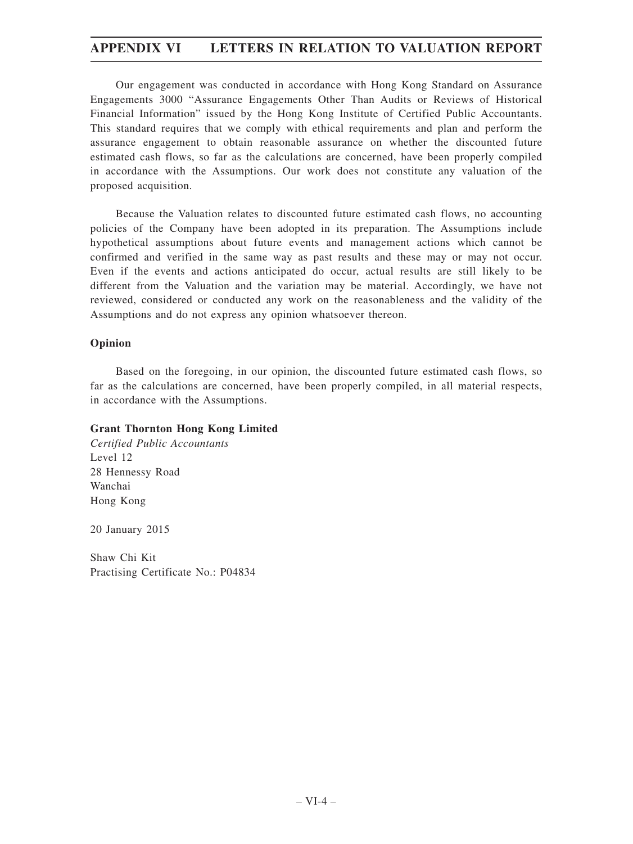Our engagement was conducted in accordance with Hong Kong Standard on Assurance Engagements 3000 "Assurance Engagements Other Than Audits or Reviews of Historical Financial Information" issued by the Hong Kong Institute of Certified Public Accountants. This standard requires that we comply with ethical requirements and plan and perform the assurance engagement to obtain reasonable assurance on whether the discounted future estimated cash flows, so far as the calculations are concerned, have been properly compiled in accordance with the Assumptions. Our work does not constitute any valuation of the proposed acquisition.

Because the Valuation relates to discounted future estimated cash flows, no accounting policies of the Company have been adopted in its preparation. The Assumptions include hypothetical assumptions about future events and management actions which cannot be confirmed and verified in the same way as past results and these may or may not occur. Even if the events and actions anticipated do occur, actual results are still likely to be different from the Valuation and the variation may be material. Accordingly, we have not reviewed, considered or conducted any work on the reasonableness and the validity of the Assumptions and do not express any opinion whatsoever thereon.

#### **Opinion**

Based on the foregoing, in our opinion, the discounted future estimated cash flows, so far as the calculations are concerned, have been properly compiled, in all material respects, in accordance with the Assumptions.

### **Grant Thornton Hong Kong Limited**

*Certified Public Accountants* Level 12 28 Hennessy Road Wanchai Hong Kong

20 January 2015

Shaw Chi Kit Practising Certificate No.: P04834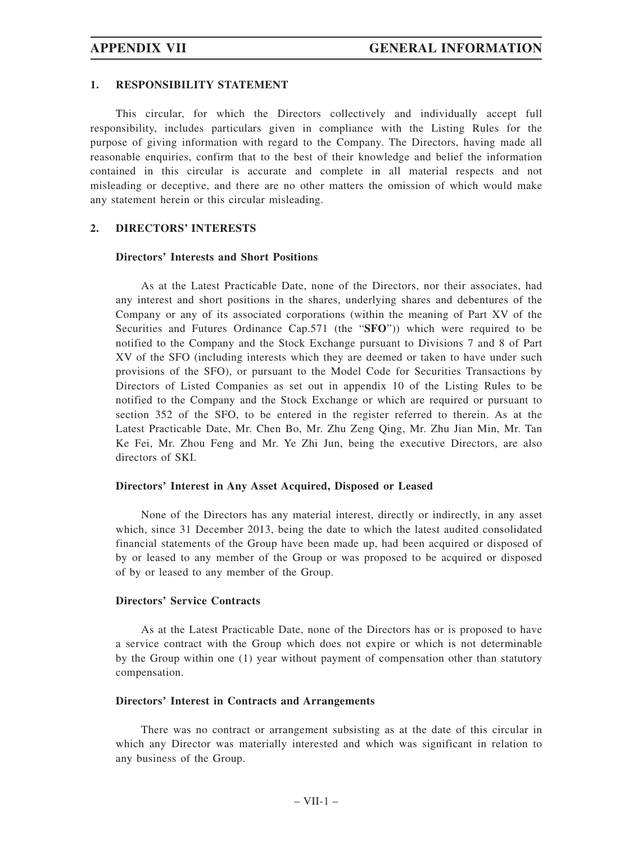#### **1. RESPONSIBILITY STATEMENT**

This circular, for which the Directors collectively and individually accept full responsibility, includes particulars given in compliance with the Listing Rules for the purpose of giving information with regard to the Company. The Directors, having made all reasonable enquiries, confirm that to the best of their knowledge and belief the information contained in this circular is accurate and complete in all material respects and not misleading or deceptive, and there are no other matters the omission of which would make any statement herein or this circular misleading.

#### **2. DIRECTORS' INTERESTS**

#### **Directors' Interests and Short Positions**

As at the Latest Practicable Date, none of the Directors, nor their associates, had any interest and short positions in the shares, underlying shares and debentures of the Company or any of its associated corporations (within the meaning of Part XV of the Securities and Futures Ordinance Cap.571 (the "**SFO**")) which were required to be notified to the Company and the Stock Exchange pursuant to Divisions 7 and 8 of Part XV of the SFO (including interests which they are deemed or taken to have under such provisions of the SFO), or pursuant to the Model Code for Securities Transactions by Directors of Listed Companies as set out in appendix 10 of the Listing Rules to be notified to the Company and the Stock Exchange or which are required or pursuant to section 352 of the SFO, to be entered in the register referred to therein. As at the Latest Practicable Date, Mr. Chen Bo, Mr. Zhu Zeng Qing, Mr. Zhu Jian Min, Mr. Tan Ke Fei, Mr. Zhou Feng and Mr. Ye Zhi Jun, being the executive Directors, are also directors of SKI.

#### **Directors' Interest in Any Asset Acquired, Disposed or Leased**

None of the Directors has any material interest, directly or indirectly, in any asset which, since 31 December 2013, being the date to which the latest audited consolidated financial statements of the Group have been made up, had been acquired or disposed of by or leased to any member of the Group or was proposed to be acquired or disposed of by or leased to any member of the Group.

#### **Directors' Service Contracts**

As at the Latest Practicable Date, none of the Directors has or is proposed to have a service contract with the Group which does not expire or which is not determinable by the Group within one (1) year without payment of compensation other than statutory compensation.

#### **Directors' Interest in Contracts and Arrangements**

There was no contract or arrangement subsisting as at the date of this circular in which any Director was materially interested and which was significant in relation to any business of the Group.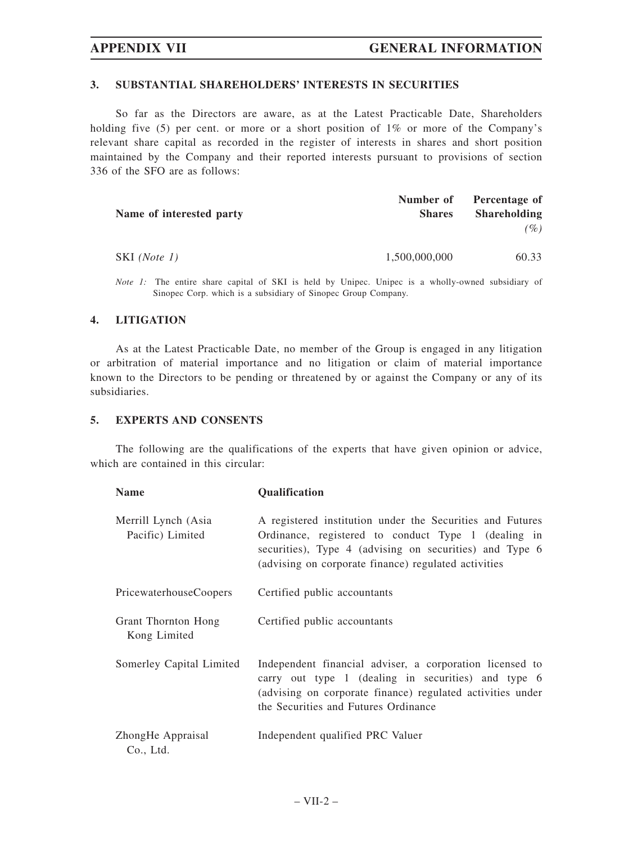#### **3. SUBSTANTIAL SHAREHOLDERS' INTERESTS IN SECURITIES**

So far as the Directors are aware, as at the Latest Practicable Date, Shareholders holding five (5) per cent. or more or a short position of 1% or more of the Company's relevant share capital as recorded in the register of interests in shares and short position maintained by the Company and their reported interests pursuant to provisions of section 336 of the SFO are as follows:

|                          |               | Number of Percentage of |
|--------------------------|---------------|-------------------------|
| Name of interested party | <b>Shares</b> | <b>Shareholding</b>     |
|                          |               | $($ %)                  |
| SKI (Note 1)             | 1,500,000,000 | 60.33                   |

*Note 1*: The entire share capital of SKI is held by Unipec. Unipec is a wholly-owned subsidiary of Sinopec Corp. which is a subsidiary of Sinopec Group Company.

#### **4. LITIGATION**

As at the Latest Practicable Date, no member of the Group is engaged in any litigation or arbitration of material importance and no litigation or claim of material importance known to the Directors to be pending or threatened by or against the Company or any of its subsidiaries.

#### **5. EXPERTS AND CONSENTS**

The following are the qualifications of the experts that have given opinion or advice, which are contained in this circular:

| <b>Name</b>                             | <b>Qualification</b>                                                                                                                                                                                                                |  |
|-----------------------------------------|-------------------------------------------------------------------------------------------------------------------------------------------------------------------------------------------------------------------------------------|--|
| Merrill Lynch (Asia<br>Pacific) Limited | A registered institution under the Securities and Futures<br>Ordinance, registered to conduct Type 1 (dealing in<br>securities), Type 4 (advising on securities) and Type 6<br>(advising on corporate finance) regulated activities |  |
| <b>PricewaterhouseCoopers</b>           | Certified public accountants                                                                                                                                                                                                        |  |
| Grant Thornton Hong<br>Kong Limited     | Certified public accountants                                                                                                                                                                                                        |  |
| Somerley Capital Limited                | Independent financial adviser, a corporation licensed to<br>carry out type 1 (dealing in securities) and type 6<br>(advising on corporate finance) regulated activities under<br>the Securities and Futures Ordinance               |  |
| ZhongHe Appraisal<br>Co., Ltd.          | Independent qualified PRC Valuer                                                                                                                                                                                                    |  |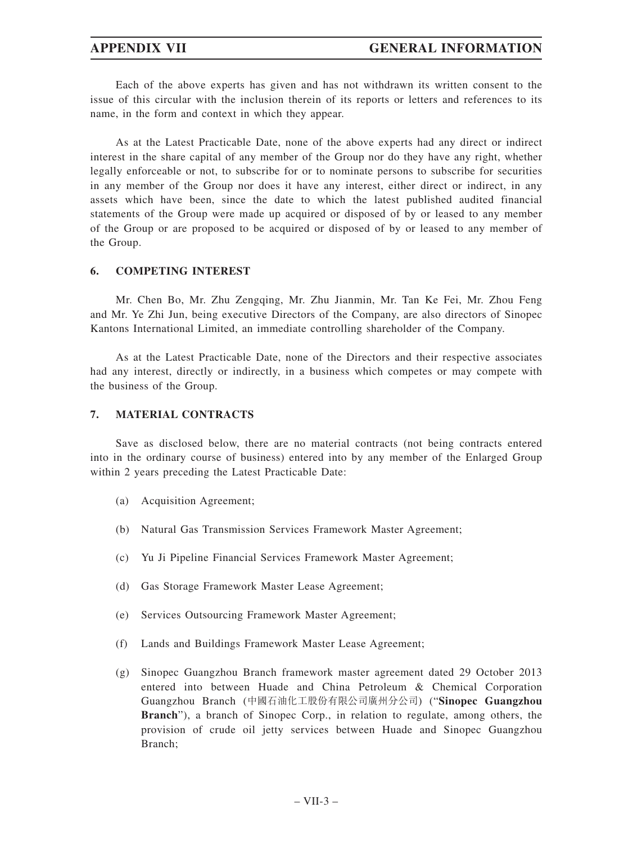Each of the above experts has given and has not withdrawn its written consent to the issue of this circular with the inclusion therein of its reports or letters and references to its name, in the form and context in which they appear.

As at the Latest Practicable Date, none of the above experts had any direct or indirect interest in the share capital of any member of the Group nor do they have any right, whether legally enforceable or not, to subscribe for or to nominate persons to subscribe for securities in any member of the Group nor does it have any interest, either direct or indirect, in any assets which have been, since the date to which the latest published audited financial statements of the Group were made up acquired or disposed of by or leased to any member of the Group or are proposed to be acquired or disposed of by or leased to any member of the Group.

#### **6. COMPETING INTEREST**

Mr. Chen Bo, Mr. Zhu Zengqing, Mr. Zhu Jianmin, Mr. Tan Ke Fei, Mr. Zhou Feng and Mr. Ye Zhi Jun, being executive Directors of the Company, are also directors of Sinopec Kantons International Limited, an immediate controlling shareholder of the Company.

As at the Latest Practicable Date, none of the Directors and their respective associates had any interest, directly or indirectly, in a business which competes or may compete with the business of the Group.

#### **7. MATERIAL CONTRACTS**

Save as disclosed below, there are no material contracts (not being contracts entered into in the ordinary course of business) entered into by any member of the Enlarged Group within 2 years preceding the Latest Practicable Date:

- (a) Acquisition Agreement;
- (b) Natural Gas Transmission Services Framework Master Agreement;
- (c) Yu Ji Pipeline Financial Services Framework Master Agreement;
- (d) Gas Storage Framework Master Lease Agreement;
- (e) Services Outsourcing Framework Master Agreement;
- (f) Lands and Buildings Framework Master Lease Agreement;
- (g) Sinopec Guangzhou Branch framework master agreement dated 29 October 2013 entered into between Huade and China Petroleum & Chemical Corporation Guangzhou Branch (中國石油化工股份有限公司廣州分公司) ("**Sinopec Guangzhou Branch**"), a branch of Sinopec Corp., in relation to regulate, among others, the provision of crude oil jetty services between Huade and Sinopec Guangzhou Branch;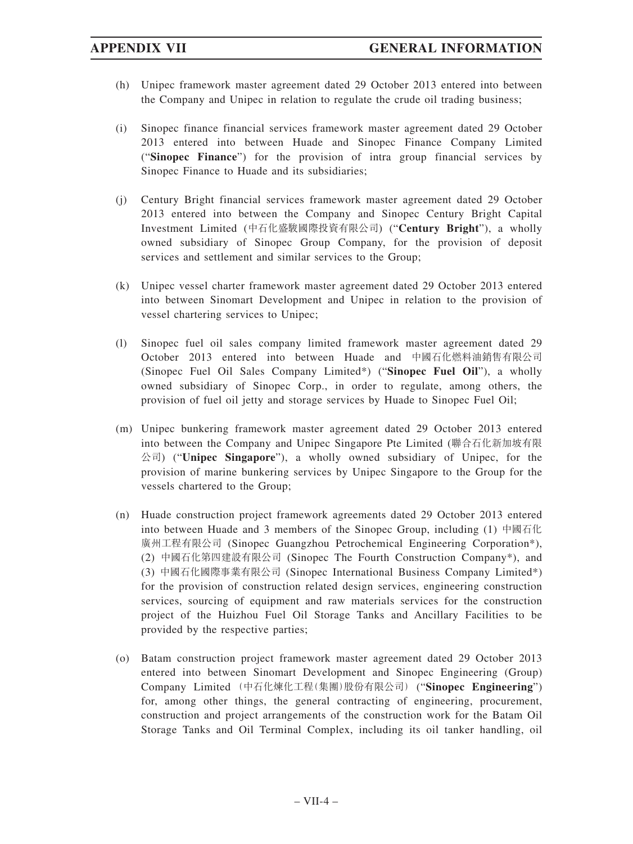- (h) Unipec framework master agreement dated 29 October 2013 entered into between the Company and Unipec in relation to regulate the crude oil trading business;
- (i) Sinopec finance financial services framework master agreement dated 29 October 2013 entered into between Huade and Sinopec Finance Company Limited ("**Sinopec Finance**") for the provision of intra group financial services by Sinopec Finance to Huade and its subsidiaries;
- (j) Century Bright financial services framework master agreement dated 29 October 2013 entered into between the Company and Sinopec Century Bright Capital Investment Limited (中石化盛駿國際投資有限公司) ("**Century Bright**"), a wholly owned subsidiary of Sinopec Group Company, for the provision of deposit services and settlement and similar services to the Group;
- (k) Unipec vessel charter framework master agreement dated 29 October 2013 entered into between Sinomart Development and Unipec in relation to the provision of vessel chartering services to Unipec;
- (l) Sinopec fuel oil sales company limited framework master agreement dated 29 October 2013 entered into between Huade and 中國石化燃料油銷售有限公司 (Sinopec Fuel Oil Sales Company Limited\*) ("**Sinopec Fuel Oil**"), a wholly owned subsidiary of Sinopec Corp., in order to regulate, among others, the provision of fuel oil jetty and storage services by Huade to Sinopec Fuel Oil;
- (m) Unipec bunkering framework master agreement dated 29 October 2013 entered into between the Company and Unipec Singapore Pte Limited (聯合石化新加坡有限 公司) ("**Unipec Singapore**"), a wholly owned subsidiary of Unipec, for the provision of marine bunkering services by Unipec Singapore to the Group for the vessels chartered to the Group;
- (n) Huade construction project framework agreements dated 29 October 2013 entered into between Huade and 3 members of the Sinopec Group, including (1) 中國石化 廣州工程有限公司 (Sinopec Guangzhou Petrochemical Engineering Corporation\*), (2) 中國石化第四建設有限公司 (Sinopec The Fourth Construction Company\*), and (3) 中國石化國際事業有限公司 (Sinopec International Business Company Limited\*) for the provision of construction related design services, engineering construction services, sourcing of equipment and raw materials services for the construction project of the Huizhou Fuel Oil Storage Tanks and Ancillary Facilities to be provided by the respective parties;
- (o) Batam construction project framework master agreement dated 29 October 2013 entered into between Sinomart Development and Sinopec Engineering (Group) Company Limited (中石化煉化工程(集團)股份有限公司) ("**Sinopec Engineering**") for, among other things, the general contracting of engineering, procurement, construction and project arrangements of the construction work for the Batam Oil Storage Tanks and Oil Terminal Complex, including its oil tanker handling, oil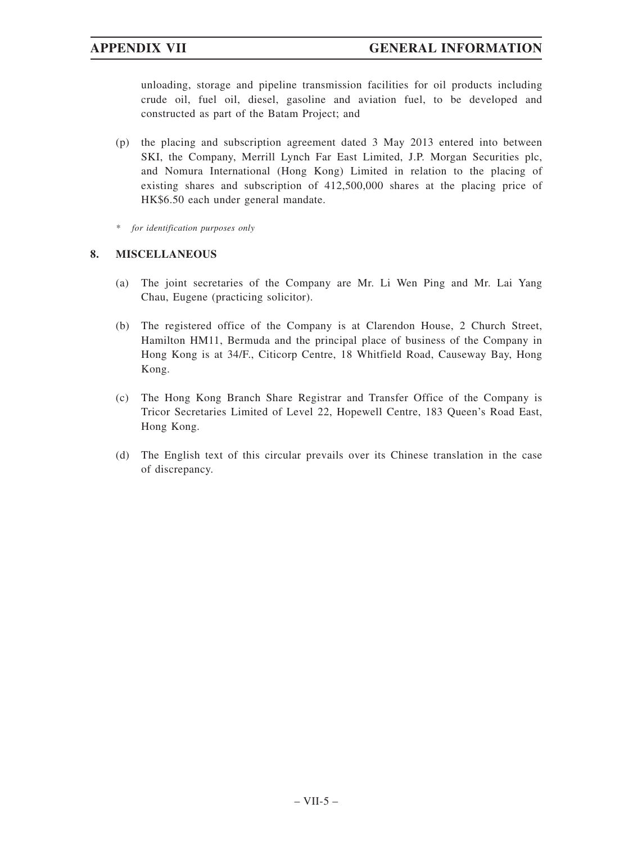unloading, storage and pipeline transmission facilities for oil products including crude oil, fuel oil, diesel, gasoline and aviation fuel, to be developed and constructed as part of the Batam Project; and

- (p) the placing and subscription agreement dated 3 May 2013 entered into between SKI, the Company, Merrill Lynch Far East Limited, J.P. Morgan Securities plc, and Nomura International (Hong Kong) Limited in relation to the placing of existing shares and subscription of 412,500,000 shares at the placing price of HK\$6.50 each under general mandate.
- *\* for identification purposes only*

### **8. MISCELLANEOUS**

- (a) The joint secretaries of the Company are Mr. Li Wen Ping and Mr. Lai Yang Chau, Eugene (practicing solicitor).
- (b) The registered office of the Company is at Clarendon House, 2 Church Street, Hamilton HM11, Bermuda and the principal place of business of the Company in Hong Kong is at 34/F., Citicorp Centre, 18 Whitfield Road, Causeway Bay, Hong Kong.
- (c) The Hong Kong Branch Share Registrar and Transfer Office of the Company is Tricor Secretaries Limited of Level 22, Hopewell Centre, 183 Queen's Road East, Hong Kong.
- (d) The English text of this circular prevails over its Chinese translation in the case of discrepancy.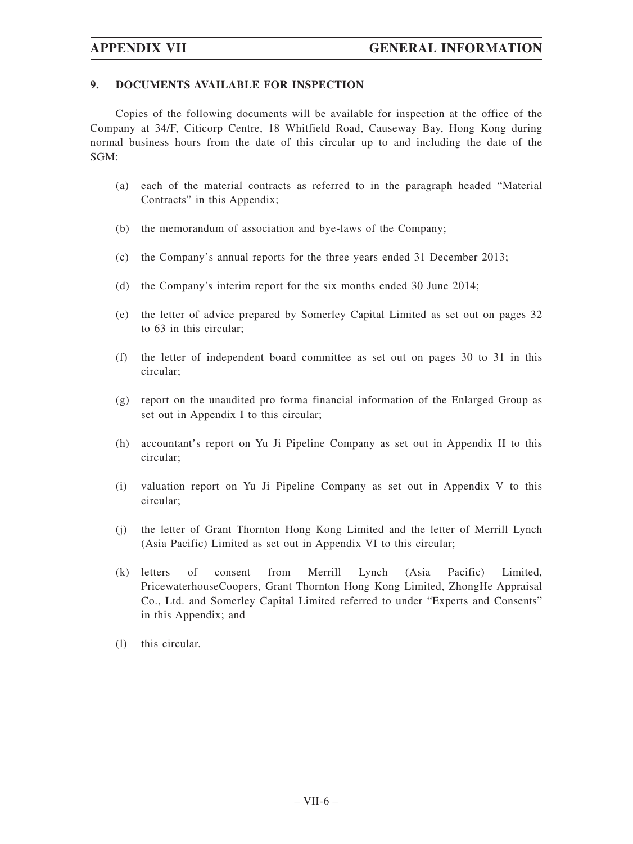### **9. DOCUMENTS AVAILABLE FOR INSPECTION**

Copies of the following documents will be available for inspection at the office of the Company at 34/F, Citicorp Centre, 18 Whitfield Road, Causeway Bay, Hong Kong during normal business hours from the date of this circular up to and including the date of the SGM:

- (a) each of the material contracts as referred to in the paragraph headed "Material Contracts" in this Appendix;
- (b) the memorandum of association and bye-laws of the Company;
- (c) the Company's annual reports for the three years ended 31 December 2013;
- (d) the Company's interim report for the six months ended 30 June 2014;
- (e) the letter of advice prepared by Somerley Capital Limited as set out on pages 32 to 63 in this circular;
- (f) the letter of independent board committee as set out on pages 30 to 31 in this circular;
- (g) report on the unaudited pro forma financial information of the Enlarged Group as set out in Appendix I to this circular;
- (h) accountant's report on Yu Ji Pipeline Company as set out in Appendix II to this circular;
- (i) valuation report on Yu Ji Pipeline Company as set out in Appendix V to this circular;
- (j) the letter of Grant Thornton Hong Kong Limited and the letter of Merrill Lynch (Asia Pacific) Limited as set out in Appendix VI to this circular;
- (k) letters of consent from Merrill Lynch (Asia Pacific) Limited, PricewaterhouseCoopers, Grant Thornton Hong Kong Limited, ZhongHe Appraisal Co., Ltd. and Somerley Capital Limited referred to under "Experts and Consents" in this Appendix; and
- (l) this circular.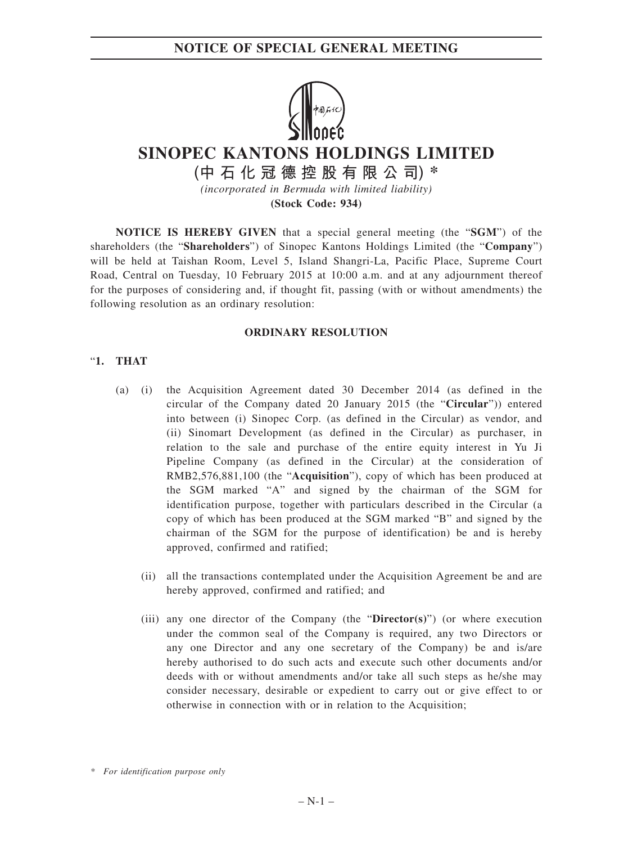

# **SINOPEC KANTONS HOLDINGS LIMITED**

**(中石化冠德控股有限公司) \*** *(incorporated in Bermuda with limited liability)*

**(Stock Code: 934)**

**NOTICE IS HEREBY GIVEN** that a special general meeting (the "**SGM**") of the shareholders (the "**Shareholders**") of Sinopec Kantons Holdings Limited (the "**Company**") will be held at Taishan Room, Level 5, Island Shangri-La, Pacific Place, Supreme Court Road, Central on Tuesday, 10 February 2015 at 10:00 a.m. and at any adjournment thereof for the purposes of considering and, if thought fit, passing (with or without amendments) the following resolution as an ordinary resolution:

### **ORDINARY RESOLUTION**

### "**1. THAT**

- (a) (i) the Acquisition Agreement dated 30 December 2014 (as defined in the circular of the Company dated 20 January 2015 (the "**Circular**")) entered into between (i) Sinopec Corp. (as defined in the Circular) as vendor, and (ii) Sinomart Development (as defined in the Circular) as purchaser, in relation to the sale and purchase of the entire equity interest in Yu Ji Pipeline Company (as defined in the Circular) at the consideration of RMB2,576,881,100 (the "**Acquisition**"), copy of which has been produced at the SGM marked "A" and signed by the chairman of the SGM for identification purpose, together with particulars described in the Circular (a copy of which has been produced at the SGM marked "B" and signed by the chairman of the SGM for the purpose of identification) be and is hereby approved, confirmed and ratified;
	- (ii) all the transactions contemplated under the Acquisition Agreement be and are hereby approved, confirmed and ratified; and
	- (iii) any one director of the Company (the "**Director(s)**") (or where execution under the common seal of the Company is required, any two Directors or any one Director and any one secretary of the Company) be and is/are hereby authorised to do such acts and execute such other documents and/or deeds with or without amendments and/or take all such steps as he/she may consider necessary, desirable or expedient to carry out or give effect to or otherwise in connection with or in relation to the Acquisition;

*<sup>\*</sup> For identification purpose only*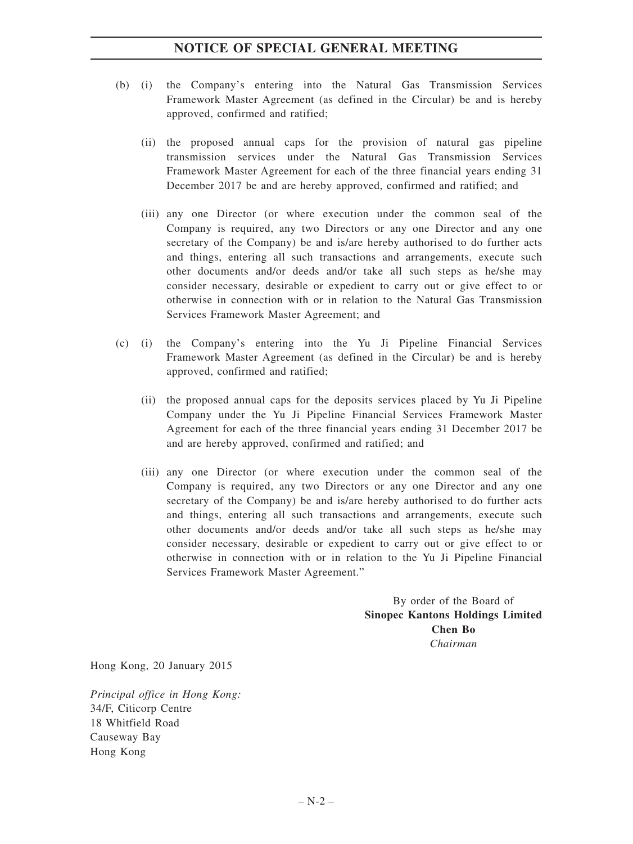## **NOTICE OF SPECIAL GENERAL MEETING**

- (b) (i) the Company's entering into the Natural Gas Transmission Services Framework Master Agreement (as defined in the Circular) be and is hereby approved, confirmed and ratified;
	- (ii) the proposed annual caps for the provision of natural gas pipeline transmission services under the Natural Gas Transmission Services Framework Master Agreement for each of the three financial years ending 31 December 2017 be and are hereby approved, confirmed and ratified; and
	- (iii) any one Director (or where execution under the common seal of the Company is required, any two Directors or any one Director and any one secretary of the Company) be and is/are hereby authorised to do further acts and things, entering all such transactions and arrangements, execute such other documents and/or deeds and/or take all such steps as he/she may consider necessary, desirable or expedient to carry out or give effect to or otherwise in connection with or in relation to the Natural Gas Transmission Services Framework Master Agreement; and
- (c) (i) the Company's entering into the Yu Ji Pipeline Financial Services Framework Master Agreement (as defined in the Circular) be and is hereby approved, confirmed and ratified;
	- (ii) the proposed annual caps for the deposits services placed by Yu Ji Pipeline Company under the Yu Ji Pipeline Financial Services Framework Master Agreement for each of the three financial years ending 31 December 2017 be and are hereby approved, confirmed and ratified; and
	- (iii) any one Director (or where execution under the common seal of the Company is required, any two Directors or any one Director and any one secretary of the Company) be and is/are hereby authorised to do further acts and things, entering all such transactions and arrangements, execute such other documents and/or deeds and/or take all such steps as he/she may consider necessary, desirable or expedient to carry out or give effect to or otherwise in connection with or in relation to the Yu Ji Pipeline Financial Services Framework Master Agreement."

By order of the Board of **Sinopec Kantons Holdings Limited Chen Bo** *Chairman*

Hong Kong, 20 January 2015

*Principal office in Hong Kong:* 34/F, Citicorp Centre 18 Whitfield Road Causeway Bay Hong Kong